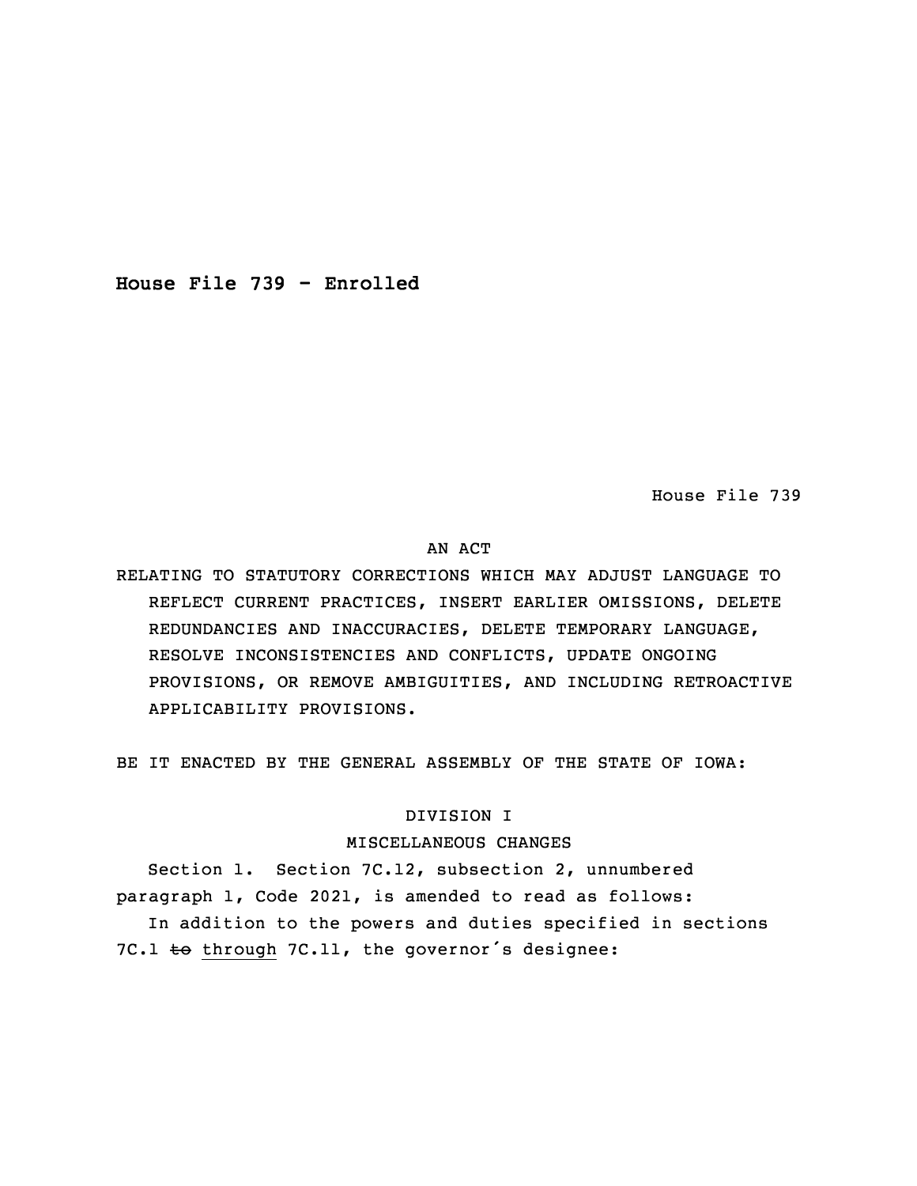**House File 739 - Enrolled**

House File 739

# AN ACT

RELATING TO STATUTORY CORRECTIONS WHICH MAY ADJUST LANGUAGE TO REFLECT CURRENT PRACTICES, INSERT EARLIER OMISSIONS, DELETE REDUNDANCIES AND INACCURACIES, DELETE TEMPORARY LANGUAGE, RESOLVE INCONSISTENCIES AND CONFLICTS, UPDATE ONGOING PROVISIONS, OR REMOVE AMBIGUITIES, AND INCLUDING RETROACTIVE APPLICABILITY PROVISIONS.

BE IT ENACTED BY THE GENERAL ASSEMBLY OF THE STATE OF IOWA:

# DIVISION I

## MISCELLANEOUS CHANGES

Section 1. Section 7C.12, subsection 2, unnumbered paragraph 1, Code 2021, is amended to read as follows: In addition to the powers and duties specified in sections 7C.1  $\pm$ o through 7C.11, the governor's designee: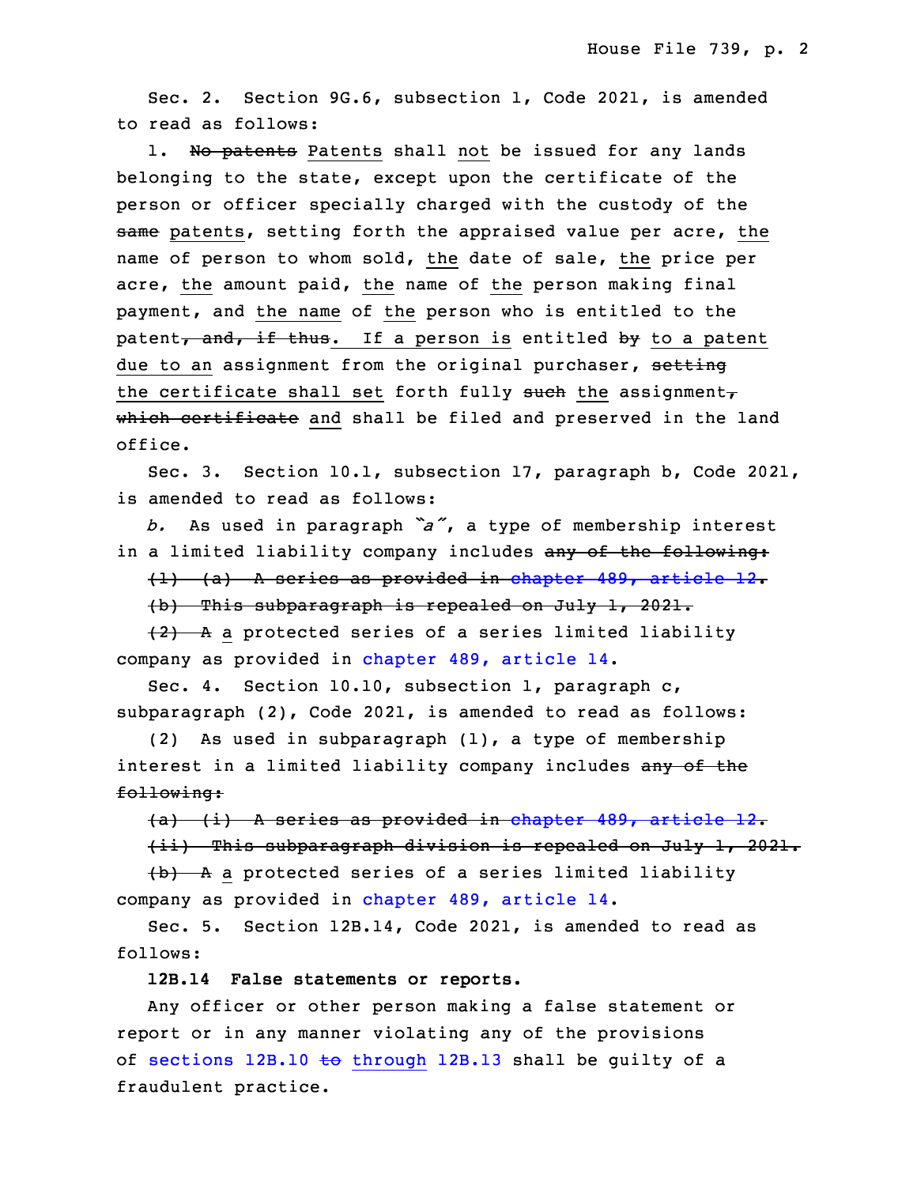Sec. 2. Section 9G.6, subsection 1, Code 2021, is amended to read as follows:

1. No patents Patents shall not be issued for any lands belonging to the state, except upon the certificate of the person or officer specially charged with the custody of the same patents, setting forth the appraised value per acre, the name of person to whom sold, the date of sale, the price per acre, the amount paid, the name of the person making final payment, and the name of the person who is entitled to the patent, and, if thus. If a person is entitled by to a patent due to an assignment from the original purchaser, setting the certificate shall set forth fully such the assignment $<sub>\tau</sub>$ </sub> which certificate and shall be filed and preserved in the land office.

 Sec. 3. Section 10.1, subsection 17, paragraph b, Code 2021, is amended to read as follows:

<sup>23</sup> *b.* As used in paragraph *"a"*, <sup>a</sup> type of membership interest in a limited liability company includes <del>any of the following:</del>

 $(1)$  (a) A series as provided in [chapter](https://www.legis.iowa.gov/docs/code/2021/489.pdf) 489, article 12. 26 (b) This subparagraph is repealed on July 1, 2021.

 $\{2\}$  A a protected series of a series limited liability company as provided in [chapter](https://www.legis.iowa.gov/docs/code/2021/489.pdf) 489, article 14.

Sec. 4. Section 10.10, subsection 1, paragraph c,  $subparagn (2)$ , Code 2021, is amended to read as follows:

(2) As used in subparagraph  $(1)$ , a type of membership interest in a limited liability company includes any of the following:

34 (a) (i) <sup>A</sup> series as provided in [chapter](https://www.legis.iowa.gov/docs/code/2021/489.pdf) 489, article 12.

 $\{ii\}$  This subparagraph division is repealed on July 1, 2021.

 (b) <sup>A</sup> <sup>a</sup> protected series of <sup>a</sup> series limited liability company as provided in [chapter](https://www.legis.iowa.gov/docs/code/2021/489.pdf) 489, article 14.

Sec. 5. Section 12B.14, Code 2021, is amended to read as follows:

5 **12B.14 False statements or reports.**

6 Any officer or other person making <sup>a</sup> false statement or report or in any manner violating any of the provisions of sections  $12B.10 \text{ to through } 12B.13$  $12B.10 \text{ to through } 12B.13$  $12B.10 \text{ to through } 12B.13$  shall be guilty of a fraudulent practice.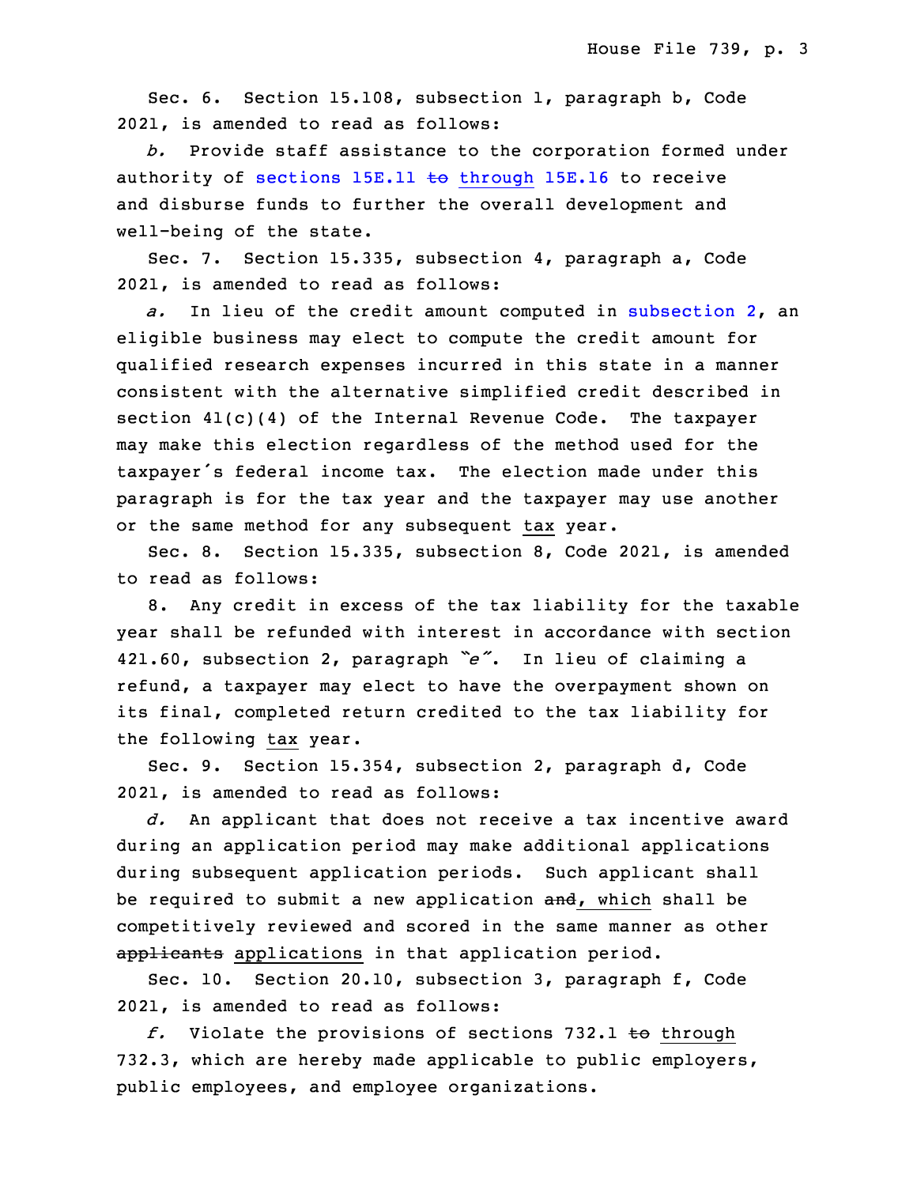Sec. 6. Section 15.108, subsection 1, paragraph b, Code 2021, is amended to read as follows:

 *b.* Provide staff assistance to the corporation formed under authority of sections 15E.11 to [through](https://www.legis.iowa.gov/docs/code/2021/15E.11.pdf) 15E.16 to receive and disburse funds to further the overall development and well-being of the state.

Sec. 7. Section 15.335, subsection 4, paragraph a, Code 2021, is amended to read as follows:

a. In lieu of the credit amount computed in [subsection](https://www.legis.iowa.gov/docs/code/2021/15.335.pdf) 2, an eligible business may elect to compute the credit amount for qualified research expenses incurred in this state in a manner consistent with the alternative simplified credit described in section 41(c)(4) of the Internal Revenue Code. The taxpayer may make this election regardless of the method used for the taxpayer's federal income tax. The election made under this paragraph is for the tax year and the taxpayer may use another or the same method for any subsequent tax year.

Sec. 8. Section 15.335, subsection 8, Code 2021, is amended to read as follows:

8. Any credit in excess of the tax liability for the taxable year shall be refunded with interest in accordance with section <sup>31</sup> 421.60, subsection 2, paragraph *"e"*. In lieu of claiming <sup>a</sup> refund, a taxpayer may elect to have the overpayment shown on its final, completed return credited to the tax liability for the following tax year.

Sec. 9. Section 15.354, subsection 2, paragraph d, Code 2021, is amended to read as follows:

 *d.* An applicant that does not receive <sup>a</sup> tax incentive award during an application period may make additional applications during subsequent application periods. Such applicant shall be required to submit a new application and, which shall be competitively reviewed and scored in the same manner as other applicants applications in that application period.

Sec. 10. Section 20.10, subsection 3, paragraph f, Code 2021, is amended to read as follows:

f. Violate the provisions of sections 732.1 to through 732.3, which are hereby made applicable to public employers, public employees, and employee organizations.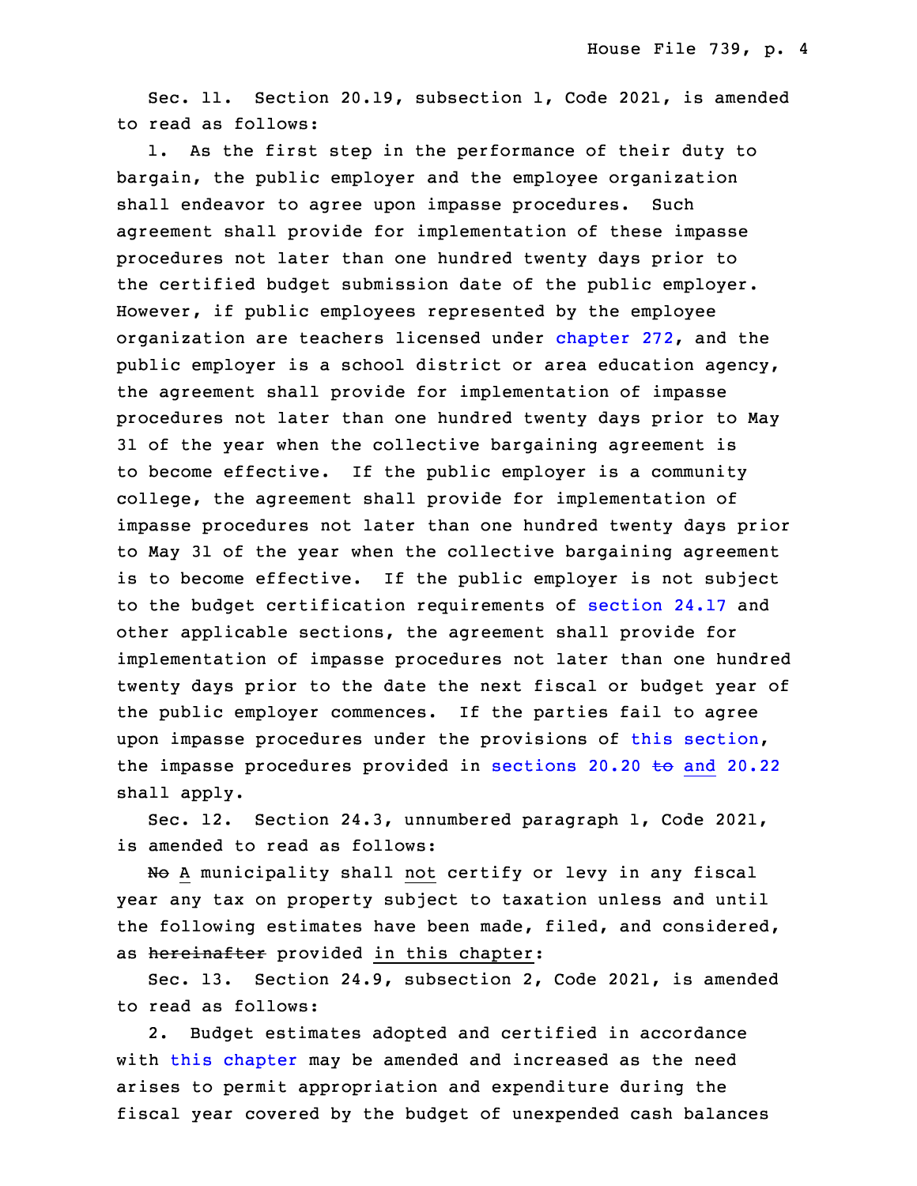Sec. 11. Section 20.19, subsection 1, Code 2021, is amended to read as follows:

1. As the first step in the performance of their duty to bargain, the public employer and the employee organization shall endeavor to agree upon impasse procedures. Such agreement shall provide for implementation of these impasse 19 procedures not later than one hundred twenty days prior to the certified budget submission date of the public employer. However, if public employees represented by the employee organization are teachers licensed under [chapter](https://www.legis.iowa.gov/docs/code/2021/272.pdf) 272, and the public employer is a school district or area education agency, the agreement shall provide for implementation of impasse procedures not later than one hundred twenty days prior to May 31 of the year when the collective bargaining agreement is to become effective. If the public employer is a community college, the agreement shall provide for implementation of impasse procedures not later than one hundred twenty days prior to May 31 of the year when the collective bargaining agreement is to become effective. If the public employer is not subject to the budget certification requirements of [section](https://www.legis.iowa.gov/docs/code/2021/24.17.pdf) 24.17 and other applicable sections, the agreement shall provide for implementation of impasse procedures not later than one hundred twenty days prior to the date the next fiscal or budget year of the public employer commences. If the parties fail to agree upon impasse procedures under the provisions of this [section](https://www.legis.iowa.gov/docs/code/2021/20.19.pdf), the impasse procedures provided in [sections](https://www.legis.iowa.gov/docs/code/2021/20.20.pdf) 20.20  $\leftrightarrow$  and 20.22 shall apply.

5 Sec. 12. Section 24.3, unnumbered paragraph 1, Code 2021, is amended to read as follows:

No A municipality shall not certify or levy in any fiscal year any tax on property subject to taxation unless and until the following estimates have been made, filed, and considered, as hereinafter provided in this chapter:

 Sec. 13. Section 24.9, subsection 2, Code 2021, is amended to read as follows:

2. Budget estimates adopted and certified in accordance with this [chapter](https://www.legis.iowa.gov/docs/code/2021/24.pdf) may be amended and increased as the need arises to permit appropriation and expenditure during the fiscal year covered by the budget of unexpended cash balances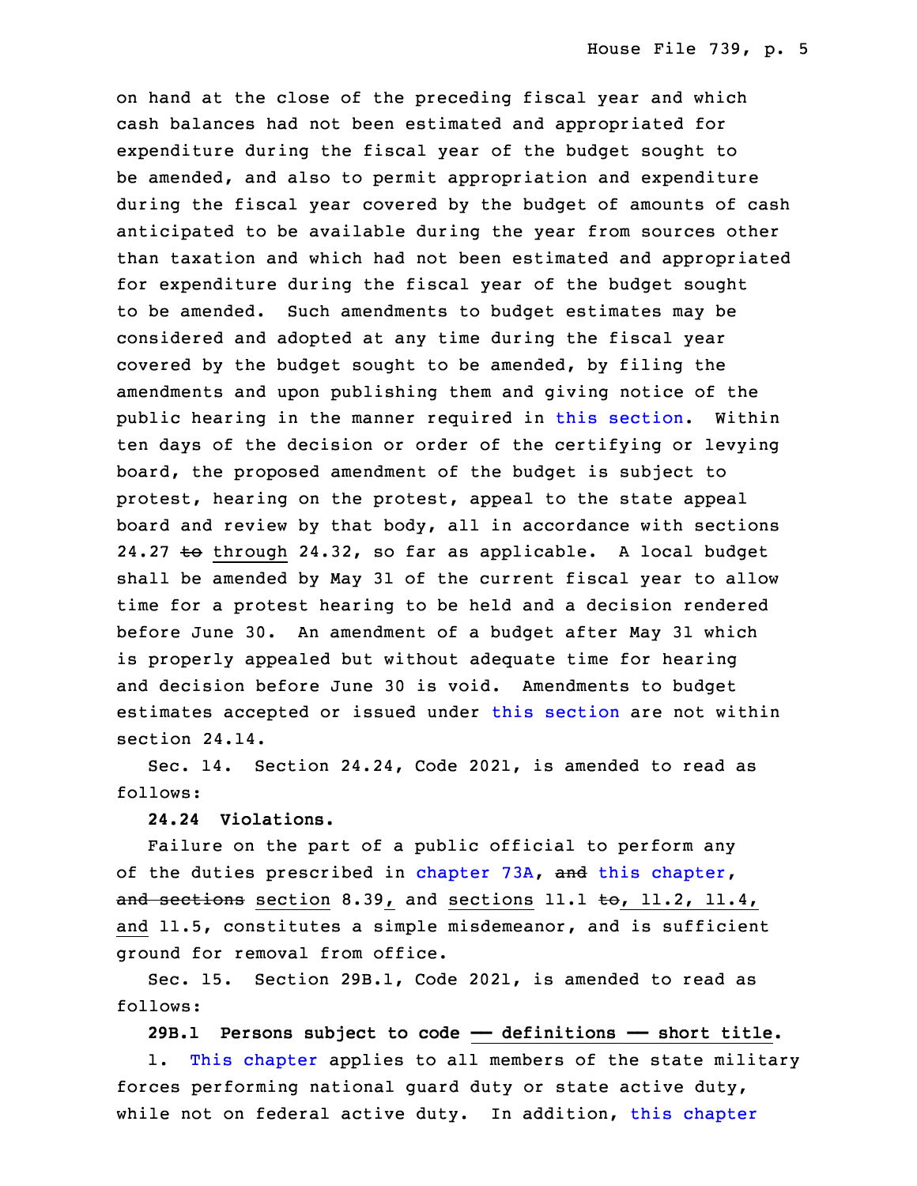on hand at the close of the preceding fiscal year and which cash balances had not been estimated and appropriated for expenditure during the fiscal year of the budget sought to be amended, and also to permit appropriation and expenditure during the fiscal year covered by the budget of amounts of cash anticipated to be available during the year from sources other than taxation and which had not been estimated and appropriated for expenditure during the fiscal year of the budget sought to be amended. Such amendments to budget estimates may be considered and adopted at any time during the fiscal year covered by the budget sought to be amended, by filing the amendments and upon publishing them and giving notice of the public hearing in the manner required in this [section](https://www.legis.iowa.gov/docs/code/2021/24.9.pdf). Within ten days of the decision or order of the certifying or levying board, the proposed amendment of the budget is subject to protest, hearing on the protest, appeal to the state appeal board and review by that body, all in accordance with sections 24.27  $\text{to}$  through 24.32, so far as applicable. A local budget shall be amended by May 31 of the current fiscal year to allow time for <sup>a</sup> protest hearing to be held and <sup>a</sup> decision rendered before June 30. An amendment of <sup>a</sup> budget after May 31 which is properly appealed but without adequate time for hearing and decision before June 30 is void. Amendments to budget estimates accepted or issued under this [section](https://www.legis.iowa.gov/docs/code/2021/24.9.pdf) are not within section 24.14.

Sec. 14. Section 24.24, Code 2021, is amended to read as follows:

9 **24.24 Violations.**

Failure on the part of a public official to perform any of the duties prescribed in [chapter](https://www.legis.iowa.gov/docs/code/2021/24.pdf) 73A, and this chapter, and sections section 8.39, and sections 11.1 to, 11.2, 11.4, and 11.5, constitutes a simple misdemeanor, and is sufficient ground for removal from office.

Sec. 15. Section 29B.1, Code 2021, is amended to read as follows:

17 **29B.1 Persons subject to code —— definitions —— short title.**

1. This [chapter](https://www.legis.iowa.gov/docs/code/2021/29B.pdf) applies to all members of the state military forces performing national quard duty or state active duty, while not on federal active duty. In addition, this [chapter](https://www.legis.iowa.gov/docs/code/2021/29B.pdf)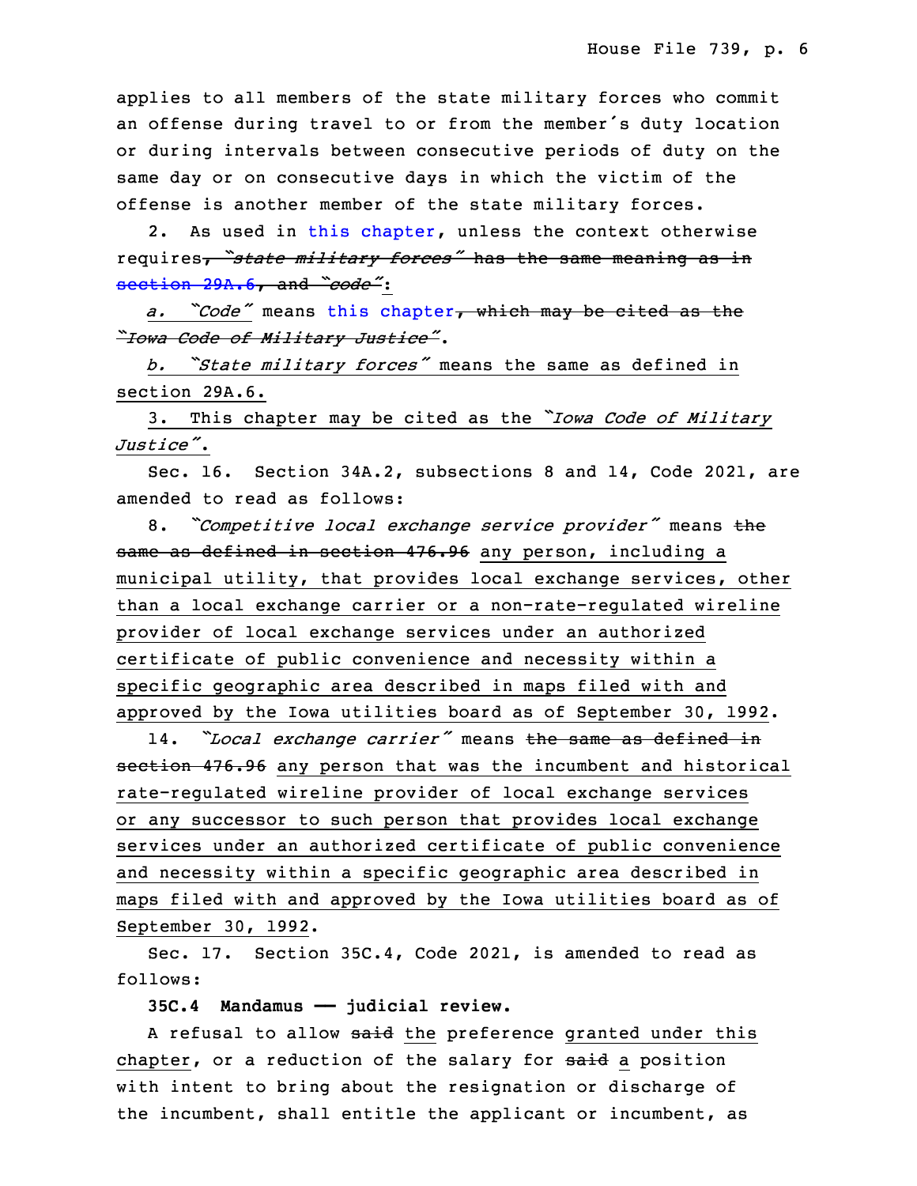applies to all members of the state military forces who commit an offense during travel to or from the member's duty location or during intervals between consecutive periods of duty on the same day or on consecutive days in which the victim of the offense is another member of the state military forces.

2. As used in this [chapter](https://www.legis.iowa.gov/docs/code/2021/29B.pdf), unless the context otherwise 27 requires, *"state military forces"* has the same meaning as in 28 [section](https://www.legis.iowa.gov/docs/code/2021/29A.6.pdf) 29A.6, and *"code"*:

<sup>29</sup> *a. "Code"* means this [chapter](https://www.legis.iowa.gov/docs/code/2021/29B.pdf), which may be cited as the <sup>30</sup> *"Iowa Code of Military Justice"*.

<sup>31</sup> *b. "State military forces"* means the same as defined in section 29A.6.

<sup>33</sup> 3. This chapter may be cited as the *"Iowa Code of Military* 34 *Justice"*.

Sec. 16. Section 34A.2, subsections 8 and 14, Code 2021, are amended to read as follows:

 8. *"Competitive local exchange service provider"* means the same as defined in section 476.96 any person, including a municipal utility, that provides local exchange services, other than a local exchange carrier or a non-rate-regulated wireline provider of local exchange services under an authorized certificate of public convenience and necessity within a specific geographic area described in maps filed with and approved by the Iowa utilities board as of September 30, 1992.

<sup>10</sup> 14. *"Local exchange carrier"* means the same as defined in section 476.96 any person that was the incumbent and historical rate-regulated wireline provider of local exchange services or any successor to such person that provides local exchange services under an authorized certificate of public convenience and necessity within a specific geographic area described in maps filed with and approved by the Iowa utilities board as of September 30, 1992.

Sec. 17. Section 35C.4, Code 2021, is amended to read as follows:

20 **35C.4 Mandamus —— judicial review.**

A refusal to allow said the preference granted under this chapter, or a reduction of the salary for said a position with intent to bring about the resignation or discharge of the incumbent, shall entitle the applicant or incumbent, as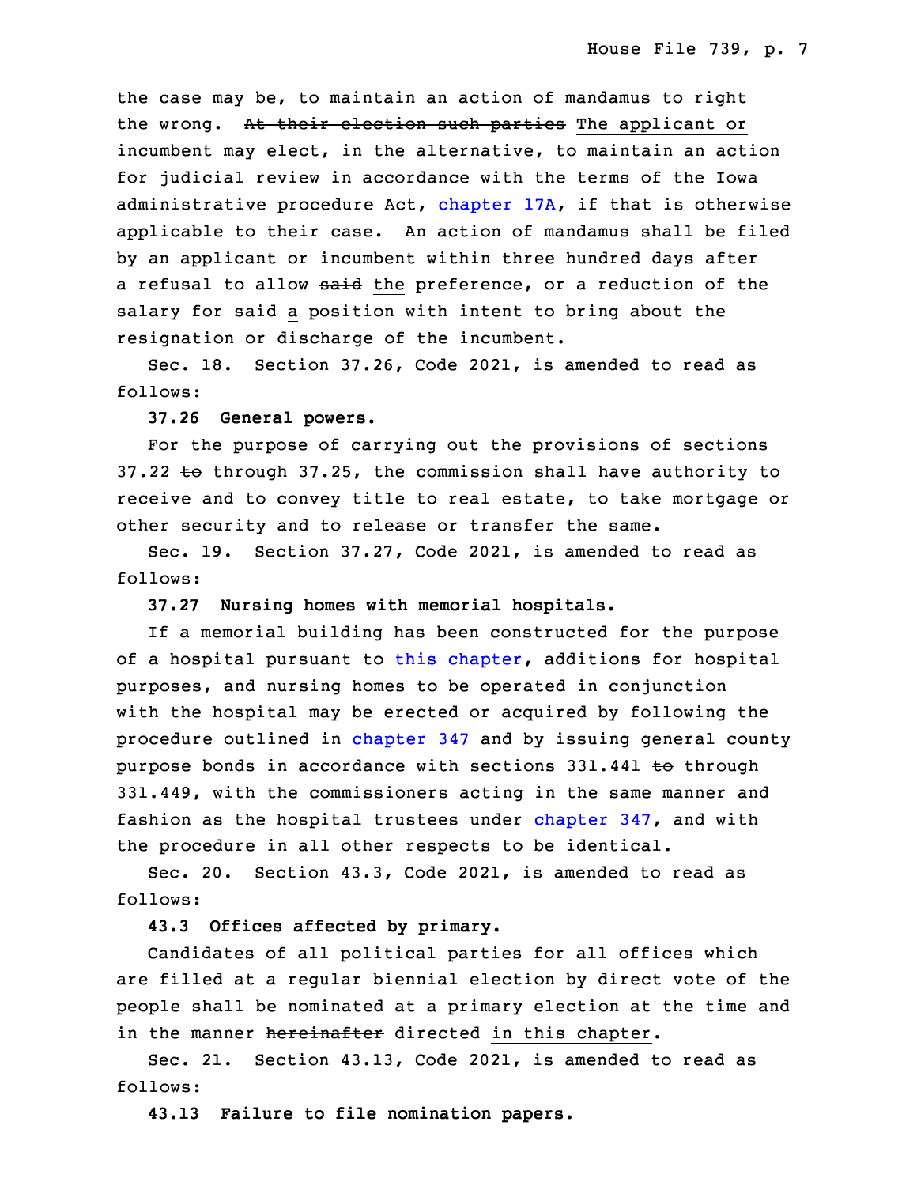the case may be, to maintain an action of mandamus to right the wrong. At their election such parties The applicant or incumbent may elect, in the alternative, to maintain an action for judicial review in accordance with the terms of the Iowa administrative procedure Act, [chapter](https://www.legis.iowa.gov/docs/code/2021/17A.pdf)  $17A$ , if that is otherwise applicable to their case. An action of mandamus shall be filed by an applicant or incumbent within three hundred days after a refusal to allow said the preference, or a reduction of the salary for said a position with intent to bring about the resignation or discharge of the incumbent.

Sec. 18. Section 37.26, Code 2021, is amended to read as follows:

### **37.26 General powers.**

For the purpose of carrying out the provisions of sections 37.22 to through 37.25, the commission shall have authority to receive and to convey title to real estate, to take mortgage or other security and to release or transfer the same.

Sec. 19. Section 37.27, Code 2021, is amended to read as follows:

#### 9 **37.27 Nursing homes with memorial hospitals.**

If a memorial building has been constructed for the purpose of <sup>a</sup> hospital pursuant to this [chapter](https://www.legis.iowa.gov/docs/code/2021/37.pdf), additions for hospital purposes, and nursing homes to be operated in conjunction with the hospital may be erected or acquired by following the procedure outlined in [chapter](https://www.legis.iowa.gov/docs/code/2021/347.pdf) 347 and by issuing general county purpose bonds in accordance with sections 331.441 to through 331.449, with the commissioners acting in the same manner and fashion as the hospital trustees under [chapter](https://www.legis.iowa.gov/docs/code/2021/347.pdf) 347, and with the procedure in all other respects to be identical.

Sec. 20. Section 43.3, Code 2021, is amended to read as follows:

## **43.3 Offices affected by primary.**

 Candidates of all political parties for all offices which are filled at a regular biennial election by direct vote of the people shall be nominated at <sup>a</sup> primary election at the time and in the manner hereinafter directed in this chapter.

Sec. 21. Section 43.13, Code 2021, is amended to read as follows:

28 **43.13 Failure to file nomination papers.**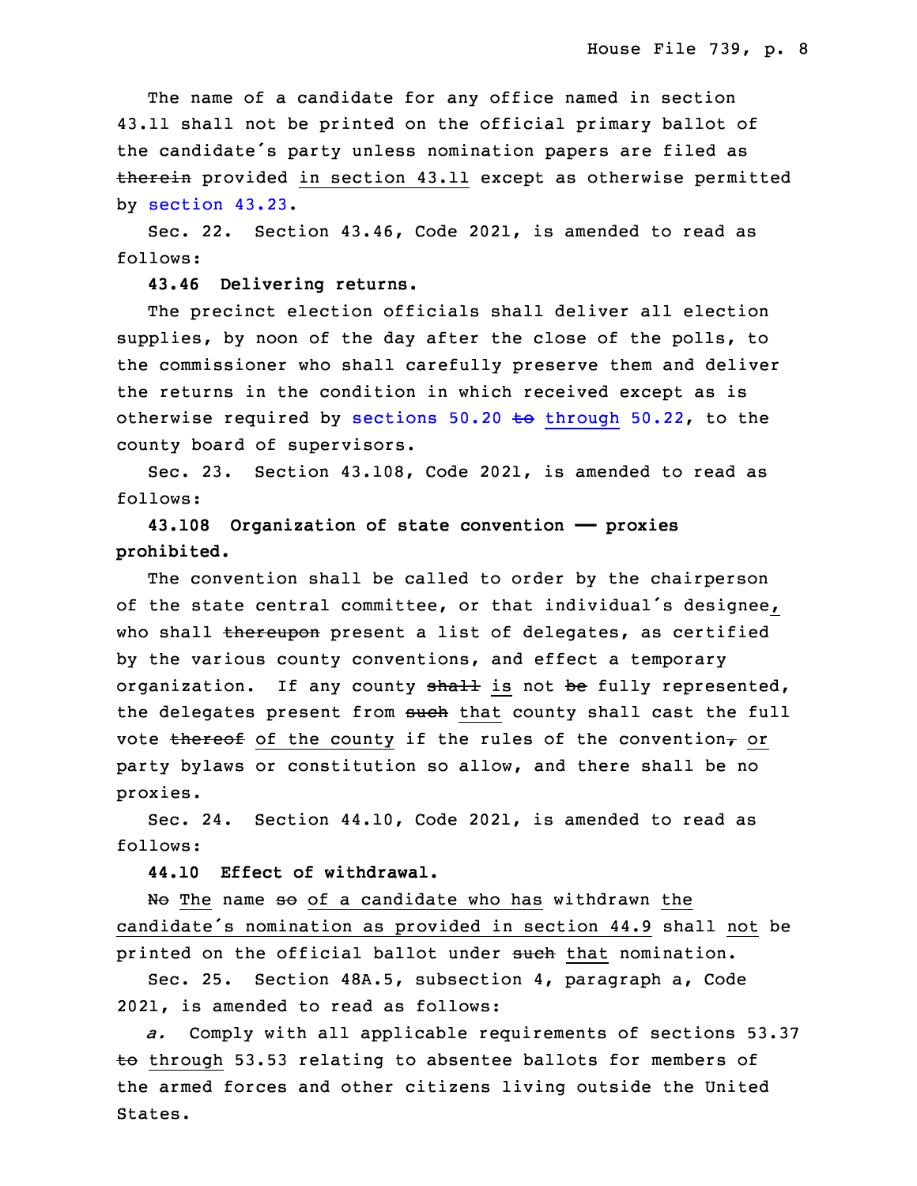The name of a candidate for any office named in section 43.11 shall not be printed on the official primary ballot of the candidate's party unless nomination papers are filed as therein provided in section 43.11 except as otherwise permitted by [section](https://www.legis.iowa.gov/docs/code/2021/43.23.pdf) 43.23.

Sec. 22. Section 43.46, Code 2021, is amended to read as follows:

### **43.46 Delivering returns.**

 The precinct election officials shall deliver all election supplies, by noon of the day after the close of the polls, to the commissioner who shall carefully preserve them and deliver the returns in the condition in which received except as is otherwise required by sections  $50.20$  to [through](https://www.legis.iowa.gov/docs/code/2021/50.20.pdf)  $50.22$ , to the county board of supervisors.

Sec. 23. Section 43.108, Code 2021, is amended to read as follows:

10 **43.108 Organization of state convention —— proxies prohibited.**

 The convention shall be called to order by the chairperson of the state central committee, or that individual's designee, who shall thereupon present a list of delegates, as certified by the various county conventions, and effect a temporary organization. If any county shall is not be fully represented, the delegates present from such that county shall cast the full vote thereof of the county if the rules of the convention $<sub>\tau</sub>$  or</sub> party bylaws or constitution so allow, and there shall be no proxies.

 Sec. 24. Section 44.10, Code 2021, is amended to read as follows:

23 **44.10 Effect of withdrawal.**

No The name so of a candidate who has withdrawn the candidate's nomination as provided in section 44.9 shall not be printed on the official ballot under such that nomination.

Sec. 25. Section 48A.5, subsection 4, paragraph a, Code 2021, is amended to read as follows:

a. Comply with all applicable requirements of sections 53.37  $\pm$ o through 53.53 relating to absentee ballots for members of the armed forces and other citizens living outside the United States.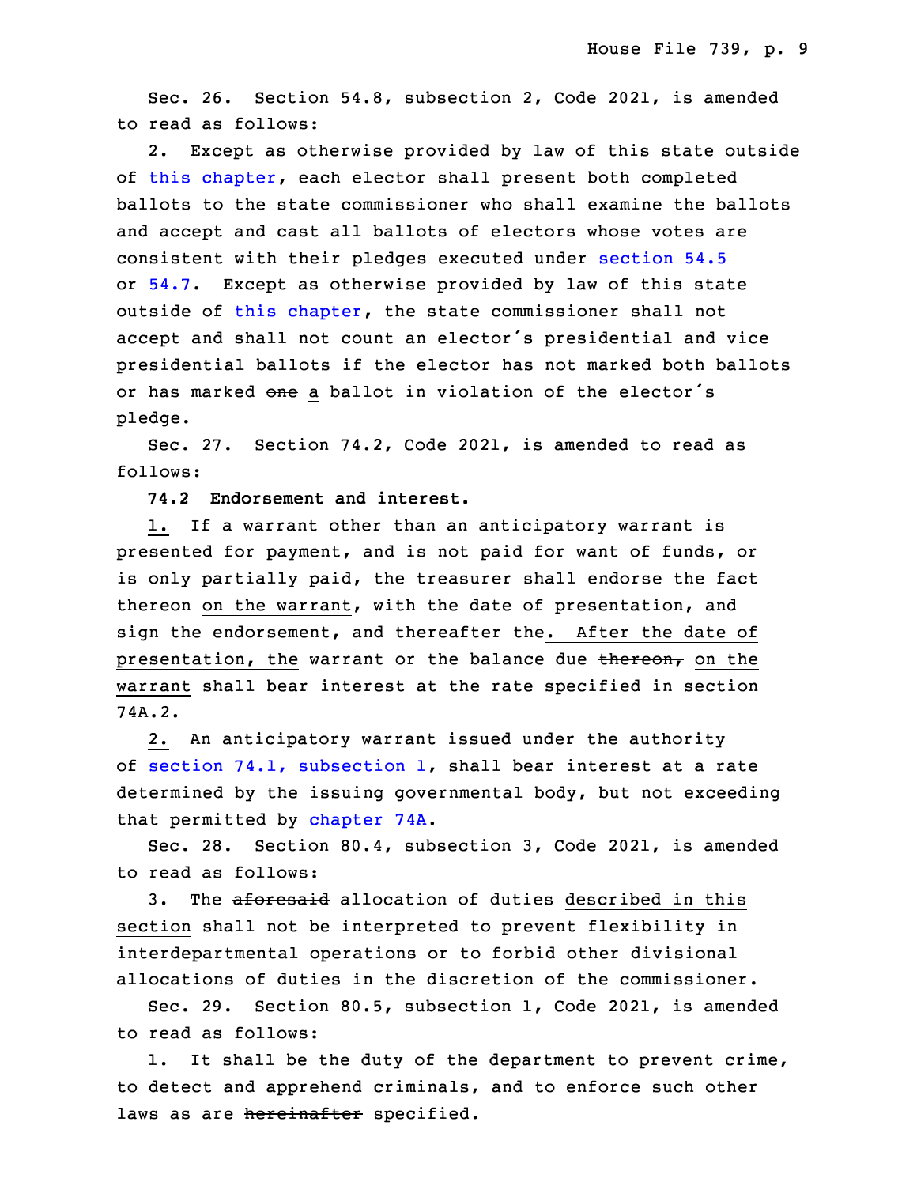Sec. 26. Section 54.8, subsection 2, Code 2021, is amended to read as follows:

2. Except as otherwise provided by law of this state outside of this [chapter](https://www.legis.iowa.gov/docs/code/2021/54.pdf), each elector shall present both completed ballots to the state commissioner who shall examine the ballots and accept and cast all ballots of electors whose votes are consistent with their pledges executed under [section](https://www.legis.iowa.gov/docs/code/2021/54.5.pdf) 54.5 or  $54.7.$  $54.7.$  Except as otherwise provided by law of this state outside of this [chapter](https://www.legis.iowa.gov/docs/code/2021/54.pdf), the state commissioner shall not accept and shall not count an elector's presidential and vice presidential ballots if the elector has not marked both ballots or has marked one a ballot in violation of the elector's pledge.

 Sec. 27. Section 74.2, Code 2021, is amended to read as follows:

13 **74.2 Endorsement and interest.**

 1. If <sup>a</sup> warrant other than an anticipatory warrant is presented for payment, and is not paid for want of funds, or is only partially paid, the treasurer shall endorse the fact thereon on the warrant, with the date of presentation, and sign the endorsement, and thereafter the. After the date of presentation, the warrant or the balance due  $t$ hereon, on the warrant shall bear interest at the rate specified in section 74A.2.

 2. An anticipatory warrant issued under the authority of section  $74.1$ , [subsection](https://www.legis.iowa.gov/docs/code/2021/74.1.pdf)  $1$ , shall bear interest at a rate determined by the issuing governmental body, but not exceeding that permitted by [chapter](https://www.legis.iowa.gov/docs/code/2021/74A.pdf) 74A.

Sec. 28. Section 80.4, subsection 3, Code 2021, is amended to read as follows:

3. The aforesaid allocation of duties described in this section shall not be interpreted to prevent flexibility in interdepartmental operations or to forbid other divisional allocations of duties in the discretion of the commissioner.

Sec. 29. Section 80.5, subsection 1, Code 2021, is amended to read as follows:

1. It shall be the duty of the department to prevent crime, to detect and apprehend criminals, and to enforce such other laws as are hereinafter specified.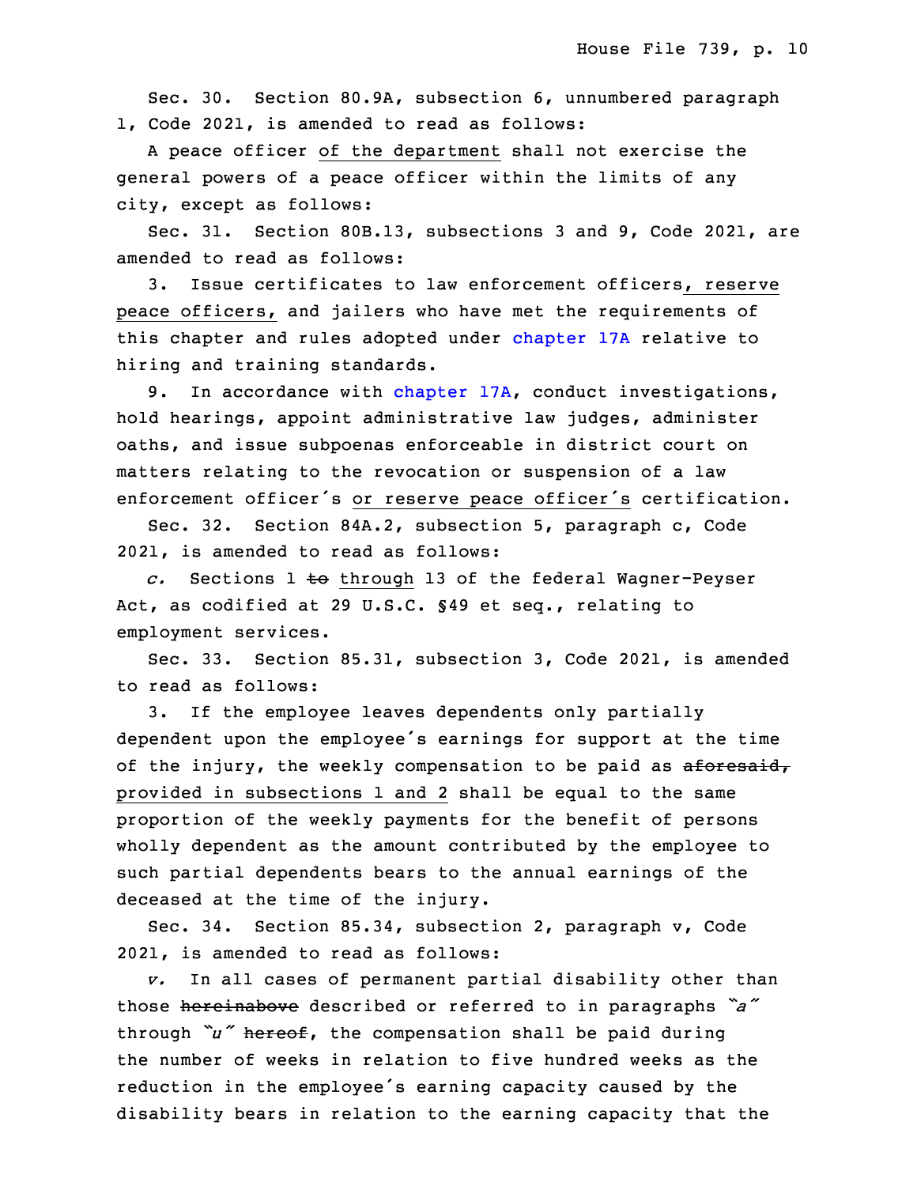Sec. 30. Section 80.9A, subsection 6, unnumbered paragraph 1, Code 2021, is amended to read as follows:

 <sup>A</sup> peace officer of the department shall not exercise the general powers of a peace officer within the limits of any city, except as follows:

Sec. 31. Section 80B.13, subsections 3 and 9, Code 2021, are amended to read as follows:

3. Issue certificates to law enforcement officers, reserve peace officers, and jailers who have met the requirements of this chapter and rules adopted under [chapter](https://www.legis.iowa.gov/docs/code/2021/17A.pdf) 17A relative to hiring and training standards.

9. In accordance with [chapter](https://www.legis.iowa.gov/docs/code/2021/17A.pdf) 17A, conduct investigations, hold hearings, appoint administrative law judges, administer oaths, and issue subpoenas enforceable in district court on matters relating to the revocation or suspension of a law enforcement officer's or reserve peace officer's certification.

Sec. 32. Section 84A.2, subsection 5, paragraph c, Code 2021, is amended to read as follows:

20 *c.* Sections 1 to through 13 of the federal Wagner-Peyser Act, as codified at 29 U.S.C. §49 et seq., relating to employment services.

Sec. 33. Section 85.31, subsection 3, Code 2021, is amended to read as follows:

3. If the employee leaves dependents only partially dependent upon the employee's earnings for support at the time of the injury, the weekly compensation to be paid as aforesaid, provided in subsections 1 and 2 shall be equal to the same proportion of the weekly payments for the benefit of persons wholly dependent as the amount contributed by the employee to such partial dependents bears to the annual earnings of the deceased at the time of the injury.

Sec. 34. Section 85.34, subsection 2, paragraph v, Code 2021, is amended to read as follows:

v. In all cases of permanent partial disability other than those hereinabove described or referred to in paragraphs *"a"* through *"u"* hereof, the compensation shall be paid during the number of weeks in relation to five hundred weeks as the reduction in the employee's earning capacity caused by the disability bears in relation to the earning capacity that the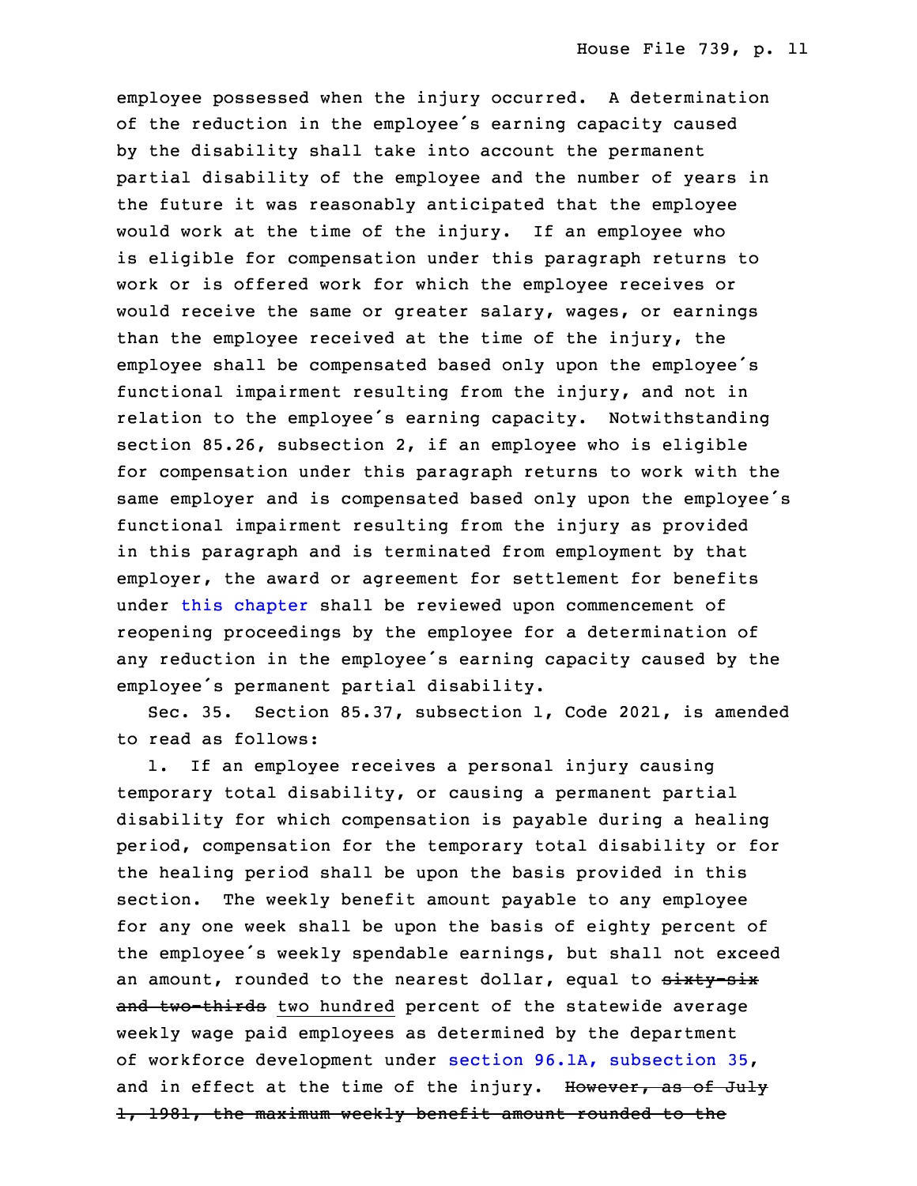employee possessed when the injury occurred. A determination of the reduction in the employee's earning capacity caused by the disability shall take into account the permanent partial disability of the employee and the number of years in the future it was reasonably anticipated that the employee would work at the time of the injury. If an employee who is eligible for compensation under this paragraph returns to work or is offered work for which the employee receives or would receive the same or greater salary, wages, or earnings than the employee received at the time of the injury, the employee shall be compensated based only upon the employee's functional impairment resulting from the injury, and not in relation to the employee's earning capacity. Notwithstanding section 85.26, subsection 2, if an employee who is eligible for compensation under this paragraph returns to work with the same employer and is compensated based only upon the employee's functional impairment resulting from the injury as provided in this paragraph and is terminated from employment by that employer, the award or agreement for settlement for benefits under this [chapter](https://www.legis.iowa.gov/docs/code/2021/85.pdf) shall be reviewed upon commencement of reopening proceedings by the employee for a determination of any reduction in the employee's earning capacity caused by the employee's permanent partial disability.

Sec. 35. Section 85.37, subsection 1, Code 2021, is amended to read as follows:

1. If an employee receives a personal injury causing temporary total disability, or causing a permanent partial disability for which compensation is payable during a healing period, compensation for the temporary total disability or for the healing period shall be upon the basis provided in this section. The weekly benefit amount payable to any employee for any one week shall be upon the basis of eighty percent of the employee's weekly spendable earnings, but shall not exceed an amount, rounded to the nearest dollar, equal to sixty-six and two-thirds two hundred percent of the statewide average weekly wage paid employees as determined by the department of workforce development under section 96.1A, [subsection](https://www.legis.iowa.gov/docs/code/2021/96.1A.pdf) 35, and in effect at the time of the injury. However, as of July 1, 1981, the maximum weekly benefit amount rounded to the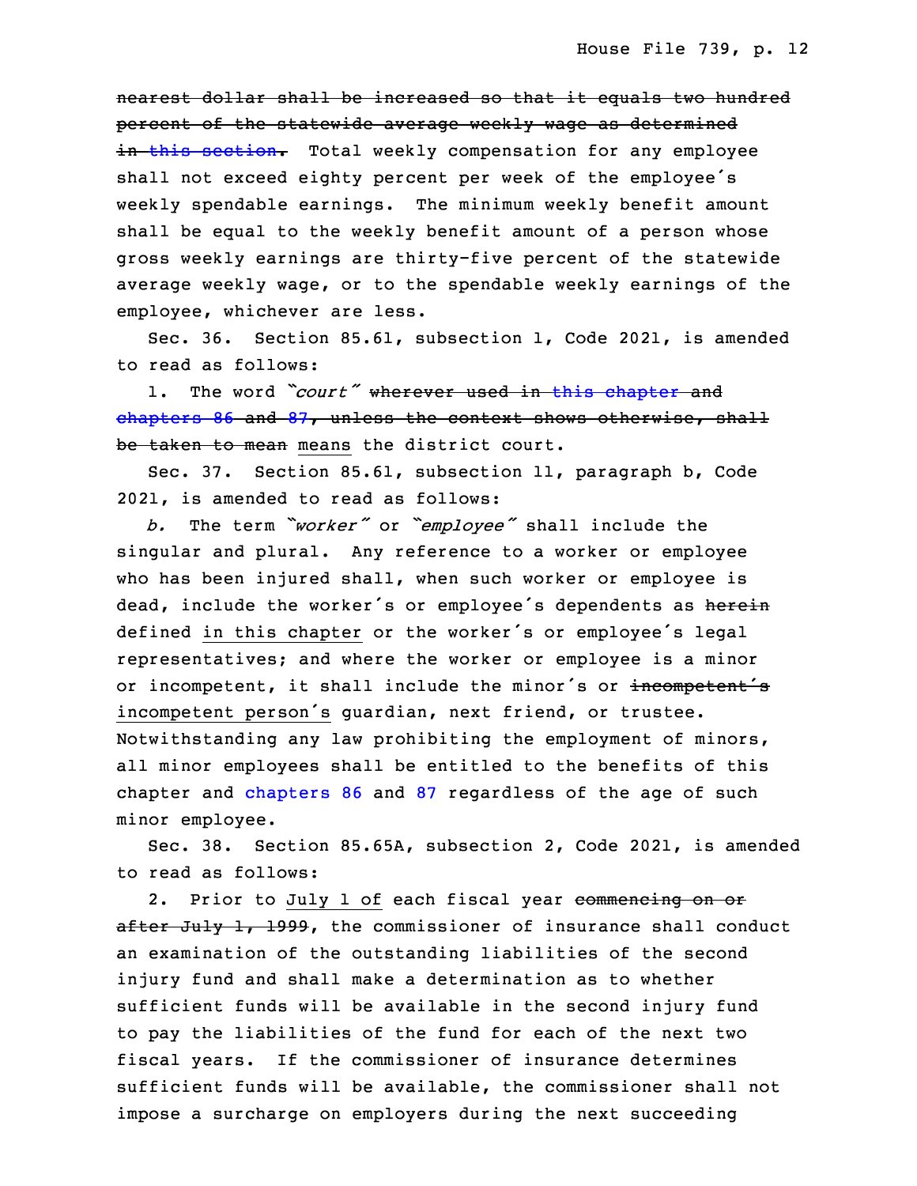nearest dollar shall be increased so that it equals two hundred percent of the statewide average weekly wage as determined in this [section](https://www.legis.iowa.gov/docs/code/2021/85.37.pdf). Total weekly compensation for any employee shall not exceed eighty percent per week of the employee's weekly spendable earnings. The minimum weekly benefit amount shall be equal to the weekly benefit amount of a person whose gross weekly earnings are thirty-five percent of the statewide average weekly wage, or to the spendable weekly earnings of the employee, whichever are less.

Sec. 36. Section 85.61, subsection 1, Code 2021, is amended to read as follows:

1. The word *"court"* wherever used in this [chapter](https://www.legis.iowa.gov/docs/code/2021/85.pdf) and [chapters](https://www.legis.iowa.gov/docs/code/2021/86.pdf) 86 and [87](https://www.legis.iowa.gov/docs/code/2021/87.pdf), unless the context shows otherwise, shall be taken to mean means the district court.

 Sec. 37. Section 85.61, subsection 11, paragraph b, Code 2021, is amended to read as follows:

<sup>26</sup> *b.* The term *"worker"* or *"employee"* shall include the singular and plural. Any reference to a worker or employee who has been injured shall, when such worker or employee is dead, include the worker's or employee's dependents as herein defined in this chapter or the worker's or employee's legal representatives; and where the worker or employee is a minor or incompetent, it shall include the minor's or incompetent's incompetent person's guardian, next friend, or trustee. Notwithstanding any law prohibiting the employment of minors, all minor employees shall be entitled to the benefits of this chapter and [chapters](https://www.legis.iowa.gov/docs/code/2021/86.pdf) 86 and [87](https://www.legis.iowa.gov/docs/code/2021/87.pdf) regardless of the age of such minor employee.

3 Sec. 38. Section 85.65A, subsection 2, Code 2021, is amended to read as follows:

2. Prior to July 1 of each fiscal year commencing on or after July 1, 1999, the commissioner of insurance shall conduct an examination of the outstanding liabilities of the second injury fund and shall make a determination as to whether sufficient funds will be available in the second injury fund to pay the liabilities of the fund for each of the next two fiscal years. If the commissioner of insurance determines sufficient funds will be available, the commissioner shall not impose a surcharge on employers during the next succeeding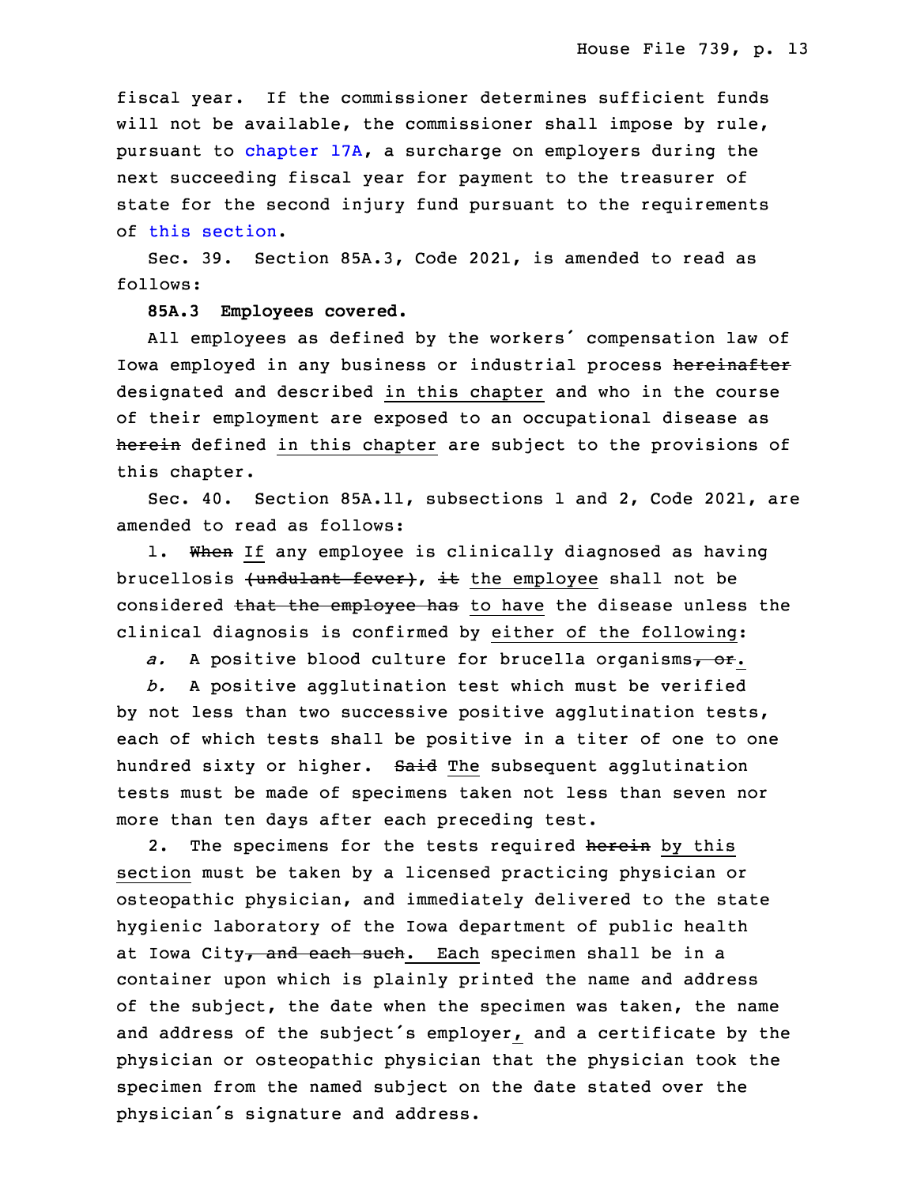fiscal year. If the commissioner determines sufficient funds will not be available, the commissioner shall impose by rule, pursuant to [chapter](https://www.legis.iowa.gov/docs/code/2021/17A.pdf) 17A, a surcharge on employers during the next succeeding fiscal year for payment to the treasurer of state for the second injury fund pursuant to the requirements of this [section](https://www.legis.iowa.gov/docs/code/2021/85.65A.pdf).

Sec. 39. Section 85A.3, Code 2021, is amended to read as follows:

#### **85A.3 Employees covered.**

All employees as defined by the workers' compensation law of Iowa employed in any business or industrial process hereinafter designated and described in this chapter and who in the course of their employment are exposed to an occupational disease as herein defined in this chapter are subject to the provisions of this chapter.

Sec. 40. Section 85A.11, subsections 1 and 2, Code 2021, are amended to read as follows:

1. When If any employee is clinically diagnosed as having brucellosis (undulant fever), it the employee shall not be considered that the employee has to have the disease unless the clinical diagnosis is confirmed by either of the following:

a. A positive blood culture for brucella organisms<sub>7</sub> or.

 *b.* <sup>A</sup> positive agglutination test which must be verified by not less than two successive positive agglutination tests, each of which tests shall be positive in a titer of one to one hundred sixty or higher. Said The subsequent agglutination tests must be made of specimens taken not less than seven nor more than ten days after each preceding test.

2. The specimens for the tests required herein by this section must be taken by a licensed practicing physician or osteopathic physician, and immediately delivered to the state hygienic laboratory of the Iowa department of public health at Iowa City, and each such. Each specimen shall be in a container upon which is plainly printed the name and address of the subject, the date when the specimen was taken, the name and address of the subject's employer, and <sup>a</sup> certificate by the physician or osteopathic physician that the physician took the specimen from the named subject on the date stated over the physician's signature and address.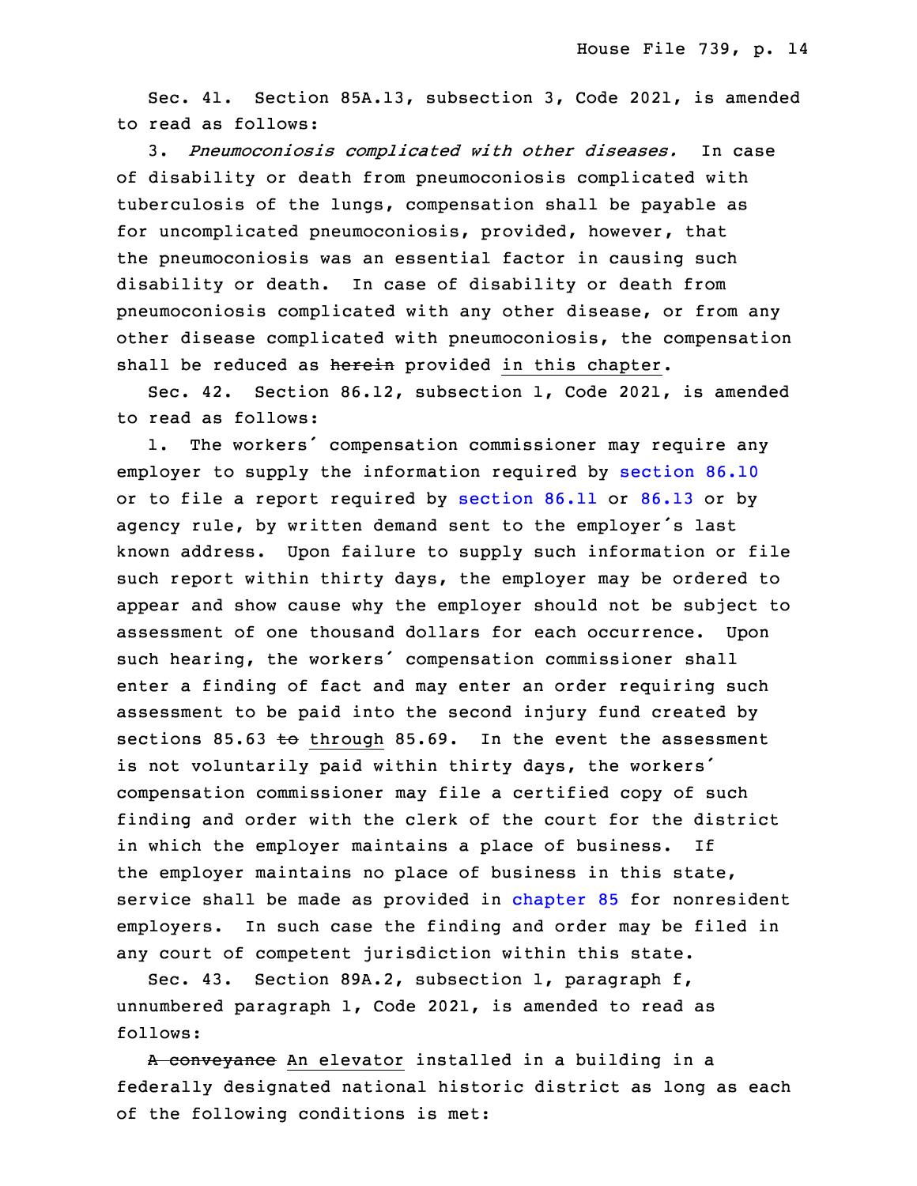Sec. 41. Section 85A.13, subsection 3, Code 2021, is amended to read as follows:

20 3. *Pneumoconiosis complicated with other diseases.* In case of disability or death from pneumoconiosis complicated with tuberculosis of the lungs, compensation shall be payable as for uncomplicated pneumoconiosis, provided, however, that the pneumoconiosis was an essential factor in causing such disability or death. In case of disability or death from pneumoconiosis complicated with any other disease, or from any other disease complicated with pneumoconiosis, the compensation shall be reduced as herein provided in this chapter.

Sec. 42. Section 86.12, subsection 1, Code 2021, is amended to read as follows:

1. The workers' compensation commissioner may require any employer to supply the information required by [section](https://www.legis.iowa.gov/docs/code/2021/86.10.pdf) 86.10 or to file a report required by [section](https://www.legis.iowa.gov/docs/code/2021/86.11.pdf) 86.11 or [86.13](https://www.legis.iowa.gov/docs/code/2021/86.13.pdf) or by agency rule, by written demand sent to the employer's last known address. Upon failure to supply such information or file such report within thirty days, the employer may be ordered to appear and show cause why the employer should not be subject to assessment of one thousand dollars for each occurrence. Upon such hearing, the workers' compensation commissioner shall enter a finding of fact and may enter an order requiring such assessment to be paid into the second injury fund created by sections 85.63 to through 85.69. In the event the assessment is not voluntarily paid within thirty days, the workers' compensation commissioner may file a certified copy of such finding and order with the clerk of the court for the district in which the employer maintains <sup>a</sup> place of business. If the employer maintains no place of business in this state, service shall be made as provided in [chapter](https://www.legis.iowa.gov/docs/code/2021/85.pdf) 85 for nonresident employers. In such case the finding and order may be filed in any court of competent jurisdiction within this state.

Sec. 43. Section 89A.2, subsection 1, paragraph f, unnumbered paragraph  $1$ , Code 2021, is amended to read as follows:

A conveyance An elevator installed in a building in a federally designated national historic district as long as each of the following conditions is met: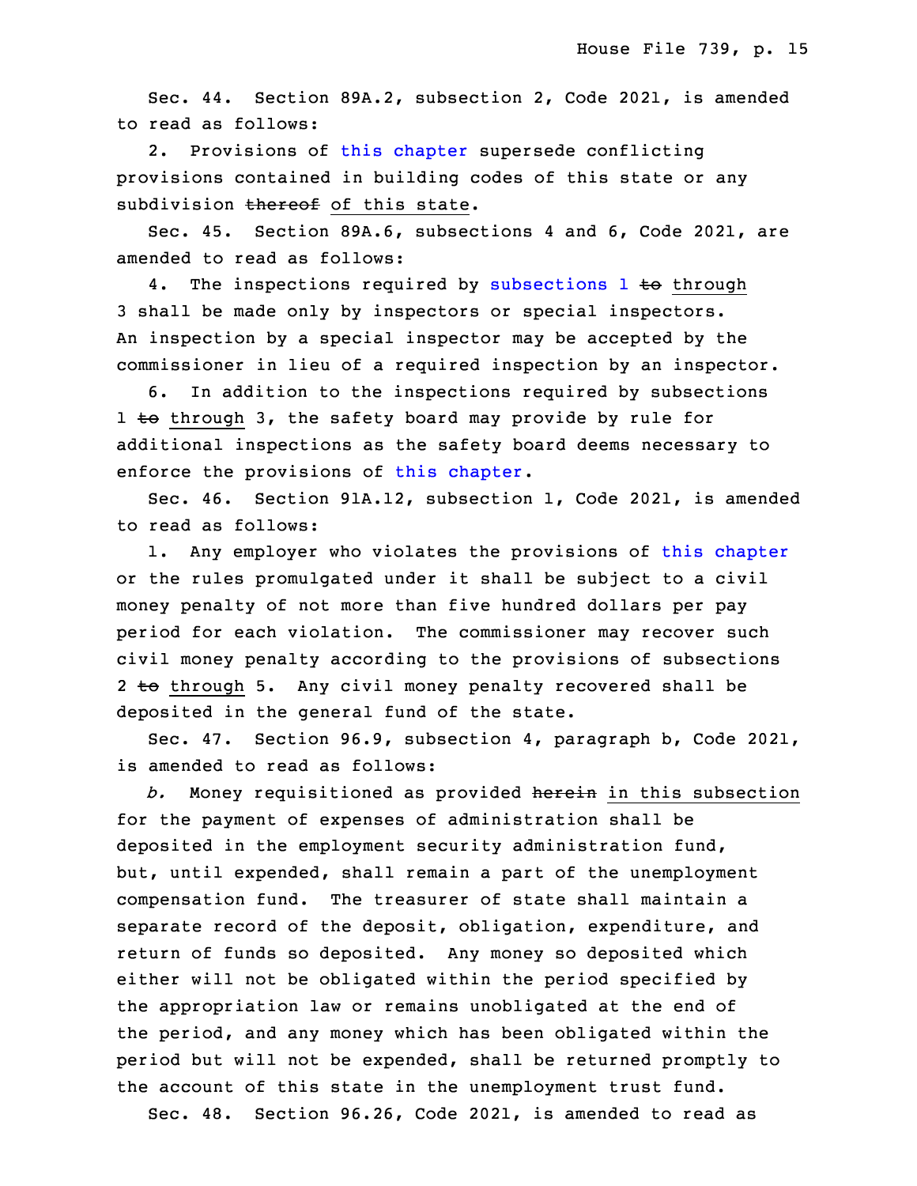Sec. 44. Section 89A.2, subsection 2, Code 2021, is amended to read as follows:

 2. Provisions of this [chapter](https://www.legis.iowa.gov/docs/code/2021/89A.pdf) supersede conflicting provisions contained in building codes of this state or any subdivision thereof of this state.

Sec. 45. Section 89A.6, subsections 4 and 6, Code 2021, are amended to read as follows:

4. The inspections required by [subsections](https://www.legis.iowa.gov/docs/code/2021/89A.6.pdf) 1 to through 3 shall be made only by inspectors or special inspectors. An inspection by a special inspector may be accepted by the commissioner in lieu of a required inspection by an inspector.

6. In addition to the inspections required by subsections  $1$  to through 3, the safety board may provide by rule for additional inspections as the safety board deems necessary to enforce the provisions of this [chapter](https://www.legis.iowa.gov/docs/code/2021/89A.pdf).

 Sec. 46. Section 91A.12, subsection 1, Code 2021, is amended to read as follows:

 1. Any employer who violates the provisions of this [chapter](https://www.legis.iowa.gov/docs/code/2021/91A.pdf) or the rules promulgated under it shall be subject to a civil money penalty of not more than five hundred dollars per pay period for each violation. The commissioner may recover such civil money penalty according to the provisions of subsections 2 to through 5. Any civil money penalty recovered shall be deposited in the general fund of the state.

 Sec. 47. Section 96.9, subsection 4, paragraph b, Code 2021, is amended to read as follows:

b. Money requisitioned as provided herein in this subsection for the payment of expenses of administration shall be deposited in the employment security administration fund, but, until expended, shall remain a part of the unemployment compensation fund. The treasurer of state shall maintain a separate record of the deposit, obligation, expenditure, and return of funds so deposited. Any money so deposited which either will not be obligated within the period specified by the appropriation law or remains unobligated at the end of the period, and any money which has been obligated within the period but will not be expended, shall be returned promptly to the account of this state in the unemployment trust fund.

Sec. 48. Section 96.26, Code 2021, is amended to read as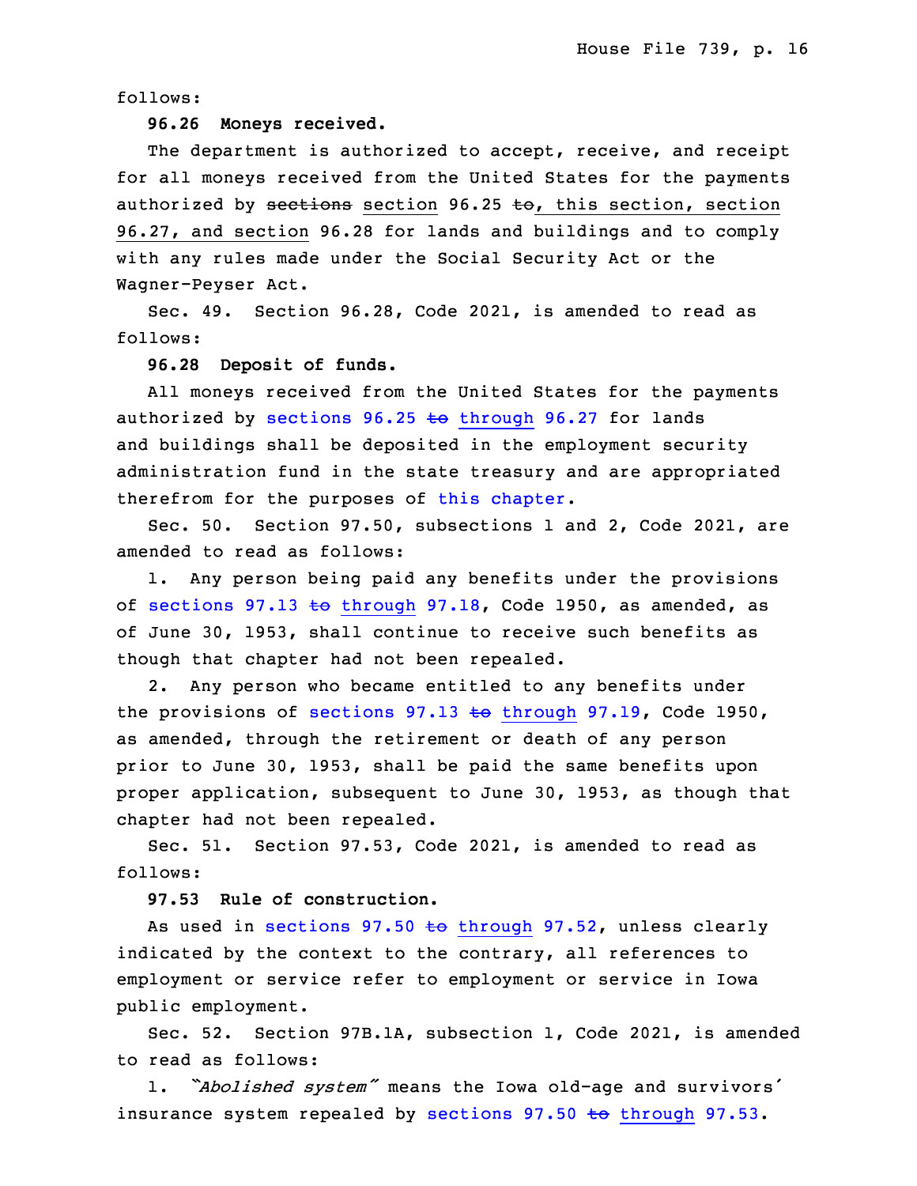follows:

# 27 **96.26 Moneys received.**

The department is authorized to accept, receive, and receipt for all moneys received from the United States for the payments authorized by sections section 96.25 to, this section, section 31 96.27, and section 96.28 for lands and buildings and to comply with any rules made under the Social Security Act or the Wagner-Peyser Act.

Sec. 49. Section 96.28, Code 2021, is amended to read as follows:

## **96.28 Deposit of funds.**

 All moneys received from the United States for the payments authorized by sections  $96.25$  to [through](https://www.legis.iowa.gov/docs/code/2021/96.25.pdf)  $96.27$  for lands and buildings shall be deposited in the employment security administration fund in the state treasury and are appropriated therefrom for the purposes of this [chapter](https://www.legis.iowa.gov/docs/code/2021/96.pdf).

Sec. 50. Section 97.50, subsections 1 and 2, Code 2021, are amended to read as follows:

1. Any person being paid any benefits under the provisions of sections 97.13 to [through](https://www.legis.iowa.gov/docs/code/1950/97.13.pdf) 97.18, Code 1950, as amended, as of June 30, 1953, shall continue to receive such benefits as though that chapter had not been repealed.

2. Any person who became entitled to any benefits under the provisions of sections  $97.13 \text{ to through } 97.19$  $97.13 \text{ to through } 97.19$  $97.13 \text{ to through } 97.19$ , Code 1950, as amended, through the retirement or death of any person prior to June 30, 1953, shall be paid the same benefits upon proper application, subsequent to June 30, 1953, as though that chapter had not been repealed.

Sec. 51. Section 97.53, Code 2021, is amended to read as follows:

**97.53 Rule of construction.**

As used in sections 97.50  $\text{to}$  [through](https://www.legis.iowa.gov/docs/code/2021/97.50.pdf) 97.52, unless clearly indicated by the context to the contrary, all references to employment or service refer to employment or service in Iowa public employment.

Sec. 52. Section 97B.1A, subsection 1, Code 2021, is amended to read as follows:

1. *"Abolished system"* means the Iowa old-age and survivors' insurance system repealed by sections 97.50 to [through](https://www.legis.iowa.gov/docs/code/2021/97.50.pdf) 97.53.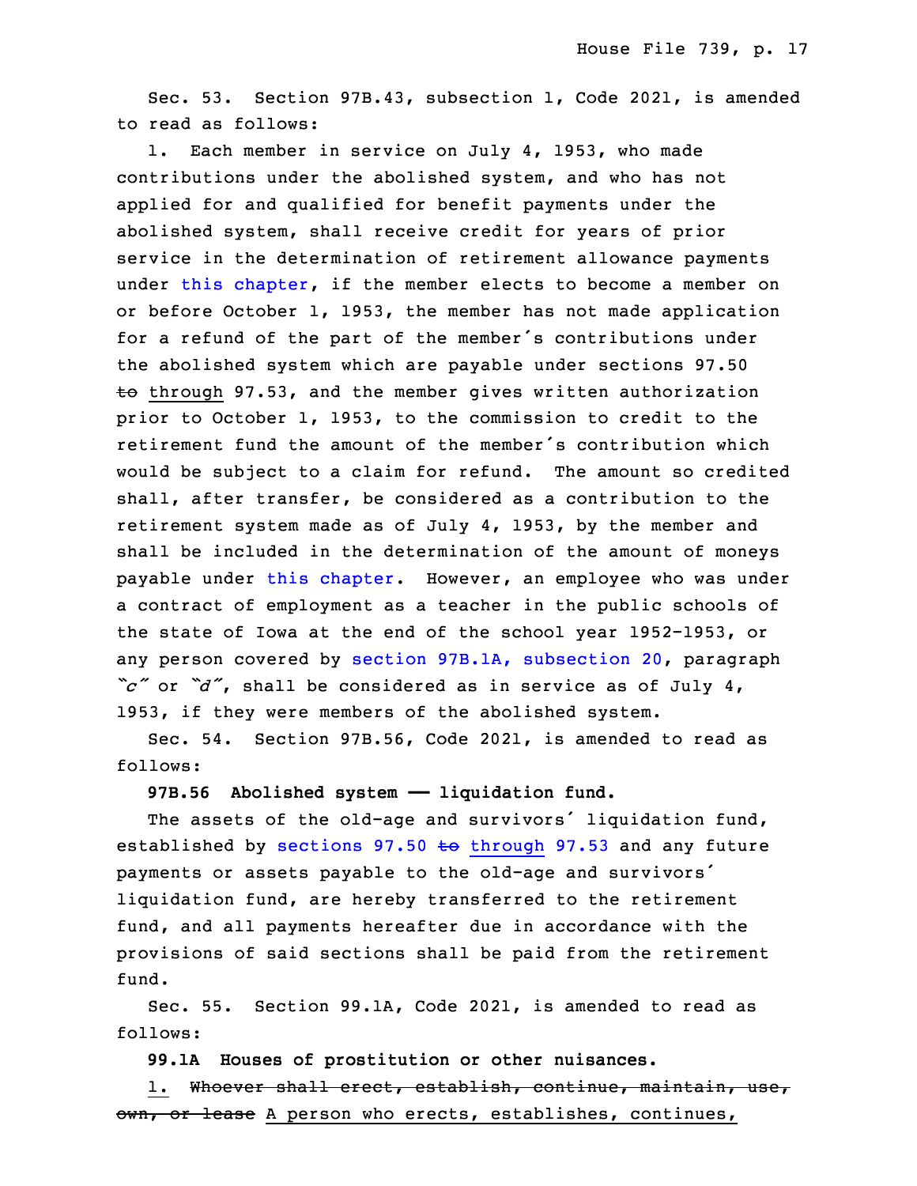Sec. 53. Section 97B.43, subsection 1, Code 2021, is amended to read as follows:

1. Each member in service on July 4, 1953, who made contributions under the abolished system, and who has not applied for and qualified for benefit payments under the abolished system, shall receive credit for years of prior service in the determination of retirement allowance payments under this [chapter](https://www.legis.iowa.gov/docs/code/2021/97B.pdf), if the member elects to become <sup>a</sup> member on or before October 1, 1953, the member has not made application for <sup>a</sup> refund of the part of the member's contributions under the abolished system which are payable under sections 97.50  $\pm$ o through 97.53, and the member gives written authorization prior to October 1, 1953, to the commission to credit to the retirement fund the amount of the member's contribution which would be subject to a claim for refund. The amount so credited shall, after transfer, be considered as a contribution to the retirement system made as of July 4, 1953, by the member and shall be included in the determination of the amount of moneys payable under this [chapter](https://www.legis.iowa.gov/docs/code/2021/97B.pdf). However, an employee who was under <sup>a</sup> contract of employment as <sup>a</sup> teacher in the public schools of the state of Iowa at the end of the school year 1952-1953, or any person covered by section 97B.1A, [subsection](https://www.legis.iowa.gov/docs/code/2021/97B.1A.pdf) 20, paragraph "c" or "d", shall be considered as in service as of July 4, 1953, if they were members of the abolished system.

Sec. 54. Section 97B.56, Code 2021, is amended to read as follows:

### **97B.56 Abolished system —— liquidation fund.**

 The assets of the old-age and survivors' liquidation fund, established by sections 97.50  $\text{t}$  [through](https://www.legis.iowa.gov/docs/code/2021/97.50.pdf) 97.53 and any future payments or assets payable to the old-age and survivors' liquidation fund, are hereby transferred to the retirement fund, and all payments hereafter due in accordance with the provisions of said sections shall be paid from the retirement fund.

Sec. 55. Section 99.1A, Code 2021, is amended to read as follows:

31 **99.1A Houses of prostitution or other nuisances.**

1. Whoever shall erect, establish, continue, maintain, use, own, or lease A person who erects, establishes, continues,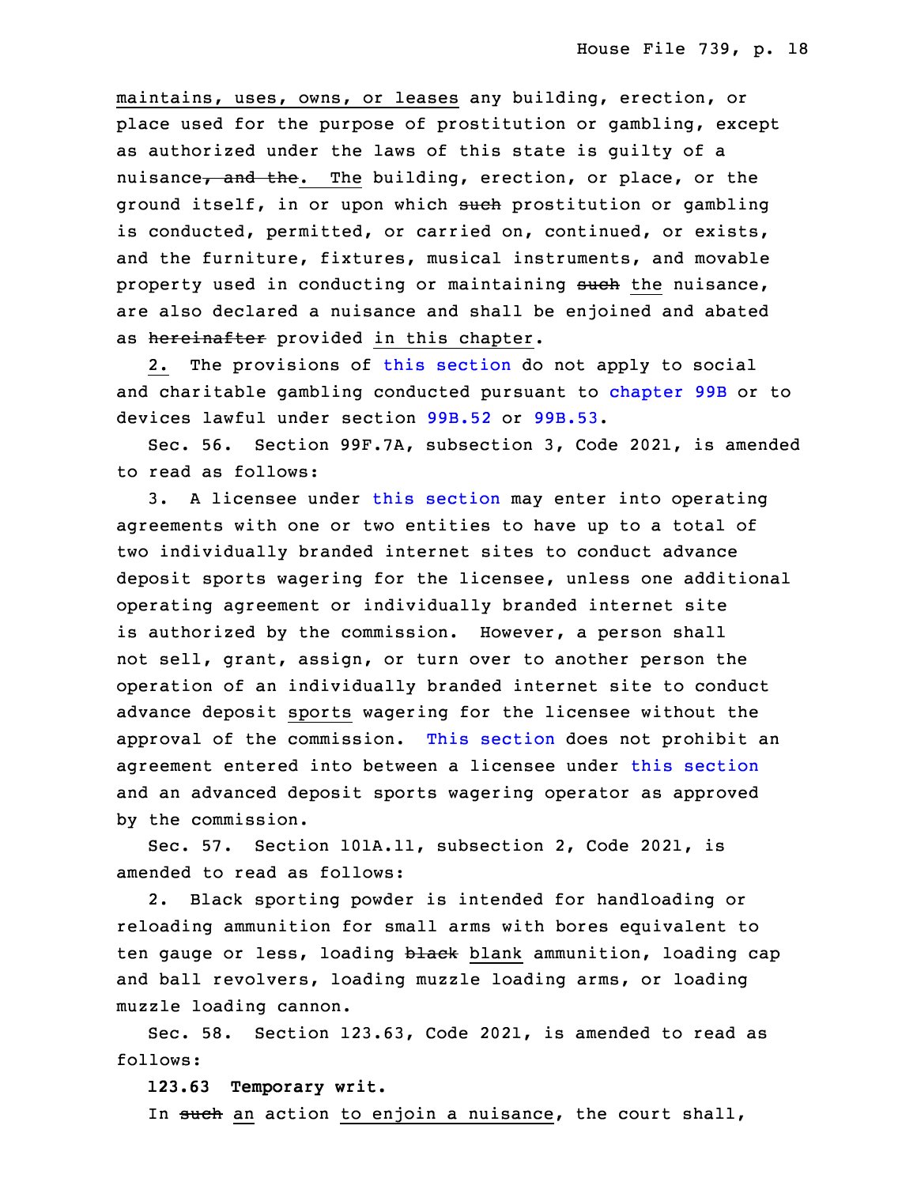maintains, uses, owns, or leases any building, erection, or place used for the purpose of prostitution or gambling, except as authorized under the laws of this state is guilty of <sup>a</sup> nuisance, and the. The building, erection, or place, or the ground itself, in or upon which such prostitution or gambling is conducted, permitted, or carried on, continued, or exists, and the furniture, fixtures, musical instruments, and movable property used in conducting or maintaining such the nuisance, are also declared a nuisance and shall be enjoined and abated as hereinafter provided in this chapter.

2. The provisions of this [section](https://www.legis.iowa.gov/docs/code/2021/99.1A.pdf) do not apply to social and charitable gambling conducted pursuant to [chapter](https://www.legis.iowa.gov/docs/code/2021/99B.pdf) 99B or to devices lawful under section [99B.52](https://www.legis.iowa.gov/docs/code/2021/99B.52.pdf) or [99B.53](https://www.legis.iowa.gov/docs/code/2021/99B.53.pdf).

 Sec. 56. Section 99F.7A, subsection 3, Code 2021, is amended to read as follows:

 3. <sup>A</sup> licensee under this [section](https://www.legis.iowa.gov/docs/code/2021/99F.7A.pdf) may enter into operating agreements with one or two entities to have up to a total of two individually branded internet sites to conduct advance deposit sports wagering for the licensee, unless one additional operating agreement or individually branded internet site is authorized by the commission. However, a person shall not sell, grant, assign, or turn over to another person the operation of an individually branded internet site to conduct advance deposit sports wagering for the licensee without the approval of the commission. This [section](https://www.legis.iowa.gov/docs/code/2021/99F.7A.pdf) does not prohibit an agreement entered into between <sup>a</sup> licensee under this [section](https://www.legis.iowa.gov/docs/code/2021/99F.7A.pdf) and an advanced deposit sports wagering operator as approved by the commission.

Sec. 57. Section 101A.11, subsection 2, Code 2021, is amended to read as follows:

2. Black sporting powder is intended for handloading or reloading ammunition for small arms with bores equivalent to ten gauge or less, loading black blank ammunition, loading cap and ball revolvers, loading muzzle loading arms, or loading muzzle loading cannon.

Sec. 58. Section 123.63, Code 2021, is amended to read as follows:

**123.63 Temporary writ.**

In <del>such</del> an action to enjoin a nuisance, the court shall,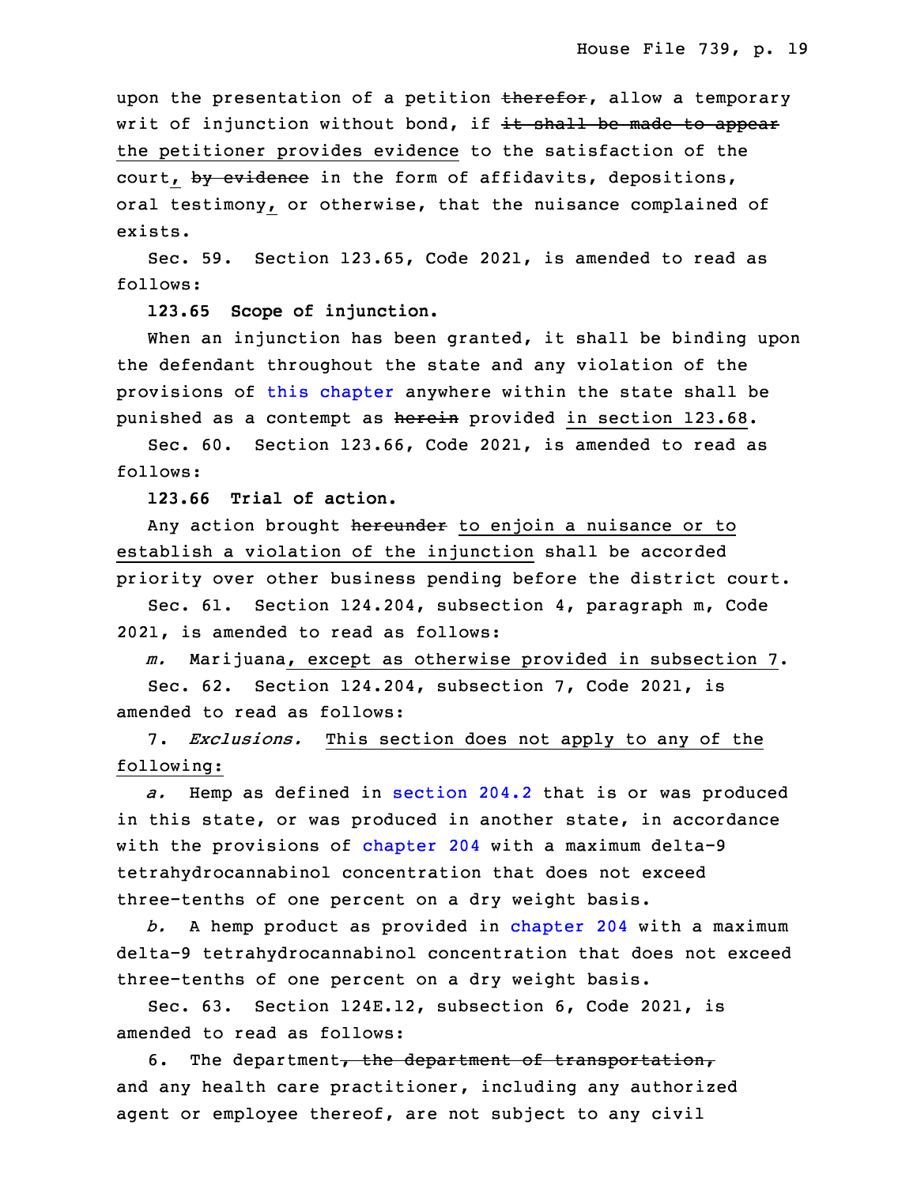upon the presentation of a petition therefor, allow a temporary writ of injunction without bond, if it shall be made to appear the petitioner provides evidence to the satisfaction of the court, by evidence in the form of affidavits, depositions, oral testimony, or otherwise, that the nuisance complained of exists.

Sec. 59. Section 123.65, Code 2021, is amended to read as follows:

**123.65 Scope of injunction.**

When an injunction has been granted, it shall be binding upon the defendant throughout the state and any violation of the provisions of this [chapter](https://www.legis.iowa.gov/docs/code/2021/123.pdf) anywhere within the state shall be punished as a contempt as herein provided in section 123.68.

Sec. 60. Section 123.66, Code 2021, is amended to read as follows:

18 **123.66 Trial of action.**

Any action brought hereunder to enjoin a nuisance or to establish a violation of the injunction shall be accorded priority over other business pending before the district court.

 Sec. 61. Section 124.204, subsection 4, paragraph m, Code 2021, is amended to read as follows:

 *m.* Marijuana, except as otherwise provided in subsection 7. 25 Sec. 62. Section 124.204, subsection 7, Code 2021, is amended to read as follows:

7. *Exclusions.* This section does not apply to any of the following:

a. Hemp as defined in [section](https://www.legis.iowa.gov/docs/code/2021/204.2.pdf) 204.2 that is or was produced in this state, or was produced in another state, in accordance with the provisions of [chapter](https://www.legis.iowa.gov/docs/code/2021/204.pdf) 204 with a maximum delta-9 tetrahydrocannabinol concentration that does not exceed three-tenths of one percent on a dry weight basis.

34 *b.* <sup>A</sup> hemp product as provided in [chapter](https://www.legis.iowa.gov/docs/code/2021/204.pdf) 204 with <sup>a</sup> maximum delta-9 tetrahydrocannabinol concentration that does not exceed three-tenths of one percent on <sup>a</sup> dry weight basis.

 Sec. 63. Section 124E.12, subsection 6, Code 2021, is amended to read as follows:

6. The department, the department of transportation, and any health care practitioner, including any authorized agent or employee thereof, are not subject to any civil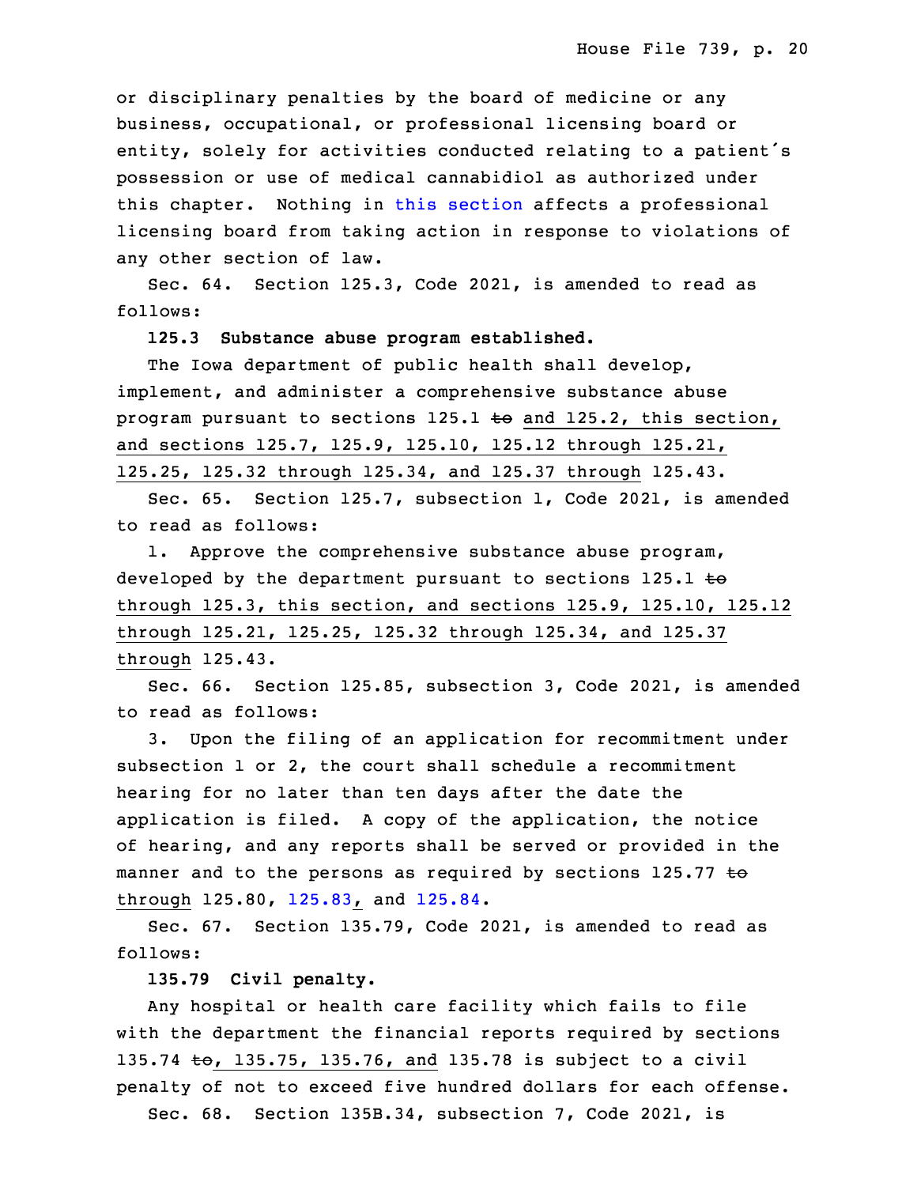or disciplinary penalties by the board of medicine or any business, occupational, or professional licensing board or entity, solely for activities conducted relating to a patient's 10 possession or use of medical cannabidiol as authorized under this chapter. Nothing in this [section](https://www.legis.iowa.gov/docs/code/2021/124E.12.pdf) affects <sup>a</sup> professional licensing board from taking action in response to violations of any other section of law.

 Sec. 64. Section 125.3, Code 2021, is amended to read as follows:

# 16 **125.3 Substance abuse program established.**

The Iowa department of public health shall develop, implement, and administer a comprehensive substance abuse program pursuant to sections  $125.1$  to and  $125.2$ , this section, and sections 125.7, 125.9, 125.10, 125.12 through 125.21, 125.25, 125.32 through 125.34, and 125.37 through 125.43.

 Sec. 65. Section 125.7, subsection 1, Code 2021, is amended to read as follows:

 1. Approve the comprehensive substance abuse program, developed by the department pursuant to sections  $125.1$  to 26 through 125.3, this section, and sections 125.9, 125.10, 125.12 27 through 125.21, 125.25, 125.32 through 125.34, and 125.37 through 125.43.

Sec. 66. Section 125.85, subsection 3, Code 2021, is amended to read as follows:

3. Upon the filing of an application for recommitment under subsection 1 or 2, the court shall schedule a recommitment hearing for no later than ten days after the date the application is filed. A copy of the application, the notice of hearing, and any reports shall be served or provided in the manner and to the persons as required by sections 125.77  $\pm \Theta$ through 125.80, [125.83](https://www.legis.iowa.gov/docs/code/2021/125.83.pdf), and [125.84](https://www.legis.iowa.gov/docs/code/2021/125.84.pdf).

Sec. 67. Section 135.79, Code 2021, is amended to read as follows:

## 5 **135.79 Civil penalty.**

Any hospital or health care facility which fails to file with the department the financial reports required by sections 135.74 to, 135.75, 135.76, and 135.78 is subject to a civil penalty of not to exceed five hundred dollars for each offense.

Sec.  $68.$  Section 135B.34, subsection 7, Code 2021, is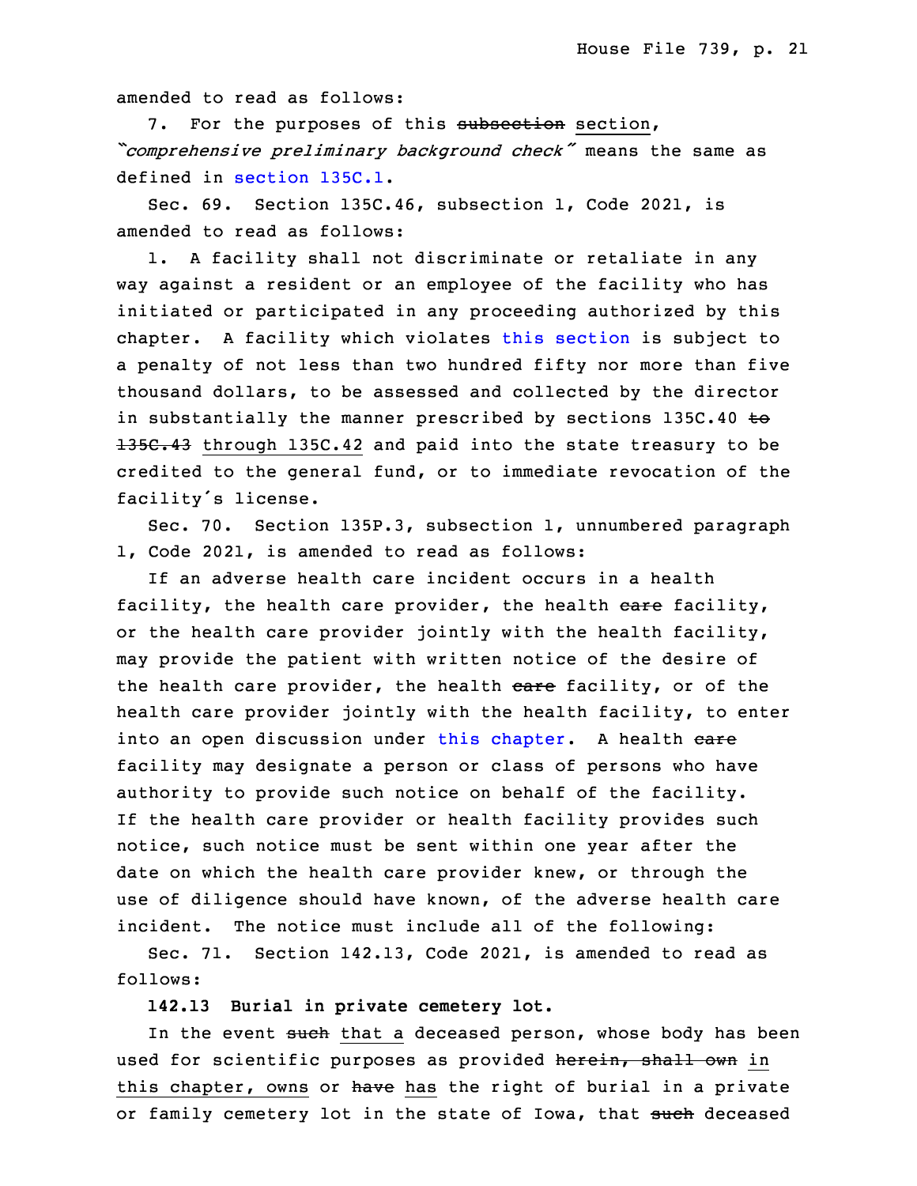amended to read as follows:

7. For the purposes of this subsection section, <sup>13</sup> *"comprehensive preliminary background check"* means the same as defined in [section](https://www.legis.iowa.gov/docs/code/2021/135C.1.pdf) 135C.1.

Sec. 69. Section 135C.46, subsection 1, Code 2021, is amended to read as follows:

1. A facility shall not discriminate or retaliate in any way against a resident or an employee of the facility who has initiated or participated in any proceeding authorized by this chapter. A facility which violates this [section](https://www.legis.iowa.gov/docs/code/2021/135C.46.pdf) is subject to <sup>a</sup> penalty of not less than two hundred fifty nor more than five thousand dollars, to be assessed and collected by the director in substantially the manner prescribed by sections  $135C.40$  to 135C.43 through 135C.42 and paid into the state treasury to be credited to the general fund, or to immediate revocation of the facility's license.

Sec. 70. Section 135P.3, subsection 1, unnumbered paragraph 1, Code 2021, is amended to read as follows:

If an adverse health care incident occurs in a health facility, the health care provider, the health eare facility, or the health care provider jointly with the health facility, may provide the patient with written notice of the desire of the health care provider, the health care facility, or of the health care provider jointly with the health facility, to enter into an open discussion under this [chapter](https://www.legis.iowa.gov/docs/code/2021/135P.pdf). A health care facility may designate <sup>a</sup> person or class of persons who have authority to provide such notice on behalf of the facility. If the health care provider or health facility provides such notice, such notice must be sent within one year after the date on which the health care provider knew, or through the use of diligence should have known, of the adverse health care incident. The notice must include all of the following:

Sec. 71. Section 142.13, Code 2021, is amended to read as follows:

10 **142.13 Burial in private cemetery lot.**

In the event such that a deceased person, whose body has been used for scientific purposes as provided herein, shall own in this chapter, owns or have has the right of burial in a private or family cemetery lot in the state of Iowa, that such deceased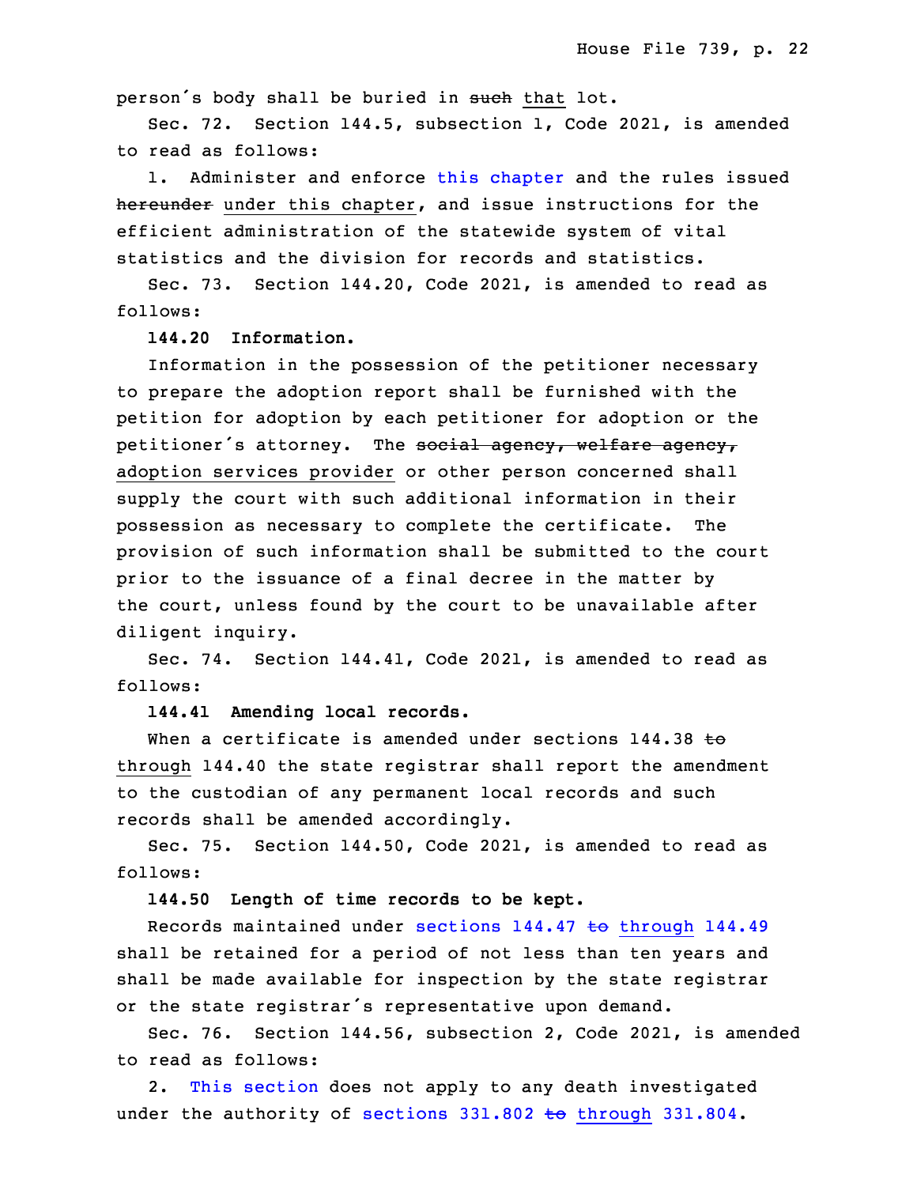person's body shall be buried in such that lot.

Sec. 72. Section 144.5, subsection 1, Code 2021, is amended to read as follows:

1. Administer and enforce this [chapter](https://www.legis.iowa.gov/docs/code/2021/144.pdf) and the rules issued hereunder under this chapter, and issue instructions for the efficient administration of the statewide system of vital statistics and the division for records and statistics.

 Sec. 73. Section 144.20, Code 2021, is amended to read as follows:

**144.20 Information.**

Information in the possession of the petitioner necessary to prepare the adoption report shall be furnished with the petition for adoption by each petitioner for adoption or the petitioner's attorney. The social agency, welfare agency, adoption services provider or other person concerned shall supply the court with such additional information in their possession as necessary to complete the certificate. The provision of such information shall be submitted to the court prior to the issuance of a final decree in the matter by the court, unless found by the court to be unavailable after diligent inquiry.

 Sec. 74. Section 144.41, Code 2021, is amended to read as follows:

## 3 **144.41 Amending local records.**

When a certificate is amended under sections  $144.38$  to through 144.40 the state registrar shall report the amendment to the custodian of any permanent local records and such records shall be amended accordingly.

Sec. 75. Section 144.50, Code 2021, is amended to read as follows:

10 **144.50 Length of time records to be kept.**

Records maintained under sections  $144.47$  to [through](https://www.legis.iowa.gov/docs/code/2021/144.47.pdf)  $144.49$  shall be retained for <sup>a</sup> period of not less than ten years and shall be made available for inspection by the state registrar or the state registrar's representative upon demand.

Sec. 76. Section 144.56, subsection 2, Code 2021, is amended to read as follows:

2. This [section](https://www.legis.iowa.gov/docs/code/2021/144.56.pdf) does not apply to any death investigated under the authority of sections  $331.802$  to [through](https://www.legis.iowa.gov/docs/code/2021/331.802.pdf)  $331.804$ .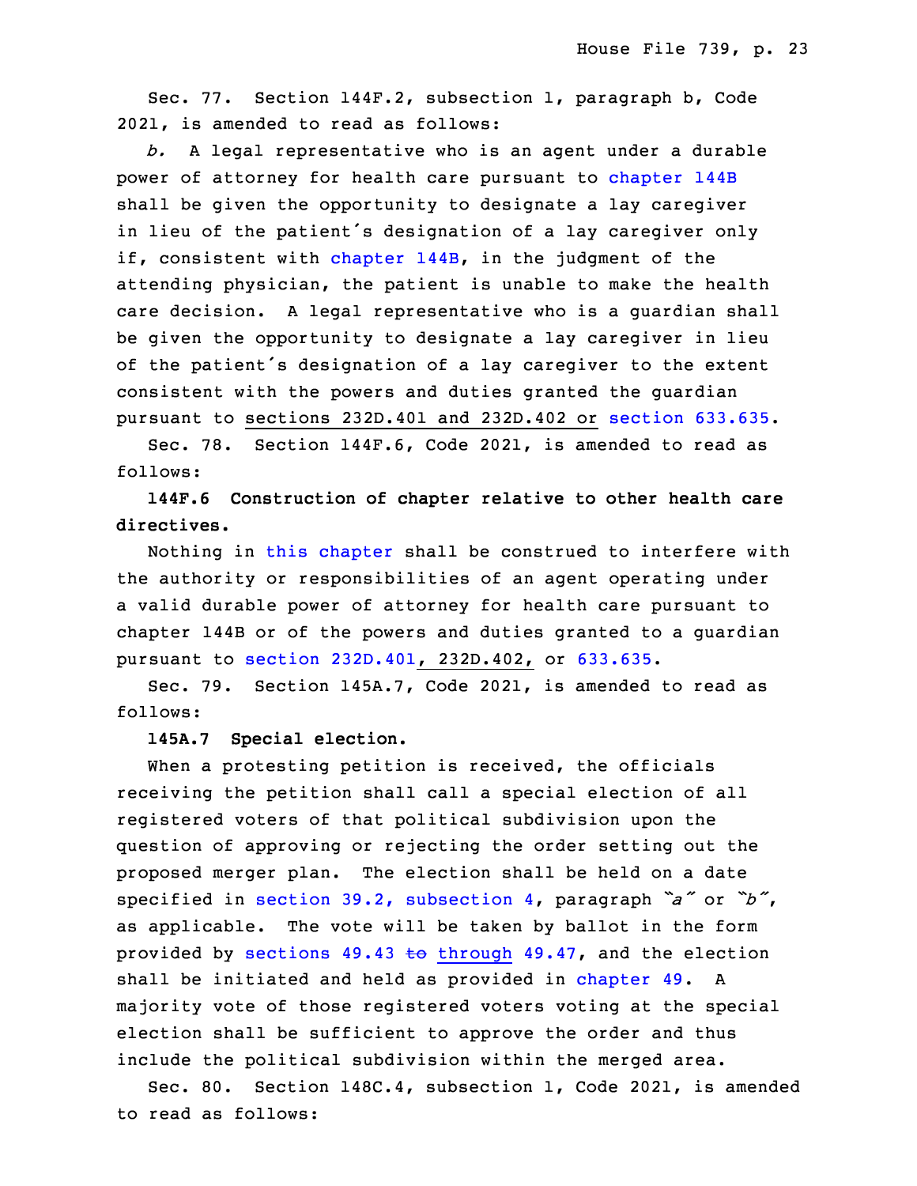Sec. 77. Section 144F.2, subsection 1, paragraph b, Code 20 2021, is amended to read as follows:

 *b.* <sup>A</sup> legal representative who is an agent under <sup>a</sup> durable power of attorney for health care pursuant to [chapter](https://www.legis.iowa.gov/docs/code/2021/144B.pdf) 144B shall be given the opportunity to designate a lay caregiver in lieu of the patient's designation of <sup>a</sup> lay caregiver only if, consistent with [chapter](https://www.legis.iowa.gov/docs/code/2021/144B.pdf)  $144B$ , in the judgment of the attending physician, the patient is unable to make the health care decision. A legal representative who is a guardian shall be given the opportunity to designate a lay caregiver in lieu of the patient's designation of a lay caregiver to the extent consistent with the powers and duties granted the quardian pursuant to sections 232D.401 and 232D.402 or section [633.635](https://www.legis.iowa.gov/docs/code/2021/633.635.pdf).

Sec. 78. Section 144F.6, Code 2021, is amended to read as follows:

34 **144F.6 Construction of chapter relative to other health care** directives.

 Nothing in this [chapter](https://www.legis.iowa.gov/docs/code/2021/144F.pdf) shall be construed to interfere with the authority or responsibilities of an agent operating under a valid durable power of attorney for health care pursuant to chapter 144B or of the powers and duties granted to <sup>a</sup> guardian pursuant to section [232D.401](https://www.legis.iowa.gov/docs/code/2021/232D.401.pdf), 232D.402, or [633.635](https://www.legis.iowa.gov/docs/code/2021/633.635.pdf).

6 Sec. 79. Section 145A.7, Code 2021, is amended to read as follows:

### 8 **145A.7 Special election.**

When a protesting petition is received, the officials receiving the petition shall call a special election of all registered voters of that political subdivision upon the question of approving or rejecting the order setting out the proposed merger plan. The election shall be held on a date specified in section 39.2, [subsection](https://www.legis.iowa.gov/docs/code/2021/39.2.pdf) 4, paragraph *"a"* or *"b"*, as applicable. The vote will be taken by ballot in the form provided by [sections](https://www.legis.iowa.gov/docs/code/2021/49.43.pdf)  $49.43$  to through  $49.47$ , and the election shall be initiated and held as provided in [chapter](https://www.legis.iowa.gov/docs/code/2021/49.pdf) 49. A majority vote of those registered voters voting at the special election shall be sufficient to approve the order and thus include the political subdivision within the merged area.

 Sec. 80. Section 148C.4, subsection 1, Code 2021, is amended to read as follows: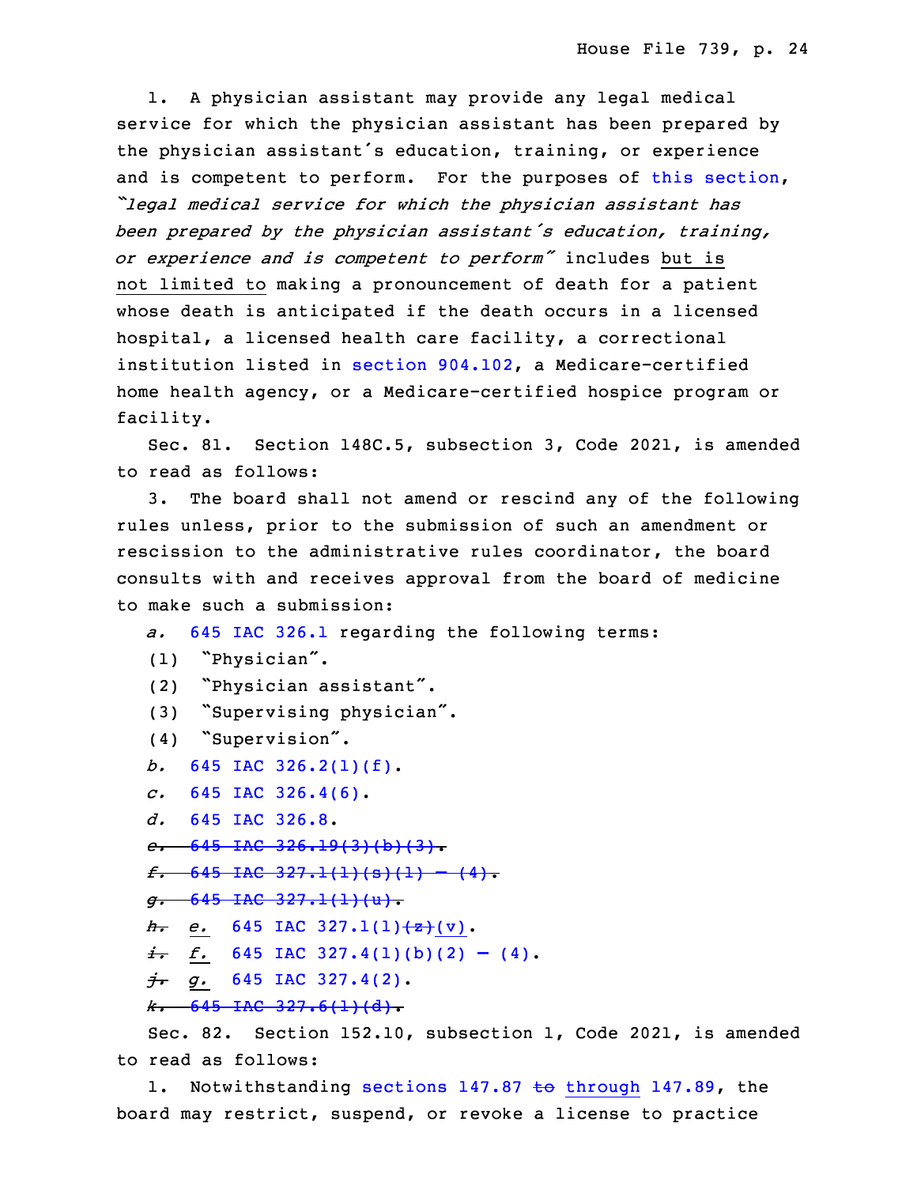1. A physician assistant may provide any legal medical service for which the physician assistant has been prepared by the physician assistant's education, training, or experience and is competent to perform. For the purposes of this [section](https://www.legis.iowa.gov/docs/code/2021/148C.4.pdf), 27 *"legal medical service for which the physician assistant has* <sup>28</sup> *been prepared by the physician assistant's education, training,* <sup>29</sup> *or experience and is competent to perform"* includes but is not limited to making a pronouncement of death for a patient whose death is anticipated if the death occurs in a licensed hospital, a licensed health care facility, a correctional institution listed in section  $904.102$ , a Medicare-certified home health agency, or a Medicare-certified hospice program or facility.

 Sec. 81. Section 148C.5, subsection 3, Code 2021, is amended to read as follows:

3. The board shall not amend or rescind any of the following rules unless, prior to the submission of such an amendment or rescission to the administrative rules coordinator, the board consults with and receives approval from the board of medicine to make such a submission:

- 8 *a.* 645 IAC [326.1](https://www.legis.iowa.gov/docs/ACO/rule/645.326.1.pdf) regarding the following terms:
- <sup>9</sup> (1) "Physician".
- <sup>10</sup> (2) "Physician assistant".
- (3) "Supervising physician".
- (4) "Supervision".
- 13 *b.* 645 IAC [326.2\(1\)\(f\)](https://www.legis.iowa.gov/docs/ACO/rule/645.326.2.pdf).
- *c.* 645 IAC [326.4\(6\)](https://www.legis.iowa.gov/docs/ACO/rule/645.326.4.pdf).
- d. 645 IAC [326.8](https://www.legis.iowa.gov/docs/ACO/rule/645.326.8.pdf).
- 16 *e.* 645 IAC [326.19\(3\)\(b\)\(3\)](https://www.legis.iowa.gov/docs/ACO/rule/645.326.19.pdf).
- $f.$  645 IAC [327.1\(1\)\(s\)\(1\)](https://www.legis.iowa.gov/docs/ACO/rule/645.327.1.pdf) (4).
- 18 *g.* 645 IAC [327.1\(1\)\(u\)](https://www.legis.iowa.gov/docs/ACO/rule/645.327.1.pdf).
- *h. e.* 645 IAC 327.1(1)<del>(z)</del>(v).
- $\frac{i}{\hbar}$  *f.* 645 IAC [327.4\(1\)\(b\)\(2\)](https://www.legis.iowa.gov/docs/ACO/rule/645.327.4.pdf) (4).
- *j. g.* 645 IAC [327.4\(2\)](https://www.legis.iowa.gov/docs/ACO/rule/645.327.4.pdf).
- *k.* 645 IAC [327.6\(1\)\(d\)](https://www.legis.iowa.gov/docs/ACO/rule/645.327.6.pdf).

Sec. 82. Section 152.10, subsection 1, Code 2021, is amended to read as follows:

1. Notwithstanding sections 147.87 to [through](https://www.legis.iowa.gov/docs/code/2021/147.87.pdf) 147.89, the board may restrict, suspend, or revoke a license to practice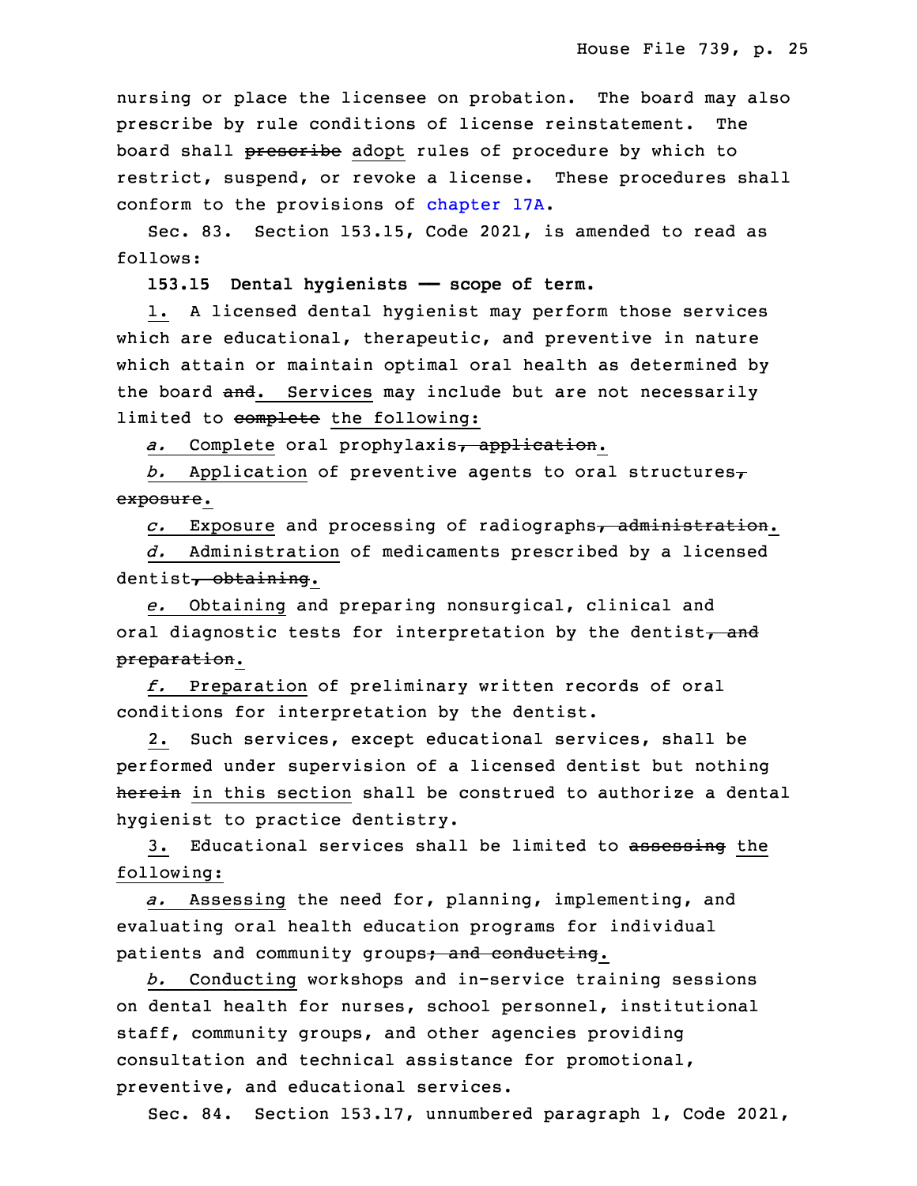nursing or place the licensee on probation. The board may also prescribe by rule conditions of license reinstatement. The board shall prescribe adopt rules of procedure by which to restrict, suspend, or revoke a license. These procedures shall conform to the provisions of [chapter](https://www.legis.iowa.gov/docs/code/2021/17A.pdf) 17A.

Sec. 83. Section 153.15, Code 2021, is amended to read as follows:

34 **153.15 Dental hygienists —— scope of term.**

1. A licensed dental hygienist may perform those services which are educational, therapeutic, and preventive in nature which attain or maintain optimal oral health as determined by the board and. Services may include but are not necessarily limited to complete the following:

a. Complete oral prophylaxis, application.

b. Application of preventive agents to oral structures $<sub>\tau</sub>$ </sub> exposure.

8 *c.* Exposure and processing of radiographs, administration.

9 *d.* Administration of medicaments prescribed by <sup>a</sup> licensed dentist, obtaining.

 *e.* Obtaining and preparing nonsurgical, clinical and oral diagnostic tests for interpretation by the dentist, and preparation.

 *f.* Preparation of preliminary written records of oral conditions for interpretation by the dentist.

2. Such services, except educational services, shall be performed under supervision of a licensed dentist but nothing herein in this section shall be construed to authorize a dental hygienist to practice dentistry.

3. Educational services shall be limited to assessing the following:

 *a.* Assessing the need for, planning, implementing, and evaluating oral health education programs for individual patients and community groups; and conducting.

b. Conducting workshops and in-service training sessions 26 on dental health for nurses, school personnel, institutional staff, community groups, and other agencies providing consultation and technical assistance for promotional, preventive, and educational services.

Sec. 84. Section 153.17, unnumbered paragraph 1, Code 2021,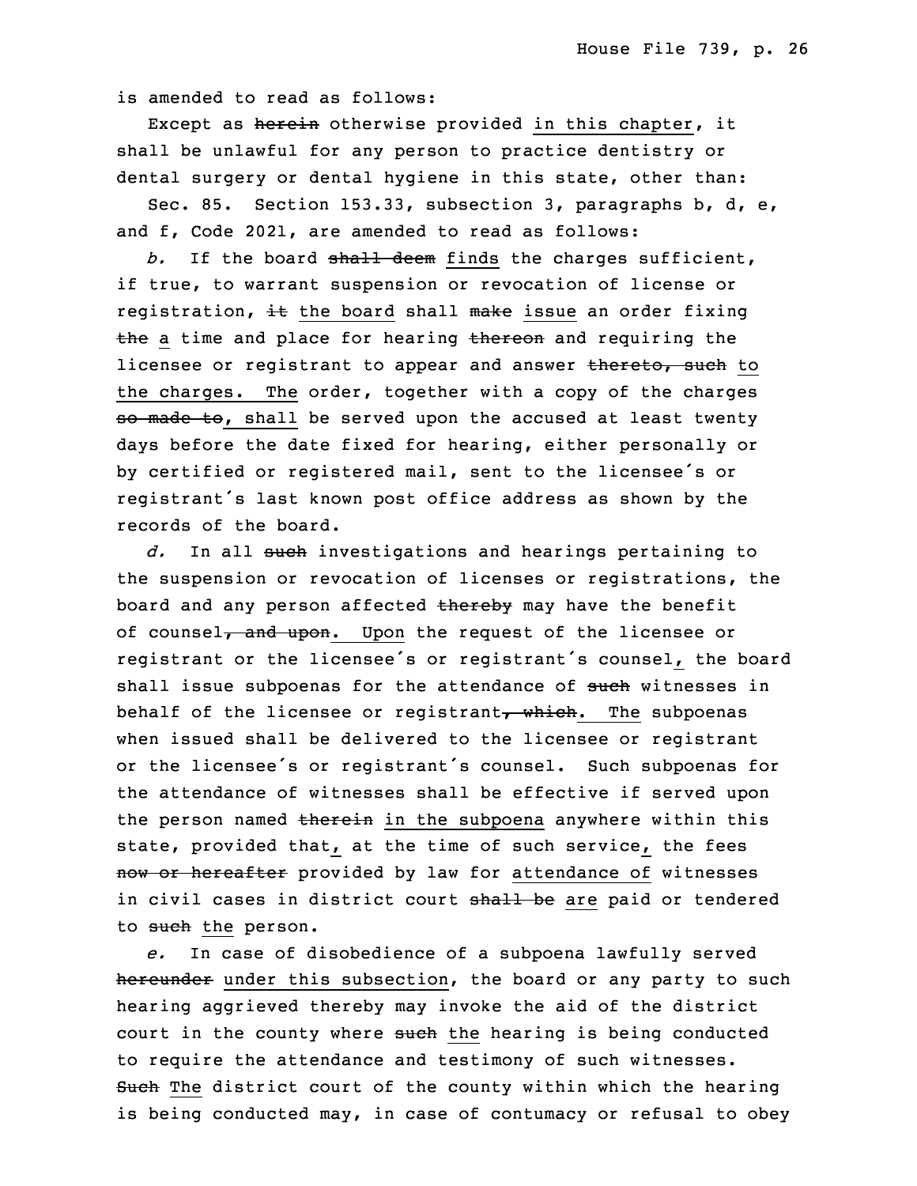is amended to read as follows:

Except as herein otherwise provided in this chapter, it shall be unlawful for any person to practice dentistry or dental surgery or dental hygiene in this state, other than:

Sec. 85. Section 153.33, subsection 3, paragraphs b,  $d$ , e, and f, Code 2021, are amended to read as follows:

 *b.* If the board shall deem finds the charges sufficient, if true, to warrant suspension or revocation of license or registration,  $\pm$  the board shall make issue an order fixing the a time and place for hearing thereon and requiring the licensee or registrant to appear and answer thereto, such to the charges. The order, together with a copy of the charges so made to, shall be served upon the accused at least twenty days before the date fixed for hearing, either personally or by certified or registered mail, sent to the licensee's or registrant's last known post office address as shown by the records of the board.

d. In all such investigations and hearings pertaining to the suspension or revocation of licenses or registrations, the board and any person affected thereby may have the benefit of counsel, and upon. Upon the request of the licensee or registrant or the licensee's or registrant's counsel, the board shall issue subpoenas for the attendance of such witnesses in behalf of the licensee or registrant, which. The subpoenas when issued shall be delivered to the licensee or registrant or the licensee's or registrant's counsel. Such subpoenas for the attendance of witnesses shall be effective if served upon the person named therein in the subpoena anywhere within this state, provided that, at the time of such service, the fees now or hereafter provided by law for attendance of witnesses in civil cases in district court shall be are paid or tendered to such the person.

e. In case of disobedience of a subpoena lawfully served hereunder under this subsection, the board or any party to such hearing aggrieved thereby may invoke the aid of the district court in the county where such the hearing is being conducted to require the attendance and testimony of such witnesses. Such The district court of the county within which the hearing is being conducted may, in case of contumacy or refusal to obey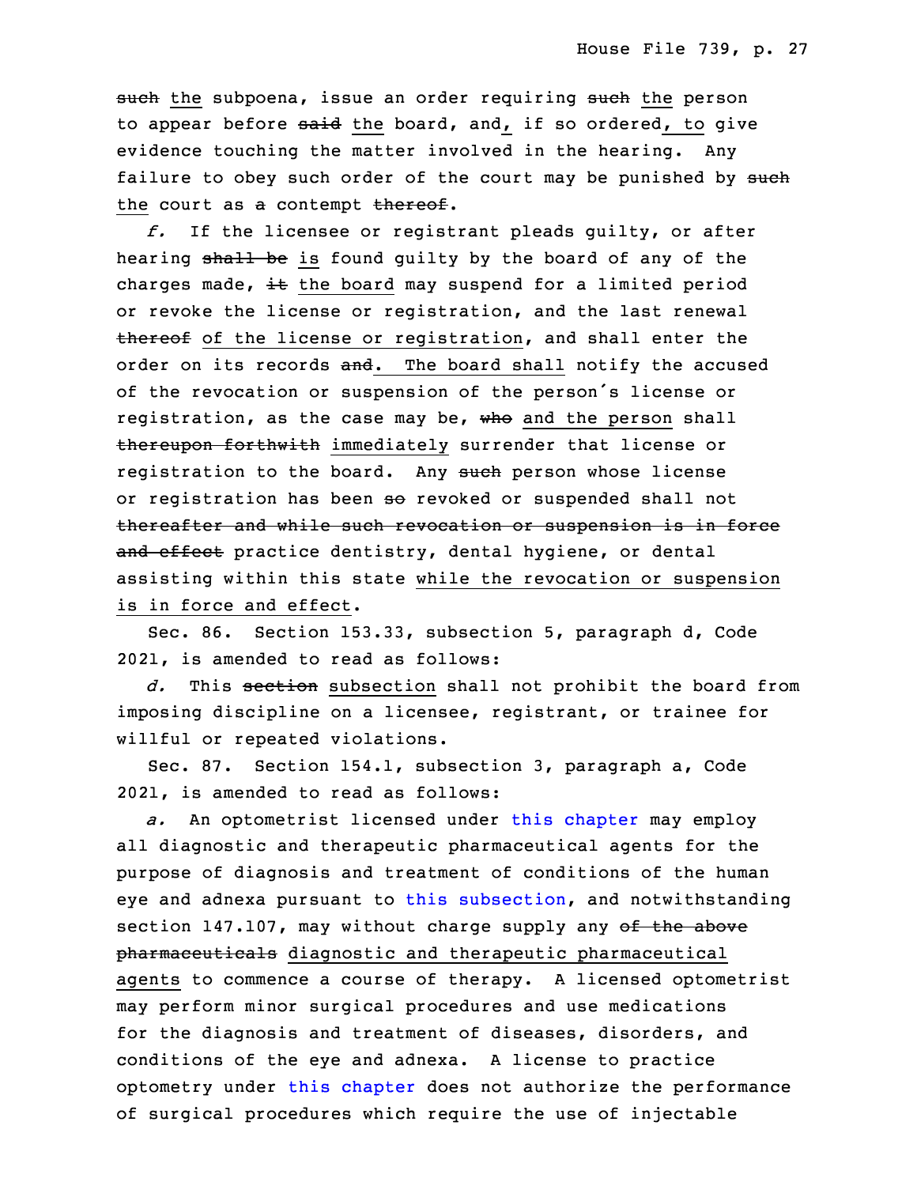such the subpoena, issue an order requiring such the person to appear before said the board, and, if so ordered, to give evidence touching the matter involved in the hearing. Any failure to obey such order of the court may be punished by such the court as a contempt thereof.

5 *f.* If the licensee or registrant pleads guilty, or after hearing shall be is found guilty by the board of any of the charges made,  $\pm t$  the board may suspend for a limited period or revoke the license or registration, and the last renewal thereof of the license or registration, and shall enter the order on its records and. The board shall notify the accused of the revocation or suspension of the person's license or registration, as the case may be, who and the person shall thereupon forthwith immediately surrender that license or registration to the board. Any such person whose license or registration has been so revoked or suspended shall not thereafter and while such revocation or suspension is in force and effect practice dentistry, dental hygiene, or dental assisting within this state while the revocation or suspension is in force and effect.

Sec. 86. Section 153.33, subsection 5, paragraph d, Code 2021, is amended to read as follows:

 *d.* This section subsection shall not prohibit the board from imposing discipline on a licensee, registrant, or trainee for willful or repeated violations.

Sec. 87. Section 154.1, subsection 3, paragraph a, Code 26 2021, is amended to read as follows:

a. An optometrist licensed under this [chapter](https://www.legis.iowa.gov/docs/code/2021/154.pdf) may employ all diagnostic and therapeutic pharmaceutical agents for the purpose of diagnosis and treatment of conditions of the human eye and adnexa pursuant to this [subsection](https://www.legis.iowa.gov/docs/code/2021/154.1.pdf), and notwithstanding section 147.107, may without charge supply any  $\theta$  the above pharmaceuticals diagnostic and therapeutic pharmaceutical agents to commence a course of therapy. A licensed optometrist may perform minor surgical procedures and use medications for the diagnosis and treatment of diseases, disorders, and conditions of the eye and adnexa. <sup>A</sup> license to practice optometry under this [chapter](https://www.legis.iowa.gov/docs/code/2021/154.pdf) does not authorize the performance of surgical procedures which require the use of injectable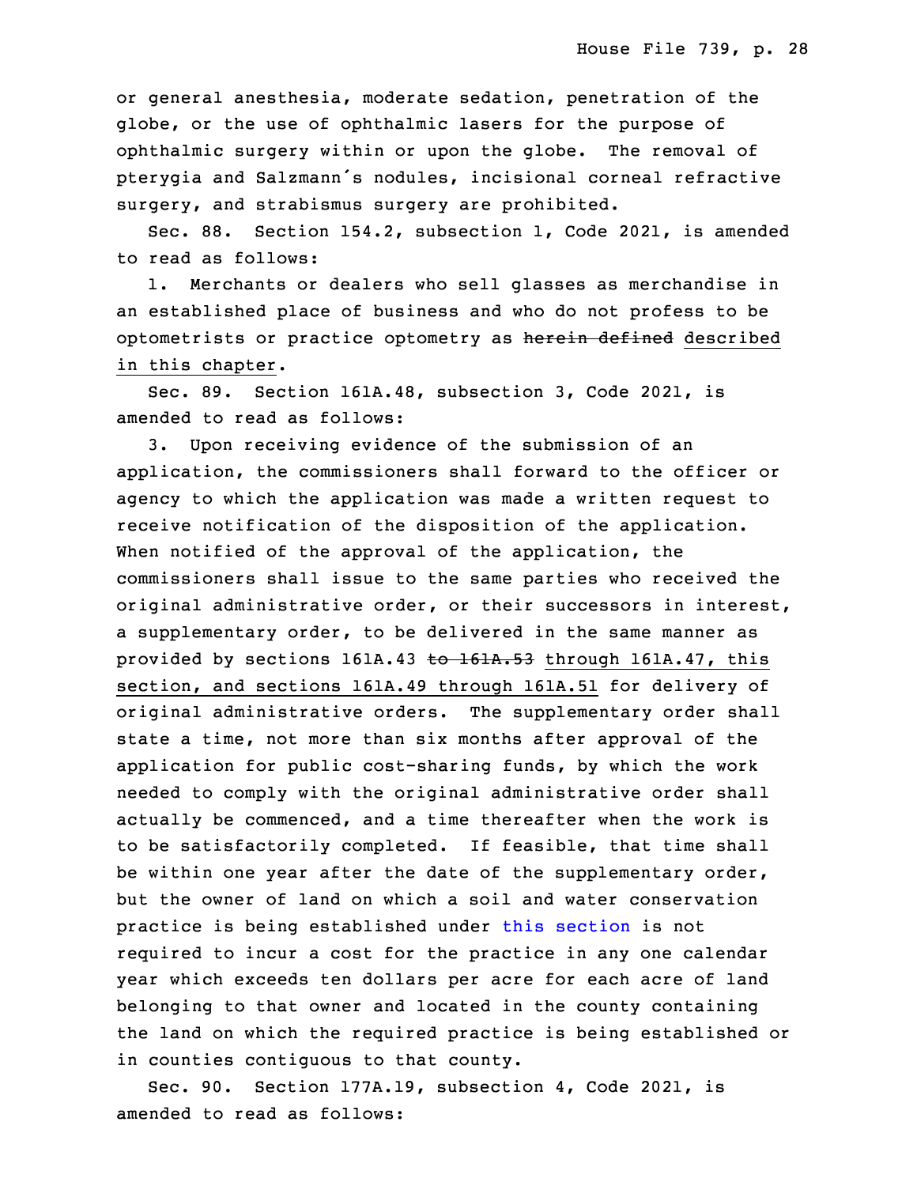or general anesthesia, moderate sedation, penetration of the globe, or the use of ophthalmic lasers for the purpose of ophthalmic surgery within or upon the globe. The removal of pterygia and Salzmann's nodules, incisional corneal refractive surgery, and strabismus surgery are prohibited.

Sec. 88. Section 154.2, subsection 1, Code 2021, is amended to read as follows:

 1. Merchants or dealers who sell glasses as merchandise in an established place of business and who do not profess to be optometrists or practice optometry as herein defined described in this chapter.

Sec. 89. Section 161A.48, subsection 3, Code 2021, is amended to read as follows:

3. Upon receiving evidence of the submission of an application, the commissioners shall forward to the officer or agency to which the application was made a written request to receive notification of the disposition of the application. When notified of the approval of the application, the commissioners shall issue to the same parties who received the original administrative order, or their successors in interest, <sup>a</sup> supplementary order, to be delivered in the same manner as provided by sections  $161A.43$  to  $161A.53$  through  $161A.47$ , this section, and sections 161A.49 through 161A.51 for delivery of original administrative orders. The supplementary order shall state a time, not more than six months after approval of the application for public cost-sharing funds, by which the work needed to comply with the original administrative order shall actually be commenced, and a time thereafter when the work is to be satisfactorily completed. If feasible, that time shall be within one year after the date of the supplementary order, but the owner of land on which a soil and water conservation practice is being established under this [section](https://www.legis.iowa.gov/docs/code/2021/161A.48.pdf) is not required to incur <sup>a</sup> cost for the practice in any one calendar year which exceeds ten dollars per acre for each acre of land belonging to that owner and located in the county containing the land on which the required practice is being established or in counties contiguous to that county.

Sec. 90. Section 177A.19, subsection 4, Code 2021, is amended to read as follows: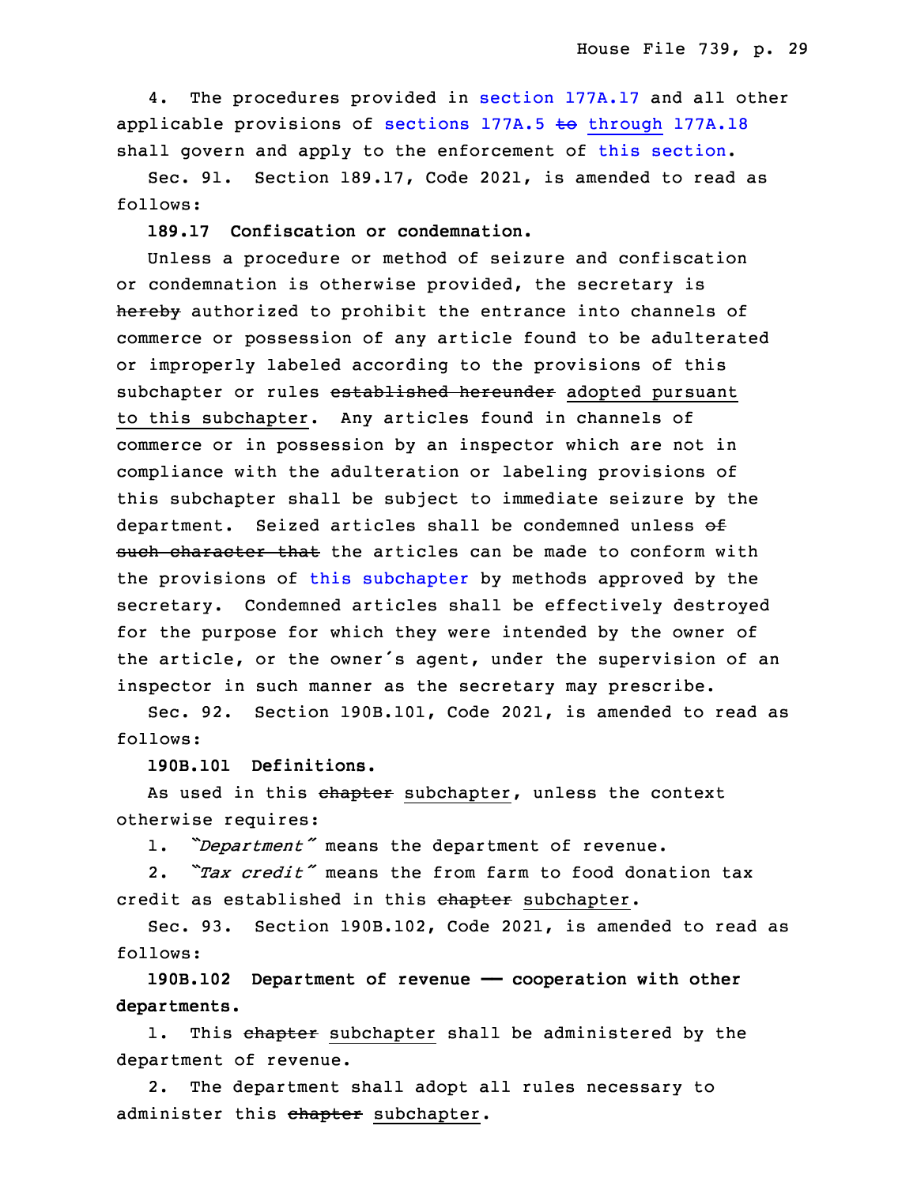4. The procedures provided in section [177A.17](https://www.legis.iowa.gov/docs/code/2021/177A.17.pdf) and all other applicable provisions of sections 177A.5 to [through](https://www.legis.iowa.gov/docs/code/2021/177A.5.pdf) 177A.18 shall govern and apply to the enforcement of this [section](https://www.legis.iowa.gov/docs/code/2021/177A.19.pdf).

 Sec. 91. Section 189.17, Code 2021, is amended to read as follows:

13 **189.17 Confiscation or condemnation.**

 Unless <sup>a</sup> procedure or method of seizure and confiscation or condemnation is otherwise provided, the secretary is hereby authorized to prohibit the entrance into channels of commerce or possession of any article found to be adulterated or improperly labeled according to the provisions of this subchapter or rules established hereunder adopted pursuant to this subchapter. Any articles found in channels of commerce or in possession by an inspector which are not in compliance with the adulteration or labeling provisions of this subchapter shall be subject to immediate seizure by the department. Seized articles shall be condemned unless of such character that the articles can be made to conform with the provisions of this [subchapter](https://www.legis.iowa.gov/docs/code/2021/189.pdf) by methods approved by the secretary. Condemned articles shall be effectively destroyed for the purpose for which they were intended by the owner of the article, or the owner's agent, under the supervision of an inspector in such manner as the secretary may prescribe.

Sec. 92. Section 190B.101, Code 2021, is amended to read as follows:

33 **190B.101 Definitions.**

As used in this chapter subchapter, unless the context otherwise requires:

1. *"Department"* means the department of revenue.

 2. *"Tax credit"* means the from farm to food donation tax credit as established in this chapter subchapter.

 Sec. 93. Section 190B.102, Code 2021, is amended to read as 5 follows:

6 **190B.102 Department of revenue —— cooperation with other** 7 **departments.**

1. This chapter subchapter shall be administered by the department of revenue.

2. The department shall adopt all rules necessary to administer this chapter subchapter.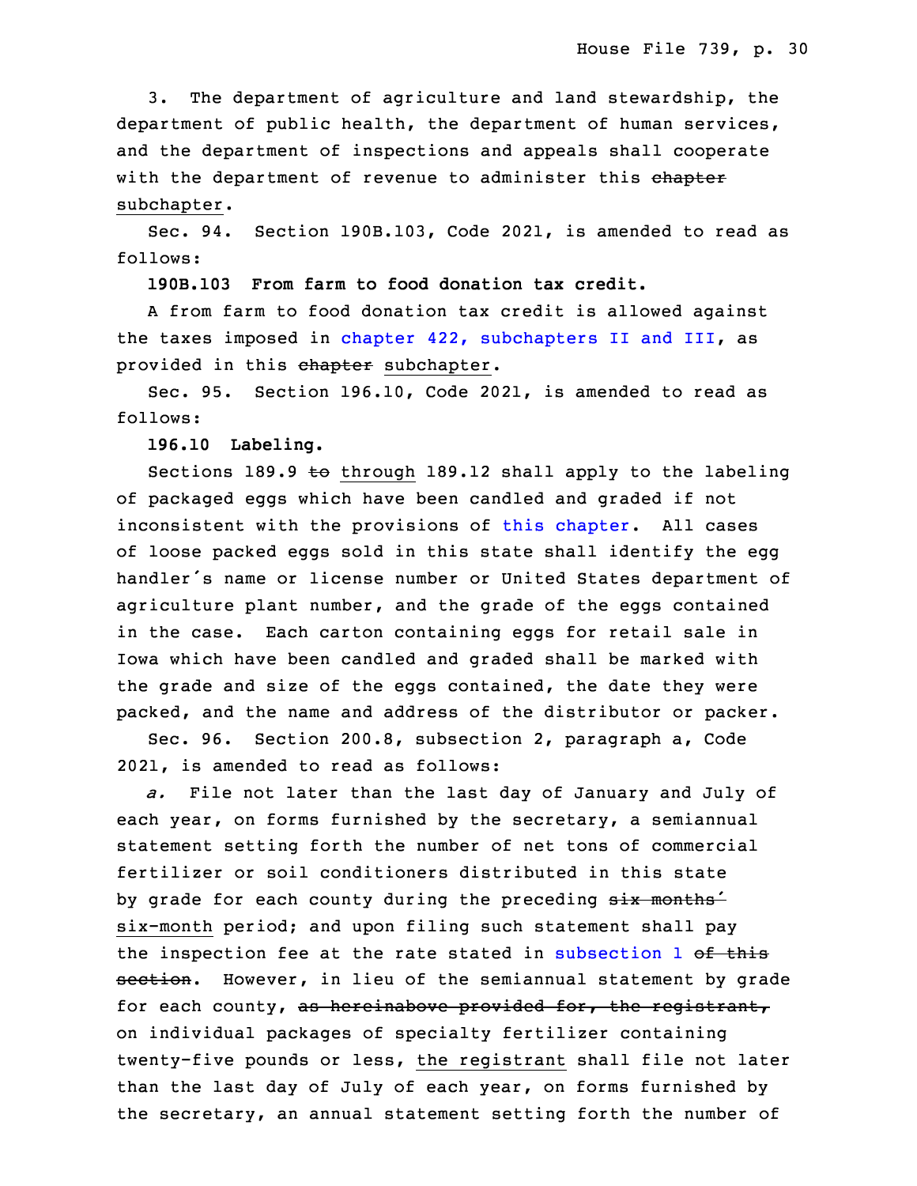3. The department of agriculture and land stewardship, the department of public health, the department of human services, and the department of inspections and appeals shall cooperate with the department of revenue to administer this chapter subchapter.

Sec. 94. Section 190B.103, Code 2021, is amended to read as follows:

19 **190B.103 From farm to food donation tax credit.**

A from farm to food donation tax credit is allowed against the taxes imposed in chapter 422, [subchapters](https://www.legis.iowa.gov/docs/code/2021/422.pdf) II and III, as provided in this chapter subchapter.

Sec. 95. Section 196.10, Code 2021, is amended to read as follows:

### 25 **196.10 Labeling.**

Sections 189.9 to through 189.12 shall apply to the labeling of packaged eggs which have been candled and graded if not inconsistent with the provisions of this [chapter](https://www.legis.iowa.gov/docs/code/2021/196.pdf). All cases of loose packed eggs sold in this state shall identify the egg handler's name or license number or United States department of agriculture plant number, and the grade of the eggs contained in the case. Each carton containing eggs for retail sale in Iowa which have been candled and graded shall be marked with the grade and size of the eggs contained, the date they were packed, and the name and address of the distributor or packer.

 Sec. 96. Section 200.8, subsection 2, paragraph a, Code 2021, is amended to read as follows:

3 *a.* File not later than the last day of January and July of each year, on forms furnished by the secretary, <sup>a</sup> semiannual statement setting forth the number of net tons of commercial fertilizer or soil conditioners distributed in this state by grade for each county during the preceding six months<sup>1</sup> six-month period; and upon filing such statement shall pay the inspection fee at the rate stated in [subsection](https://www.legis.iowa.gov/docs/code/2021/200.8.pdf)  $1$  of this section. However, in lieu of the semiannual statement by grade for each county, as hereinabove provided for, the registrant, on individual packages of specialty fertilizer containing twenty-five pounds or less, the registrant shall file not later than the last day of July of each year, on forms furnished by the secretary, an annual statement setting forth the number of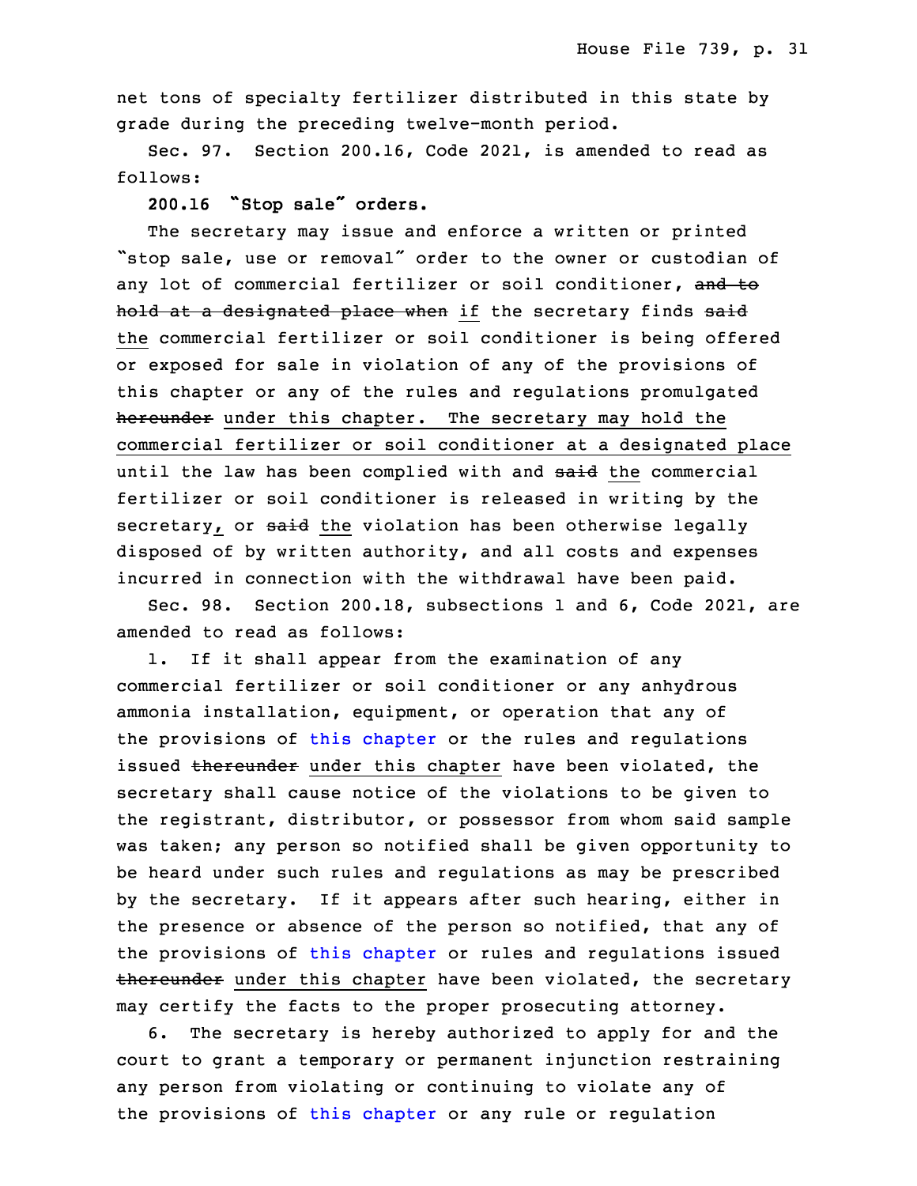net tons of specialty fertilizer distributed in this state by grade during the preceding twelve-month period.

Sec. 97. Section 200.16, Code 2021, is amended to read as follows:

<sup>20</sup> **200.16 "Stop sale" orders.**

 The secretary may issue and enforce <sup>a</sup> written or printed "stop sale, use or removal" order to the owner or custodian of any lot of commercial fertilizer or soil conditioner, and to hold at a designated place when if the secretary finds said the commercial fertilizer or soil conditioner is being offered or exposed for sale in violation of any of the provisions of this chapter or any of the rules and requlations promulgated hereunder under this chapter. The secretary may hold the commercial fertilizer or soil conditioner at a designated place until the law has been complied with and said the commercial fertilizer or soil conditioner is released in writing by the secretary, or said the violation has been otherwise legally disposed of by written authority, and all costs and expenses incurred in connection with the withdrawal have been paid.

Sec. 98. Section 200.18, subsections 1 and 6, Code 2021, are amended to read as follows:

 1. If it shall appear from the examination of any commercial fertilizer or soil conditioner or any anhydrous ammonia installation, equipment, or operation that any of the provisions of this [chapter](https://www.legis.iowa.gov/docs/code/2021/200.pdf) or the rules and regulations issued thereunder under this chapter have been violated, the secretary shall cause notice of the violations to be given to the registrant, distributor, or possessor from whom said sample was taken; any person so notified shall be given opportunity to be heard under such rules and regulations as may be prescribed by the secretary. If it appears after such hearing, either in the presence or absence of the person so notified, that any of the provisions of this [chapter](https://www.legis.iowa.gov/docs/code/2021/200.pdf) or rules and regulations issued thereunder under this chapter have been violated, the secretary may certify the facts to the proper prosecuting attorney.

6. The secretary is hereby authorized to apply for and the court to grant a temporary or permanent injunction restraining any person from violating or continuing to violate any of the provisions of this [chapter](https://www.legis.iowa.gov/docs/code/2021/200.pdf) or any rule or regulation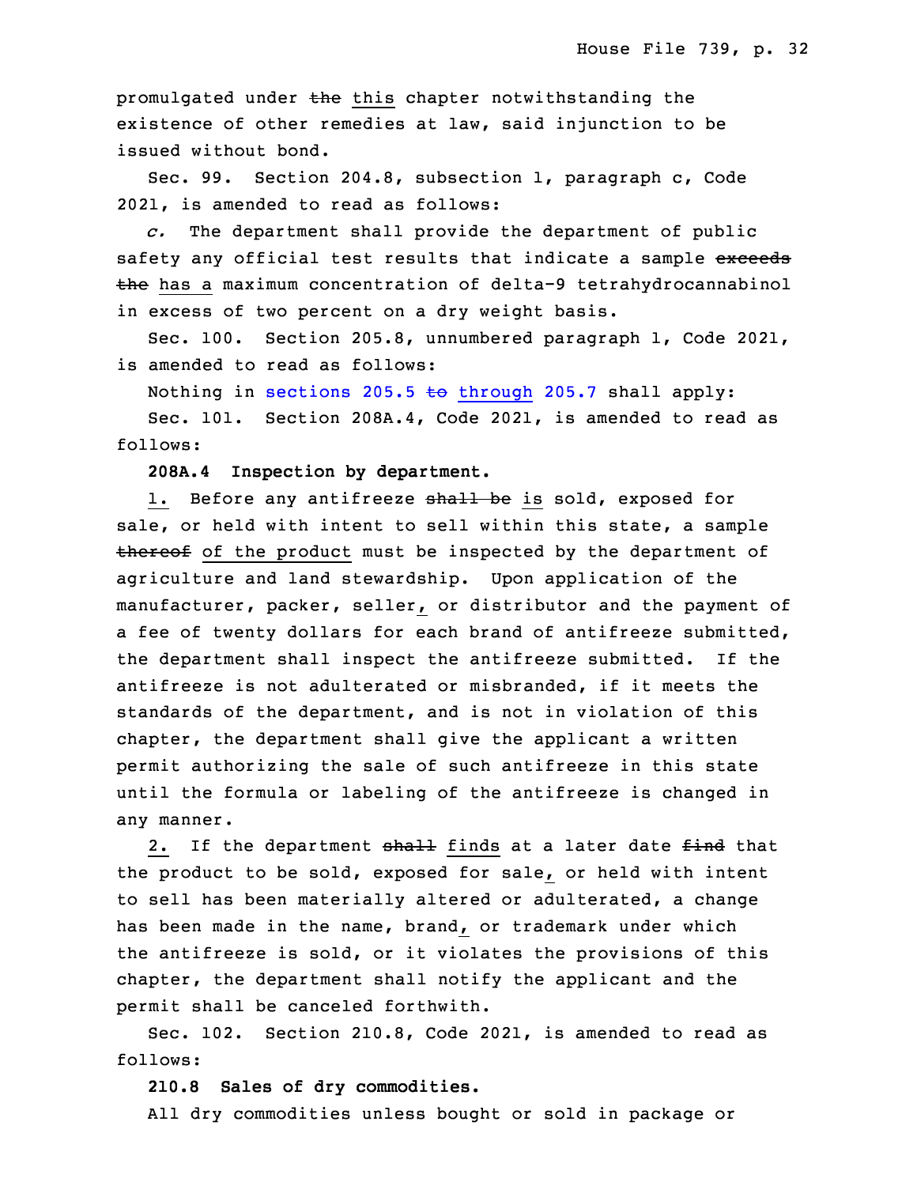promulgated under the this chapter notwithstanding the existence of other remedies at law, said injunction to be issued without bond.

Sec. 99. Section 204.8, subsection 1, paragraph c, Code 2021, is amended to read as follows:

25 *c.* The department shall provide the department of public safety any official test results that indicate a sample exceeds the has a maximum concentration of delta-9 tetrahydrocannabinol in excess of two percent on a dry weight basis.

Sec. 100. Section 205.8, unnumbered paragraph 1, Code 2021, is amended to read as follows:

Nothing in sections 205.5 to [through](https://www.legis.iowa.gov/docs/code/2021/205.5.pdf) 205.7 shall apply:

Sec. 101. Section 208A.4, Code 2021, is amended to read as follows:

34 **208A.4 Inspection by department.**

1. Before any antifreeze shall be is sold, exposed for sale, or held with intent to sell within this state, <sup>a</sup> sample thereof of the product must be inspected by the department of agriculture and land stewardship. Upon application of the manufacturer, packer, seller, or distributor and the payment of a fee of twenty dollars for each brand of antifreeze submitted, the department shall inspect the antifreeze submitted. If the antifreeze is not adulterated or misbranded, if it meets the standards of the department, and is not in violation of this chapter, the department shall give the applicant a written permit authorizing the sale of such antifreeze in this state until the formula or labeling of the antifreeze is changed in any manner.

2. If the department shall finds at a later date find that the product to be sold, exposed for sale, or held with intent to sell has been materially altered or adulterated, a change has been made in the name, brand, or trademark under which the antifreeze is sold, or it violates the provisions of this chapter, the department shall notify the applicant and the permit shall be canceled forthwith.

Sec. 102. Section 210.8, Code 2021, is amended to read as follows:

# **210.8 Sales of dry commodities.**

All dry commodities unless bought or sold in package or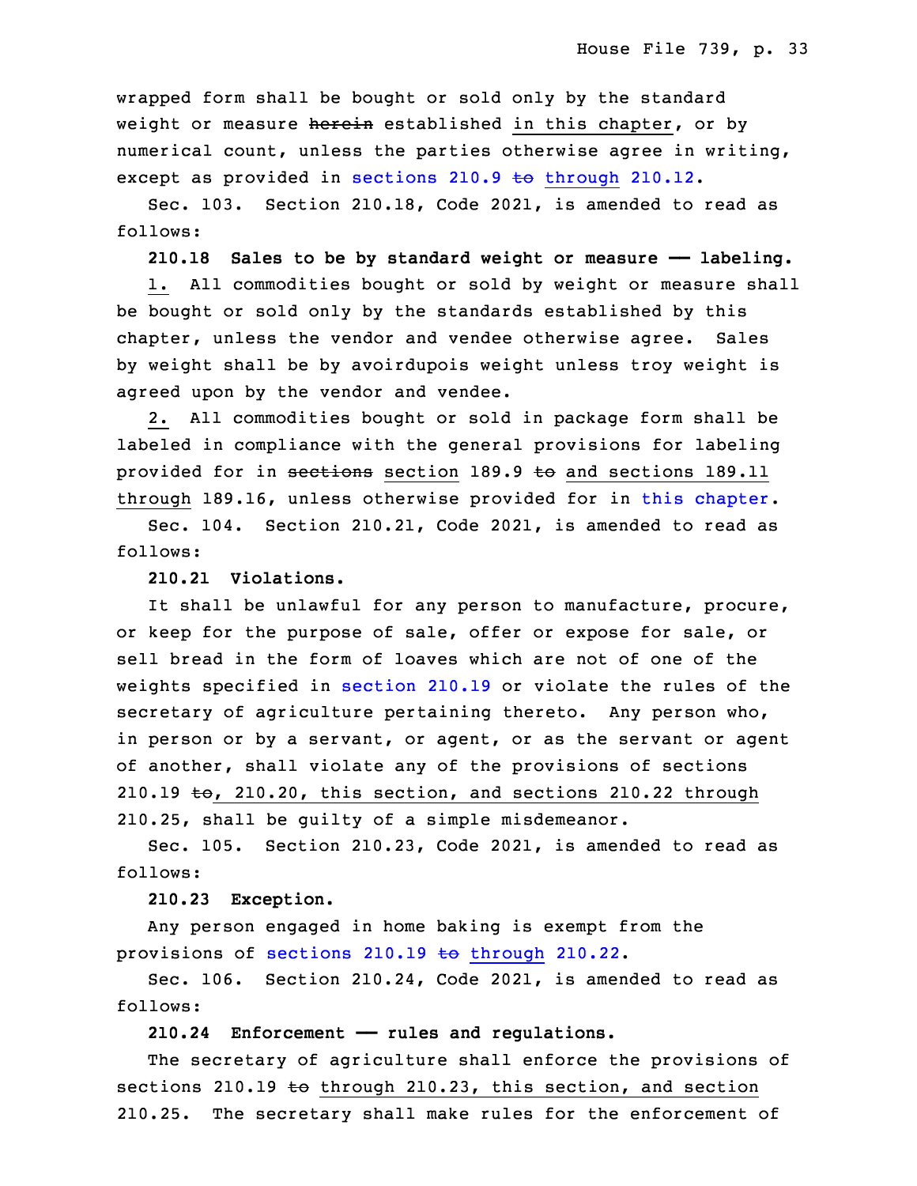wrapped form shall be bought or sold only by the standard weight or measure herein established in this chapter, or by numerical count, unless the parties otherwise agree in writing, except as provided in sections 210.9 to [through](https://www.legis.iowa.gov/docs/code/2021/210.9.pdf)  $210.12$ .

Sec. 103. Section 210.18, Code 2021, is amended to read as follows:

30 **210.18 Sales to be by standard weight or measure —— labeling.**

1. All commodities bought or sold by weight or measure shall be bought or sold only by the standards established by this chapter, unless the vendor and vendee otherwise agree. Sales by weight shall be by avoirdupois weight unless troy weight is agreed upon by the vendor and vendee.

 2. All commodities bought or sold in package form shall be labeled in compliance with the general provisions for labeling provided for in sections section 189.9 to and sections 189.11 through 189.16, unless otherwise provided for in this [chapter](https://www.legis.iowa.gov/docs/code/2021/210.pdf).

5 Sec. 104. Section 210.21, Code 2021, is amended to read as follows:

7 **210.21 Violations.**

It shall be unlawful for any person to manufacture, procure, or keep for the purpose of sale, offer or expose for sale, or sell bread in the form of loaves which are not of one of the weights specified in [section](https://www.legis.iowa.gov/docs/code/2021/210.19.pdf) 210.19 or violate the rules of the secretary of agriculture pertaining thereto. Any person who, in person or by a servant, or agent, or as the servant or agent of another, shall violate any of the provisions of sections 210.19  $\text{to}$ , 210.20, this section, and sections 210.22 through 210.25, shall be quilty of a simple misdemeanor.

Sec. 105. Section 210.23, Code 2021, is amended to read as follows:

19 **210.23 Exception.**

Any person engaged in home baking is exempt from the provisions of [sections](https://www.legis.iowa.gov/docs/code/2021/210.19.pdf)  $210.19$  to through  $210.22$ .

 Sec. 106. Section 210.24, Code 2021, is amended to read as follows:

**210.24 Enforcement —— rules and regulations.**

The secretary of agriculture shall enforce the provisions of sections 210.19 to through 210.23, this section, and section 210.25. The secretary shall make rules for the enforcement of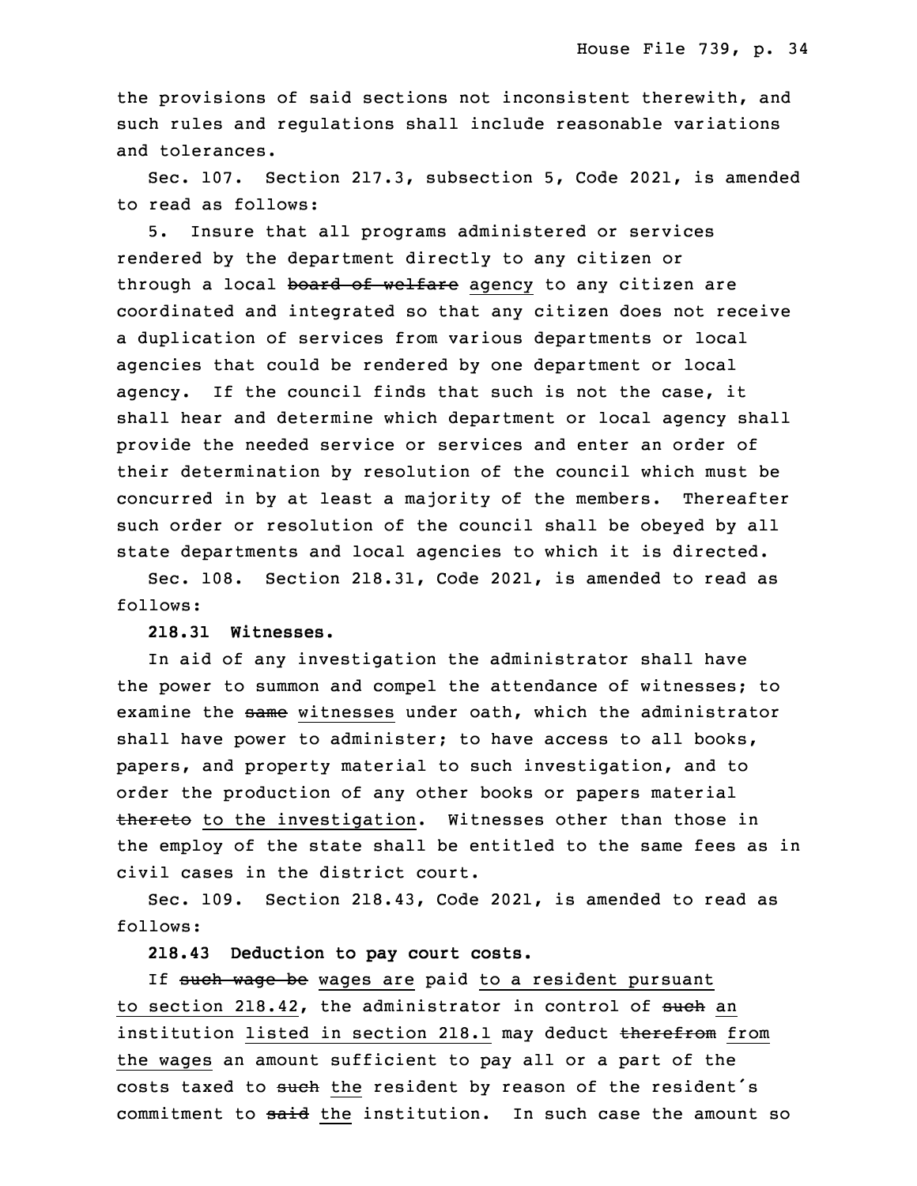the provisions of said sections not inconsistent therewith, and such rules and regulations shall include reasonable variations and tolerances.

Sec. 107. Section 217.3, subsection 5, Code 2021, is amended to read as follows:

5. Insure that all programs administered or services rendered by the department directly to any citizen or through a local board of welfare agency to any citizen are coordinated and integrated so that any citizen does not receive <sup>a</sup> duplication of services from various departments or local agencies that could be rendered by one department or local agency. If the council finds that such is not the case, it shall hear and determine which department or local agency shall provide the needed service or services and enter an order of their determination by resolution of the council which must be concurred in by at least a majority of the members. Thereafter such order or resolution of the council shall be obeyed by all state departments and local agencies to which it is directed.

 Sec. 108. Section 218.31, Code 2021, is amended to read as follows:

### 13 **218.31 Witnesses.**

 In aid of any investigation the administrator shall have the power to summon and compel the attendance of witnesses; to examine the same witnesses under oath, which the administrator shall have power to administer; to have access to all books, papers, and property material to such investigation, and to order the production of any other books or papers material thereto to the investigation. Witnesses other than those in the employ of the state shall be entitled to the same fees as in civil cases in the district court.

Sec. 109. Section 218.43, Code 2021, is amended to read as follows:

25 **218.43 Deduction to pay court costs.**

If such wage be wages are paid to a resident pursuant to section 218.42, the administrator in control of such an institution listed in section 218.1 may deduct therefrom from the wages an amount sufficient to pay all or a part of the costs taxed to such the resident by reason of the resident's commitment to said the institution. In such case the amount so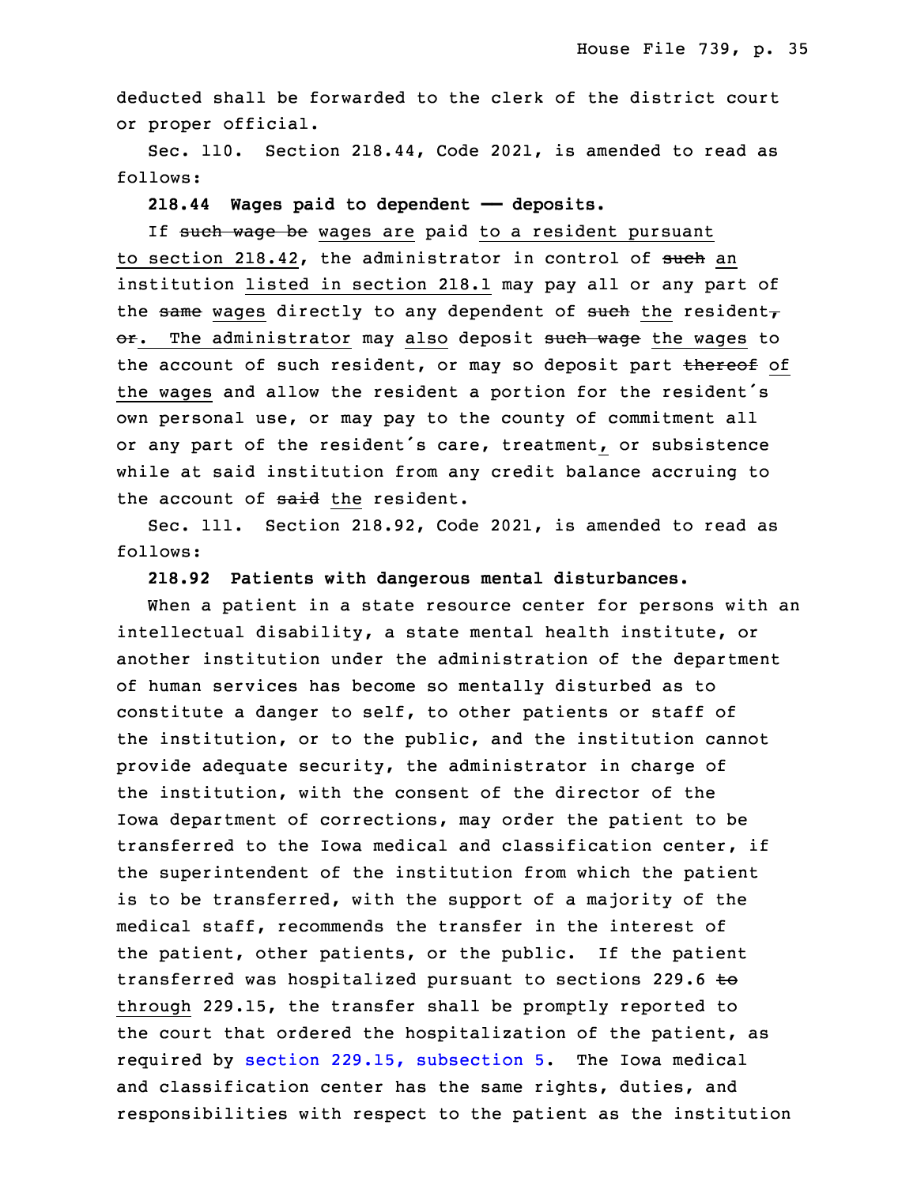deducted shall be forwarded to the clerk of the district court or proper official.

Sec. 110. Section 218.44, Code 2021, is amended to read as follows:

## **218.44 Wages paid to dependent —— deposits.**

If such wage be wages are paid to a resident pursuant to section 218.42, the administrator in control of such an institution listed in section 218.1 may pay all or any part of the same wages directly to any dependent of such the resident, or. The administrator may also deposit such wage the wages to the account of such resident, or may so deposit part thereof of the wages and allow the resident a portion for the resident's own personal use, or may pay to the county of commitment all or any part of the resident's care, treatment, or subsistence while at said institution from any credit balance accruing to the account of said the resident.

Sec. 111. Section 218.92, Code 2021, is amended to read as follows:

## 15 **218.92 Patients with dangerous mental disturbances.**

When a patient in a state resource center for persons with an intellectual disability, a state mental health institute, or another institution under the administration of the department of human services has become so mentally disturbed as to constitute a danger to self, to other patients or staff of the institution, or to the public, and the institution cannot provide adequate security, the administrator in charge of the institution, with the consent of the director of the Iowa department of corrections, may order the patient to be transferred to the Iowa medical and classification center, if the superintendent of the institution from which the patient is to be transferred, with the support of a majority of the medical staff, recommends the transfer in the interest of the patient, other patients, or the public. If the patient transferred was hospitalized pursuant to sections 229.6 to through 229.15, the transfer shall be promptly reported to the court that ordered the hospitalization of the patient, as required by section 229.15, [subsection](https://www.legis.iowa.gov/docs/code/2021/229.15.pdf) 5. The Iowa medical and classification center has the same rights, duties, and responsibilities with respect to the patient as the institution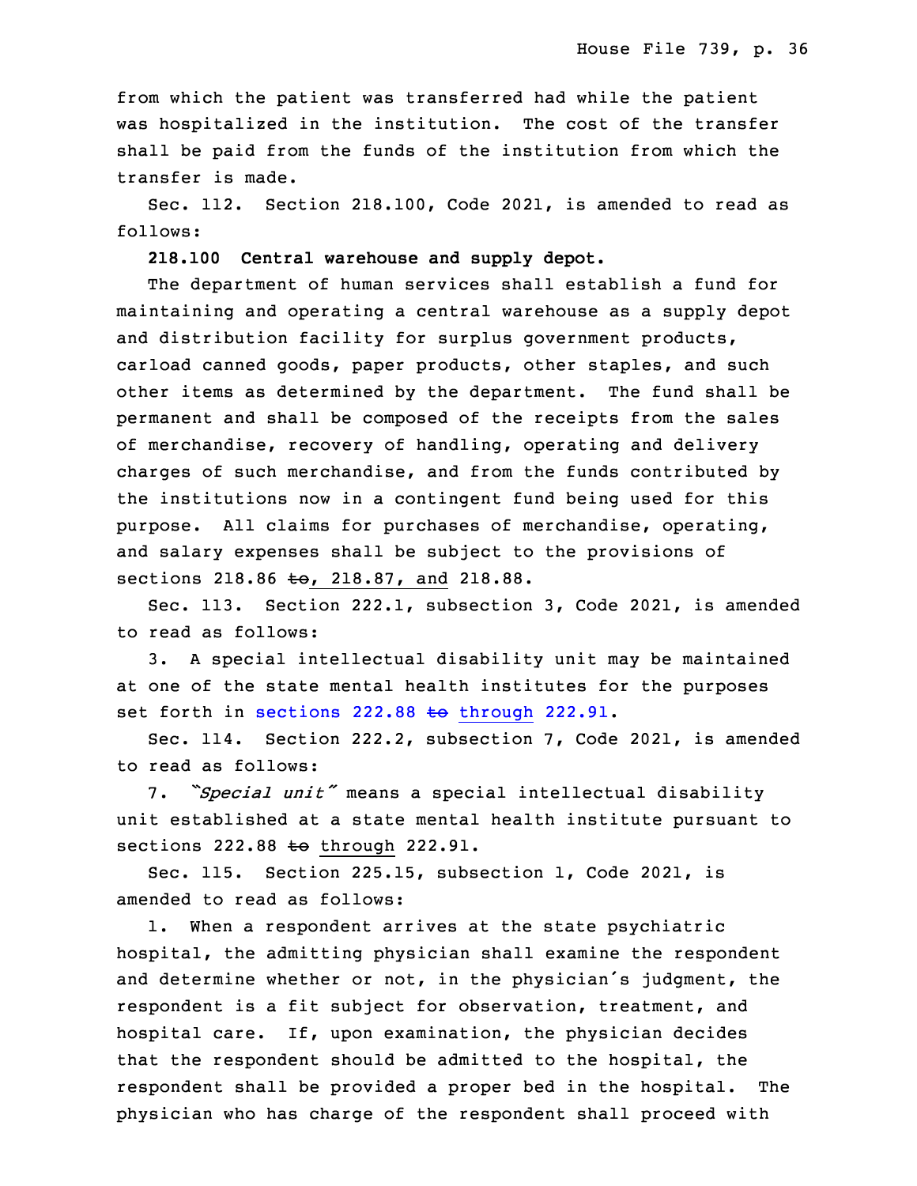from which the patient was transferred had while the patient was hospitalized in the institution. The cost of the transfer shall be paid from the funds of the institution from which the transfer is made.

5 Sec. 112. Section 218.100, Code 2021, is amended to read as follows:

7 **218.100 Central warehouse and supply depot.**

The department of human services shall establish a fund for maintaining and operating a central warehouse as a supply depot and distribution facility for surplus government products, carload canned goods, paper products, other staples, and such other items as determined by the department. The fund shall be permanent and shall be composed of the receipts from the sales of merchandise, recovery of handling, operating and delivery charges of such merchandise, and from the funds contributed by the institutions now in a contingent fund being used for this purpose. All claims for purchases of merchandise, operating, and salary expenses shall be subject to the provisions of sections 218.86  $t_{\Theta}$ , 218.87, and 218.88.

Sec. 113. Section 222.1, subsection 3, Code 2021, is amended to read as follows:

 3. <sup>A</sup> special intellectual disability unit may be maintained at one of the state mental health institutes for the purposes set forth in sections  $222.88 \text{ to through } 222.91$  $222.88 \text{ to through } 222.91$  $222.88 \text{ to through } 222.91$ .

Sec. 114. Section 222.2, subsection 7, Code 2021, is amended to read as follows:

27 7. *"Special unit"* means <sup>a</sup> special intellectual disability 28 unit established at <sup>a</sup> state mental health institute pursuant to sections  $222.88 \text{ to through } 222.91$ .

Sec. 115. Section 225.15, subsection 1, Code 2021, is amended to read as follows:

1. When a respondent arrives at the state psychiatric hospital, the admitting physician shall examine the respondent and determine whether or not, in the physician's judgment, the respondent is a fit subject for observation, treatment, and hospital care. If, upon examination, the physician decides that the respondent should be admitted to the hospital, the respondent shall be provided a proper bed in the hospital. The physician who has charge of the respondent shall proceed with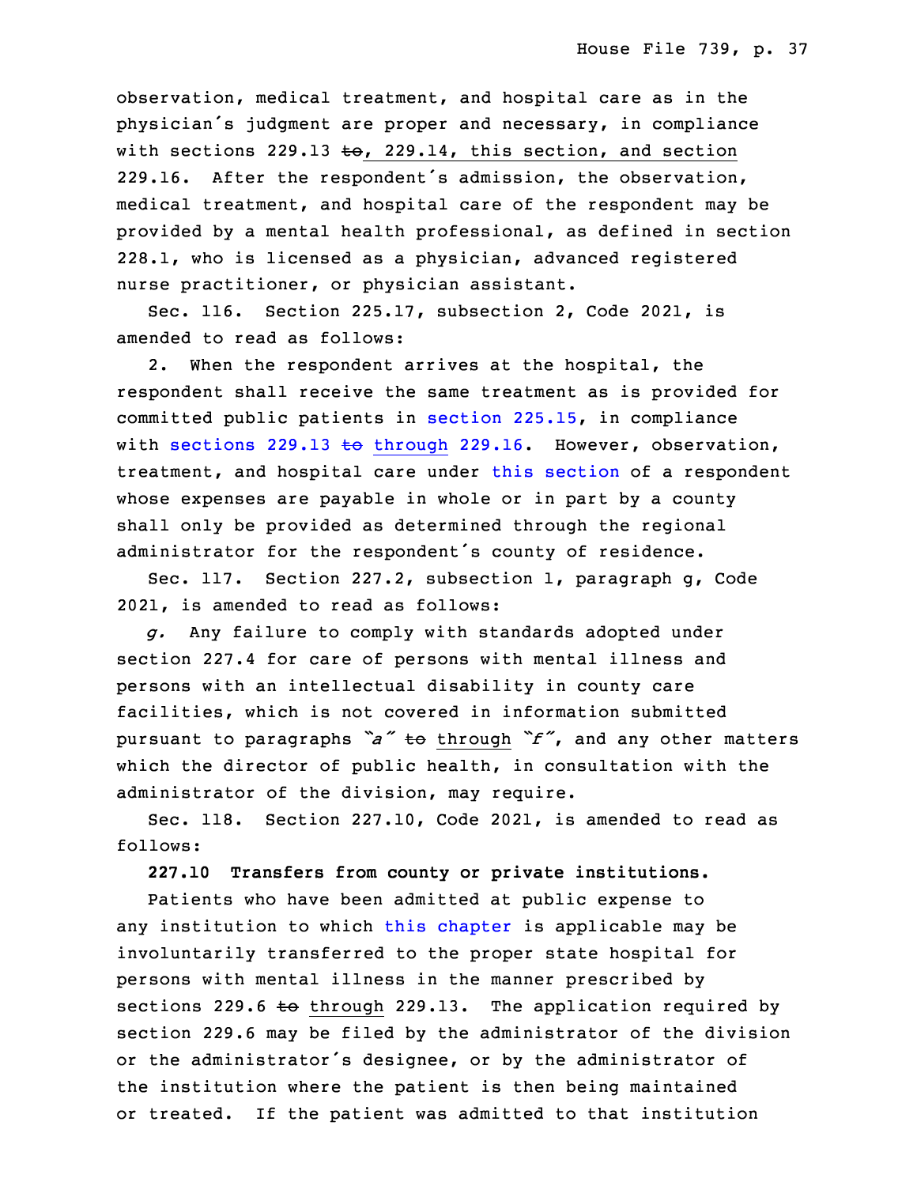observation, medical treatment, and hospital care as in the physician's judgment are proper and necessary, in compliance with sections 229.13 to, 229.14, this section, and section 229.16. After the respondent's admission, the observation, medical treatment, and hospital care of the respondent may be provided by a mental health professional, as defined in section 228.1, who is licensed as <sup>a</sup> physician, advanced registered nurse practitioner, or physician assistant.

Sec. 116. Section 225.17, subsection 2, Code 2021, is amended to read as follows:

2. When the respondent arrives at the hospital, the respondent shall receive the same treatment as is provided for committed public patients in [section](https://www.legis.iowa.gov/docs/code/2021/225.15.pdf)  $225.15$ , in compliance with sections 229.13 to [through](https://www.legis.iowa.gov/docs/code/2021/229.13.pdf) 229.16. However, observation, treatment, and hospital care under this [section](https://www.legis.iowa.gov/docs/code/2021/225.17.pdf) of a respondent whose expenses are payable in whole or in part by a county shall only be provided as determined through the regional administrator for the respondent's county of residence.

Sec. 117. Section 227.2, subsection 1, paragraph g, Code 2021, is amended to read as follows:

25 *g.* Any failure to comply with standards adopted under section 227.4 for care of persons with mental illness and persons with an intellectual disability in county care facilities, which is not covered in information submitted <sup>29</sup> pursuant to paragraphs *"a"* to through *"f"*, and any other matters which the director of public health, in consultation with the administrator of the division, may require.

Sec. 118. Section 227.10, Code 2021, is amended to read as follows:

34 **227.10 Transfers from county or private institutions.**

Patients who have been admitted at public expense to any institution to which this [chapter](https://www.legis.iowa.gov/docs/code/2021/227.pdf) is applicable may be involuntarily transferred to the proper state hospital for persons with mental illness in the manner prescribed by sections 229.6 to through 229.13. The application required by 5 section 229.6 may be filed by the administrator of the division or the administrator's designee, or by the administrator of the institution where the patient is then being maintained or treated. If the patient was admitted to that institution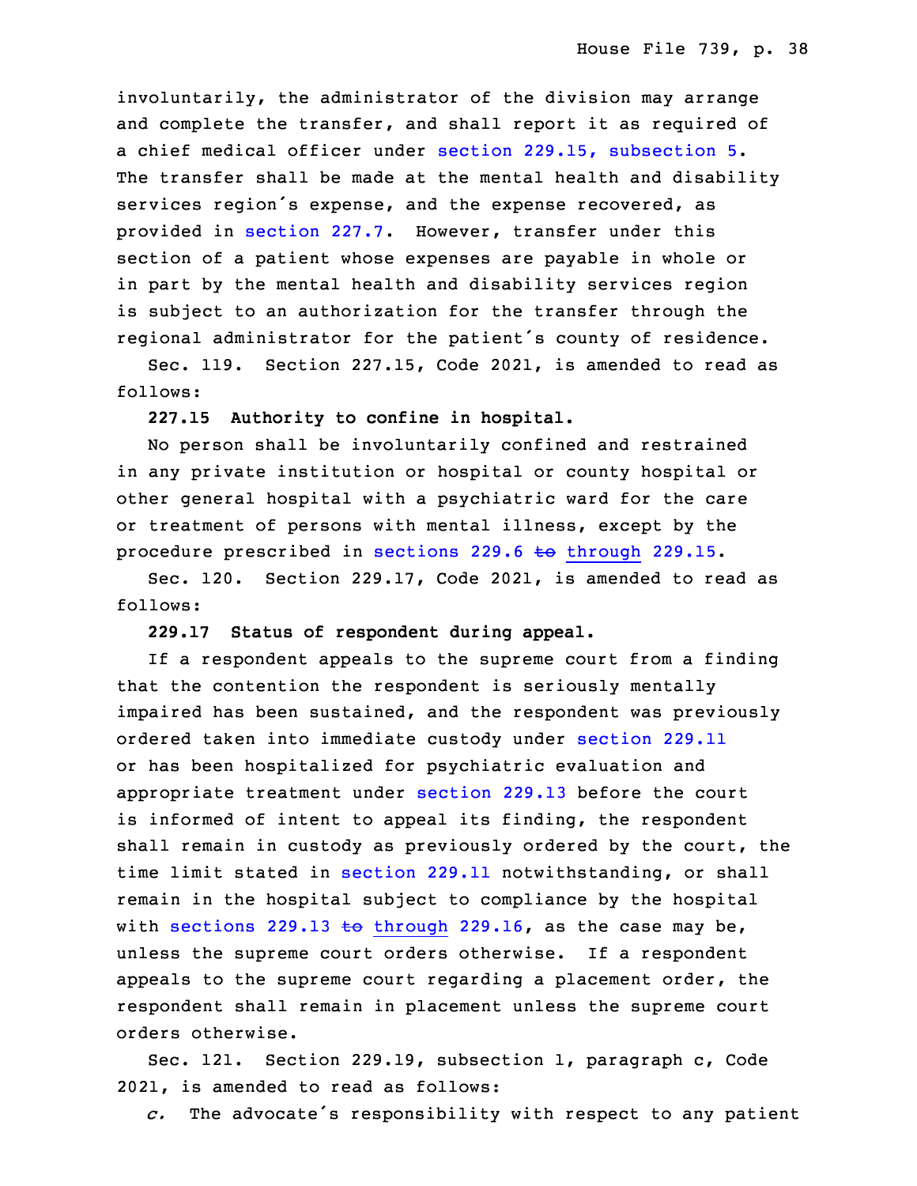involuntarily, the administrator of the division may arrange and complete the transfer, and shall report it as required of <sup>a</sup> chief medical officer under section 229.15, [subsection](https://www.legis.iowa.gov/docs/code/2021/229.15.pdf) 5. The transfer shall be made at the mental health and disability services region's expense, and the expense recovered, as provided in [section](https://www.legis.iowa.gov/docs/code/2021/227.7.pdf) 227.7. However, transfer under this section of a patient whose expenses are payable in whole or in part by the mental health and disability services region is subject to an authorization for the transfer through the regional administrator for the patient's county of residence.

Sec. 119. Section 227.15, Code 2021, is amended to read as follows:

## **227.15 Authority to confine in hospital.**

 No person shall be involuntarily confined and restrained in any private institution or hospital or county hospital or other general hospital with <sup>a</sup> psychiatric ward for the care or treatment of persons with mental illness, except by the procedure prescribed in sections  $229.6$  to [through](https://www.legis.iowa.gov/docs/code/2021/229.6.pdf)  $229.15$ .

Sec. 120. Section 229.17, Code 2021, is amended to read as follows:

## 29 **229.17 Status of respondent during appeal.**

If a respondent appeals to the supreme court from a finding that the contention the respondent is seriously mentally impaired has been sustained, and the respondent was previously ordered taken into immediate custody under [section](https://www.legis.iowa.gov/docs/code/2021/229.11.pdf) 229.11 or has been hospitalized for psychiatric evaluation and appropriate treatment under [section](https://www.legis.iowa.gov/docs/code/2021/229.13.pdf) 229.13 before the court is informed of intent to appeal its finding, the respondent shall remain in custody as previously ordered by the court, the time limit stated in [section](https://www.legis.iowa.gov/docs/code/2021/229.11.pdf) 229.11 notwithstanding, or shall remain in the hospital subject to compliance by the hospital with sections 229.13 to [through](https://www.legis.iowa.gov/docs/code/2021/229.13.pdf) 229.16, as the case may be, unless the supreme court orders otherwise. If a respondent appeals to the supreme court regarding a placement order, the respondent shall remain in placement unless the supreme court orders otherwise.

Sec. 121. Section 229.19, subsection 1, paragraph c, Code 2021, is amended to read as follows:

*c.* The advocate's responsibility with respect to any patient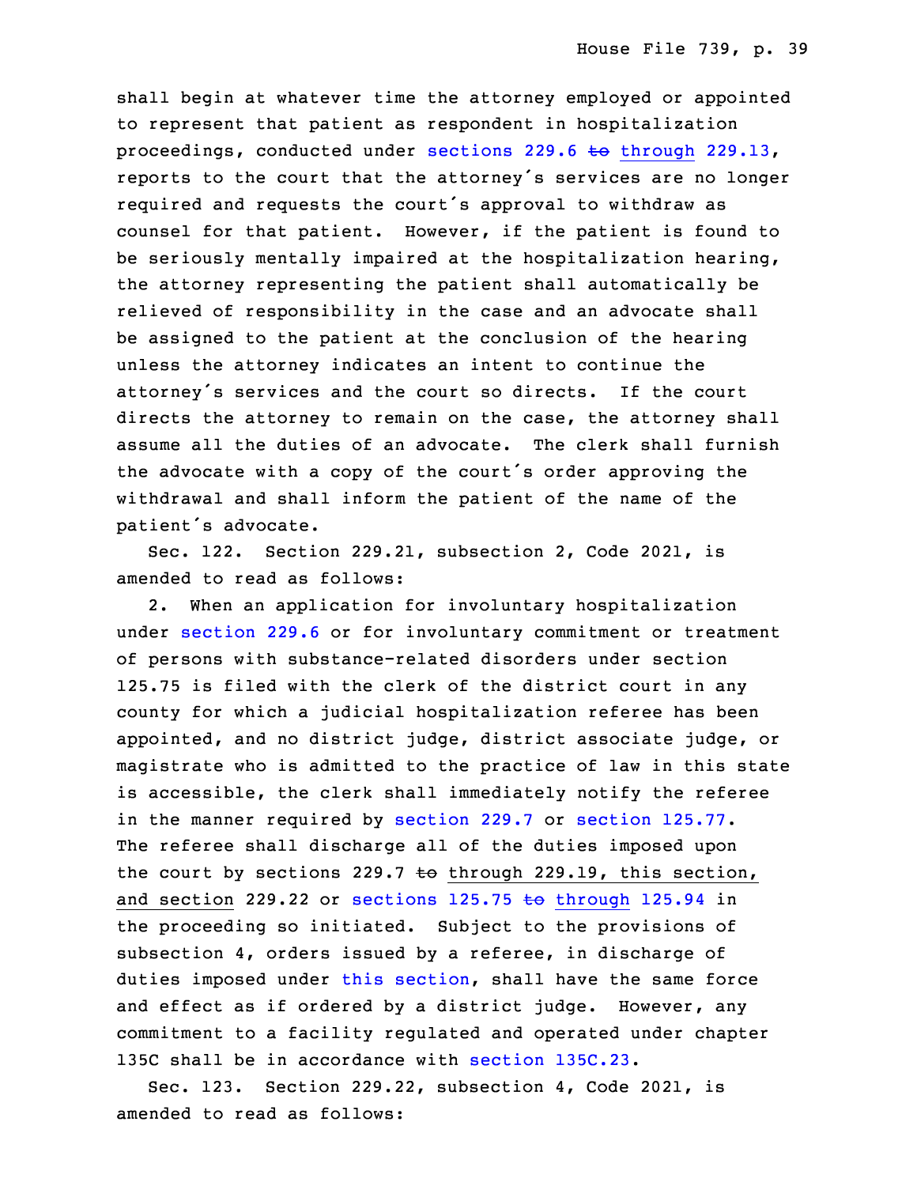shall begin at whatever time the attorney employed or appointed to represent that patient as respondent in hospitalization proceedings, conducted under sections 229.6 to [through](https://www.legis.iowa.gov/docs/code/2021/229.6.pdf) 229.13, reports to the court that the attorney's services are no longer required and requests the court's approval to withdraw as counsel for that patient. However, if the patient is found to be seriously mentally impaired at the hospitalization hearing, the attorney representing the patient shall automatically be relieved of responsibility in the case and an advocate shall be assigned to the patient at the conclusion of the hearing unless the attorney indicates an intent to continue the attorney's services and the court so directs. If the court directs the attorney to remain on the case, the attorney shall assume all the duties of an advocate. The clerk shall furnish the advocate with a copy of the court's order approving the withdrawal and shall inform the patient of the name of the patient's advocate.

Sec. 122. Section 229.21, subsection 2, Code 2021, is amended to read as follows:

32 2. When an application for involuntary hospitalization under [section](https://www.legis.iowa.gov/docs/code/2021/229.6.pdf) 229.6 or for involuntary commitment or treatment of persons with substance-related disorders under section 125.75 is filed with the clerk of the district court in any county for which <sup>a</sup> judicial hospitalization referee has been appointed, and no district judge, district associate judge, or magistrate who is admitted to the practice of law in this state is accessible, the clerk shall immediately notify the referee in the manner required by [section](https://www.legis.iowa.gov/docs/code/2021/125.77.pdf) 229.7 or section 125.77. The referee shall discharge all of the duties imposed upon the court by sections 229.7 to through 229.19, this section, and section 229.22 or sections  $125.75$  to [through](https://www.legis.iowa.gov/docs/code/2021/125.75.pdf) 125.94 in the proceeding so initiated. Subject to the provisions of subsection 4, orders issued by a referee, in discharge of duties imposed under this [section](https://www.legis.iowa.gov/docs/code/2021/229.21.pdf), shall have the same force and effect as if ordered by <sup>a</sup> district judge. However, any commitment to a facility regulated and operated under chapter 135C shall be in accordance with section [135C.23](https://www.legis.iowa.gov/docs/code/2021/135C.23.pdf).

Sec. 123. Section 229.22, subsection 4, Code 2021, is amended to read as follows: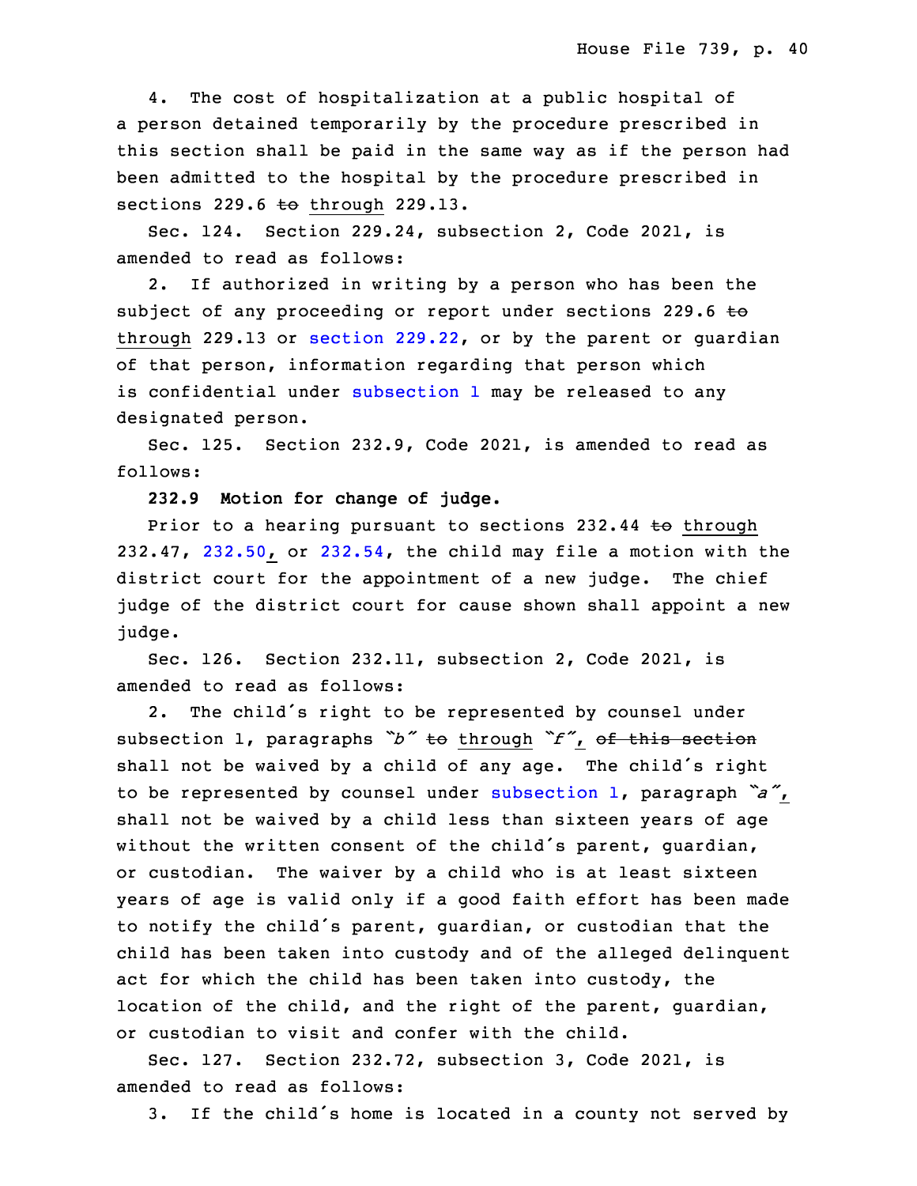4. The cost of hospitalization at a public hospital of a person detained temporarily by the procedure prescribed in this section shall be paid in the same way as if the person had been admitted to the hospital by the procedure prescribed in sections  $229.6$  to through  $229.13$ .

 Sec. 124. Section 229.24, subsection 2, Code 2021, is amended to read as follows:

 2. If authorized in writing by <sup>a</sup> person who has been the subject of any proceeding or report under sections 229.6 to through 229.13 or section [229.22](https://www.legis.iowa.gov/docs/code/2021/229.22.pdf), or by the parent or guardian of that person, information regarding that person which is confidential under [subsection](https://www.legis.iowa.gov/docs/code/2021/229.24.pdf) 1 may be released to any designated person.

Sec. 125. Section 232.9, Code 2021, is amended to read as follows:

32 **232.9 Motion for change of judge.**

Prior to a hearing pursuant to sections  $232.44$  to through  $232.47$ ,  $232.50$ , or  $232.54$ , the child may file a motion with the district court for the appointment of a new judge. The chief judge of the district court for cause shown shall appoint <sup>a</sup> new judge.

Sec. 126. Section 232.11, subsection 2, Code 2021, is amended to read as follows:

2. The child's right to be represented by counsel under subsection 1, paragraphs "b" to through "f", of this section shall not be waived by a child of any age. The child's right <sup>8</sup> to be represented by counsel under [subsection](https://www.legis.iowa.gov/docs/code/2021/232.11.pdf) 1, paragraph *"a"*, shall not be waived by a child less than sixteen years of age without the written consent of the child's parent, guardian, or custodian. The waiver by <sup>a</sup> child who is at least sixteen years of age is valid only if <sup>a</sup> good faith effort has been made to notify the child's parent, guardian, or custodian that the child has been taken into custody and of the alleged delinquent act for which the child has been taken into custody, the location of the child, and the right of the parent, guardian, or custodian to visit and confer with the child.

Sec. 127. Section 232.72, subsection 3, Code 2021, is amended to read as follows:

3. If the child's home is located in a county not served by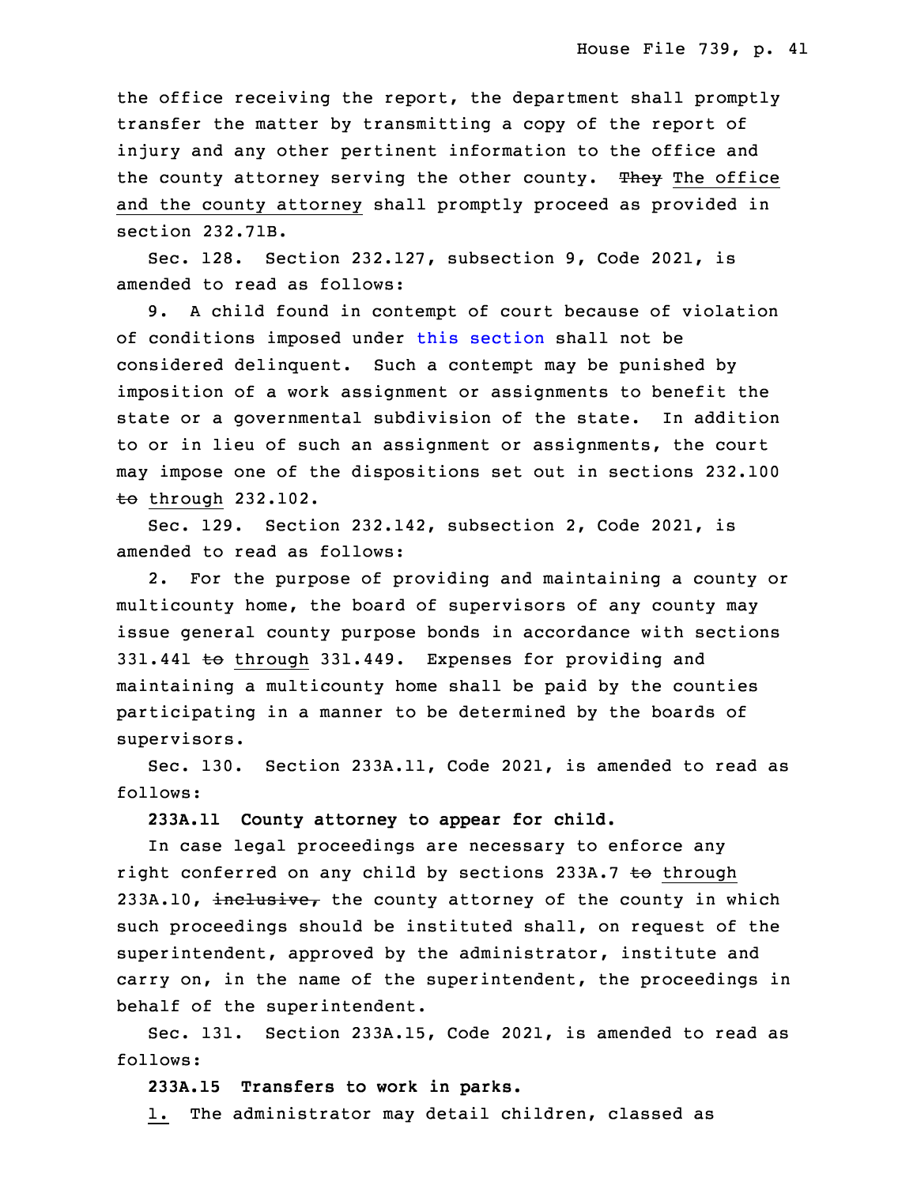the office receiving the report, the department shall promptly transfer the matter by transmitting <sup>a</sup> copy of the report of injury and any other pertinent information to the office and the county attorney serving the other county. They The office and the county attorney shall promptly proceed as provided in section 232.71B.

Sec. 128. Section 232.127, subsection 9, Code 2021, is amended to read as follows:

9. A child found in contempt of court because of violation of conditions imposed under this [section](https://www.legis.iowa.gov/docs/code/2021/232.127.pdf) shall not be considered delinquent. Such a contempt may be punished by imposition of a work assignment or assignments to benefit the state or a governmental subdivision of the state. In addition to or in lieu of such an assignment or assignments, the court may impose one of the dispositions set out in sections 232.100  $t$ o through 232.102.

 Sec. 129. Section 232.142, subsection 2, Code 2021, is amended to read as follows:

 2. For the purpose of providing and maintaining <sup>a</sup> county or multicounty home, the board of supervisors of any county may issue general county purpose bonds in accordance with sections 331.441 to through 331.449. Expenses for providing and maintaining a multicounty home shall be paid by the counties participating in a manner to be determined by the boards of supervisors.

 Sec. 130. Section 233A.11, Code 2021, is amended to read as follows:

#### 13 **233A.11 County attorney to appear for child.**

 In case legal proceedings are necessary to enforce any right conferred on any child by sections  $233A.7$  to through 233A.10, inclusive, the county attorney of the county in which such proceedings should be instituted shall, on request of the superintendent, approved by the administrator, institute and carry on, in the name of the superintendent, the proceedings in behalf of the superintendent.

 Sec. 131. Section 233A.15, Code 2021, is amended to read as follows:

### 23 **233A.15 Transfers to work in parks.**

1. The administrator may detail children, classed as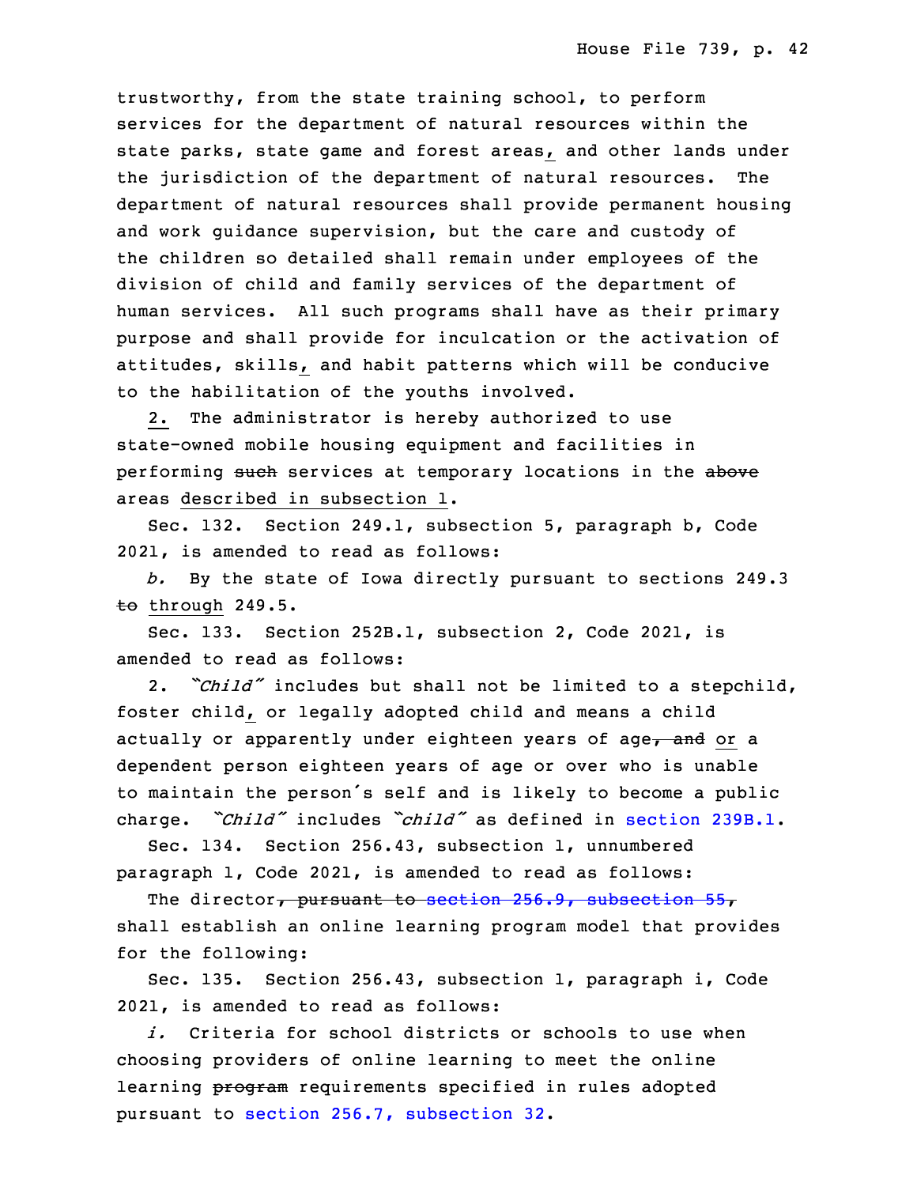trustworthy, from the state training school, to perform services for the department of natural resources within the state parks, state game and forest areas, and other lands under the jurisdiction of the department of natural resources. The department of natural resources shall provide permanent housing and work quidance supervision, but the care and custody of the children so detailed shall remain under employees of the division of child and family services of the department of human services. All such programs shall have as their primary purpose and shall provide for inculcation or the activation of attitudes, skills, and habit patterns which will be conducive to the habilitation of the youths involved.

 2. The administrator is hereby authorized to use state-owned mobile housing equipment and facilities in performing such services at temporary locations in the above areas described in subsection 1.

Sec. 132. Section 249.1, subsection 5, paragraph b, Code 7 2021, is amended to read as follows:

8 *b.* By the state of Iowa directly pursuant to sections 249.3  $<sub>to</sub>$  through 249.5.</sub>

Sec. 133. Section 252B.1, subsection 2, Code 2021, is amended to read as follows:

 2. *"Child"* includes but shall not be limited to <sup>a</sup> stepchild, foster child, or legally adopted child and means a child actually or apparently under eighteen years of age, and or a dependent person eighteen years of age or over who is unable to maintain the person's self and is likely to become a public charge. *"Child"* includes "*child"* as defined in [section](https://www.legis.iowa.gov/docs/code/2021/239B.1.pdf) 239B.1.

Sec. 134. Section 256.43, subsection 1, unnumbered paragraph 1, Code 2021, is amended to read as follows:

The director, pursuant to section 256.9, [subsection](https://www.legis.iowa.gov/docs/code/2021/256.9.pdf) 55, shall establish an online learning program model that provides for the following:

Sec. 135. Section 256.43, subsection 1, paragraph i, Code 2021, is amended to read as follows:

i. Criteria for school districts or schools to use when 26 choosing providers of online learning to meet the online learning program requirements specified in rules adopted pursuant to section 256.7, [subsection](https://www.legis.iowa.gov/docs/code/2021/256.7.pdf) 32.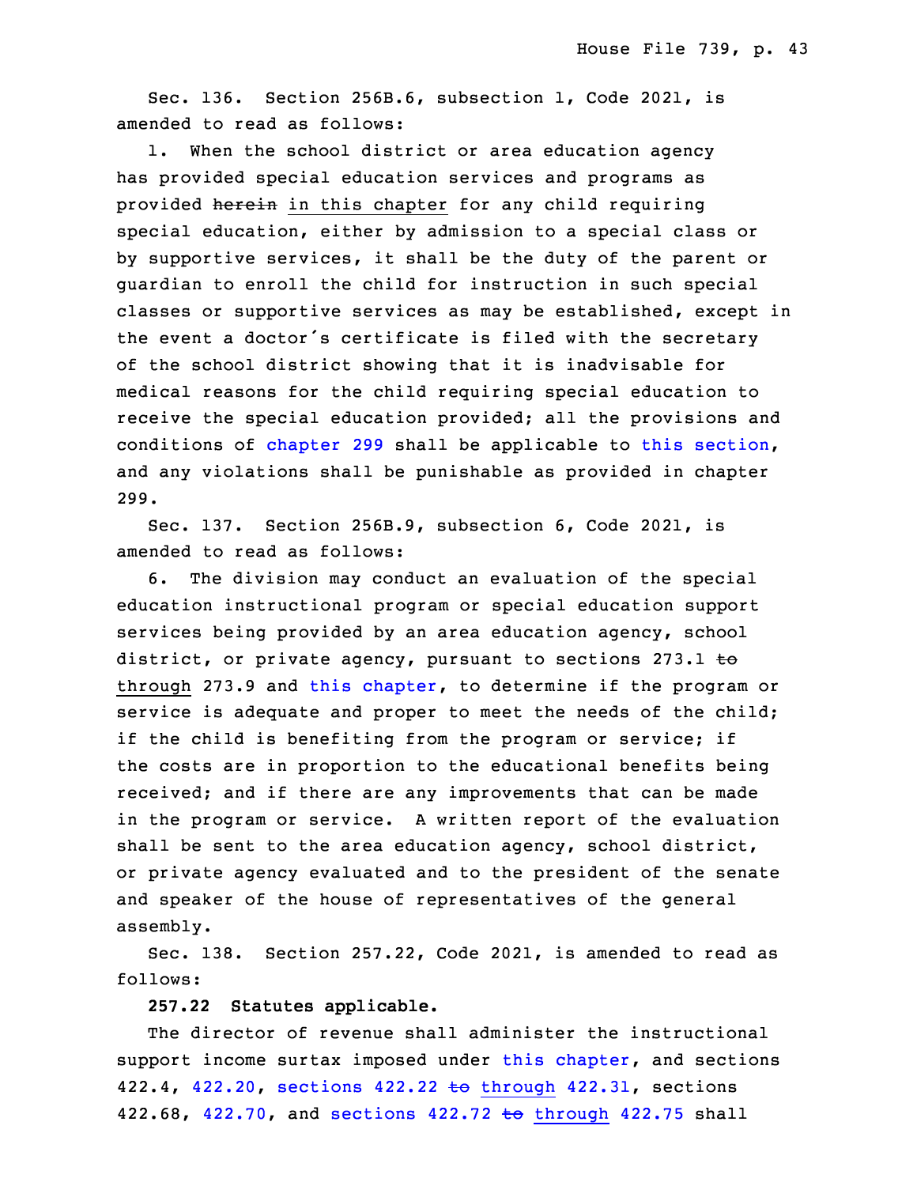Sec. 136. Section 256B.6, subsection 1, Code 2021, is amended to read as follows:

1. When the school district or area education agency has provided special education services and programs as provided herein in this chapter for any child requiring special education, either by admission to a special class or by supportive services, it shall be the duty of the parent or guardian to enroll the child for instruction in such special classes or supportive services as may be established, except in the event a doctor's certificate is filed with the secretary of the school district showing that it is inadvisable for medical reasons for the child requiring special education to receive the special education provided; all the provisions and conditions of [chapter](https://www.legis.iowa.gov/docs/code/2021/299.pdf) 299 shall be applicable to this [section](https://www.legis.iowa.gov/docs/code/2021/256B.6.pdf), and any violations shall be punishable as provided in chapter 9 299.

Sec. 137. Section 256B.9, subsection 6, Code 2021, is amended to read as follows:

 6. The division may conduct an evaluation of the special education instructional program or special education support services being provided by an area education agency, school district, or private agency, pursuant to sections 273.1 to through 273.9 and this [chapter](https://www.legis.iowa.gov/docs/code/2021/256B.pdf), to determine if the program or service is adequate and proper to meet the needs of the child; if the child is benefiting from the program or service; if the costs are in proportion to the educational benefits being received; and if there are any improvements that can be made in the program or service. <sup>A</sup> written report of the evaluation shall be sent to the area education agency, school district, or private agency evaluated and to the president of the senate and speaker of the house of representatives of the general assembly.

Sec. 138. Section 257.22, Code 2021, is amended to read as follows:

28 **257.22 Statutes applicable.**

The director of revenue shall administer the instructional support income surtax imposed under this [chapter](https://www.legis.iowa.gov/docs/code/2021/257.pdf), and sections 422.4, [422.20](https://www.legis.iowa.gov/docs/code/2021/422.20.pdf), sections 422.22 to [through](https://www.legis.iowa.gov/docs/code/2021/422.22.pdf) 422.31, sections 422.68, [422.70](https://www.legis.iowa.gov/docs/code/2021/422.70.pdf), and sections  $422.72 \text{ to through } 422.75 \text{ shall}$  $422.72 \text{ to through } 422.75 \text{ shall}$  $422.72 \text{ to through } 422.75 \text{ shall}$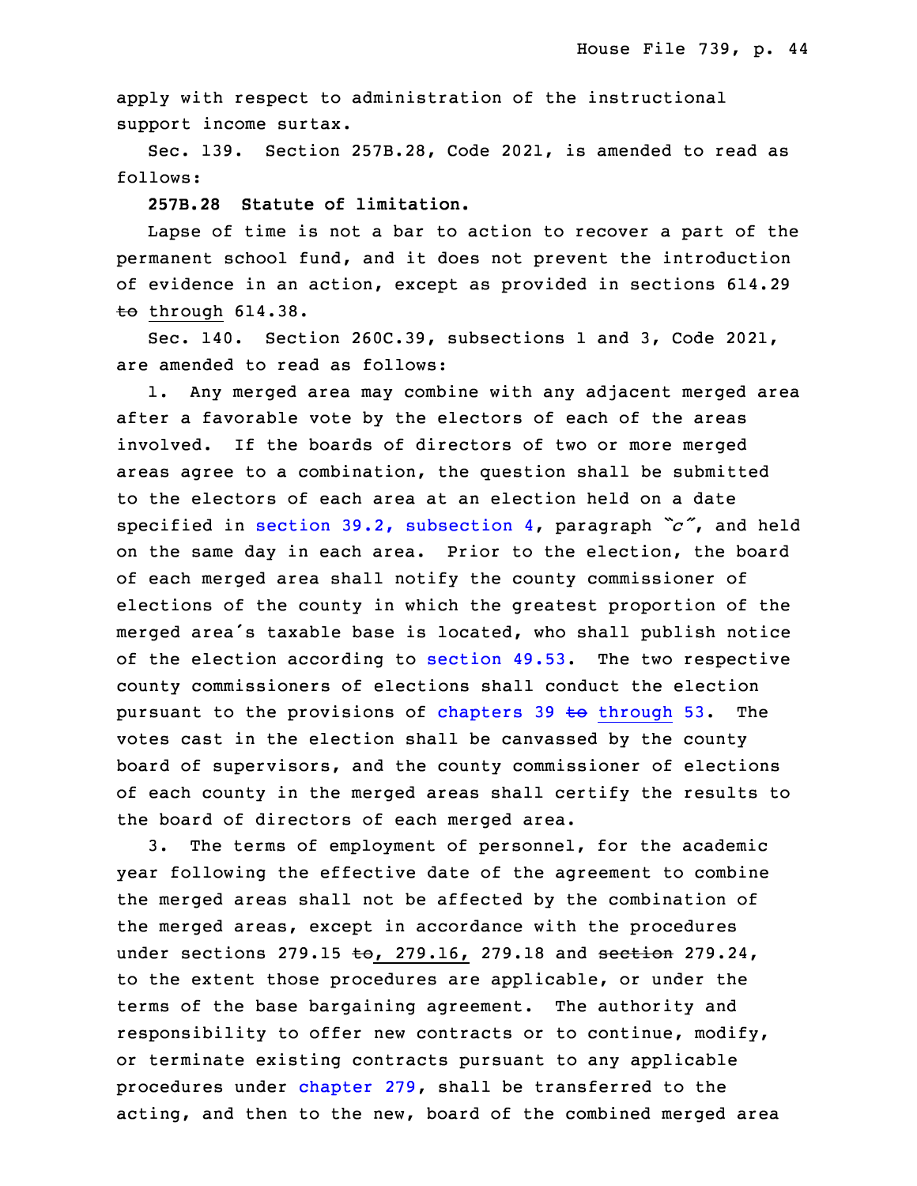apply with respect to administration of the instructional support income surtax.

Sec. 139. Section 257B.28, Code 2021, is amended to read as follows:

**257B.28 Statute of limitation.**

Lapse of time is not a bar to action to recover a part of the permanent school fund, and it does not prevent the introduction of evidence in an action, except as provided in sections 614.29  $\pm$ o through 614.38.

Sec. 140. Section 260C.39, subsections 1 and 3, Code 2021, are amended to read as follows:

1. Any merged area may combine with any adjacent merged area after a favorable vote by the electors of each of the areas involved. If the boards of directors of two or more merged areas agree to <sup>a</sup> combination, the question shall be submitted to the electors of each area at an election held on a date specified in section 39.2, [subsection](https://www.legis.iowa.gov/docs/code/2021/39.2.pdf) 4, paragraph *"c"*, and held on the same day in each area. Prior to the election, the board of each merged area shall notify the county commissioner of elections of the county in which the greatest proportion of the merged area's taxable base is located, who shall publish notice of the election according to [section](https://www.legis.iowa.gov/docs/code/2021/49.53.pdf)  $49.53$ . The two respective county commissioners of elections shall conduct the election pursuant to the provisions of [chapters](https://www.legis.iowa.gov/docs/code/2021/39.pdf)  $39 + 6$  through  $53$ . The votes cast in the election shall be canvassed by the county board of supervisors, and the county commissioner of elections of each county in the merged areas shall certify the results to the board of directors of each merged area.

3. The terms of employment of personnel, for the academic year following the effective date of the agreement to combine the merged areas shall not be affected by the combination of the merged areas, except in accordance with the procedures under sections 279.15 to, 279.16, 279.18 and section 279.24, to the extent those procedures are applicable, or under the terms of the base bargaining agreement. The authority and responsibility to offer new contracts or to continue, modify, or terminate existing contracts pursuant to any applicable procedures under [chapter](https://www.legis.iowa.gov/docs/code/2021/279.pdf)  $279$ , shall be transferred to the acting, and then to the new, board of the combined merged area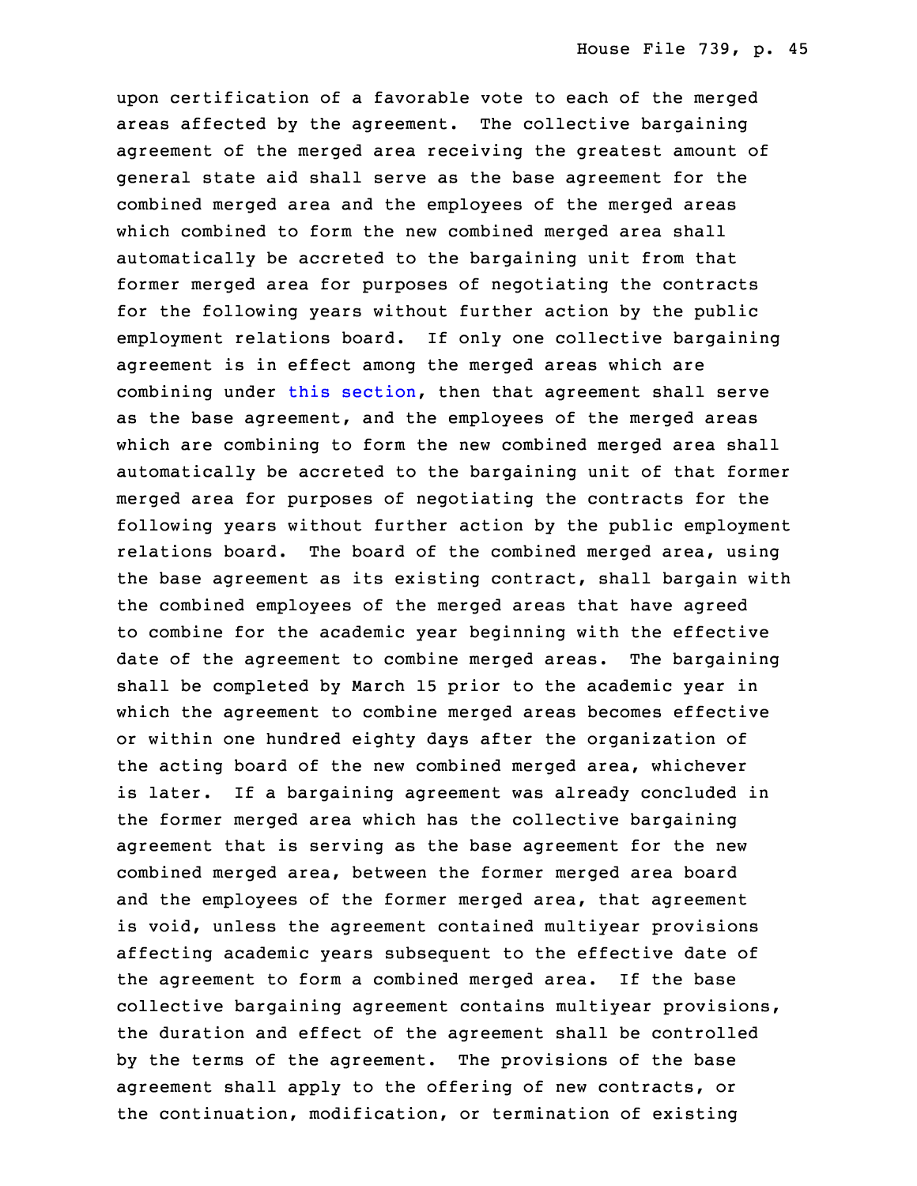upon certification of <sup>a</sup> favorable vote to each of the merged areas affected by the agreement. The collective bargaining agreement of the merged area receiving the greatest amount of general state aid shall serve as the base agreement for the combined merged area and the employees of the merged areas which combined to form the new combined merged area shall automatically be accreted to the bargaining unit from that former merged area for purposes of negotiating the contracts for the following years without further action by the public employment relations board. If only one collective bargaining agreement is in effect among the merged areas which are combining under this [section](https://www.legis.iowa.gov/docs/code/2021/260C.39.pdf), then that agreement shall serve as the base agreement, and the employees of the merged areas which are combining to form the new combined merged area shall automatically be accreted to the bargaining unit of that former merged area for purposes of negotiating the contracts for the following years without further action by the public employment relations board. The board of the combined merged area, using the base agreement as its existing contract, shall bargain with the combined employees of the merged areas that have agreed to combine for the academic year beginning with the effective date of the agreement to combine merged areas. The bargaining shall be completed by March 15 prior to the academic year in which the agreement to combine merged areas becomes effective or within one hundred eighty days after the organization of the acting board of the new combined merged area, whichever is later. If a bargaining agreement was already concluded in the former merged area which has the collective bargaining agreement that is serving as the base agreement for the new combined merged area, between the former merged area board and the employees of the former merged area, that agreement is void, unless the agreement contained multiyear provisions affecting academic years subsequent to the effective date of the agreement to form a combined merged area. If the base collective bargaining agreement contains multiyear provisions, the duration and effect of the agreement shall be controlled by the terms of the agreement. The provisions of the base agreement shall apply to the offering of new contracts, or the continuation, modification, or termination of existing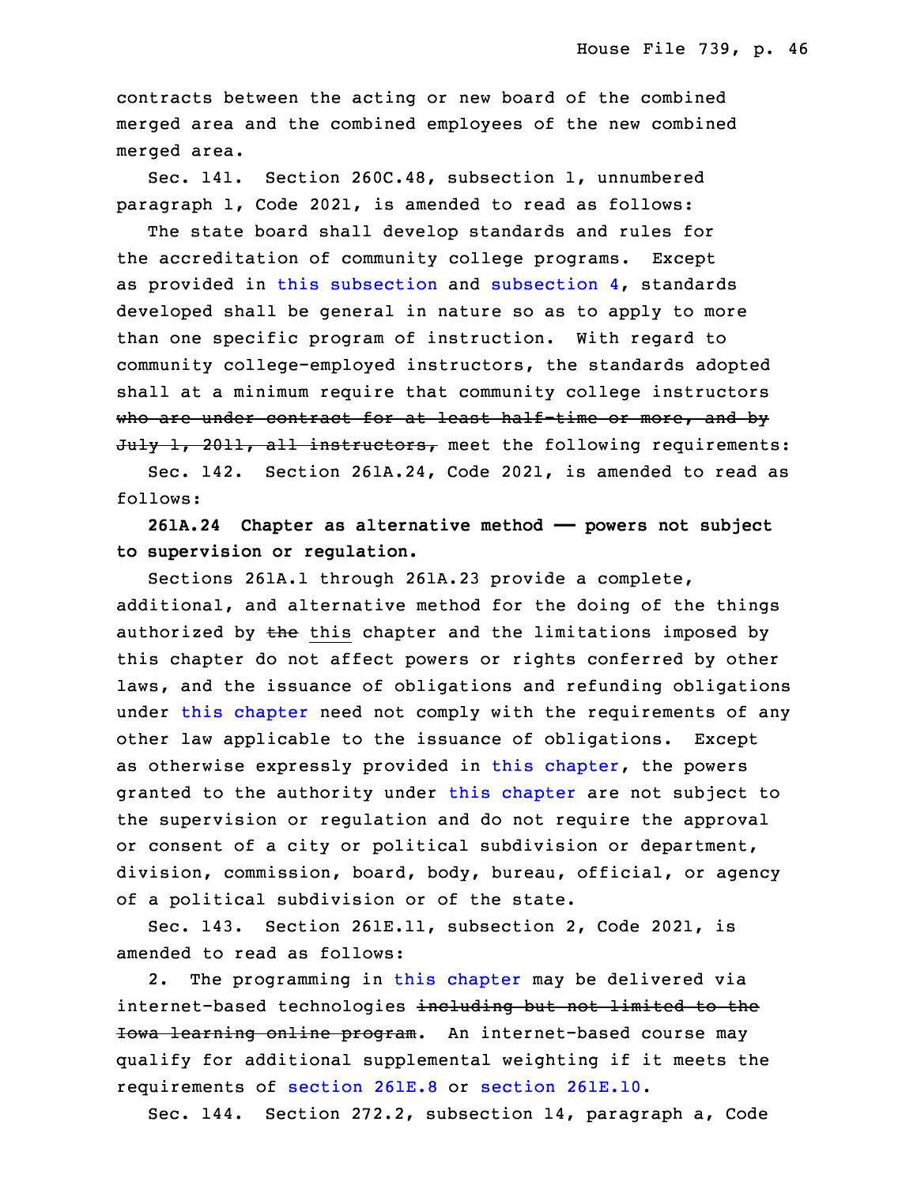contracts between the acting or new board of the combined merged area and the combined employees of the new combined merged area.

Sec. 141. Section 260C.48, subsection 1, unnumbered paragraph 1, Code 2021, is amended to read as follows:

 The state board shall develop standards and rules for the accreditation of community college programs. Except as provided in this [subsection](https://www.legis.iowa.gov/docs/code/2021/260C.48.pdf) and subsection  $4$ , standards developed shall be general in nature so as to apply to more than one specific program of instruction. With regard to community college-employed instructors, the standards adopted shall at a minimum require that community college instructors who are under contract for at least half-time or more, and by July 1, 2011, all instructors, meet the following requirements:

Sec. 142. Section 261A.24, Code 2021, is amended to read as follows:

 **261A.24 Chapter as alternative method —— powers not subject** 23 **to supervision or regulation.**

 Sections 261A.1 through 261A.23 provide <sup>a</sup> complete, additional, and alternative method for the doing of the things authorized by  $t$ he this chapter and the limitations imposed by this chapter do not affect powers or rights conferred by other laws, and the issuance of obligations and refunding obligations under this [chapter](https://www.legis.iowa.gov/docs/code/2021/261A.pdf) need not comply with the requirements of any other law applicable to the issuance of obligations. Except as otherwise expressly provided in this [chapter](https://www.legis.iowa.gov/docs/code/2021/261A.pdf), the powers granted to the authority under this [chapter](https://www.legis.iowa.gov/docs/code/2021/261A.pdf) are not subject to the supervision or regulation and do not require the approval or consent of a city or political subdivision or department, division, commission, board, body, bureau, official, or agency of <sup>a</sup> political subdivision or of the state.

 Sec. 143. Section 261E.11, subsection 2, Code 2021, is amended to read as follows:

 2. The programming in this [chapter](https://www.legis.iowa.gov/docs/code/2021/261E.pdf) may be delivered via internet-based technologies including but not limited to the Iowa learning online program. An internet-based course may qualify for additional supplemental weighting if it meets the requirements of [section](https://www.legis.iowa.gov/docs/code/2021/261E.10.pdf) 261E.8 or section 261E.10.

Sec. 144. Section 272.2, subsection 14, paragraph a, Code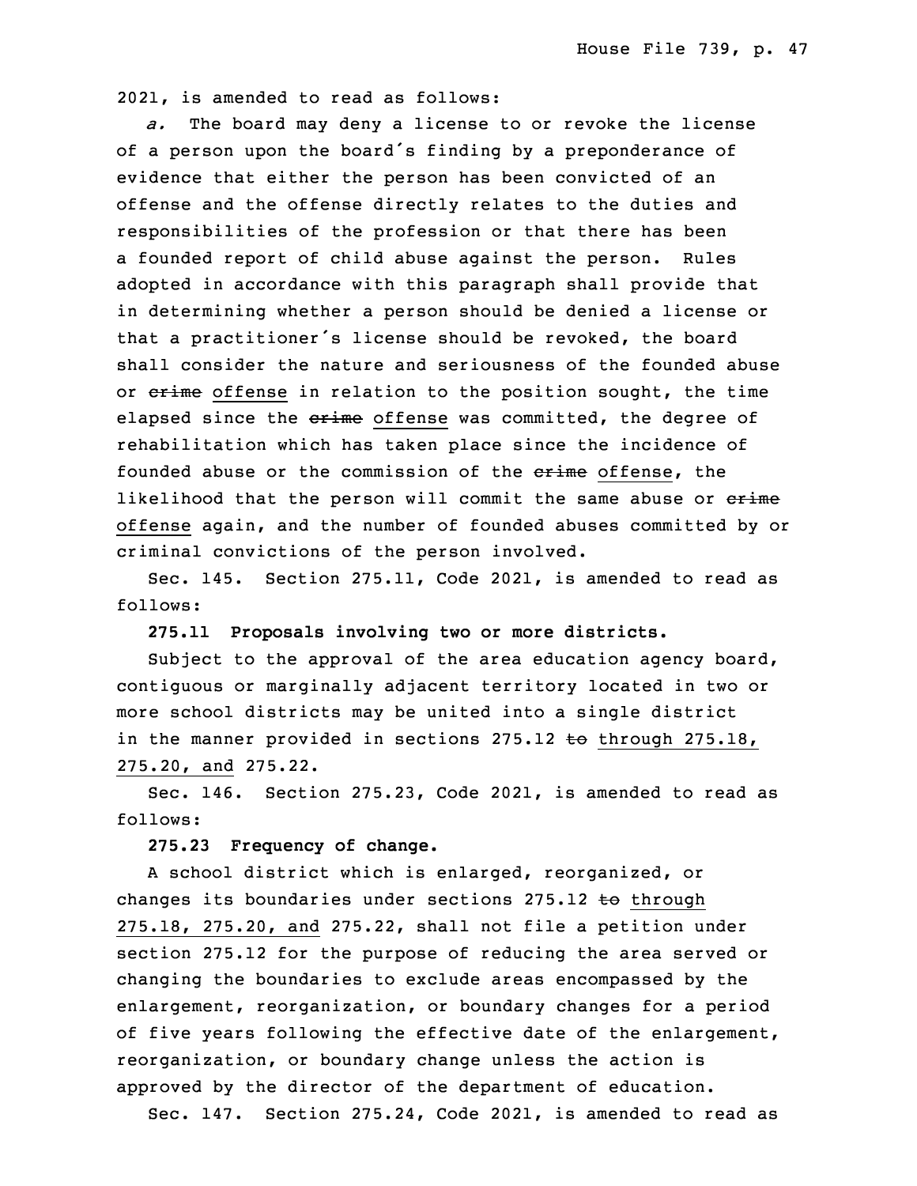10 2021, is amended to read as follows:

 *a.* The board may deny <sup>a</sup> license to or revoke the license of <sup>a</sup> person upon the board's finding by <sup>a</sup> preponderance of evidence that either the person has been convicted of an offense and the offense directly relates to the duties and responsibilities of the profession or that there has been a founded report of child abuse against the person. Rules adopted in accordance with this paragraph shall provide that in determining whether a person should be denied a license or that a practitioner's license should be revoked, the board shall consider the nature and seriousness of the founded abuse or erime offense in relation to the position sought, the time elapsed since the erime offense was committed, the degree of rehabilitation which has taken place since the incidence of founded abuse or the commission of the erime offense, the likelihood that the person will commit the same abuse or erime 26 offense again, and the number of founded abuses committed by or criminal convictions of the person involved.

Sec. 145. Section 275.11, Code 2021, is amended to read as follows:

30 **275.11 Proposals involving two or more districts.**

Subject to the approval of the area education agency board, contiguous or marginally adjacent territory located in two or more school districts may be united into a single district in the manner provided in sections 275.12 to through 275.18, 35 275.20, and 275.22.

 Sec. 146. Section 275.23, Code 2021, is amended to read as follows:

3 **275.23 Frequency of change.**

 <sup>A</sup> school district which is enlarged, reorganized, or changes its boundaries under sections  $275.12$  to through  $275.18$ ,  $275.20$ , and  $275.22$ , shall not file a petition under section 275.12 for the purpose of reducing the area served or changing the boundaries to exclude areas encompassed by the enlargement, reorganization, or boundary changes for a period of five years following the effective date of the enlargement, reorganization, or boundary change unless the action is approved by the director of the department of education.

Sec. 147. Section 275.24, Code 2021, is amended to read as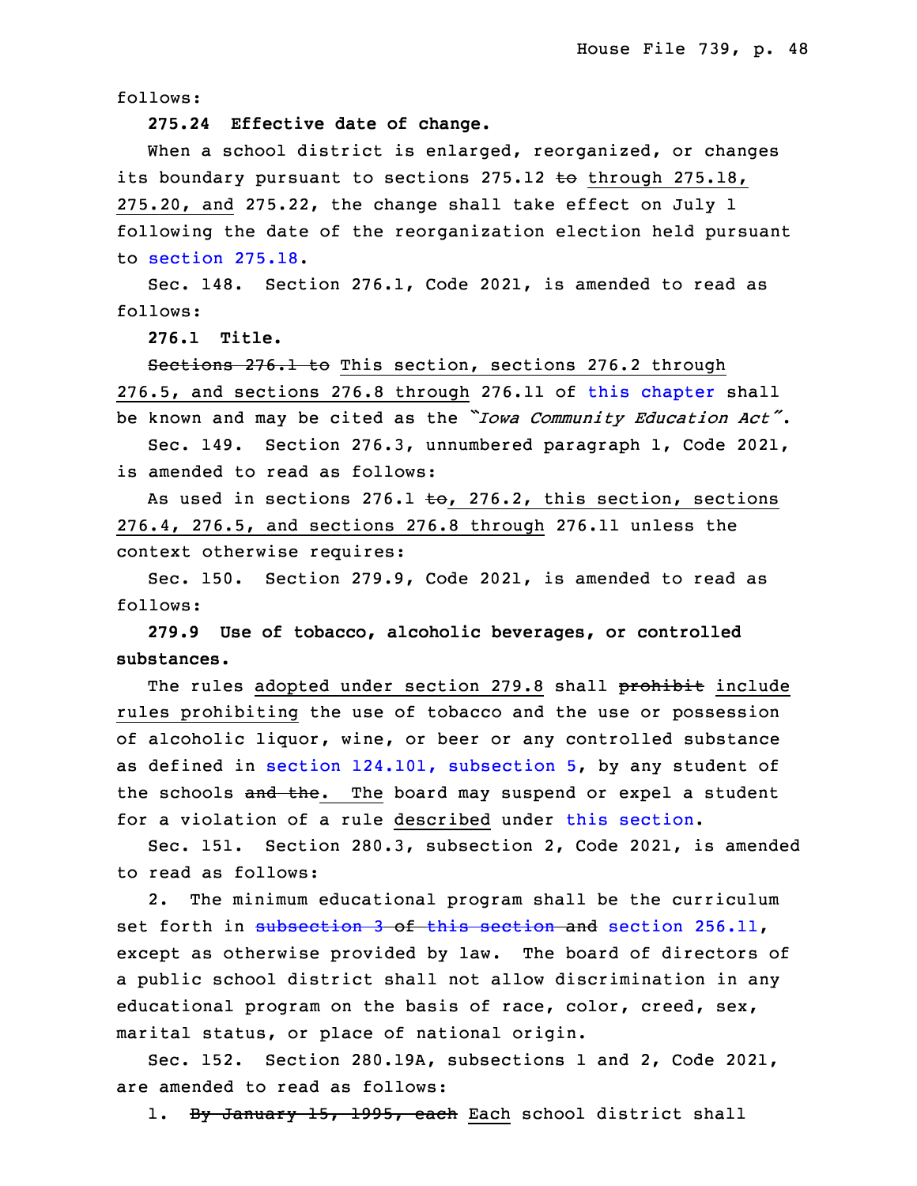follows:

15 **275.24 Effective date of change.**

When a school district is enlarged, reorganized, or changes its boundary pursuant to sections 275.12 to through 275.18,  $275.20$ , and  $275.22$ , the change shall take effect on July 1 following the date of the reorganization election held pursuant to [section](https://www.legis.iowa.gov/docs/code/2021/275.18.pdf)  $275.18.$ 

 Sec. 148. Section 276.1, Code 2021, is amended to read as follows:

23 **276.1 Title.**

Sections 276.1 to This section, sections 276.2 through 25 276.5, and sections 276.8 through 276.11 of this [chapter](https://www.legis.iowa.gov/docs/code/2021/276.pdf) shall <sup>26</sup> be known and may be cited as the *"Iowa Community Education Act"*. Sec. 149. Section 276.3, unnumbered paragraph 1, Code 2021,

is amended to read as follows:

As used in sections 276.1  $\text{\textsterling}o$ , 276.2, this section, sections 30 276.4, 276.5, and sections 276.8 through 276.11 unless the context otherwise requires:

Sec. 150. Section 279.9, Code 2021, is amended to read as follows:

34 **279.9 Use of tobacco, alcoholic beverages, or controlled** substances.

The rules adopted under section 279.8 shall prohibit include rules prohibiting the use of tobacco and the use or possession of alcoholic liquor, wine, or beer or any controlled substance as defined in section 124.101, [subsection](https://www.legis.iowa.gov/docs/code/2021/124.101.pdf) 5, by any student of the schools and the. The board may suspend or expel a student for a violation of a rule described under this [section](https://www.legis.iowa.gov/docs/code/2021/279.9.pdf).

Sec. 151. Section 280.3, subsection 2, Code 2021, is amended to read as follows:

2. The minimum educational program shall be the curriculum set forth in [subsection](https://www.legis.iowa.gov/docs/code/2021/280.3.pdf) 3 of this [section](https://www.legis.iowa.gov/docs/code/2021/280.3.pdf) and section [256.11](https://www.legis.iowa.gov/docs/code/2021/256.11.pdf), except as otherwise provided by law. The board of directors of <sup>a</sup> public school district shall not allow discrimination in any educational program on the basis of race, color, creed, sex, marital status, or place of national origin.

15 Sec. 152. Section 280.19A, subsections 1 and 2, Code 2021, are amended to read as follows:

1. By January 15, 1995, each Each school district shall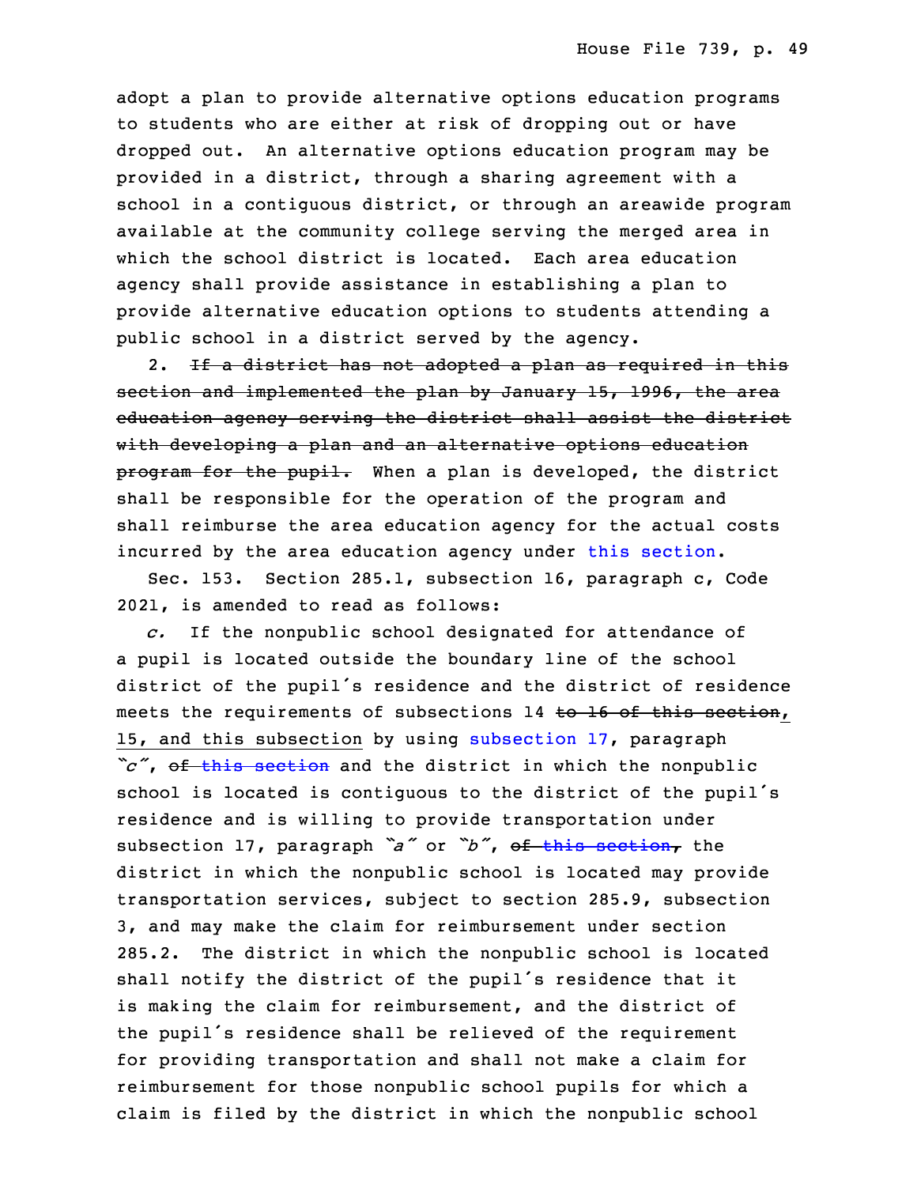adopt a plan to provide alternative options education programs to students who are either at risk of dropping out or have dropped out. An alternative options education program may be provided in <sup>a</sup> district, through <sup>a</sup> sharing agreement with <sup>a</sup> school in <sup>a</sup> contiguous district, or through an areawide program available at the community college serving the merged area in which the school district is located. Each area education agency shall provide assistance in establishing a plan to provide alternative education options to students attending a public school in a district served by the agency.

2. If a district has not adopted a plan as required in this section and implemented the plan by January 15, 1996, the area education agency serving the district shall assist the district with developing a plan and an alternative options education program for the pupil. When a plan is developed, the district shall be responsible for the operation of the program and shall reimburse the area education agency for the actual costs incurred by the area education agency under this [section](https://www.legis.iowa.gov/docs/code/2021/280.19A.pdf).

 Sec. 153. Section 285.1, subsection 16, paragraph c, Code 2021, is amended to read as follows:

3 *c.* If the nonpublic school designated for attendance of <sup>a</sup> pupil is located outside the boundary line of the school district of the pupil's residence and the district of residence meets the requirements of subsections 14 to  $16$  of this section, 15, and this [subsection](https://www.legis.iowa.gov/docs/code/2021/285.1.pdf) by using subsection 17, paragraph "c", of this [section](https://www.legis.iowa.gov/docs/code/2021/285.1.pdf) and the district in which the nonpublic school is located is contiguous to the district of the pupil's residence and is willing to provide transportation under subsection 17, paragraph *"a"* or *"b"*, of this [section](https://www.legis.iowa.gov/docs/code/2021/285.1.pdf), the district in which the nonpublic school is located may provide transportation services, subject to section 285.9, subsection 3, and may make the claim for reimbursement under section 15 285.2. The district in which the nonpublic school is located shall notify the district of the pupil's residence that it is making the claim for reimbursement, and the district of the pupil's residence shall be relieved of the requirement for providing transportation and shall not make a claim for reimbursement for those nonpublic school pupils for which a claim is filed by the district in which the nonpublic school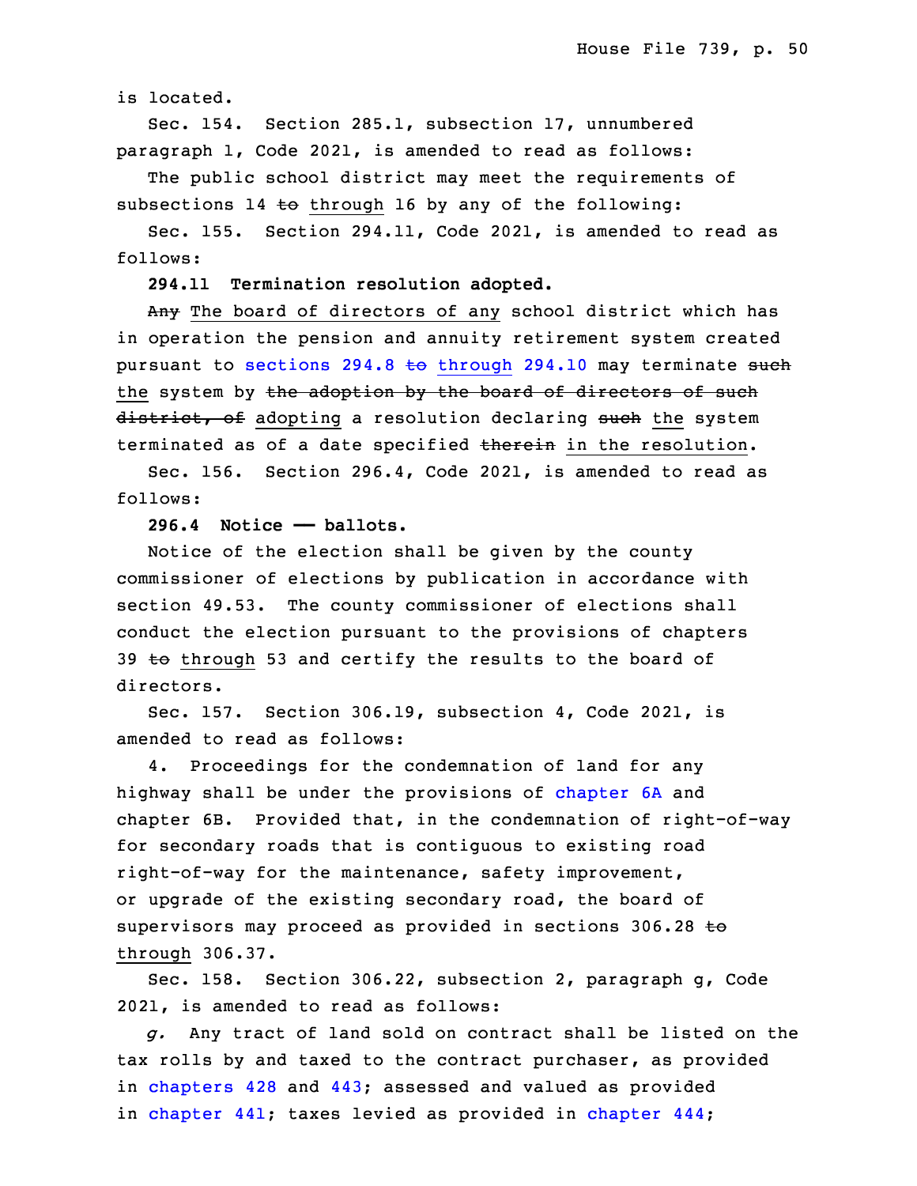is located.

Sec. 154. Section 285.1, subsection 17, unnumbered paragraph 1, Code 2021, is amended to read as follows:

The public school district may meet the requirements of subsections 14 to through 16 by any of the following:

Sec. 155. Section 294.11, Code 2021, is amended to read as follows:

29 **294.11 Termination resolution adopted.**

Any The board of directors of any school district which has in operation the pension and annuity retirement system created pursuant to sections  $294.8$  to [through](https://www.legis.iowa.gov/docs/code/2021/294.8.pdf)  $294.10$  may terminate such the system by the adoption by the board of directors of such district, of adopting a resolution declaring such the system terminated as of a date specified therein in the resolution.

 Sec. 156. Section 296.4, Code 2021, is amended to read as follows:

3 **296.4 Notice —— ballots.**

 Notice of the election shall be given by the county commissioner of elections by publication in accordance with section 49.53. The county commissioner of elections shall conduct the election pursuant to the provisions of chapters 39  $\pm$ o through 53 and certify the results to the board of directors.

Sec. 157. Section 306.19, subsection  $4$ , Code 2021, is amended to read as follows:

 4. Proceedings for the condemnation of land for any highway shall be under the provisions of [chapter](https://www.legis.iowa.gov/docs/code/2021/6A.pdf) 6A and chapter 6B. Provided that, in the condemnation of right-of-way for secondary roads that is contiguous to existing road right-of-way for the maintenance, safety improvement, or upgrade of the existing secondary road, the board of supervisors may proceed as provided in sections 306.28  $\pm\Theta$ through 306.37.

Sec. 158. Section 306.22, subsection 2, paragraph g, Code 2021, is amended to read as follows:

 *g.* Any tract of land sold on contract shall be listed on the tax rolls by and taxed to the contract purchaser, as provided in [chapters](https://www.legis.iowa.gov/docs/code/2021/428.pdf) 428 and [443](https://www.legis.iowa.gov/docs/code/2021/443.pdf); assessed and valued as provided in [chapter](https://www.legis.iowa.gov/docs/code/2021/444.pdf) 441; taxes levied as provided in chapter 444;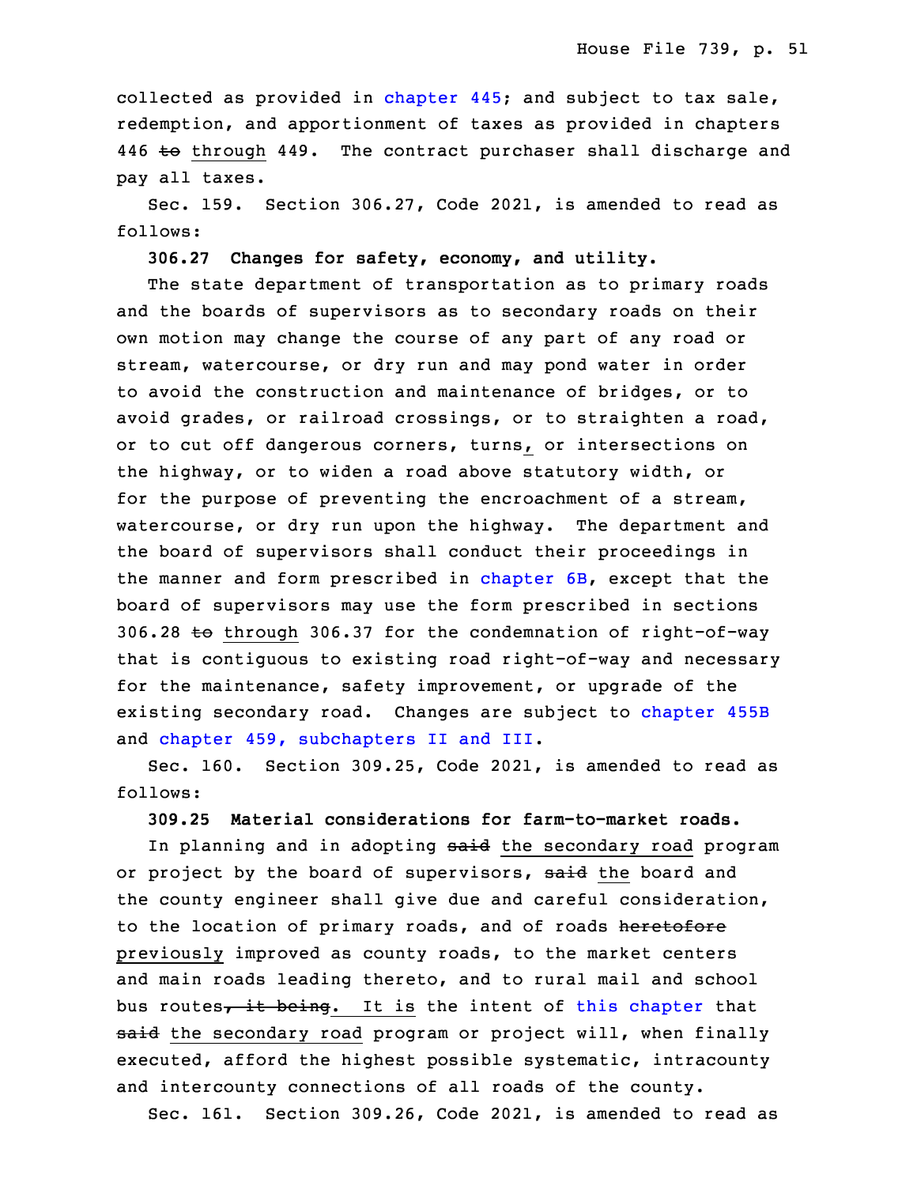collected as provided in [chapter](https://www.legis.iowa.gov/docs/code/2021/445.pdf) 445; and subject to tax sale, redemption, and apportionment of taxes as provided in chapters 446 to through 449. The contract purchaser shall discharge and pay all taxes.

Sec. 159. Section 306.27, Code 2021, is amended to read as follows:

32 **306.27 Changes for safety, economy, and utility.**

The state department of transportation as to primary roads and the boards of supervisors as to secondary roads on their own motion may change the course of any part of any road or stream, watercourse, or dry run and may pond water in order to avoid the construction and maintenance of bridges, or to avoid grades, or railroad crossings, or to straighten a road, or to cut off dangerous corners, turns, or intersections on the highway, or to widen a road above statutory width, or for the purpose of preventing the encroachment of a stream, watercourse, or dry run upon the highway. The department and the board of supervisors shall conduct their proceedings in the manner and form prescribed in [chapter](https://www.legis.iowa.gov/docs/code/2021/6B.pdf)  $6B$ , except that the board of supervisors may use the form prescribed in sections 306.28 to through 306.37 for the condemnation of right-of-way that is contiguous to existing road right-of-way and necessary for the maintenance, safety improvement, or upgrade of the existing secondary road. Changes are subject to [chapter](https://www.legis.iowa.gov/docs/code/2021/455B.pdf) 455B and chapter 459, [subchapters](https://www.legis.iowa.gov/docs/code/2021/459.pdf) II and III.

Sec. 160. Section 309.25, Code 2021, is amended to read as follows:

18 **309.25 Material considerations for farm-to-market roads.**

In planning and in adopting said the secondary road program or project by the board of supervisors, said the board and the county engineer shall give due and careful consideration, to the location of primary roads, and of roads heretofore previously improved as county roads, to the market centers and main roads leading thereto, and to rural mail and school bus routes<sub>7</sub> it being. It is the intent of this [chapter](https://www.legis.iowa.gov/docs/code/2021/309.pdf) that said the secondary road program or project will, when finally executed, afford the highest possible systematic, intracounty and intercounty connections of all roads of the county.

Sec. 161. Section 309.26, Code 2021, is amended to read as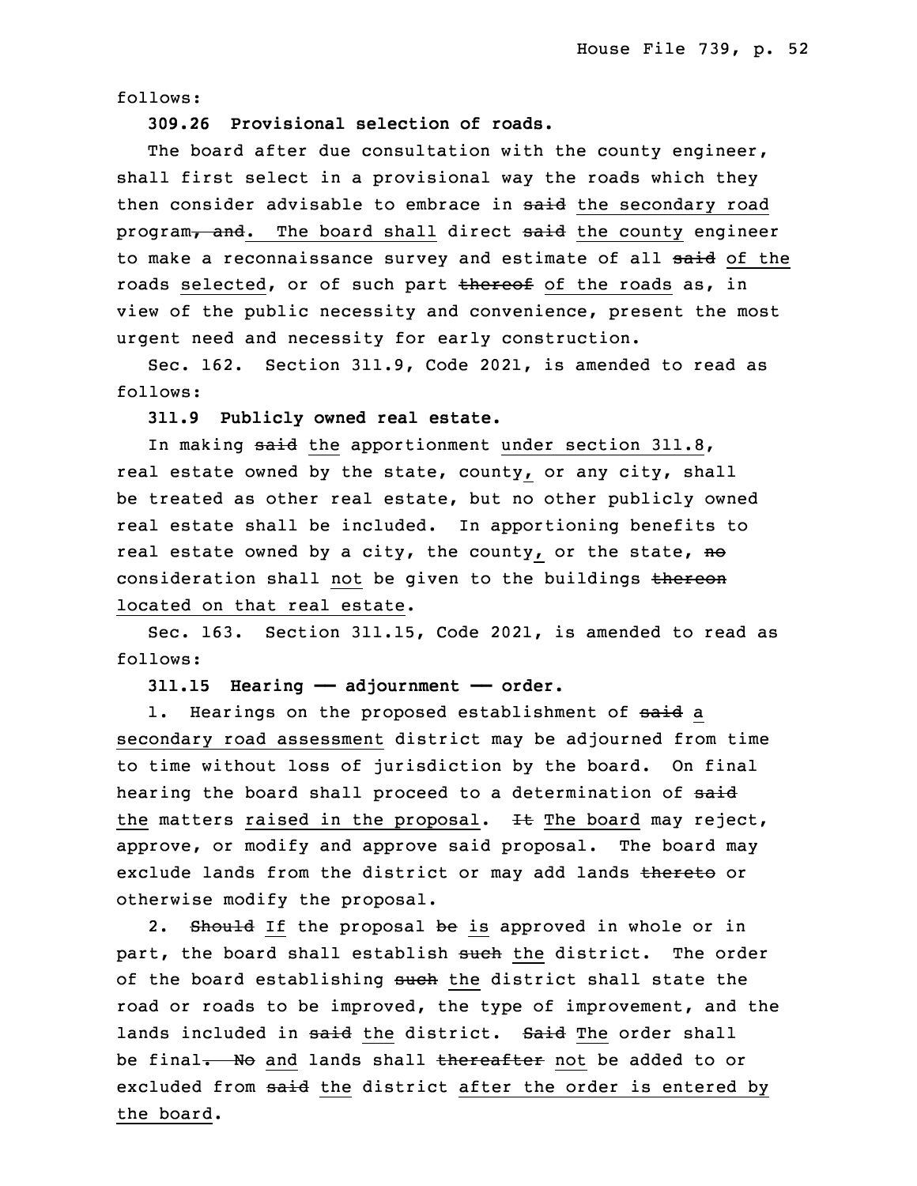follows:

31 **309.26 Provisional selection of roads.**

The board after due consultation with the county engineer, shall first select in a provisional way the roads which they then consider advisable to embrace in said the secondary road program, and. The board shall direct said the county engineer to make a reconnaissance survey and estimate of all said of the roads selected, or of such part thereof of the roads as, in view of the public necessity and convenience, present the most urgent need and necessity for early construction.

5 Sec. 162. Section 311.9, Code 2021, is amended to read as follows:

7 **311.9 Publicly owned real estate.**

In making said the apportionment under section 311.8, real estate owned by the state, county, or any city, shall be treated as other real estate, but no other publicly owned real estate shall be included. In apportioning benefits to real estate owned by a city, the county, or the state,  $no$ consideration shall not be given to the buildings thereon located on that real estate.

Sec. 163. Section 311.15, Code 2021, is amended to read as follows:

17 **311.15 Hearing —— adjournment —— order.**

1. Hearings on the proposed establishment of said a secondary road assessment district may be adjourned from time to time without loss of jurisdiction by the board. On final hearing the board shall proceed to a determination of said the matters raised in the proposal.  $H$  The board may reject, approve, or modify and approve said proposal. The board may exclude lands from the district or may add lands thereto or otherwise modify the proposal.

2. Should If the proposal be is approved in whole or in part, the board shall establish such the district. The order of the board establishing such the district shall state the road or roads to be improved, the type of improvement, and the lands included in said the district. Said The order shall be final. No and lands shall thereafter not be added to or excluded from said the district after the order is entered by the board.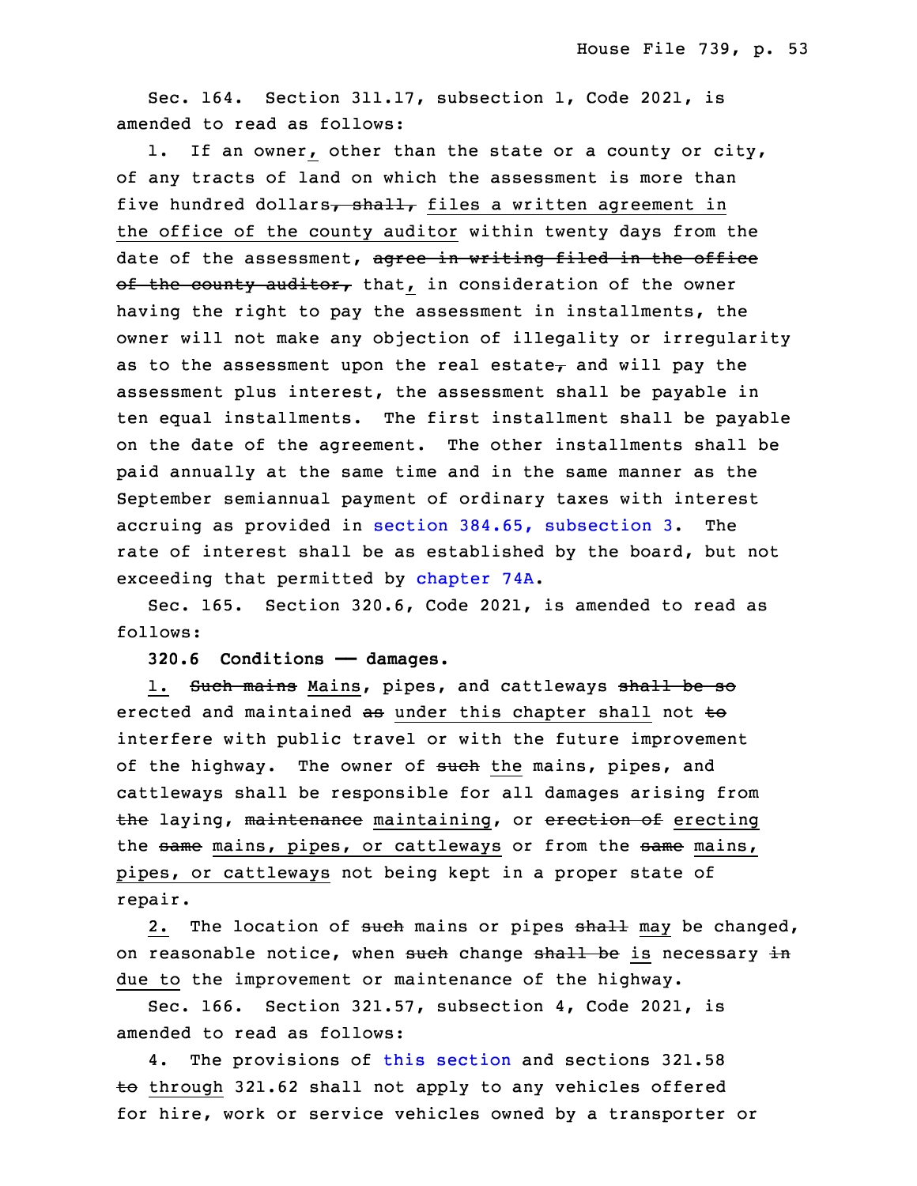Sec. 164. Section 311.17, subsection 1, Code 2021, is amended to read as follows:

 1. If an owner, other than the state or <sup>a</sup> county or city, of any tracts of land on which the assessment is more than five hundred dollars, shall, files a written agreement in the office of the county auditor within twenty days from the date of the assessment, agree in writing filed in the office of the county auditor, that, in consideration of the owner having the right to pay the assessment in installments, the owner will not make any objection of illegality or irregularity as to the assessment upon the real estate $<sub>7</sub>$  and will pay the</sub> assessment plus interest, the assessment shall be payable in ten equal installments. The first installment shall be payable on the date of the agreement. The other installments shall be paid annually at the same time and in the same manner as the September semiannual payment of ordinary taxes with interest accruing as provided in section 384.65, [subsection](https://www.legis.iowa.gov/docs/code/2021/384.65.pdf) 3. The rate of interest shall be as established by the board, but not exceeding that permitted by [chapter](https://www.legis.iowa.gov/docs/code/2021/74A.pdf) 74A.

Sec. 165. Section 320.6, Code 2021, is amended to read as follows:

20 **320.6 Conditions —— damages.**

1. Such mains Mains, pipes, and cattleways shall be so erected and maintained as under this chapter shall not to interfere with public travel or with the future improvement of the highway. The owner of such the mains, pipes, and cattleways shall be responsible for all damages arising from the laying, maintenance maintaining, or erection of erecting the same mains, pipes, or cattleways or from the same mains, pipes, or cattleways not being kept in a proper state of repair.

2. The location of such mains or pipes shall may be changed, on reasonable notice, when such change shall be is necessary in due to the improvement or maintenance of the highway.

Sec. 166. Section 321.57, subsection 4, Code 2021, is amended to read as follows:

4. The provisions of this [section](https://www.legis.iowa.gov/docs/code/2021/321.57.pdf) and sections 321.58 to through 321.62 shall not apply to any vehicles offered for hire, work or service vehicles owned by <sup>a</sup> transporter or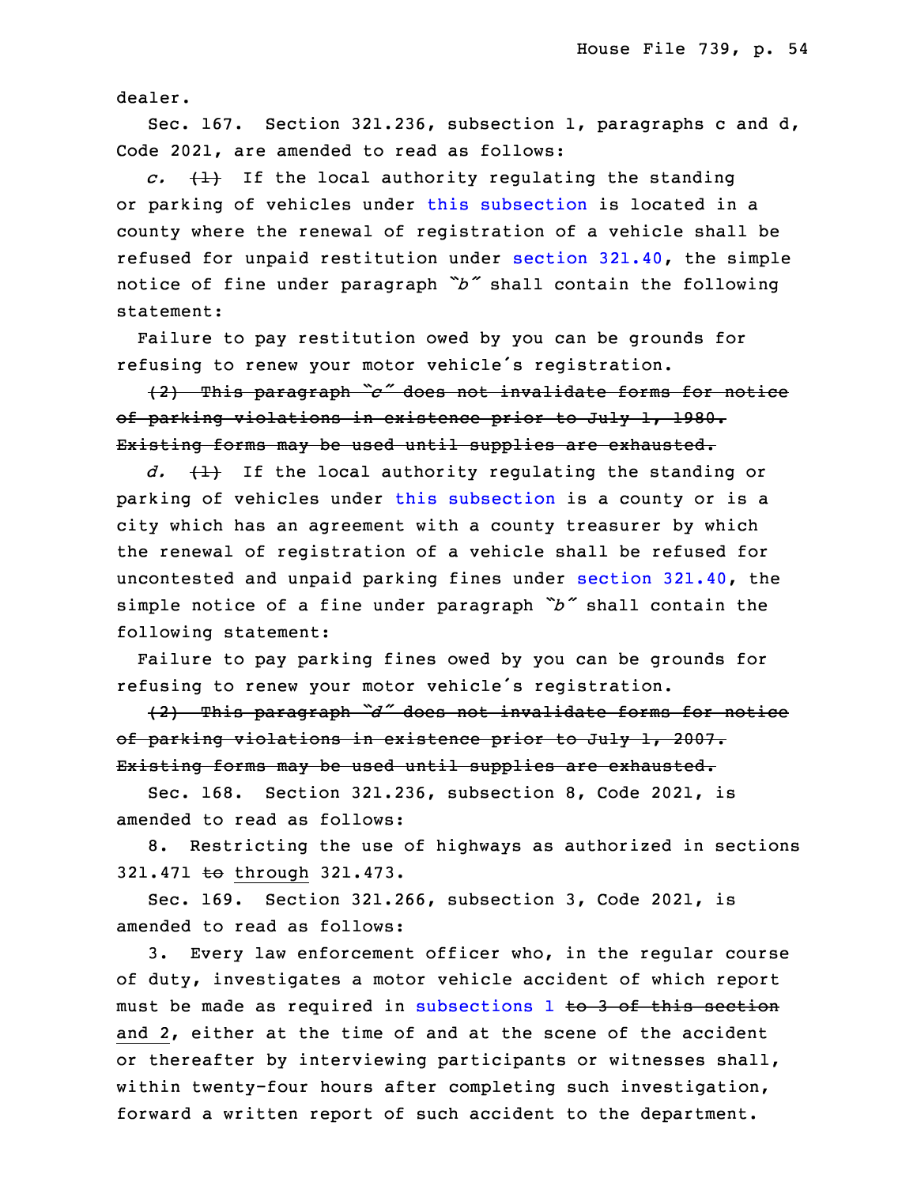dealer.

 Sec. 167. Section 321.236, subsection 1, paragraphs <sup>c</sup> and d, Code 2021, are amended to read as follows:

 $c.$   $(1)$  If the local authority regulating the standing or parking of vehicles under this [subsection](https://www.legis.iowa.gov/docs/code/2021/321.236.pdf) is located in a county where the renewal of registration of a vehicle shall be refused for unpaid restitution under section [321.40](https://www.legis.iowa.gov/docs/code/2021/321.40.pdf), the simple <sup>10</sup> notice of fine under paragraph *"b"* shall contain the following statement:

 Failure to pay restitution owed by you can be grounds for refusing to renew your motor vehicle's registration.

 (2) This paragraph *"c"* does not invalidate forms for notice of parking violations in existence prior to July 1, 1980. Existing forms may be used until supplies are exhausted.

d.  $\{1\}$  If the local authority regulating the standing or parking of vehicles under this [subsection](https://www.legis.iowa.gov/docs/code/2021/321.236.pdf) is a county or is a city which has an agreement with a county treasurer by which the renewal of registration of a vehicle shall be refused for uncontested and unpaid parking fines under section [321.40](https://www.legis.iowa.gov/docs/code/2021/321.40.pdf), the simple notice of <sup>a</sup> fine under paragraph *"b"* shall contain the following statement:

 Failure to pay parking fines owed by you can be grounds for refusing to renew your motor vehicle's registration.

<sup>26</sup> (2) This paragraph *"d"* does not invalidate forms for notice of parking violations in existence prior to July 1, 2007. Existing forms may be used until supplies are exhausted.

Sec. 168. Section 321.236, subsection 8, Code 2021, is amended to read as follows:

8. Restricting the use of highways as authorized in sections 321.471 to through 321.473.

Sec. 169. Section 321.266, subsection 3, Code 2021, is amended to read as follows:

3. Every law enforcement officer who, in the regular course of duty, investigates <sup>a</sup> motor vehicle accident of which report must be made as required in [subsections](https://www.legis.iowa.gov/docs/code/2021/321.266.pdf) 1 to 3 of this section and 2, either at the time of and at the scene of the accident or thereafter by interviewing participants or witnesses shall, within twenty-four hours after completing such investigation, forward a written report of such accident to the department.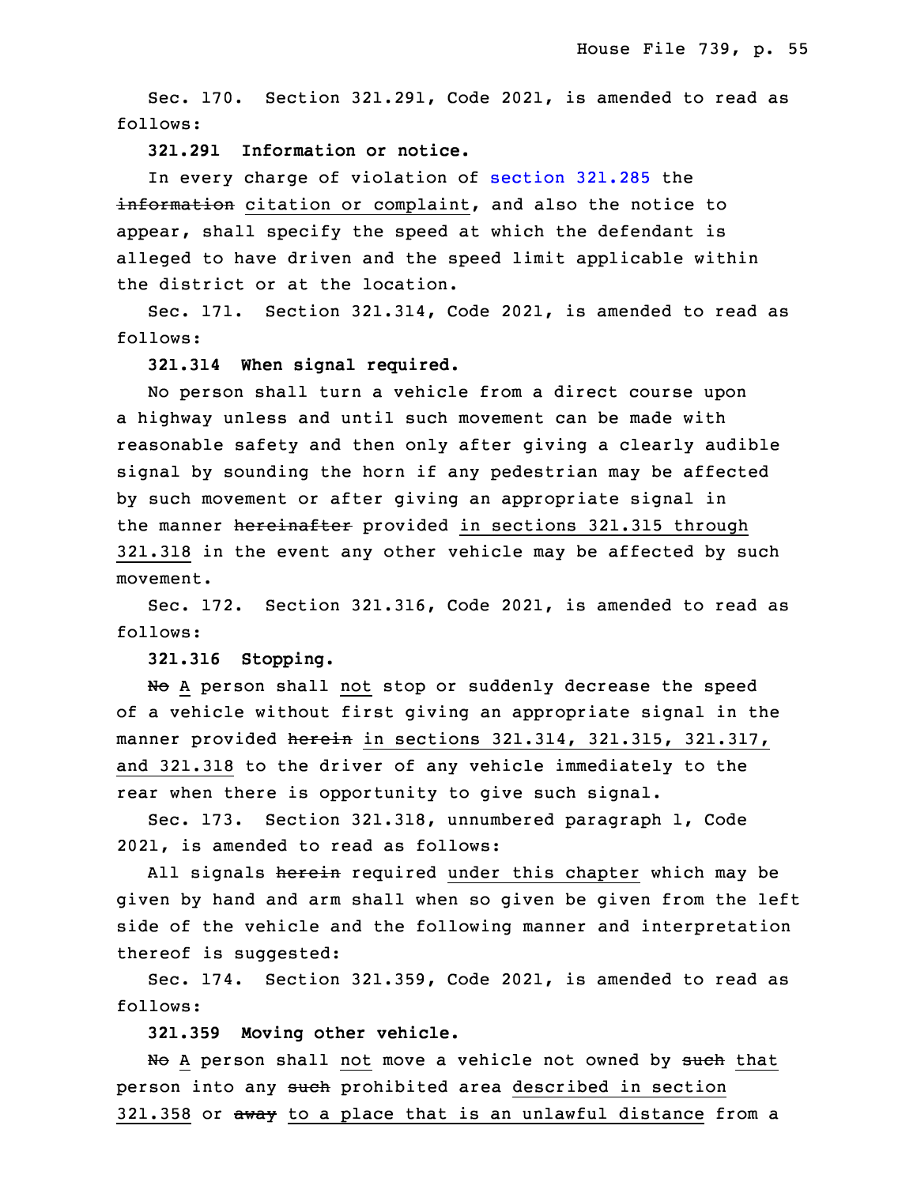Sec. 170. Section 321.291, Code 2021, is amended to read as follows:

9 **321.291 Information or notice.**

In every charge of violation of [section](https://www.legis.iowa.gov/docs/code/2021/321.285.pdf) 321.285 the information citation or complaint, and also the notice to appear, shall specify the speed at which the defendant is alleged to have driven and the speed limit applicable within the district or at the location.

Sec. 171. Section 321.314, Code 2021, is amended to read as follows:

17 **321.314 When signal required.**

No person shall turn a vehicle from a direct course upon a highway unless and until such movement can be made with reasonable safety and then only after giving a clearly audible signal by sounding the horn if any pedestrian may be affected by such movement or after giving an appropriate signal in the manner hereinafter provided in sections 321.315 through 321.318 in the event any other vehicle may be affected by such movement.

Sec. 172. Section 321.316, Code 2021, is amended to read as follows:

28 **321.316 Stopping.**

No A person shall not stop or suddenly decrease the speed of a vehicle without first giving an appropriate signal in the manner provided herein in sections 321.314, 321.315, 321.317, and 321.318 to the driver of any vehicle immediately to the rear when there is opportunity to give such signal.

Sec. 173. Section 321.318, unnumbered paragraph 1, Code 2021, is amended to read as follows:

All signals herein required under this chapter which may be given by hand and arm shall when so given be given from the left side of the vehicle and the following manner and interpretation thereof is suggested:

5 Sec. 174. Section 321.359, Code 2021, is amended to read as follows:

7 **321.359 Moving other vehicle.**

No A person shall not move a vehicle not owned by such that person into any such prohibited area described in section 321.358 or away to a place that is an unlawful distance from a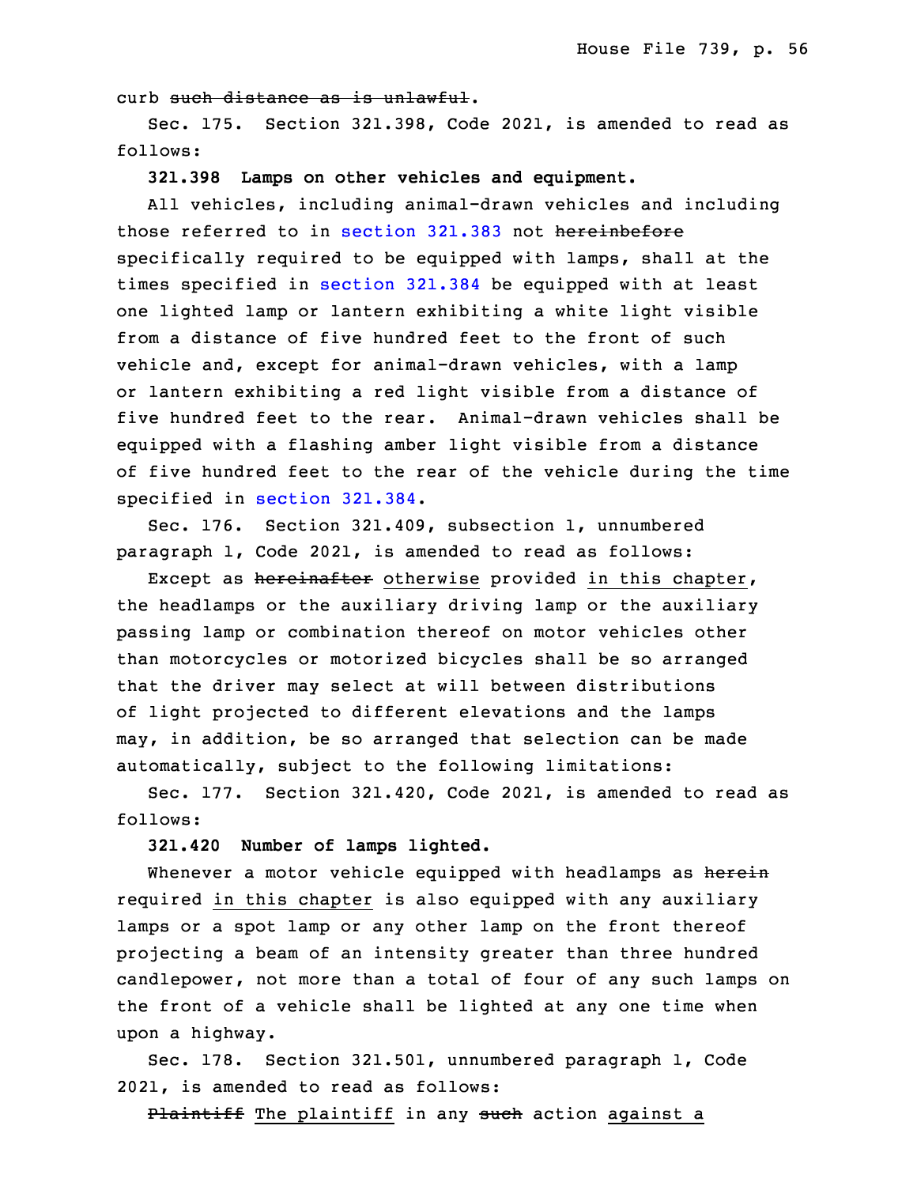curb such distance as is unlawful.

 Sec. 175. Section 321.398, Code 2021, is amended to read as follows:

**321.398 Lamps on other vehicles and equipment.**

All vehicles, including animal-drawn vehicles and including those referred to in [section](https://www.legis.iowa.gov/docs/code/2021/321.383.pdf) 321.383 not hereinbefore specifically required to be equipped with lamps, shall at the times specified in [section](https://www.legis.iowa.gov/docs/code/2021/321.384.pdf) 321.384 be equipped with at least one lighted lamp or lantern exhibiting a white light visible from a distance of five hundred feet to the front of such vehicle and, except for animal-drawn vehicles, with <sup>a</sup> lamp or lantern exhibiting <sup>a</sup> red light visible from <sup>a</sup> distance of five hundred feet to the rear. Animal-drawn vehicles shall be equipped with <sup>a</sup> flashing amber light visible from <sup>a</sup> distance of five hundred feet to the rear of the vehicle during the time specified in [section](https://www.legis.iowa.gov/docs/code/2021/321.384.pdf) 321.384.

Sec. 176. Section 321.409, subsection 1, unnumbered paragraph 1, Code 2021, is amended to read as follows:

Except as hereinafter otherwise provided in this chapter, the headlamps or the auxiliary driving lamp or the auxiliary passing lamp or combination thereof on motor vehicles other than motorcycles or motorized bicycles shall be so arranged that the driver may select at will between distributions of light projected to different elevations and the lamps may, in addition, be so arranged that selection can be made automatically, subject to the following limitations:

 Sec. 177. Section 321.420, Code 2021, is amended to read as follows:

**321.420 Number of lamps lighted.**

Whenever a motor vehicle equipped with headlamps as herein required in this chapter is also equipped with any auxiliary lamps or a spot lamp or any other lamp on the front thereof projecting a beam of an intensity greater than three hundred candlepower, not more than a total of four of any such lamps on the front of a vehicle shall be lighted at any one time when upon <sup>a</sup> highway.

 Sec. 178. Section 321.501, unnumbered paragraph 1, Code 2021, is amended to read as follows:

Plaintiff The plaintiff in any such action against a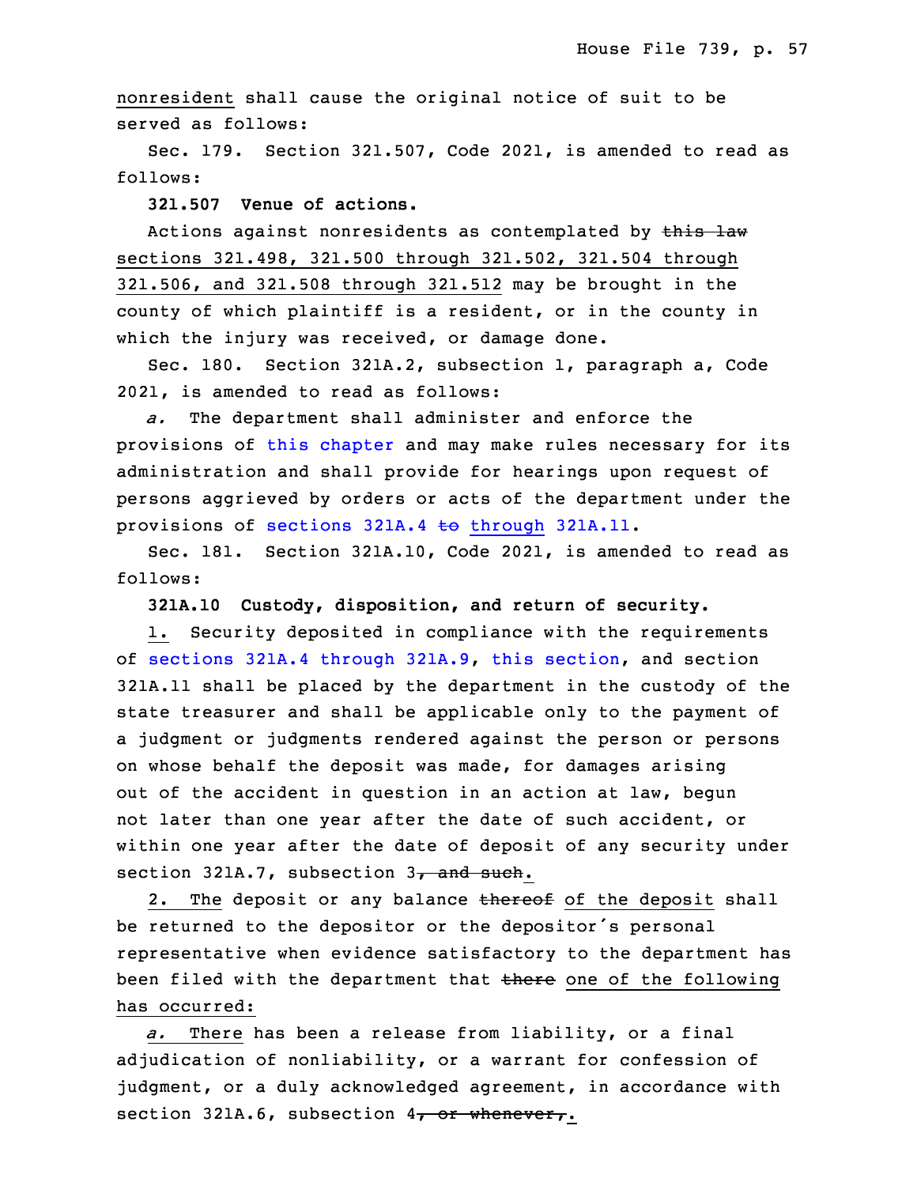nonresident shall cause the original notice of suit to be served as follows:

Sec. 179. Section 321.507, Code 2021, is amended to read as follows:

19 **321.507 Venue of actions.**

Actions against nonresidents as contemplated by this law sections 321.498, 321.500 through 321.502, 321.504 through 321.506, and 321.508 through 321.512 may be brought in the county of which plaintiff is a resident, or in the county in which the injury was received, or damage done.

Sec. 180. Section 321A.2, subsection 1, paragraph a, Code 26 2021, is amended to read as follows:

a. The department shall administer and enforce the provisions of this [chapter](https://www.legis.iowa.gov/docs/code/2021/321A.pdf) and may make rules necessary for its administration and shall provide for hearings upon request of persons aggrieved by orders or acts of the department under the provisions of sections  $321A.4$  to [through](https://www.legis.iowa.gov/docs/code/2021/321A.4.pdf)  $321A.11$ .

Sec. 181. Section 321A.10, Code 2021, is amended to read as follows:

34 **321A.10 Custody, disposition, and return of security.**

1. Security deposited in compliance with the requirements of sections 321A.4 [through](https://www.legis.iowa.gov/docs/code/2021/321A.4.pdf) 321A.9, this [section](https://www.legis.iowa.gov/docs/code/2021/321A.10.pdf), and section 321A.11 shall be placed by the department in the custody of the state treasurer and shall be applicable only to the payment of <sup>a</sup> judgment or judgments rendered against the person or persons on whose behalf the deposit was made, for damages arising out of the accident in question in an action at law, begun not later than one year after the date of such accident, or within one year after the date of deposit of any security under section 321A.7, subsection  $3<sub>7</sub>$  and such.

2. The deposit or any balance thereof of the deposit shall be returned to the depositor or the depositor's personal representative when evidence satisfactory to the department has been filed with the department that there one of the following has occurred:

a. There has been a release from liability, or a final adjudication of nonliability, or a warrant for confession of judgment, or a duly acknowledged agreement, in accordance with section 321A.6, subsection  $4$ , or whenever,.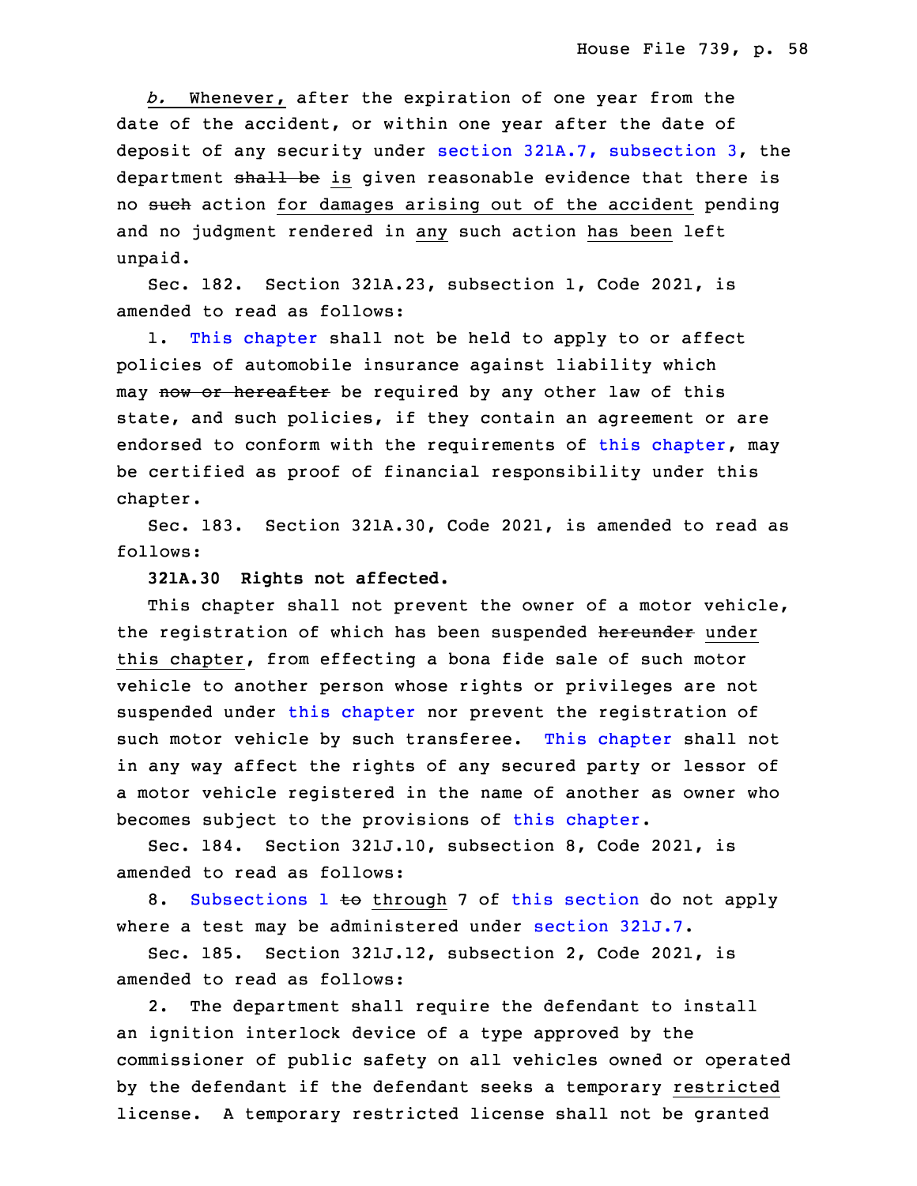b. Whenever, after the expiration of one year from the date of the accident, or within one year after the date of deposit of any security under section 321A.7, [subsection](https://www.legis.iowa.gov/docs/code/2021/321A.7.pdf) 3, the department shall be is given reasonable evidence that there is no such action for damages arising out of the accident pending and no judgment rendered in any such action has been left unpaid.

Sec. 182. Section 321A.23, subsection 1, Code 2021, is amended to read as follows:

1. This [chapter](https://www.legis.iowa.gov/docs/code/2021/321A.pdf) shall not be held to apply to or affect policies of automobile insurance against liability which may now or hereafter be required by any other law of this state, and such policies, if they contain an agreement or are endorsed to conform with the requirements of this [chapter](https://www.legis.iowa.gov/docs/code/2021/321A.pdf), may be certified as proof of financial responsibility under this chapter.

Sec. 183. Section 321A.30, Code 2021, is amended to read as follows:

## **321A.30 Rights not affected.**

This chapter shall not prevent the owner of a motor vehicle, the registration of which has been suspended hereunder under this chapter, from effecting a bona fide sale of such motor vehicle to another person whose rights or privileges are not suspended under this [chapter](https://www.legis.iowa.gov/docs/code/2021/321A.pdf) nor prevent the registration of such motor vehicle by such transferee. This [chapter](https://www.legis.iowa.gov/docs/code/2021/321A.pdf) shall not in any way affect the rights of any secured party or lessor of a motor vehicle registered in the name of another as owner who becomes subject to the provisions of this [chapter](https://www.legis.iowa.gov/docs/code/2021/321A.pdf).

 Sec. 184. Section 321J.10, subsection 8, Code 2021, is amended to read as follows:

8. [Subsections](https://www.legis.iowa.gov/docs/code/2021/321J.10.pdf) 1 to through 7 of this [section](https://www.legis.iowa.gov/docs/code/2021/321J.10.pdf) do not apply where a test may be administered under [section](https://www.legis.iowa.gov/docs/code/2021/321J.7.pdf) 321J.7.

Sec. 185. Section 321J.12, subsection 2, Code 2021, is amended to read as follows:

2. The department shall require the defendant to install an ignition interlock device of a type approved by the commissioner of public safety on all vehicles owned or operated by the defendant if the defendant seeks <sup>a</sup> temporary restricted license. <sup>A</sup> temporary restricted license shall not be granted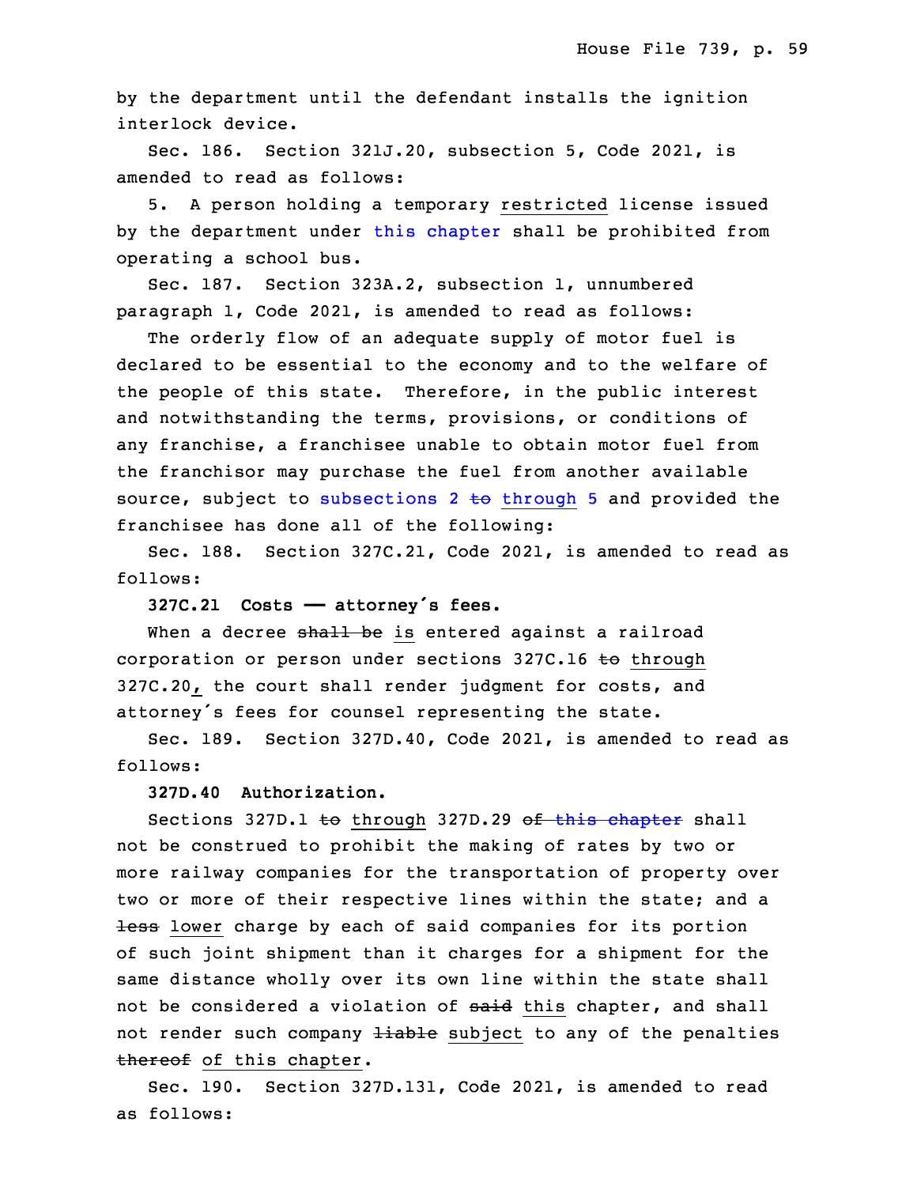by the department until the defendant installs the ignition interlock device.

25 Sec. 186. Section 321J.20, subsection 5, Code 2021, is amended to read as follows:

5. A person holding a temporary restricted license issued by the department under this [chapter](https://www.legis.iowa.gov/docs/code/2021/321J.pdf) shall be prohibited from operating a school bus.

Sec. 187. Section 323A.2, subsection 1, unnumbered paragraph 1, Code 2021, is amended to read as follows:

The orderly flow of an adequate supply of motor fuel is declared to be essential to the economy and to the welfare of the people of this state. Therefore, in the public interest and notwithstanding the terms, provisions, or conditions of any franchise, <sup>a</sup> franchisee unable to obtain motor fuel from the franchisor may purchase the fuel from another available source, subject to [subsections](https://www.legis.iowa.gov/docs/code/2021/323A.2.pdf)  $2 \text{ to three } 5$  and provided the franchisee has done all of the following:

5 Sec. 188. Section 327C.21, Code 2021, is amended to read as follows:

<sup>7</sup> **327C.21 Costs —— attorney's fees.**

When a decree shall be is entered against a railroad corporation or person under sections 327C.16 to through 327C.20, the court shall render judgment for costs, and attorney's fees for counsel representing the state.

 Sec. 189. Section 327D.40, Code 2021, is amended to read as follows:

**327D.40 Authorization.**

Sections 327D.1 to through 327D.29 of this [chapter](https://www.legis.iowa.gov/docs/code/2021/327D.pdf) shall not be construed to prohibit the making of rates by two or more railway companies for the transportation of property over two or more of their respective lines within the state; and a less lower charge by each of said companies for its portion of such joint shipment than it charges for a shipment for the same distance wholly over its own line within the state shall not be considered a violation of said this chapter, and shall not render such company liable subject to any of the penalties thereof of this chapter.

Sec. 190. Section 327D.131, Code 2021, is amended to read as follows: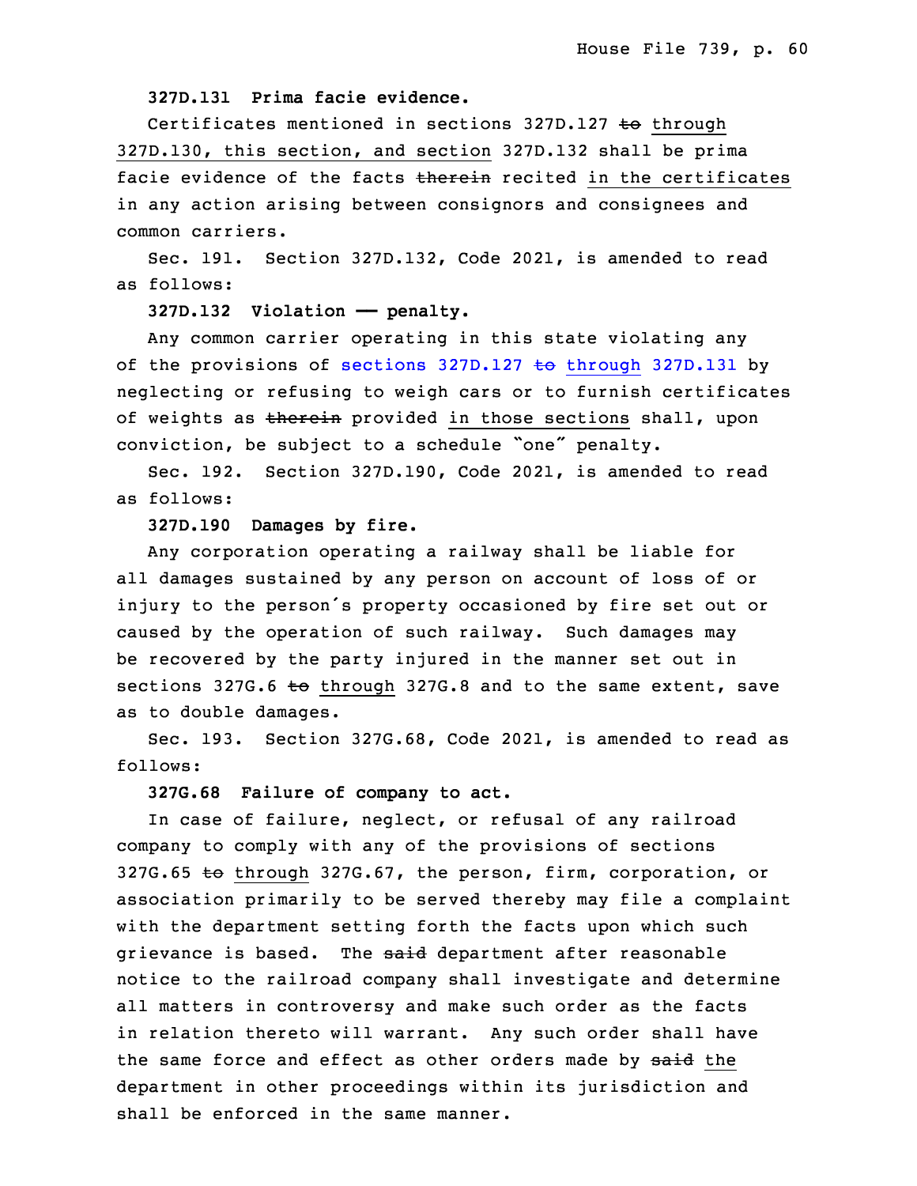## 27 **327D.131 Prima facie evidence.**

Certificates mentioned in sections 327D.127 to through 327D.130, this section, and section 327D.132 shall be prima facie evidence of the facts therein recited in the certificates in any action arising between consignors and consignees and common carriers.

Sec. 191. Section 327D.132, Code 2021, is amended to read as follows:

#### 35 **327D.132 Violation —— penalty.**

 Any common carrier operating in this state violating any of the provisions of sections  $327D.127$  to [through](https://www.legis.iowa.gov/docs/code/2021/327D.127.pdf) 327D.131 by neglecting or refusing to weigh cars or to furnish certificates of weights as therein provided in those sections shall, upon conviction, be subject to a schedule "one" penalty.

6 Sec. 192. Section 327D.190, Code 2021, is amended to read as follows:

## 8 **327D.190 Damages by fire.**

Any corporation operating a railway shall be liable for all damages sustained by any person on account of loss of or injury to the person's property occasioned by fire set out or caused by the operation of such railway. Such damages may be recovered by the party injured in the manner set out in sections 327G.6  $\pm\Theta$  through 327G.8 and to the same extent, save as to double damages.

Sec. 193. Section 327G.68, Code 2021, is amended to read as follows:

## 18 **327G.68 Failure of company to act.**

In case of failure, neglect, or refusal of any railroad company to comply with any of the provisions of sections 327G.65 to through 327G.67, the person, firm, corporation, or association primarily to be served thereby may file <sup>a</sup> complaint with the department setting forth the facts upon which such grievance is based. The said department after reasonable notice to the railroad company shall investigate and determine all matters in controversy and make such order as the facts in relation thereto will warrant. Any such order shall have the same force and effect as other orders made by said the department in other proceedings within its jurisdiction and shall be enforced in the same manner.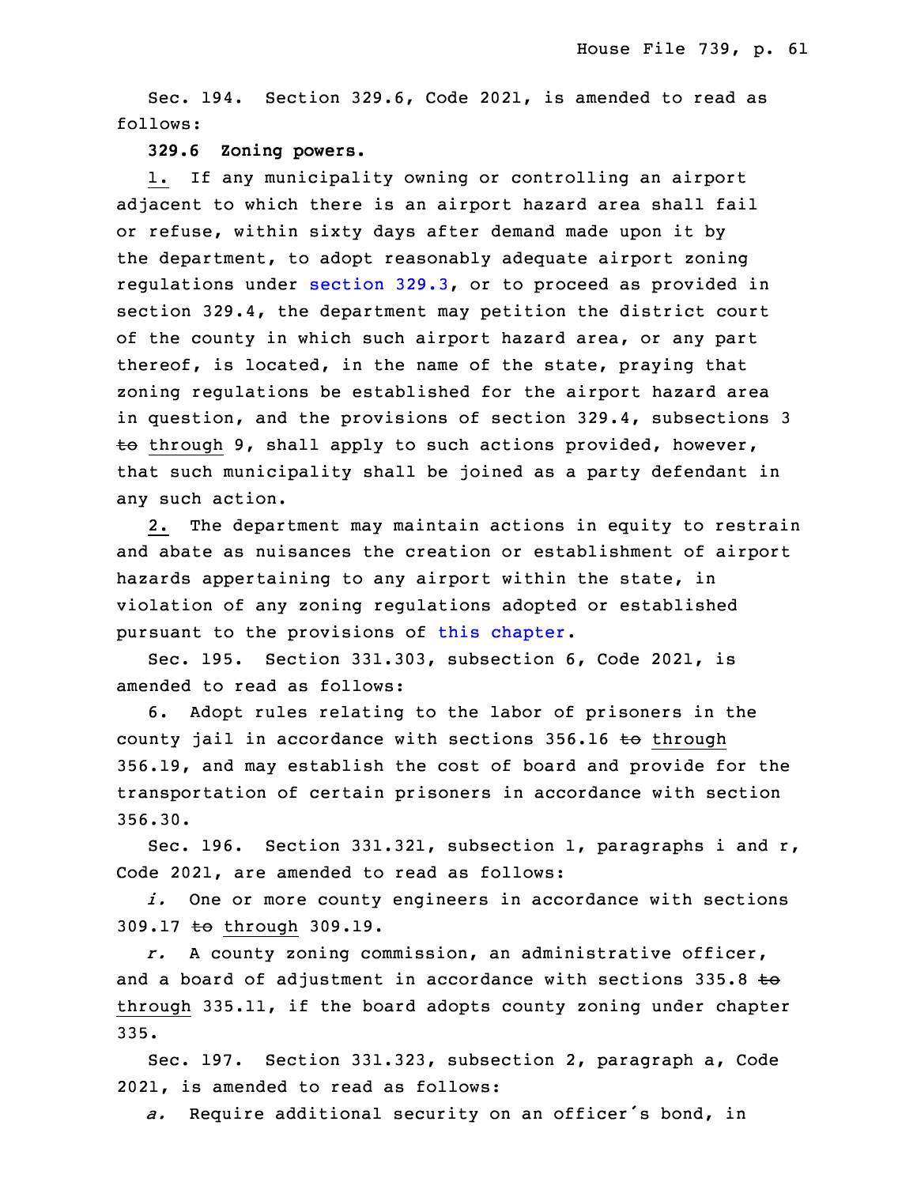Sec. 194. Section 329.6, Code 2021, is amended to read as follows:

#### 33 **329.6 Zoning powers.**

1. If any municipality owning or controlling an airport adjacent to which there is an airport hazard area shall fail or refuse, within sixty days after demand made upon it by the department, to adopt reasonably adequate airport zoning 3 regulations under [section](https://www.legis.iowa.gov/docs/code/2021/329.3.pdf) 329.3, or to proceed as provided in section 329.4, the department may petition the district court of the county in which such airport hazard area, or any part thereof, is located, in the name of the state, praying that zoning regulations be established for the airport hazard area in question, and the provisions of section 329.4, subsections 3  $\overline{e}$  through 9, shall apply to such actions provided, however, that such municipality shall be joined as a party defendant in any such action.

 2. The department may maintain actions in equity to restrain and abate as nuisances the creation or establishment of airport hazards appertaining to any airport within the state, in violation of any zoning regulations adopted or established pursuant to the provisions of this [chapter](https://www.legis.iowa.gov/docs/code/2021/329.pdf).

Sec. 195. Section 331.303, subsection 6, Code 2021, is amended to read as follows:

6. Adopt rules relating to the labor of prisoners in the county jail in accordance with sections  $356.16$  to through 356.19, and may establish the cost of board and provide for the transportation of certain prisoners in accordance with section 23 356.30.

 Sec. 196. Section 331.321, subsection 1, paragraphs i and r, Code 2021, are amended to read as follows:

i. One or more county engineers in accordance with sections 309.17 to through 309.19.

28 *r.* <sup>A</sup> county zoning commission, an administrative officer, and a board of adjustment in accordance with sections  $335.8$  to through 335.11, if the board adopts county zoning under chapter 335.

Sec. 197. Section 331.323, subsection 2, paragraph a, Code 2021, is amended to read as follows:

<sup>34</sup> *a.* Require additional security on an officer's bond, in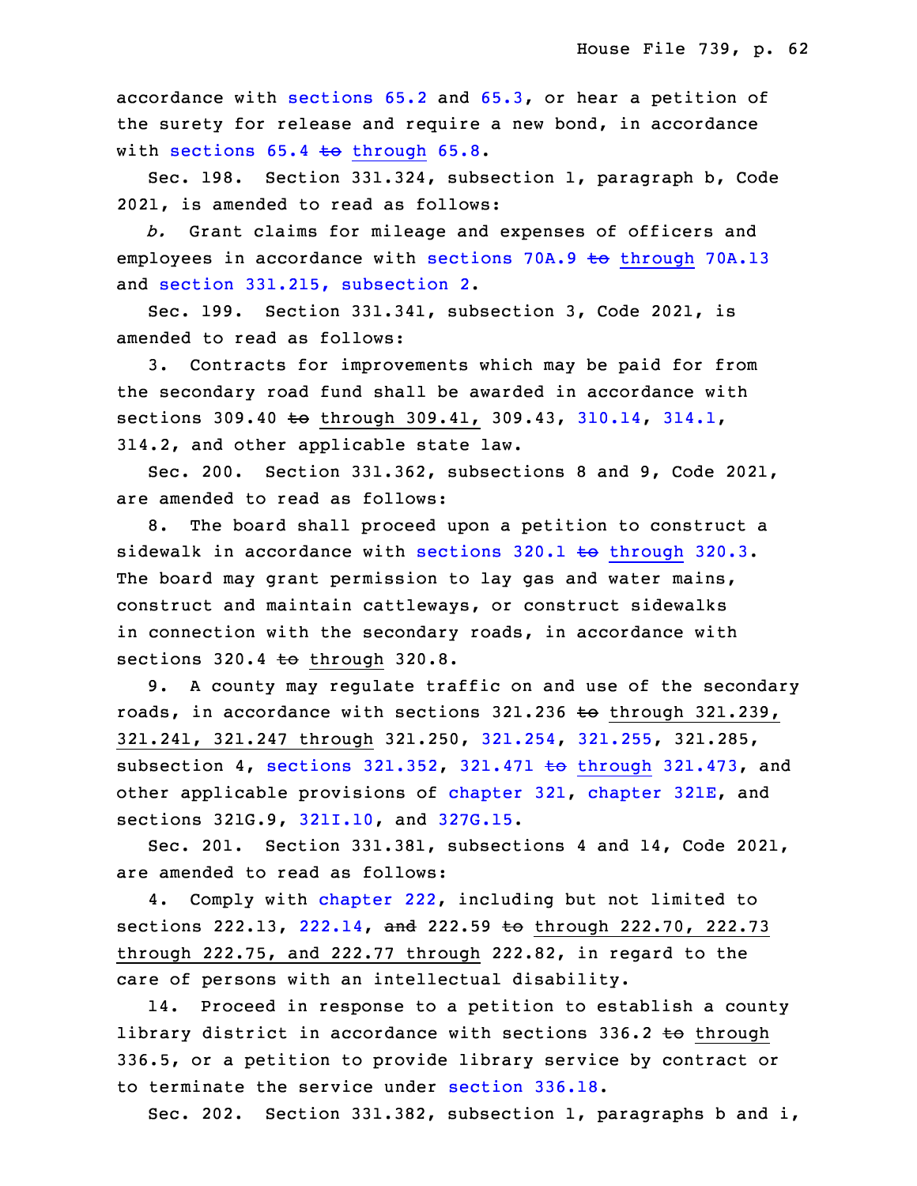accordance with [sections](https://www.legis.iowa.gov/docs/code/2021/65.2.pdf) 65.2 and [65.3](https://www.legis.iowa.gov/docs/code/2021/65.3.pdf), or hear a petition of the surety for release and require <sup>a</sup> new bond, in accordance with sections  $65.4$  to [through](https://www.legis.iowa.gov/docs/code/2021/65.4.pdf)  $65.8$ .

Sec. 198. Section 331.324, subsection 1, paragraph b, Code 2021, is amended to read as follows:

5 *b.* Grant claims for mileage and expenses of officers and employees in accordance with sections 70A.9 to [through](https://www.legis.iowa.gov/docs/code/2021/70A.9.pdf) 70A.13 and section 331.215, [subsection](https://www.legis.iowa.gov/docs/code/2021/331.215.pdf) 2.

8 Sec. 199. Section 331.341, subsection 3, Code 2021, is amended to read as follows:

3. Contracts for improvements which may be paid for from the secondary road fund shall be awarded in accordance with sections 309.40 to through 309.41, 309.43, [310.14](https://www.legis.iowa.gov/docs/code/2021/310.14.pdf), [314.1](https://www.legis.iowa.gov/docs/code/2021/314.1.pdf), 13 314.2, and other applicable state law.

 Sec. 200. Section 331.362, subsections 8 and 9, Code 2021, are amended to read as follows:

8. The board shall proceed upon a petition to construct a sidewalk in accordance with sections  $320.1$  to [through](https://www.legis.iowa.gov/docs/code/2021/320.1.pdf)  $320.3$ . The board may grant permission to lay gas and water mains, construct and maintain cattleways, or construct sidewalks in connection with the secondary roads, in accordance with sections  $320.4$  to through  $320.8$ .

 9. <sup>A</sup> county may regulate traffic on and use of the secondary roads, in accordance with sections  $321.236$  to through  $321.239$ , 321.241, 321.247 through 321.250, [321.254](https://www.legis.iowa.gov/docs/code/2021/321.254.pdf), [321.255](https://www.legis.iowa.gov/docs/code/2021/321.255.pdf), 321.285, subsection 4, sections [321.352](https://www.legis.iowa.gov/docs/code/2021/321.352.pdf), 321.471  $\pm$ o through [321.473](https://www.legis.iowa.gov/docs/code/2021/321.471.pdf), and other applicable provisions of [chapter](https://www.legis.iowa.gov/docs/code/2021/321E.pdf) 321, chapter 321E, and sections 321G.9, [321I.10](https://www.legis.iowa.gov/docs/code/2021/321I.10.pdf), and [327G.15](https://www.legis.iowa.gov/docs/code/2021/327G.15.pdf).

Sec. 201. Section 331.381, subsections 4 and 14, Code 2021, are amended to read as follows:

4. Comply with [chapter](https://www.legis.iowa.gov/docs/code/2021/222.pdf) 222, including but not limited to sections 222.13, [222.14](https://www.legis.iowa.gov/docs/code/2021/222.14.pdf), and 222.59 to through 222.70, 222.73 through 222.75, and 222.77 through 222.82, in regard to the care of persons with an intellectual disability.

14. Proceed in response to a petition to establish a county library district in accordance with sections  $336.2$  to through 336.5, or <sup>a</sup> petition to provide library service by contract or to terminate the service under [section](https://www.legis.iowa.gov/docs/code/2021/336.18.pdf) 336.18.

Sec. 202. Section 331.382, subsection 1, paragraphs b and  $i$ ,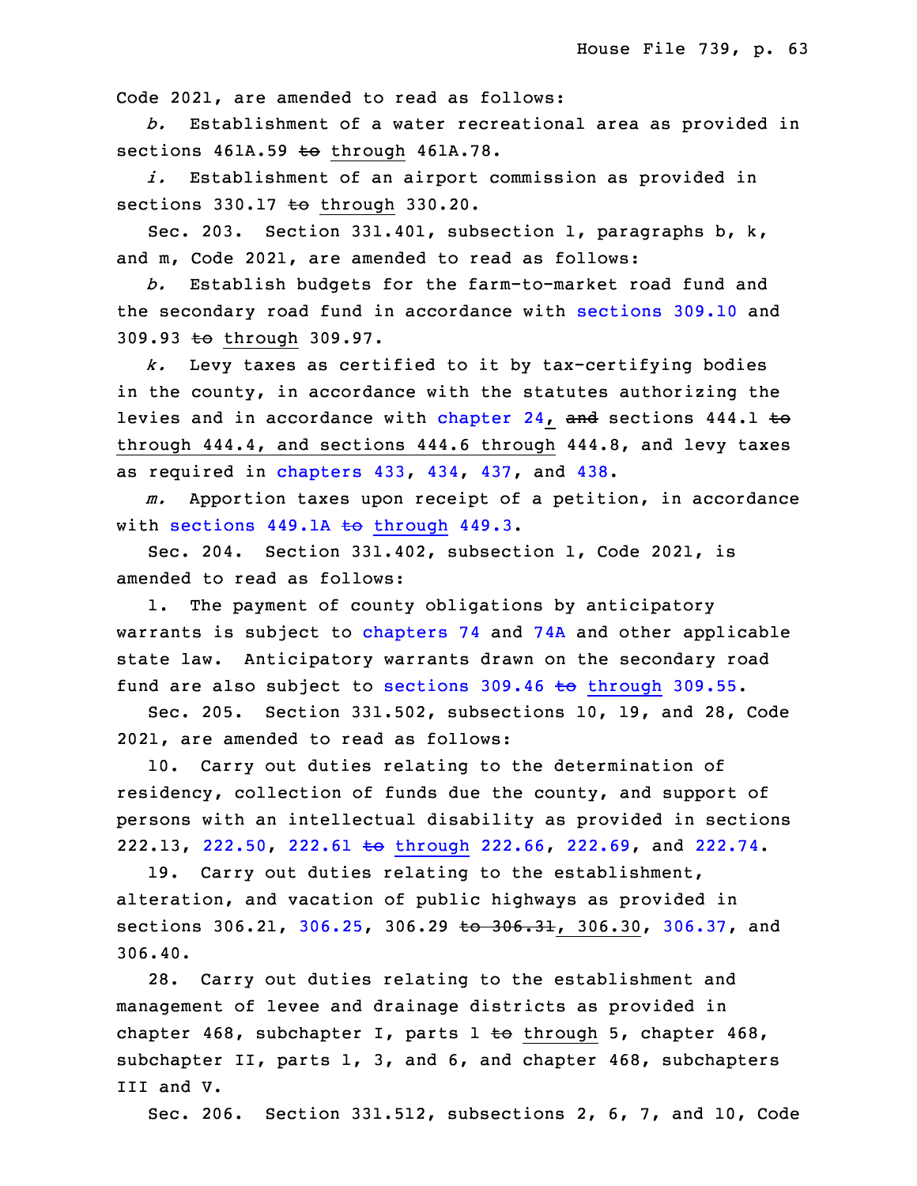Code 2021, are amended to read as follows:

5 *b.* Establishment of <sup>a</sup> water recreational area as provided in sections  $461A.59$  to through  $461A.78$ .

i. Establishment of an airport commission as provided in sections  $330.17$  to through  $330.20$ .

Sec. 203. Section 331.401, subsection 1, paragraphs b,  $k$ , and m, Code 2021, are amended to read as follows:

 *b.* Establish budgets for the farm-to-market road fund and the secondary road fund in accordance with [sections](https://www.legis.iowa.gov/docs/code/2021/309.10.pdf) 309.10 and 309.93 to through 309.97.

 *k.* Levy taxes as certified to it by tax-certifying bodies in the county, in accordance with the statutes authorizing the levies and in accordance with [chapter](https://www.legis.iowa.gov/docs/code/2021/24.pdf) 24, and sections 444.1 to through  $444.4$ , and sections  $444.6$  through  $444.8$ , and levy taxes as required in [chapters](https://www.legis.iowa.gov/docs/code/2021/433.pdf) 433, [434](https://www.legis.iowa.gov/docs/code/2021/434.pdf), [437](https://www.legis.iowa.gov/docs/code/2021/437.pdf), and [438](https://www.legis.iowa.gov/docs/code/2021/438.pdf).

m. Apportion taxes upon receipt of a petition, in accordance with sections  $449.1A$  to [through](https://www.legis.iowa.gov/docs/code/2021/449.1A.pdf)  $449.3$ .

 Sec. 204. Section 331.402, subsection 1, Code 2021, is amended to read as follows:

1. The payment of county obligations by anticipatory warrants is subject to [chapters](https://www.legis.iowa.gov/docs/code/2021/74.pdf) 74 and [74A](https://www.legis.iowa.gov/docs/code/2021/74A.pdf) and other applicable state law. Anticipatory warrants drawn on the secondary road fund are also subject to sections  $309.46$  to [through](https://www.legis.iowa.gov/docs/code/2021/309.46.pdf)  $309.55$ .

Sec. 205. Section 331.502, subsections 10, 19, and 28, Code 2021, are amended to read as follows:

10. Carry out duties relating to the determination of residency, collection of funds due the county, and support of persons with an intellectual disability as provided in sections 222.13, [222.50](https://www.legis.iowa.gov/docs/code/2021/222.50.pdf), 222.61 to [through](https://www.legis.iowa.gov/docs/code/2021/222.61.pdf) 222.66, [222.69](https://www.legis.iowa.gov/docs/code/2021/222.69.pdf), and [222.74](https://www.legis.iowa.gov/docs/code/2021/222.74.pdf).

19. Carry out duties relating to the establishment, alteration, and vacation of public highways as provided in sections 306.21, [306.25](https://www.legis.iowa.gov/docs/code/2021/306.25.pdf), 306.29 to 306.31, 306.30, [306.37](https://www.legis.iowa.gov/docs/code/2021/306.37.pdf), and 306.40.

 28. Carry out duties relating to the establishment and management of levee and drainage districts as provided in chapter 468, subchapter I, parts  $1 \text{ to through } 5$ , chapter 468, subchapter II, parts 1, 3, and 6, and chapter 468, subchapters III and V.

Sec. 206. Section 331.512, subsections 2, 6, 7, and 10, Code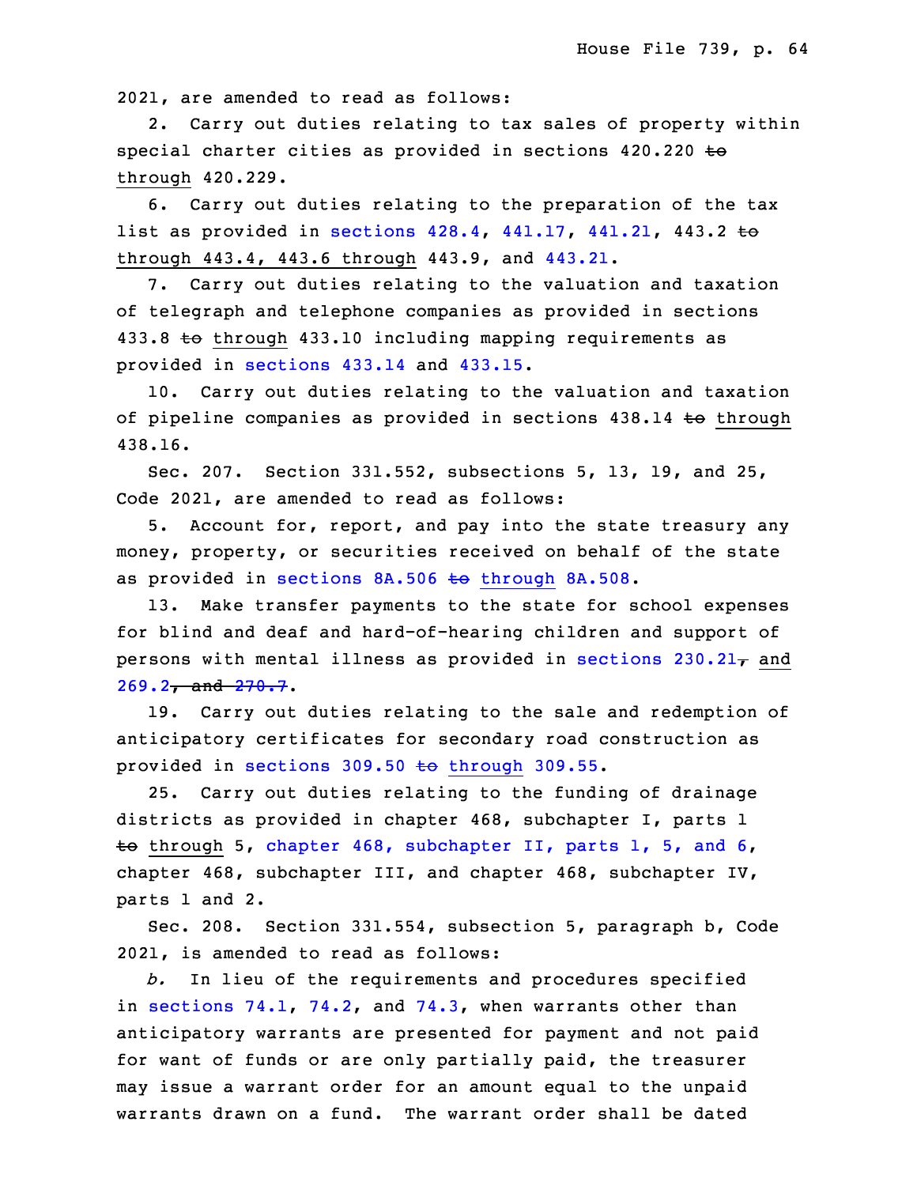2021, are amended to read as follows:

2. Carry out duties relating to tax sales of property within special charter cities as provided in sections  $420.220$  to through 420.229.

 6. Carry out duties relating to the preparation of the tax list as provided in [sections](https://www.legis.iowa.gov/docs/code/2021/428.4.pdf)  $428.4$ ,  $441.17$ ,  $441.21$ ,  $443.2$  to through 443.4, 443.6 through 443.9, and [443.21](https://www.legis.iowa.gov/docs/code/2021/443.21.pdf).

7. Carry out duties relating to the valuation and taxation of telegraph and telephone companies as provided in sections 433.8 to through 433.10 including mapping requirements as provided in [sections](https://www.legis.iowa.gov/docs/code/2021/433.14.pdf) 433.14 and [433.15](https://www.legis.iowa.gov/docs/code/2021/433.15.pdf).

10. Carry out duties relating to the valuation and taxation of pipeline companies as provided in sections 438.14 to through 438.16.

 Sec. 207. Section 331.552, subsections 5, 13, 19, and 25, Code 2021, are amended to read as follows:

 5. Account for, report, and pay into the state treasury any money, property, or securities received on behalf of the state as provided in sections  $8A.506$  to [through](https://www.legis.iowa.gov/docs/code/2021/8A.506.pdf)  $8A.508$ .

13. Make transfer payments to the state for school expenses for blind and deaf and hard-of-hearing children and support of persons with mental illness as provided in [sections](https://www.legis.iowa.gov/docs/code/2021/230.21.pdf)  $230.21<sub>T</sub>$  and  $269.2 - and -270.7.$  $269.2 - and -270.7.$  $269.2 - and -270.7.$  $269.2 - and -270.7.$ 

19. Carry out duties relating to the sale and redemption of anticipatory certificates for secondary road construction as provided in [sections](https://www.legis.iowa.gov/docs/code/2021/309.50.pdf)  $309.50$  to through 309.55.

34 25. Carry out duties relating to the funding of drainage districts as provided in chapter 468, subchapter I, parts 1 to through 5, chapter 468, [subchapter](https://www.legis.iowa.gov/docs/code/2021/468.pdf) II, parts 1, 5, and 6, chapter 468, subchapter III, and chapter 468, subchapter IV, parts 1 and 2.

 Sec. 208. Section 331.554, subsection 5, paragraph b, Code 2021, is amended to read as follows:

6 *b.* In lieu of the requirements and procedures specified in [sections](https://www.legis.iowa.gov/docs/code/2021/74.1.pdf)  $74.1$ ,  $74.2$ , and  $74.3$ , when warrants other than anticipatory warrants are presented for payment and not paid for want of funds or are only partially paid, the treasurer may issue a warrant order for an amount equal to the unpaid warrants drawn on a fund. The warrant order shall be dated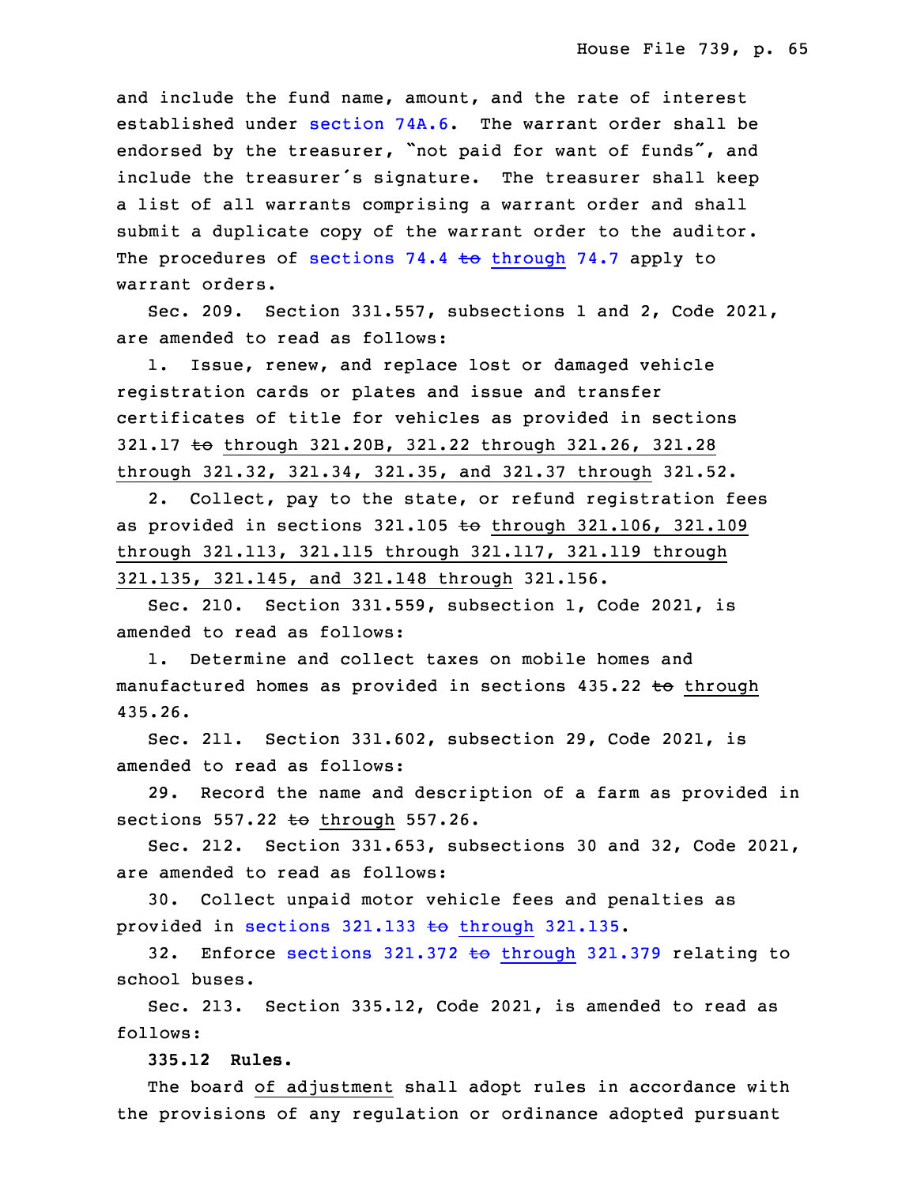and include the fund name, amount, and the rate of interest established under [section](https://www.legis.iowa.gov/docs/code/2021/74A.6.pdf)  $74A.6$ . The warrant order shall be endorsed by the treasurer, "not paid for want of funds", and include the treasurer's signature. The treasurer shall keep a list of all warrants comprising a warrant order and shall submit a duplicate copy of the warrant order to the auditor. The procedures of sections 74.4 to [through](https://www.legis.iowa.gov/docs/code/2021/74.4.pdf) 74.7 apply to warrant orders.

Sec. 209. Section 331.557, subsections 1 and 2, Code 2021, are amended to read as follows:

 1. Issue, renew, and replace lost or damaged vehicle registration cards or plates and issue and transfer certificates of title for vehicles as provided in sections 321.17 to through 321.20B, 321.22 through 321.26, 321.28 26 through 321.32, 321.34, 321.35, and 321.37 through 321.52.

2. Collect, pay to the state, or refund registration fees as provided in sections 321.105 to through 321.106, 321.109 29 through 321.113, 321.115 through 321.117, 321.119 through 30 321.135, 321.145, and 321.148 through 321.156.

Sec. 210. Section 331.559, subsection 1, Code 2021, is amended to read as follows:

1. Determine and collect taxes on mobile homes and manufactured homes as provided in sections 435.22 to through 35 435.26.

 Sec. 211. Section 331.602, subsection 29, Code 2021, is amended to read as follows:

3 29. Record the name and description of <sup>a</sup> farm as provided in sections  $557.22$  to through  $557.26$ .

5 Sec. 212. Section 331.653, subsections 30 and 32, Code 2021, are amended to read as follows:

7 30. Collect unpaid motor vehicle fees and penalties as provided in sections  $321.133$  to [through](https://www.legis.iowa.gov/docs/code/2021/321.133.pdf)  $321.135$ .

32. Enforce [sections](https://www.legis.iowa.gov/docs/code/2021/321.372.pdf)  $321.372$  to through  $321.379$  relating to school buses.

 Sec. 213. Section 335.12, Code 2021, is amended to read as follows:

13 **335.12 Rules.**

 The board of adjustment shall adopt rules in accordance with the provisions of any regulation or ordinance adopted pursuant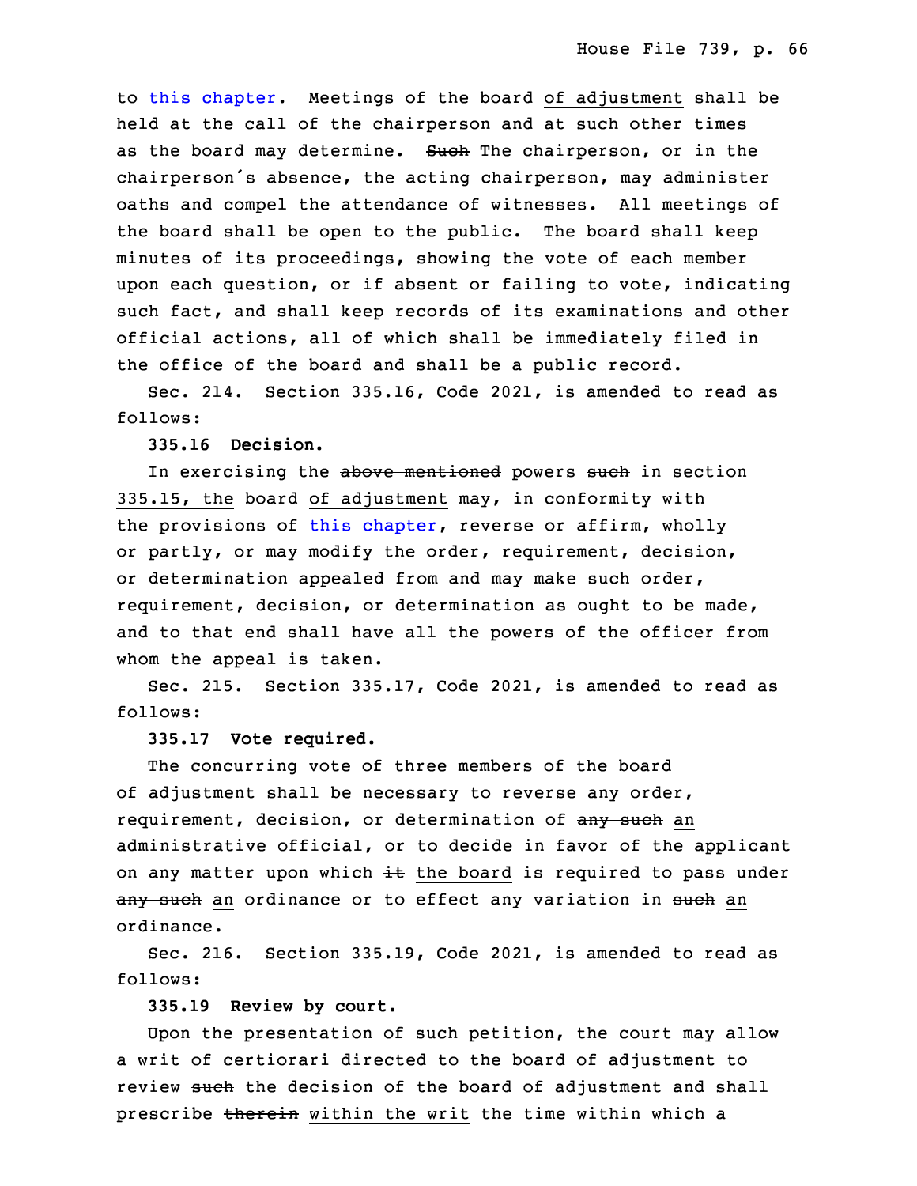to this [chapter](https://www.legis.iowa.gov/docs/code/2021/335.pdf). Meetings of the board of adjustment shall be held at the call of the chairperson and at such other times as the board may determine. Such The chairperson, or in the chairperson's absence, the acting chairperson, may administer oaths and compel the attendance of witnesses. All meetings of the board shall be open to the public. The board shall keep minutes of its proceedings, showing the vote of each member upon each question, or if absent or failing to vote, indicating such fact, and shall keep records of its examinations and other official actions, all of which shall be immediately filed in the office of the board and shall be a public record.

Sec. 214. Section 335.16, Code 2021, is amended to read as follows:

29 **335.16 Decision.**

In exercising the above mentioned powers such in section 335.15, the board of adjustment may, in conformity with the provisions of this [chapter](https://www.legis.iowa.gov/docs/code/2021/335.pdf), reverse or affirm, wholly or partly, or may modify the order, requirement, decision, or determination appealed from and may make such order, requirement, decision, or determination as ought to be made, and to that end shall have all the powers of the officer from whom the appeal is taken.

3 Sec. 215. Section 335.17, Code 2021, is amended to read as follows:

#### 5 **335.17 Vote required.**

The concurring vote of three members of the board of adjustment shall be necessary to reverse any order, requirement, decision, or determination of any such an administrative official, or to decide in favor of the applicant on any matter upon which  $\pm$  the board is required to pass under any such an ordinance or to effect any variation in such an ordinance.

Sec. 216. Section 335.19, Code 2021, is amended to read as follows:

15 **335.19 Review by court.**

Upon the presentation of such petition, the court may allow a writ of certiorari directed to the board of adjustment to review such the decision of the board of adjustment and shall prescribe therein within the writ the time within which a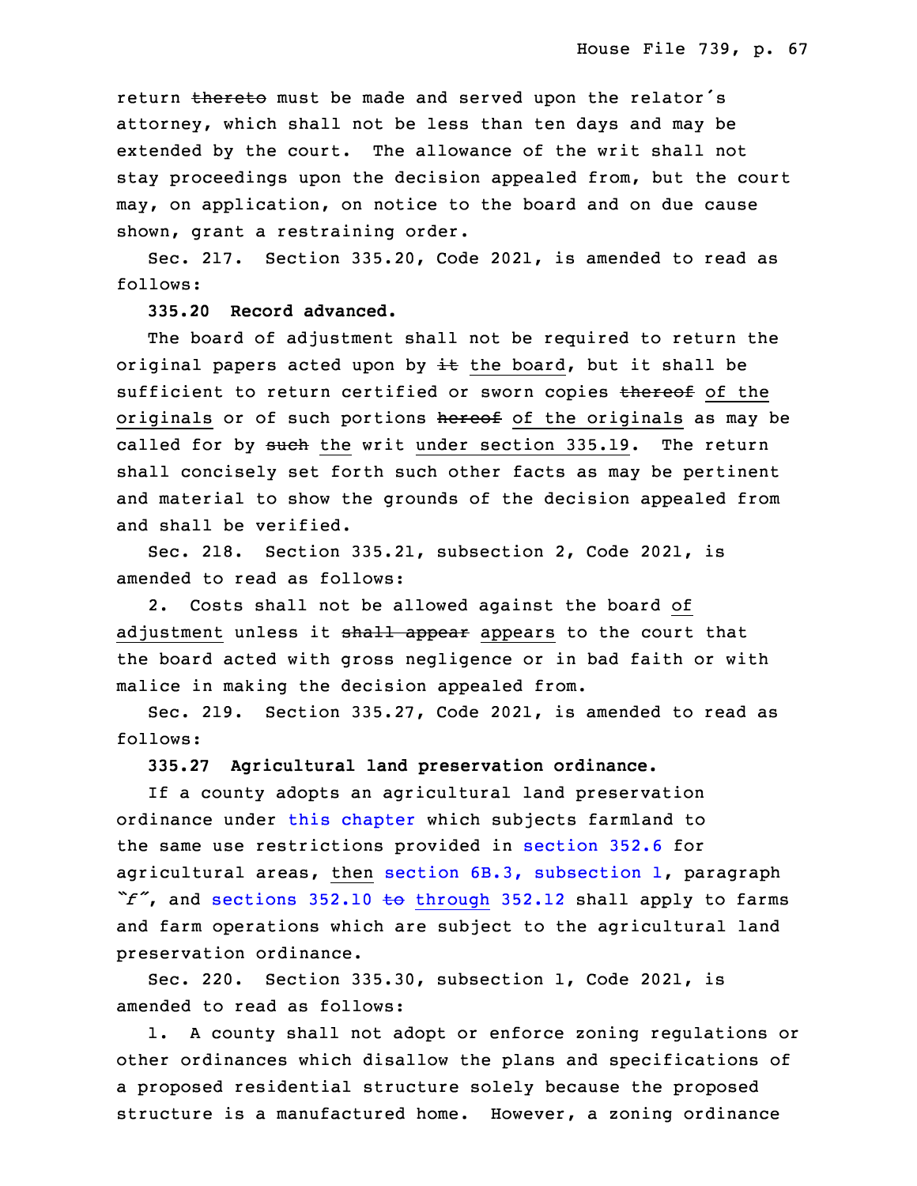return thereto must be made and served upon the relator's attorney, which shall not be less than ten days and may be extended by the court. The allowance of the writ shall not stay proceedings upon the decision appealed from, but the court may, on application, on notice to the board and on due cause shown, grant a restraining order.

Sec. 217. Section 335.20, Code 2021, is amended to read as follows:

#### 28 **335.20 Record advanced.**

The board of adjustment shall not be required to return the original papers acted upon by  $\pm\epsilon$  the board, but it shall be sufficient to return certified or sworn copies thereof of the originals or of such portions hereof of the originals as may be called for by such the writ under section 335.19. The return shall concisely set forth such other facts as may be pertinent and material to show the grounds of the decision appealed from and shall be verified.

 Sec. 218. Section 335.21, subsection 2, Code 2021, is amended to read as follows:

 2. Costs shall not be allowed against the board of adjustment unless it shall appear appears to the court that the board acted with gross negligence or in bad faith or with malice in making the decision appealed from.

Sec. 219. Section 335.27, Code 2021, is amended to read as follows:

## 10 **335.27 Agricultural land preservation ordinance.**

 If <sup>a</sup> county adopts an agricultural land preservation ordinance under this [chapter](https://www.legis.iowa.gov/docs/code/2021/335.pdf) which subjects farmland to the same use restrictions provided in [section](https://www.legis.iowa.gov/docs/code/2021/352.6.pdf) 352.6 for agricultural areas, then section 6B.3, [subsection](https://www.legis.iowa.gov/docs/code/2021/6B.3.pdf) 1, paragraph "f", and sections 352.10 to [through](https://www.legis.iowa.gov/docs/code/2021/352.10.pdf) 352.12 shall apply to farms and farm operations which are subject to the agricultural land preservation ordinance.

Sec. 220. Section 335.30, subsection 1, Code 2021, is amended to read as follows:

1. A county shall not adopt or enforce zoning regulations or other ordinances which disallow the plans and specifications of <sup>a</sup> proposed residential structure solely because the proposed structure is a manufactured home. However, a zoning ordinance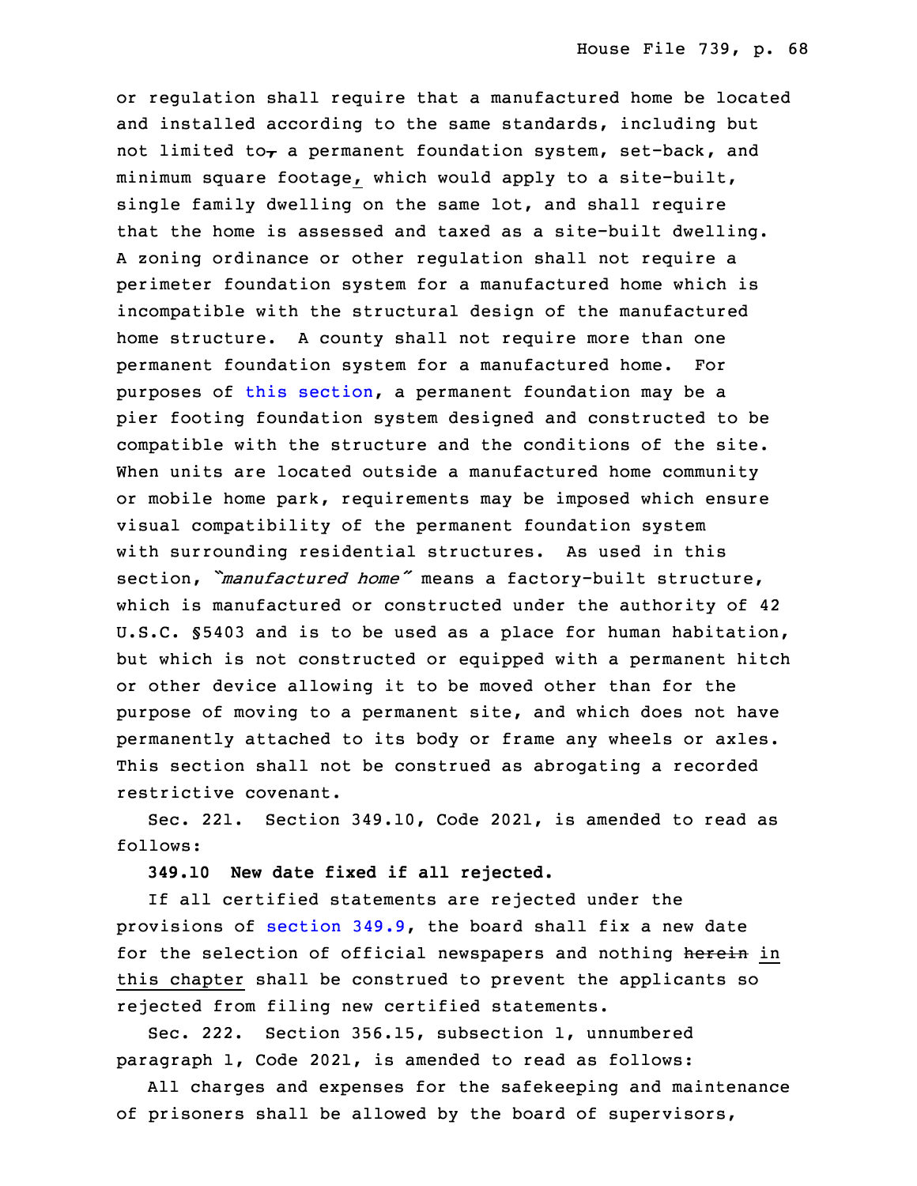or regulation shall require that <sup>a</sup> manufactured home be located and installed according to the same standards, including but not limited to<sub>r</sub> a permanent foundation system, set-back, and minimum square footage, which would apply to a site-built, single family dwelling on the same lot, and shall require that the home is assessed and taxed as a site-built dwelling. A zoning ordinance or other regulation shall not require a perimeter foundation system for a manufactured home which is incompatible with the structural design of the manufactured home structure. A county shall not require more than one permanent foundation system for a manufactured home. For purposes of this [section](https://www.legis.iowa.gov/docs/code/2021/335.30.pdf), a permanent foundation may be a pier footing foundation system designed and constructed to be compatible with the structure and the conditions of the site. When units are located outside a manufactured home community or mobile home park, requirements may be imposed which ensure visual compatibility of the permanent foundation system with surrounding residential structures. As used in this section, *"manufactured home"* means a factory-built structure, which is manufactured or constructed under the authority of 42 U.S.C. §5403 and is to be used as a place for human habitation, but which is not constructed or equipped with a permanent hitch or other device allowing it to be moved other than for the purpose of moving to <sup>a</sup> permanent site, and which does not have permanently attached to its body or frame any wheels or axles. This section shall not be construed as abrogating <sup>a</sup> recorded restrictive covenant.

Sec. 221. Section 349.10, Code 2021, is amended to read as follows:

18 **349.10 New date fixed if all rejected.**

If all certified statements are rejected under the provisions of [section](https://www.legis.iowa.gov/docs/code/2021/349.9.pdf)  $349.9$ , the board shall fix a new date for the selection of official newspapers and nothing herein in this chapter shall be construed to prevent the applicants so rejected from filing new certified statements.

 Sec. 222. Section 356.15, subsection 1, unnumbered paragraph 1, Code 2021, is amended to read as follows:

All charges and expenses for the safekeeping and maintenance of prisoners shall be allowed by the board of supervisors,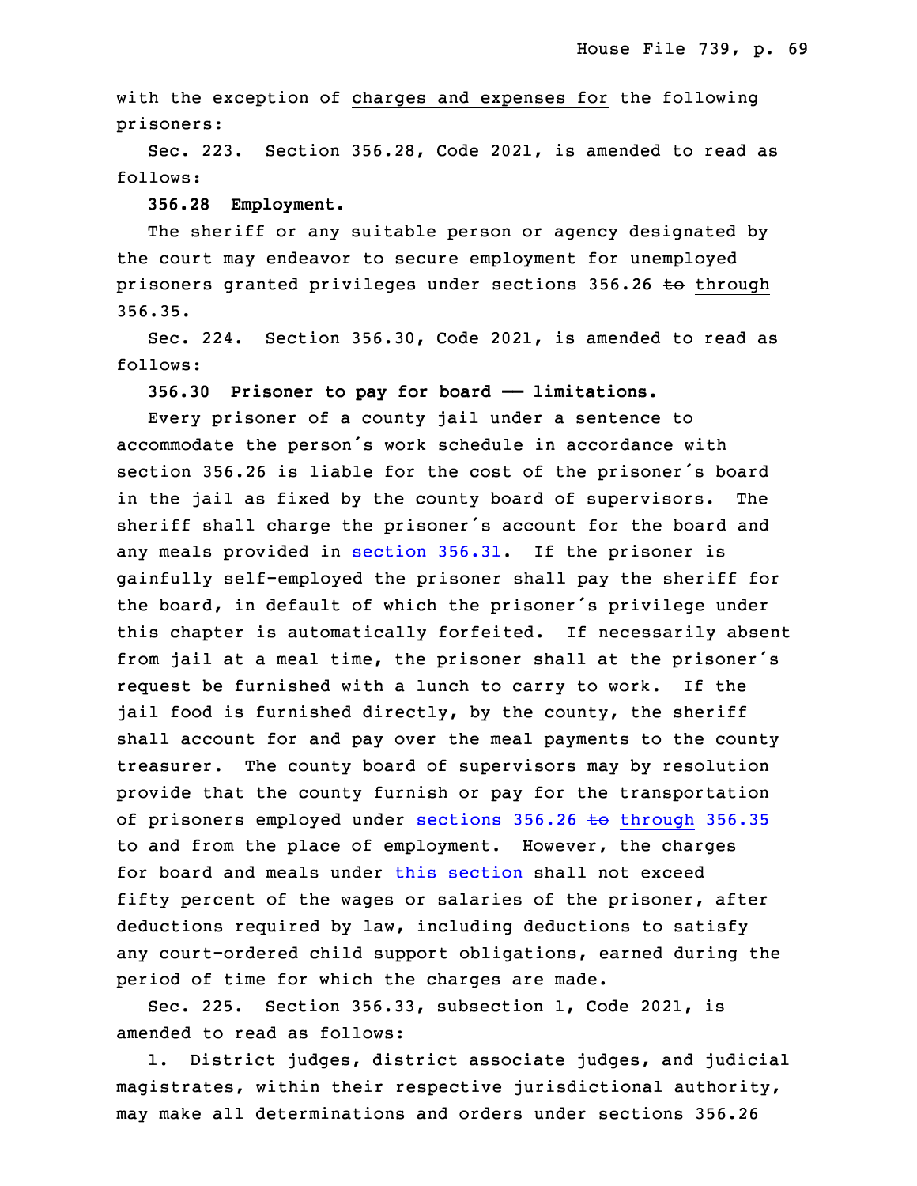with the exception of charges and expenses for the following prisoners:

Sec. 223. Section 356.28, Code 2021, is amended to read as follows:

32 **356.28 Employment.**

The sheriff or any suitable person or agency designated by the court may endeavor to secure employment for unemployed prisoners granted privileges under sections 356.26 to through 356.35.

 Sec. 224. Section 356.30, Code 2021, is amended to read as follows:

**356.30 Prisoner to pay for board —— limitations.**

Every prisoner of a county jail under a sentence to accommodate the person's work schedule in accordance with section 356.26 is liable for the cost of the prisoner's board in the jail as fixed by the county board of supervisors. The sheriff shall charge the prisoner's account for the board and any meals provided in [section](https://www.legis.iowa.gov/docs/code/2021/356.31.pdf) 356.31. If the prisoner is gainfully self-employed the prisoner shall pay the sheriff for the board, in default of which the prisoner's privilege under this chapter is automatically forfeited. If necessarily absent from jail at <sup>a</sup> meal time, the prisoner shall at the prisoner's request be furnished with a lunch to carry to work. If the jail food is furnished directly, by the county, the sheriff shall account for and pay over the meal payments to the county treasurer. The county board of supervisors may by resolution provide that the county furnish or pay for the transportation of prisoners employed under sections  $356.26$  to [through](https://www.legis.iowa.gov/docs/code/2021/356.26.pdf)  $356.35$  to and from the place of employment. However, the charges for board and meals under this [section](https://www.legis.iowa.gov/docs/code/2021/356.30.pdf) shall not exceed fifty percent of the wages or salaries of the prisoner, after deductions required by law, including deductions to satisfy any court-ordered child support obligations, earned during the period of time for which the charges are made.

Sec. 225. Section 356.33, subsection 1, Code 2021, is amended to read as follows:

1. District judges, district associate judges, and judicial magistrates, within their respective jurisdictional authority, 31 may make all determinations and orders under sections 356.26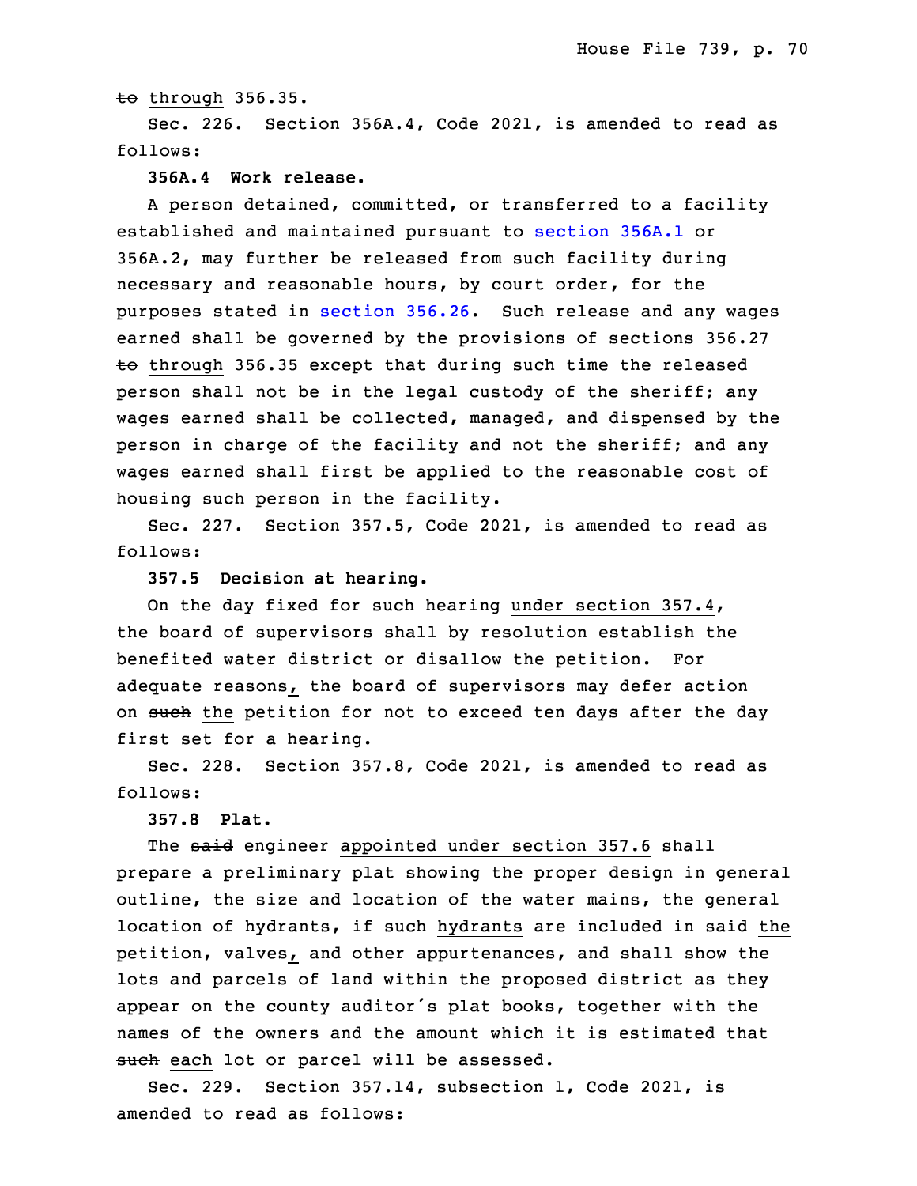to through 356.35.

Sec. 226. Section 356A.4, Code 2021, is amended to read as follows:

#### 35 **356A.4 Work release.**

 <sup>A</sup> person detained, committed, or transferred to <sup>a</sup> facility established and maintained pursuant to [section](https://www.legis.iowa.gov/docs/code/2021/356A.1.pdf) 356A.1 or 3 356A.2, may further be released from such facility during necessary and reasonable hours, by court order, for the purposes stated in [section](https://www.legis.iowa.gov/docs/code/2021/356.26.pdf) 356.26. Such release and any wages earned shall be governed by the provisions of sections 356.27  $\overline{2}$  through 356.35 except that during such time the released person shall not be in the legal custody of the sheriff; any wages earned shall be collected, managed, and dispensed by the person in charge of the facility and not the sheriff; and any wages earned shall first be applied to the reasonable cost of housing such person in the facility.

Sec. 227. Section 357.5, Code 2021, is amended to read as follows:

15 **357.5 Decision at hearing.**

On the day fixed for such hearing under section  $357.4$ , the board of supervisors shall by resolution establish the benefited water district or disallow the petition. For adequate reasons, the board of supervisors may defer action on such the petition for not to exceed ten days after the day first set for <sup>a</sup> hearing.

 Sec. 228. Section 357.8, Code 2021, is amended to read as follows:

**357.8 Plat.**

The said engineer appointed under section 357.6 shall prepare a preliminary plat showing the proper design in general outline, the size and location of the water mains, the general location of hydrants, if such hydrants are included in said the petition, valves, and other appurtenances, and shall show the lots and parcels of land within the proposed district as they appear on the county auditor's plat books, together with the names of the owners and the amount which it is estimated that such each lot or parcel will be assessed.

Sec. 229. Section 357.14, subsection 1, Code 2021, is amended to read as follows: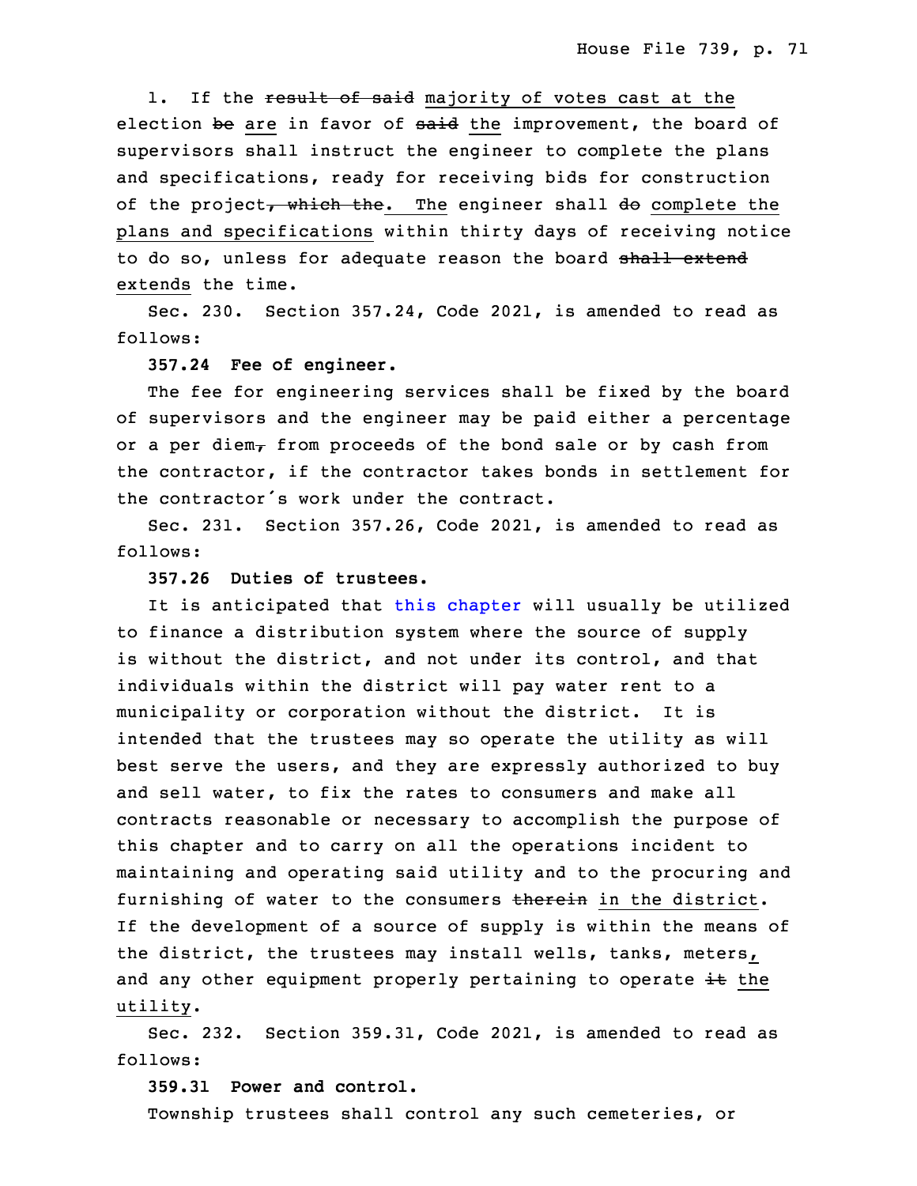1. If the result of said majority of votes cast at the election be are in favor of said the improvement, the board of supervisors shall instruct the engineer to complete the plans and specifications, ready for receiving bids for construction of the project, which the. The engineer shall do complete the plans and specifications within thirty days of receiving notice to do so, unless for adequate reason the board shall extend extends the time.

Sec. 230. Section 357.24, Code 2021, is amended to read as follows:

## **357.24 Fee of engineer.**

 The fee for engineering services shall be fixed by the board of supervisors and the engineer may be paid either a percentage or a per diem $<sub>\tau</sub>$  from proceeds of the bond sale or by cash from</sub> the contractor, if the contractor takes bonds in settlement for the contractor's work under the contract.

Sec. 231. Section 357.26, Code 2021, is amended to read as follows:

# 19 **357.26 Duties of trustees.**

It is anticipated that this [chapter](https://www.legis.iowa.gov/docs/code/2021/357.pdf) will usually be utilized to finance <sup>a</sup> distribution system where the source of supply is without the district, and not under its control, and that individuals within the district will pay water rent to a municipality or corporation without the district. It is intended that the trustees may so operate the utility as will best serve the users, and they are expressly authorized to buy and sell water, to fix the rates to consumers and make all contracts reasonable or necessary to accomplish the purpose of this chapter and to carry on all the operations incident to maintaining and operating said utility and to the procuring and furnishing of water to the consumers therein in the district. If the development of a source of supply is within the means of the district, the trustees may install wells, tanks, meters, and any other equipment properly pertaining to operate  $\pm\epsilon$  the utility.

 Sec. 232. Section 359.31, Code 2021, is amended to read as follows:

# 3 **359.31 Power and control.**

Township trustees shall control any such cemeteries, or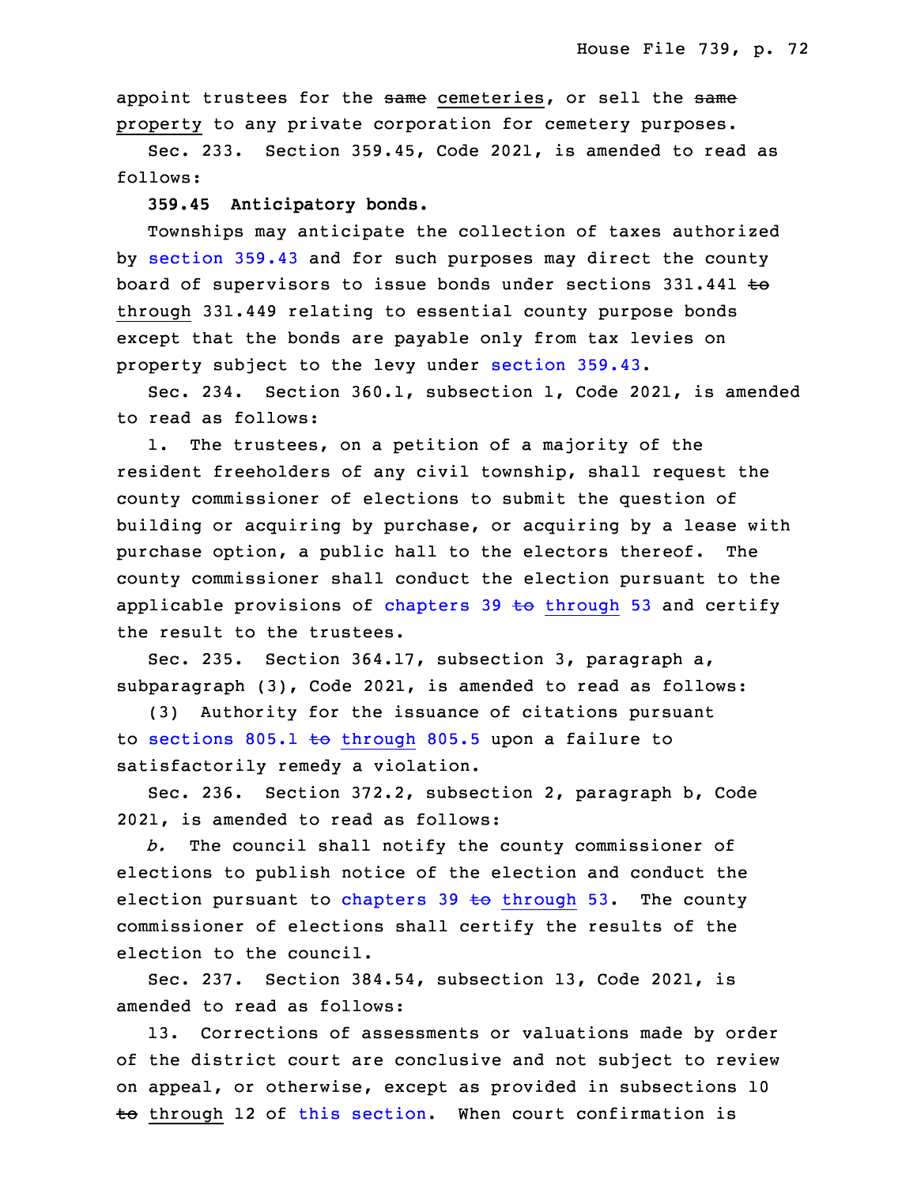appoint trustees for the same cemeteries, or sell the same property to any private corporation for cemetery purposes.

Sec. 233. Section 359.45, Code 2021, is amended to read as follows:

9 **359.45 Anticipatory bonds.**

Townships may anticipate the collection of taxes authorized by [section](https://www.legis.iowa.gov/docs/code/2021/359.43.pdf) 359.43 and for such purposes may direct the county board of supervisors to issue bonds under sections 331.441 to through 331.449 relating to essential county purpose bonds except that the bonds are payable only from tax levies on property subject to the levy under [section](https://www.legis.iowa.gov/docs/code/2021/359.43.pdf) 359.43.

Sec. 234. Section 360.1, subsection 1, Code 2021, is amended to read as follows:

1. The trustees, on a petition of a majority of the resident freeholders of any civil township, shall request the county commissioner of elections to submit the question of building or acquiring by purchase, or acquiring by <sup>a</sup> lease with purchase option, <sup>a</sup> public hall to the electors thereof. The county commissioner shall conduct the election pursuant to the applicable provisions of [chapters](https://www.legis.iowa.gov/docs/code/2021/39.pdf) 39  $\pm$ o through 53 and certify the result to the trustees.

Sec. 235. Section 364.17, subsection 3, paragraph a, subparagraph (3), Code 2021, is amended to read as follows:

(3) Authority for the issuance of citations pursuant to sections 805.1 to [through](https://www.legis.iowa.gov/docs/code/2021/805.1.pdf) 805.5 upon a failure to satisfactorily remedy a violation.

Sec. 236. Section 372.2, subsection 2, paragraph b, Code 32 2021, is amended to read as follows:

33 *b.* The council shall notify the county commissioner of elections to publish notice of the election and conduct the election pursuant to [chapters](https://www.legis.iowa.gov/docs/code/2021/39.pdf) 39  $\pm$ o through 53. The county commissioner of elections shall certify the results of the election to the council.

3 Sec. 237. Section 384.54, subsection 13, Code 2021, is amended to read as follows:

13. Corrections of assessments or valuations made by order of the district court are conclusive and not subject to review on appeal, or otherwise, except as provided in subsections 10  $\overline{6}$  through 12 of this [section](https://www.legis.iowa.gov/docs/code/2021/384.54.pdf). When court confirmation is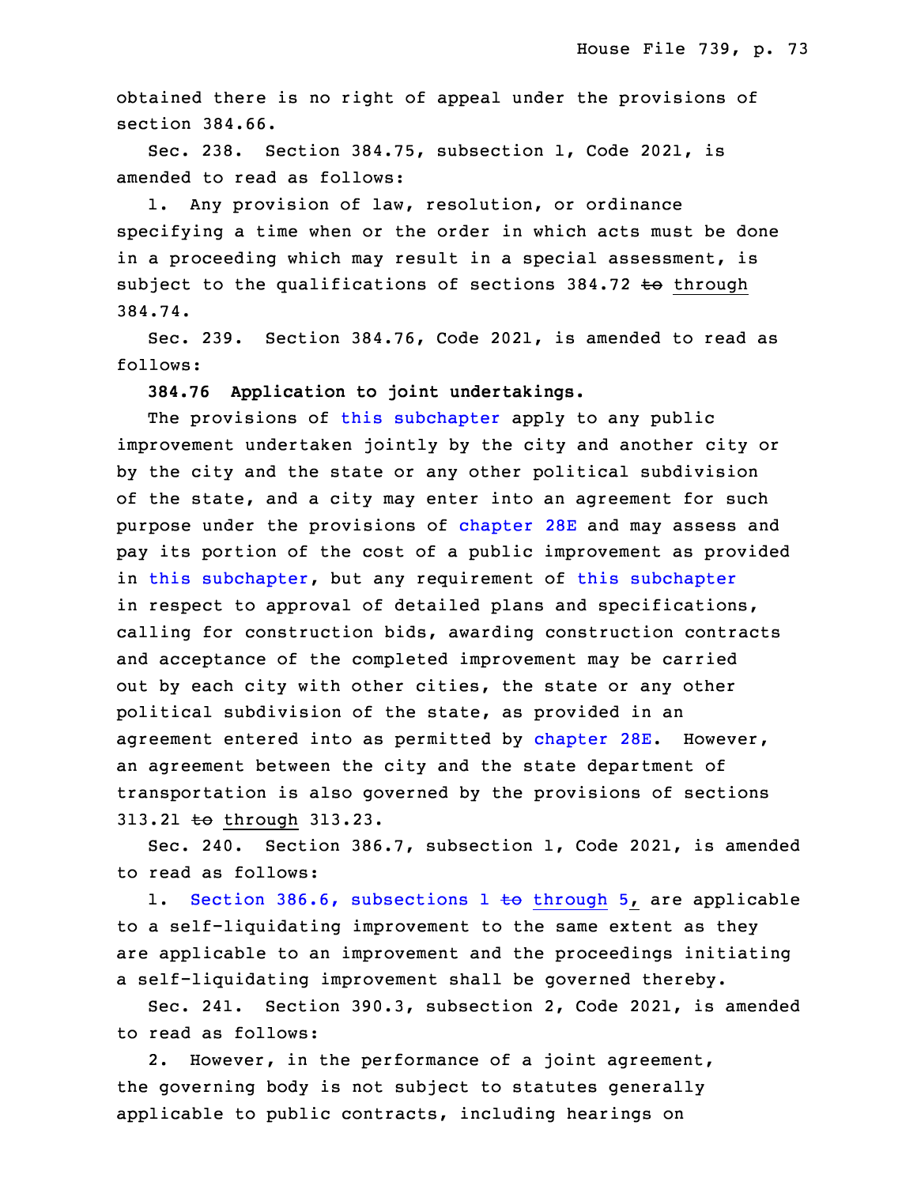obtained there is no right of appeal under the provisions of section 384.66.

 Sec. 238. Section 384.75, subsection 1, Code 2021, is amended to read as follows:

1. Any provision of law, resolution, or ordinance specifying <sup>a</sup> time when or the order in which acts must be done in a proceeding which may result in a special assessment, is subject to the qualifications of sections  $384.72$  to through 17 384.74.

Sec. 239. Section 384.76, Code 2021, is amended to read as follows:

20 **384.76 Application to joint undertakings.**

The provisions of this [subchapter](https://www.legis.iowa.gov/docs/code/2021/384.pdf) apply to any public improvement undertaken jointly by the city and another city or by the city and the state or any other political subdivision of the state, and <sup>a</sup> city may enter into an agreement for such purpose under the provisions of [chapter](https://www.legis.iowa.gov/docs/code/2021/28E.pdf) 28E and may assess and pay its portion of the cost of a public improvement as provided in this [subchapter](https://www.legis.iowa.gov/docs/code/2021/384.pdf), but any requirement of this subchapter in respect to approval of detailed plans and specifications, calling for construction bids, awarding construction contracts and acceptance of the completed improvement may be carried out by each city with other cities, the state or any other political subdivision of the state, as provided in an agreement entered into as permitted by [chapter](https://www.legis.iowa.gov/docs/code/2021/28E.pdf) 28E. However, an agreement between the city and the state department of transportation is also governed by the provisions of sections 313.21 to through 313.23.

 Sec. 240. Section 386.7, subsection 1, Code 2021, is amended to read as follows:

1. Section 386.6, [subsections](https://www.legis.iowa.gov/docs/code/2021/386.6.pdf) 1 to through 5, are applicable to a self-liquidating improvement to the same extent as they are applicable to an improvement and the proceedings initiating a self-liquidating improvement shall be governed thereby.

8 Sec. 241. Section 390.3, subsection 2, Code 2021, is amended 9 to read as follows:

2. However, in the performance of a joint agreement, the governing body is not subject to statutes generally applicable to public contracts, including hearings on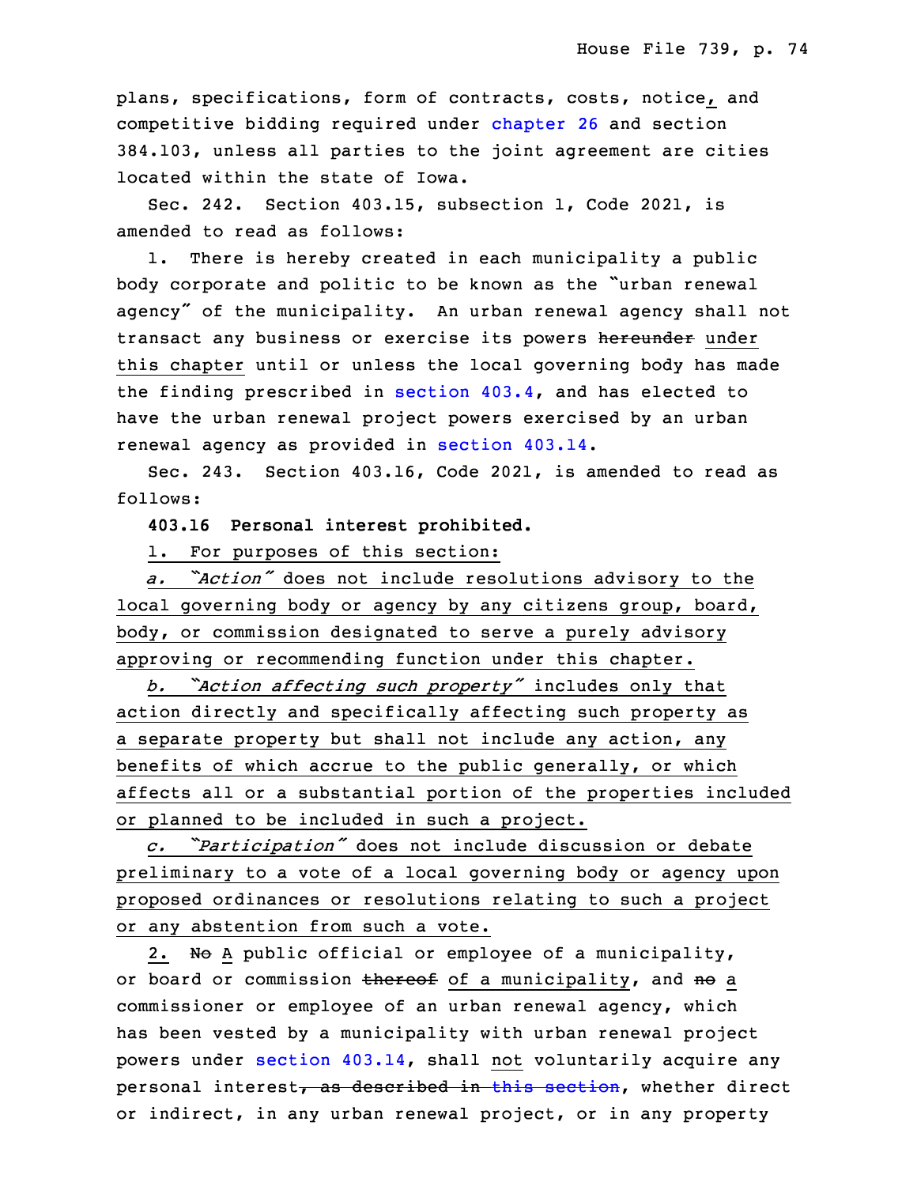plans, specifications, form of contracts, costs, notice, and competitive bidding required under [chapter](https://www.legis.iowa.gov/docs/code/2021/26.pdf) 26 and section 15 384.103, unless all parties to the joint agreement are cities located within the state of Iowa.

Sec. 242. Section 403.15, subsection 1, Code 2021, is amended to read as follows:

1. There is hereby created in each municipality a public body corporate and politic to be known as the "urban renewal agency" of the municipality. An urban renewal agency shall not transact any business or exercise its powers hereunder under this chapter until or unless the local governing body has made the finding prescribed in [section](https://www.legis.iowa.gov/docs/code/2021/403.4.pdf) 403.4, and has elected to have the urban renewal project powers exercised by an urban renewal agency as provided in [section](https://www.legis.iowa.gov/docs/code/2021/403.14.pdf) 403.14.

Sec. 243. Section 403.16, Code 2021, is amended to read as follows:

29 **403.16 Personal interest prohibited.**

1. For purposes of this section:

<sup>31</sup> *a. "Action"* does not include resolutions advisory to the local governing body or agency by any citizens group, board, body, or commission designated to serve a purely advisory approving or recommending function under this chapter.

<sup>35</sup> *b. "Action affecting such property"* includes only that action directly and specifically affecting such property as <sup>a</sup> separate property but shall not include any action, any benefits of which accrue to the public generally, or which affects all or <sup>a</sup> substantial portion of the properties included or planned to be included in such a project.

<sup>6</sup> *c. "Participation"* does not include discussion or debate preliminary to a vote of a local governing body or agency upon proposed ordinances or resolutions relating to such a project or any abstention from such a vote.

2. No A public official or employee of a municipality, or board or commission thereof of a municipality, and no a commissioner or employee of an urban renewal agency, which has been vested by a municipality with urban renewal project powers under section [403.14](https://www.legis.iowa.gov/docs/code/2021/403.14.pdf), shall not voluntarily acquire any personal interest, as described in this [section](https://www.legis.iowa.gov/docs/code/2021/403.16.pdf), whether direct or indirect, in any urban renewal project, or in any property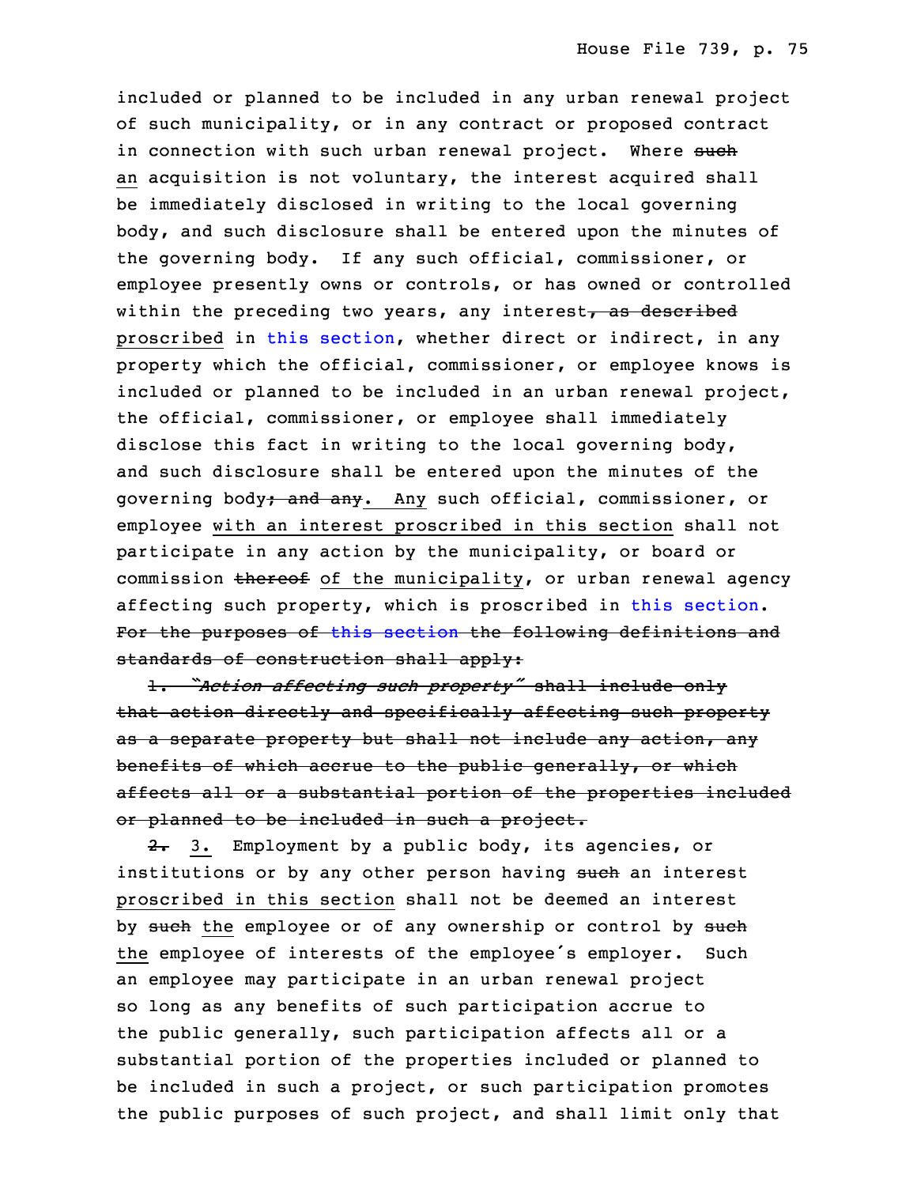included or planned to be included in any urban renewal project of such municipality, or in any contract or proposed contract in connection with such urban renewal project. Where such an acquisition is not voluntary, the interest acquired shall be immediately disclosed in writing to the local governing body, and such disclosure shall be entered upon the minutes of the governing body. If any such official, commissioner, or employee presently owns or controls, or has owned or controlled within the preceding two years, any interest, as described proscribed in this [section](https://www.legis.iowa.gov/docs/code/2021/403.16.pdf), whether direct or indirect, in any property which the official, commissioner, or employee knows is included or planned to be included in an urban renewal project, the official, commissioner, or employee shall immediately disclose this fact in writing to the local governing body, and such disclosure shall be entered upon the minutes of the governing body; and any. Any such official, commissioner, or employee with an interest proscribed in this section shall not participate in any action by the municipality, or board or commission thereof of the municipality, or urban renewal agency affecting such property, which is proscribed in this [section](https://www.legis.iowa.gov/docs/code/2021/403.16.pdf). For the purposes of this [section](https://www.legis.iowa.gov/docs/code/2021/403.16.pdf) the following definitions and standards of construction shall apply:

 1. *"Action affecting such property"* shall include only that action directly and specifically affecting such property as a separate property but shall not include any action, any benefits of which accrue to the public generally, or which affects all or a substantial portion of the properties included or planned to be included in such a project.

2. 3. Employment by a public body, its agencies, or institutions or by any other person having such an interest proscribed in this section shall not be deemed an interest by such the employee or of any ownership or control by such the employee of interests of the employee's employer. Such an employee may participate in an urban renewal project so long as any benefits of such participation accrue to the public generally, such participation affects all or a substantial portion of the properties included or planned to be included in such a project, or such participation promotes the public purposes of such project, and shall limit only that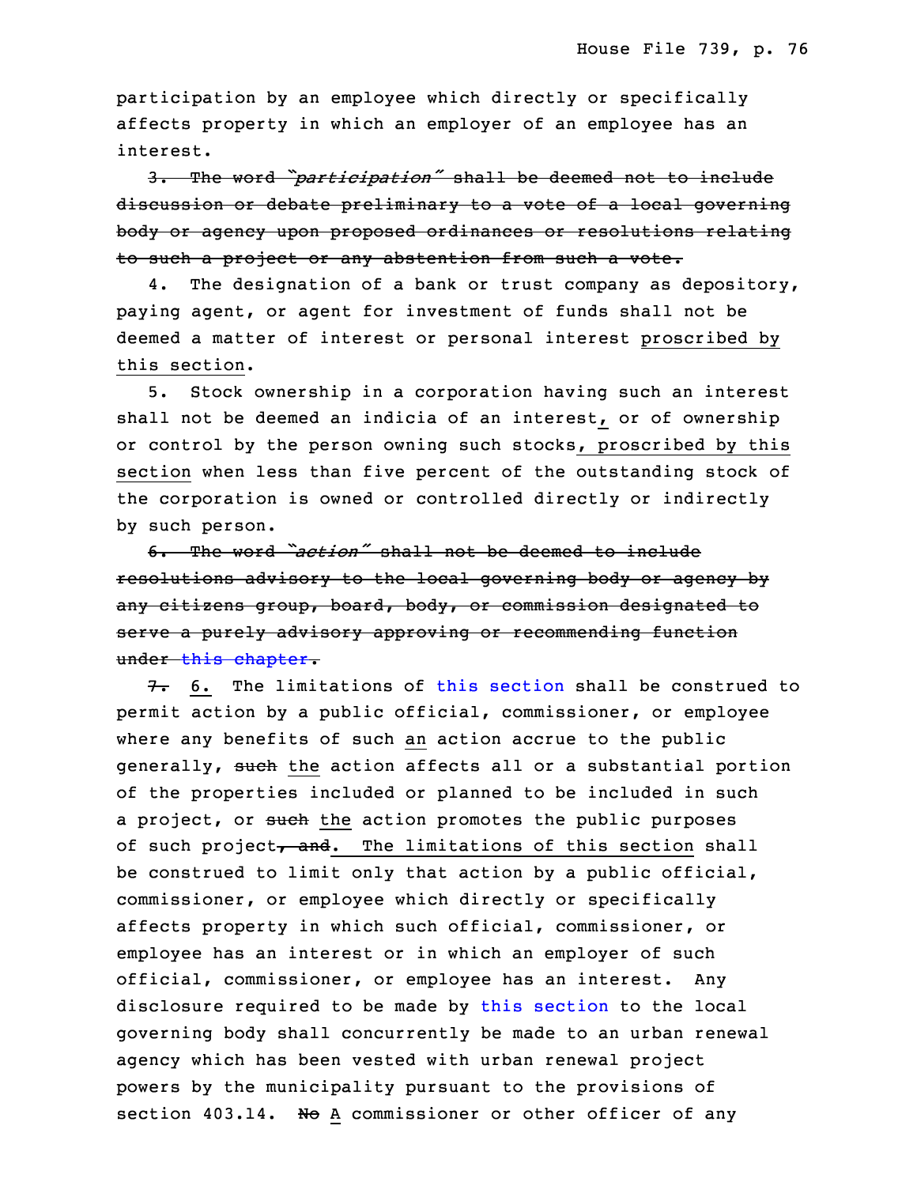participation by an employee which directly or specifically affects property in which an employer of an employee has an interest.

 3. The word *"participation"* shall be deemed not to include discussion or debate preliminary to a vote of a local governing body or agency upon proposed ordinances or resolutions relating to such a project or any abstention from such a vote.

4. The designation of a bank or trust company as depository, paying agent, or agent for investment of funds shall not be deemed a matter of interest or personal interest proscribed by this section.

5. Stock ownership in a corporation having such an interest shall not be deemed an indicia of an interest, or of ownership or control by the person owning such stocks, proscribed by this section when less than five percent of the outstanding stock of the corporation is owned or controlled directly or indirectly by such person.

3 6. The word *"action"* shall not be deemed to include resolutions advisory to the local governing body or agency by any citizens group, board, body, or commission designated to serve a purely advisory approving or recommending function under this [chapter](https://www.legis.iowa.gov/docs/code/2021/403.pdf).

 $7. 6.$  The limitations of this [section](https://www.legis.iowa.gov/docs/code/2021/403.16.pdf) shall be construed to 9 permit action by <sup>a</sup> public official, commissioner, or employee where any benefits of such an action accrue to the public generally, such the action affects all or a substantial portion of the properties included or planned to be included in such a project, or such the action promotes the public purposes of such project, and. The limitations of this section shall be construed to limit only that action by a public official, commissioner, or employee which directly or specifically affects property in which such official, commissioner, or employee has an interest or in which an employer of such official, commissioner, or employee has an interest. Any disclosure required to be made by this [section](https://www.legis.iowa.gov/docs/code/2021/403.16.pdf) to the local governing body shall concurrently be made to an urban renewal agency which has been vested with urban renewal project powers by the municipality pursuant to the provisions of section 403.14. No A commissioner or other officer of any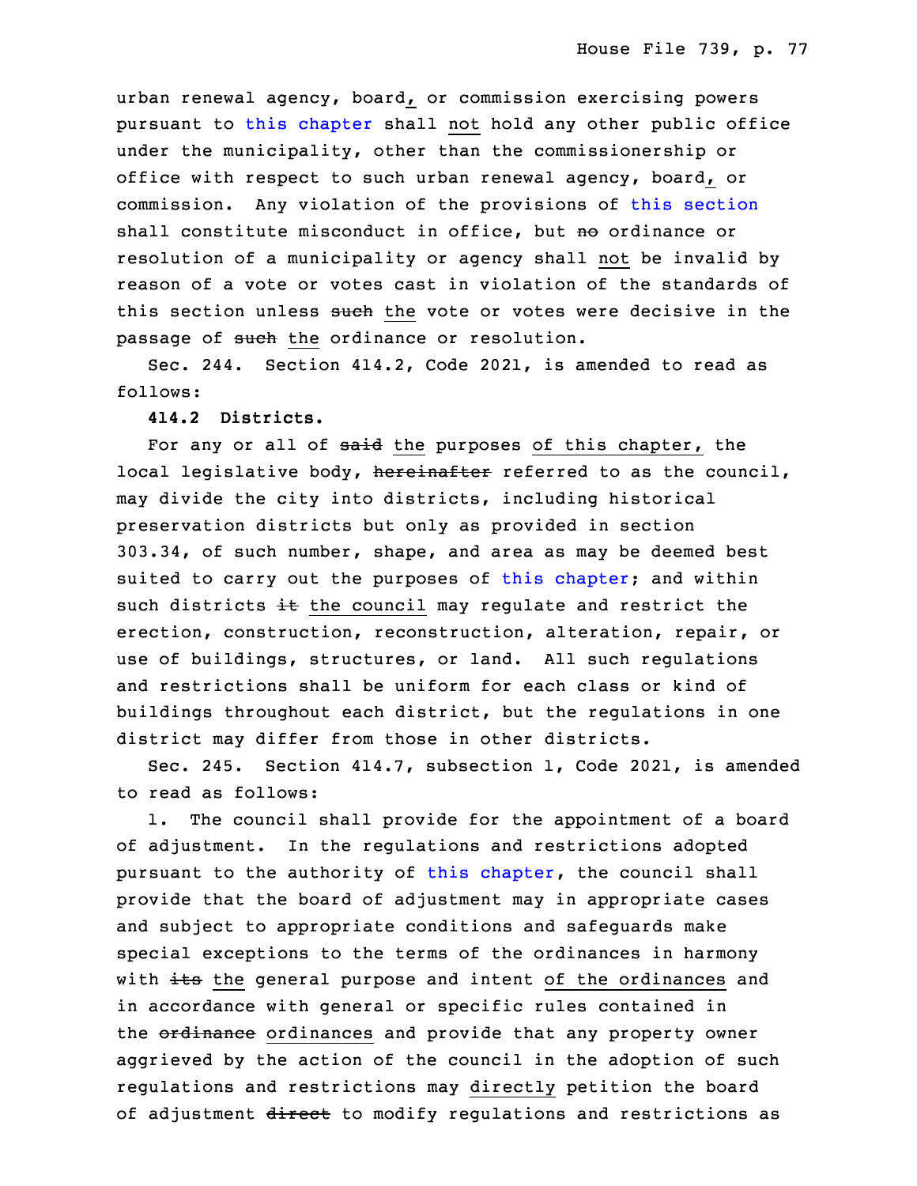urban renewal agency, board, or commission exercising powers pursuant to this [chapter](https://www.legis.iowa.gov/docs/code/2021/403.pdf) shall not hold any other public office under the municipality, other than the commissionership or office with respect to such urban renewal agency, board, or commission. Any violation of the provisions of this [section](https://www.legis.iowa.gov/docs/code/2021/403.16.pdf) shall constitute misconduct in office, but no ordinance or resolution of a municipality or agency shall not be invalid by reason of a vote or votes cast in violation of the standards of this section unless such the vote or votes were decisive in the passage of such the ordinance or resolution.

Sec. 244. Section 414.2, Code 2021, is amended to read as follows:

## **414.2 Districts.**

For any or all of said the purposes of this chapter, the local legislative body, hereinafter referred to as the council, may divide the city into districts, including historical preservation districts but only as provided in section 7 303.34, of such number, shape, and area as may be deemed best suited to carry out the purposes of this [chapter](https://www.legis.iowa.gov/docs/code/2021/414.pdf); and within such districts  $\pm\epsilon$  the council may regulate and restrict the erection, construction, reconstruction, alteration, repair, or use of buildings, structures, or land. All such regulations and restrictions shall be uniform for each class or kind of buildings throughout each district, but the regulations in one district may differ from those in other districts.

Sec. 245. Section 414.7, subsection 1, Code 2021, is amended to read as follows:

1. The council shall provide for the appointment of a board of adjustment. In the regulations and restrictions adopted pursuant to the authority of this [chapter](https://www.legis.iowa.gov/docs/code/2021/414.pdf), the council shall provide that the board of adjustment may in appropriate cases and subject to appropriate conditions and safeguards make special exceptions to the terms of the ordinances in harmony with its the general purpose and intent of the ordinances and in accordance with general or specific rules contained in the ordinance ordinances and provide that any property owner aggrieved by the action of the council in the adoption of such regulations and restrictions may directly petition the board of adjustment direct to modify regulations and restrictions as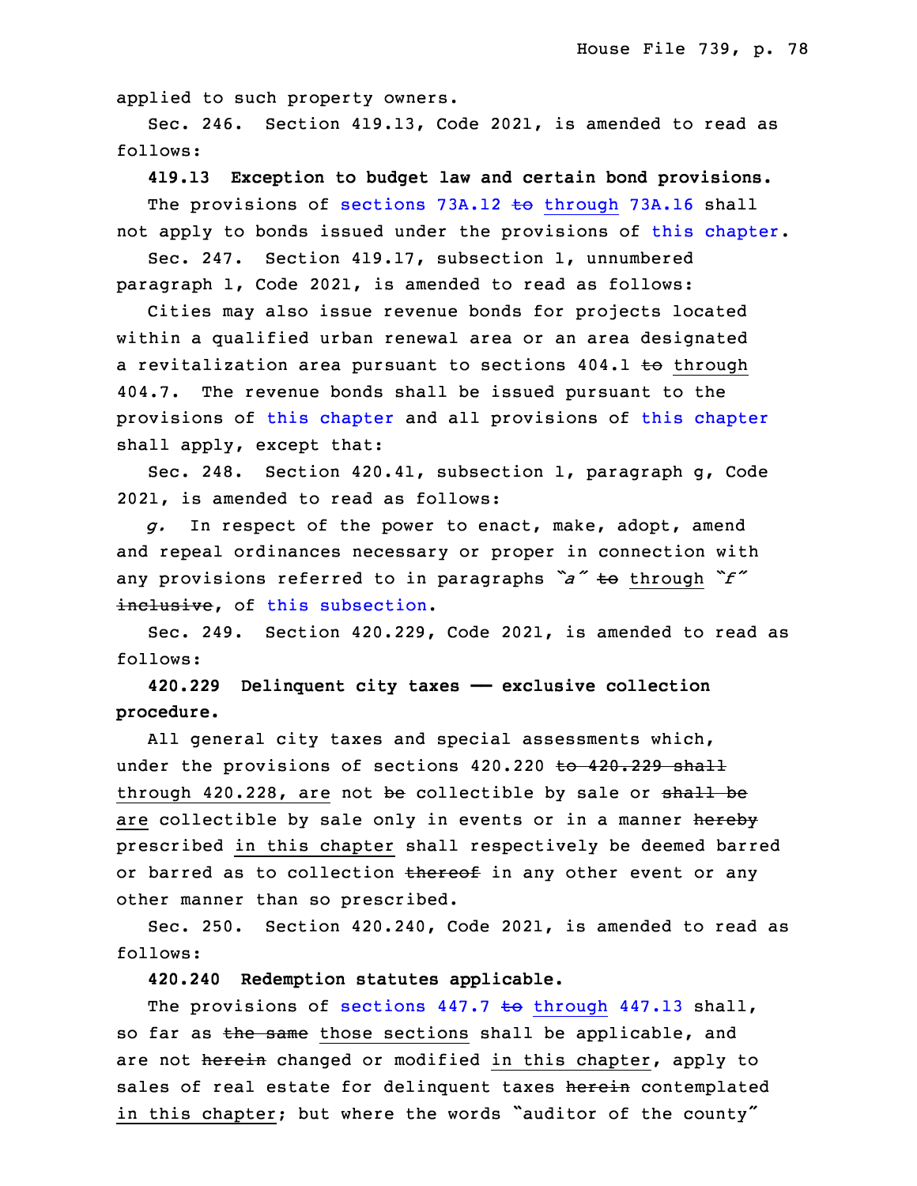applied to such property owners.

Sec. 246. Section 419.13, Code 2021, is amended to read as follows:

32 **419.13 Exception to budget law and certain bond provisions.** The provisions of sections 73A.12 to [through](https://www.legis.iowa.gov/docs/code/2021/73A.12.pdf) 73A.16 shall not apply to bonds issued under the provisions of this [chapter](https://www.legis.iowa.gov/docs/code/2021/419.pdf).

Sec. 247. Section 419.17, subsection 1, unnumbered paragraph 1, Code 2021, is amended to read as follows:

 Cities may also issue revenue bonds for projects located within a qualified urban renewal area or an area designated a revitalization area pursuant to sections 404.1 to through 5 404.7. The revenue bonds shall be issued pursuant to the provisions of this [chapter](https://www.legis.iowa.gov/docs/code/2021/419.pdf) and all provisions of this chapter shall apply, except that:

8 Sec. 248. Section 420.41, subsection 1, paragraph g, Code 2021, is amended to read as follows:

g. In respect of the power to enact, make, adopt, amend and repeal ordinances necessary or proper in connection with any provisions referred to in paragraphs *"a"* to through *"f"* inclusive, of this [subsection](https://www.legis.iowa.gov/docs/code/2021/420.41.pdf).

 Sec. 249. Section 420.229, Code 2021, is amended to read as follows:

16 **420.229 Delinquent city taxes —— exclusive collection** 17 **procedure.**

All general city taxes and special assessments which, under the provisions of sections 420.220 to 420.229 shall through 420.228, are not be collectible by sale or  $shall$  be are collectible by sale only in events or in a manner hereby prescribed in this chapter shall respectively be deemed barred or barred as to collection thereof in any other event or any other manner than so prescribed.

Sec. 250. Section 420.240, Code 2021, is amended to read as follows:

27 **420.240 Redemption statutes applicable.**

The provisions of sections  $447.7$  to [through](https://www.legis.iowa.gov/docs/code/2021/447.7.pdf)  $447.13$  shall, so far as the same those sections shall be applicable, and are not herein changed or modified in this chapter, apply to sales of real estate for delinquent taxes herein contemplated in this chapter; but where the words "auditor of the county"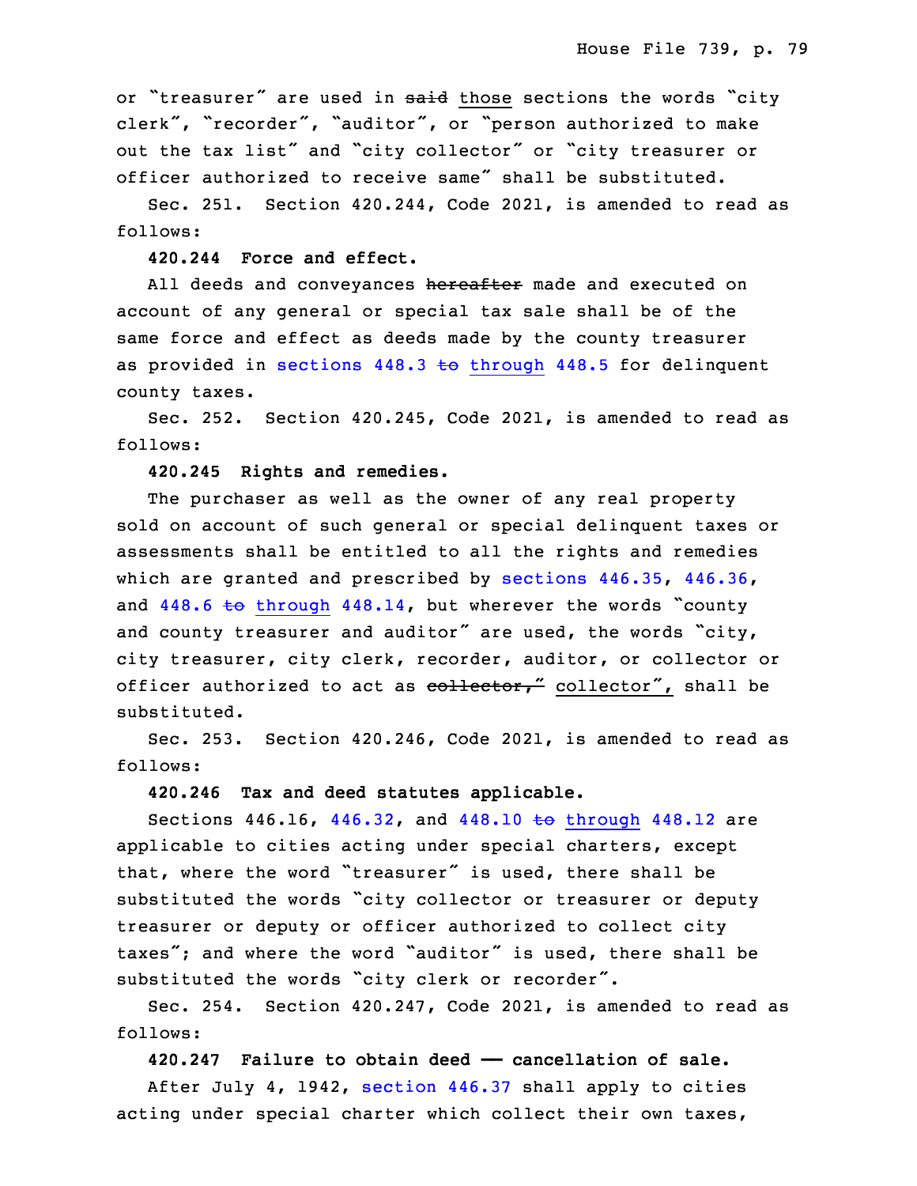or "treasurer" are used in said those sections the words "city clerk", "recorder", "auditor", or "person authorized to make out the tax list" and "city collector" or "city treasurer or officer authorized to receive same" shall be substituted.

 Sec. 251. Section 420.244, Code 2021, is amended to read as follows:

#### **420.244 Force and effect.**

All deeds and conveyances hereafter made and executed on account of any general or special tax sale shall be of the same force and effect as deeds made by the county treasurer as provided in sections  $448.3$  to [through](https://www.legis.iowa.gov/docs/code/2021/448.3.pdf)  $448.5$  for delinquent county taxes.

Sec. 252. Section  $420.245$ , Code 2021, is amended to read as follows:

**420.245 Rights and remedies.**

The purchaser as well as the owner of any real property sold on account of such general or special delinquent taxes or assessments shall be entitled to all the rights and remedies which are granted and prescribed by [sections](https://www.legis.iowa.gov/docs/code/2021/446.35.pdf)  $446.35$ ,  $446.36$ , and  $448.6$  to [through](https://www.legis.iowa.gov/docs/code/2021/448.6.pdf)  $448.14$ , but wherever the words "county and county treasurer and auditor" are used, the words "city, city treasurer, city clerk, recorder, auditor, or collector or officer authorized to act as  $\overline{\text{collector}}$ , collector", shall be substituted.

 Sec. 253. Section 420.246, Code 2021, is amended to read as follows:

#### **420.246 Tax and deed statutes applicable.**

Sections  $446.16$ ,  $446.32$ , and  $448.10$  to [through](https://www.legis.iowa.gov/docs/code/2021/448.10.pdf)  $448.12$  are applicable to cities acting under special charters, except that, where the word "treasurer" is used, there shall be substituted the words "city collector or treasurer or deputy treasurer or deputy or officer authorized to collect city taxes"; and where the word "auditor" is used, there shall be substituted the words "city clerk or recorder".

Sec. 254. Section 420.247, Code 2021, is amended to read as follows:

34 **420.247 Failure to obtain deed —— cancellation of sale.**

After July  $4$ , 1942, [section](https://www.legis.iowa.gov/docs/code/2021/446.37.pdf)  $446.37$  shall apply to cities acting under special charter which collect their own taxes,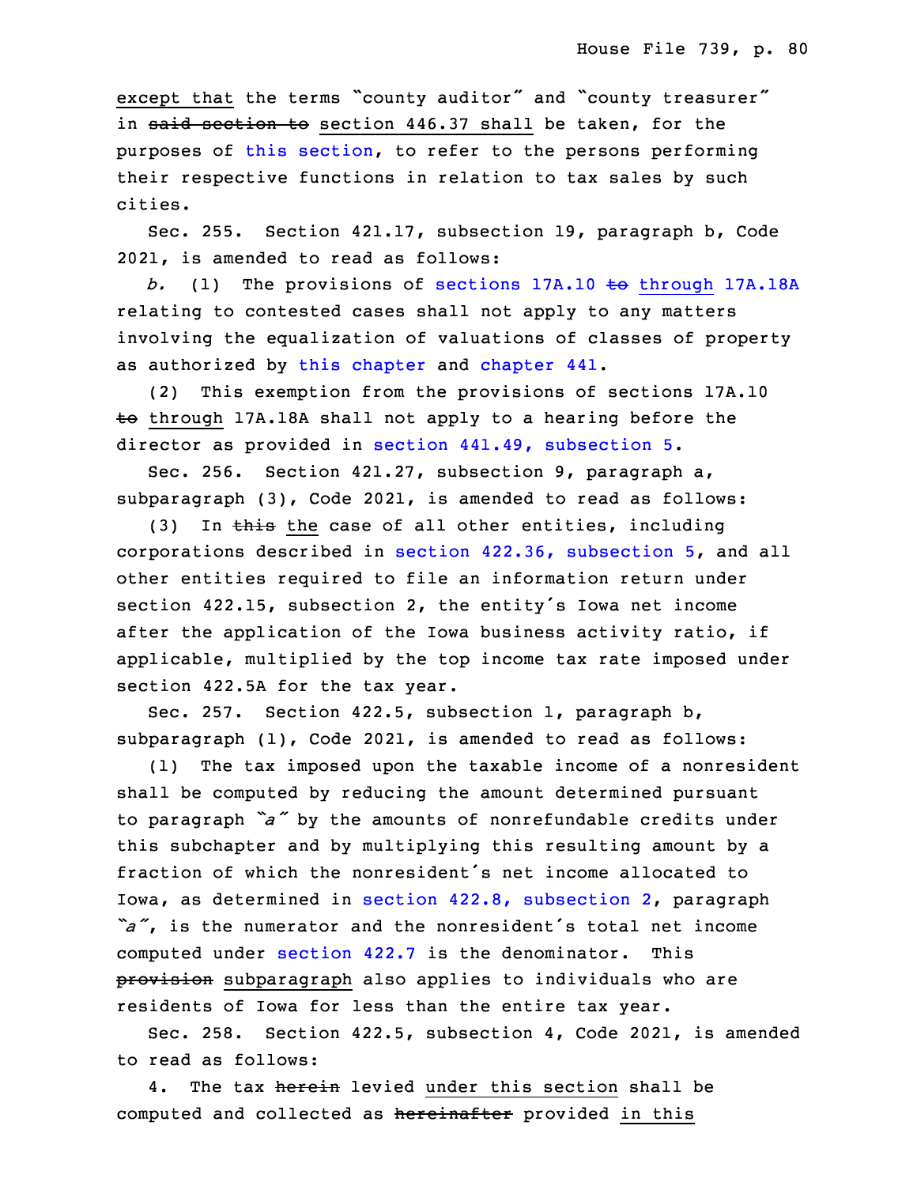except that the terms "county auditor" and "county treasurer" in said section to section 446.37 shall be taken, for the purposes of this [section](https://www.legis.iowa.gov/docs/code/2021/420.247.pdf), to refer to the persons performing their respective functions in relation to tax sales by such 6 cities.

Sec. 255. Section 421.17, subsection 19, paragraph b, Code 2021, is amended to read as follows:

b. (1) The provisions of sections 17A.10 to [through](https://www.legis.iowa.gov/docs/code/2021/17A.10.pdf) 17A.18A relating to contested cases shall not apply to any matters involving the equalization of valuations of classes of property as authorized by this [chapter](https://www.legis.iowa.gov/docs/code/2021/421.pdf) and [chapter](https://www.legis.iowa.gov/docs/code/2021/441.pdf) 441.

13 (2) This exemption from the provisions of sections 17A.10 to through 17A.18A shall not apply to a hearing before the director as provided in section 441.49, [subsection](https://www.legis.iowa.gov/docs/code/2021/441.49.pdf) 5.

Sec. 256. Section 421.27, subsection 9, paragraph a, subparagraph (3), Code 2021, is amended to read as follows:

(3) In this the case of all other entities, including corporations described in section 422.36, [subsection](https://www.legis.iowa.gov/docs/code/2021/422.36.pdf) 5, and all other entities required to file an information return under section 422.15, subsection 2, the entity's Iowa net income after the application of the Iowa business activity ratio, if applicable, multiplied by the top income tax rate imposed under section 422.5A for the tax year.

Sec. 257. Section 422.5, subsection 1, paragraph b, subparagraph  $(1)$ , Code 2021, is amended to read as follows:

(1) The tax imposed upon the taxable income of a nonresident shall be computed by reducing the amount determined pursuant <sup>29</sup> to paragraph *"a"* by the amounts of nonrefundable credits under this subchapter and by multiplying this resulting amount by a fraction of which the nonresident's net income allocated to Iowa, as determined in section 422.8, [subsection](https://www.legis.iowa.gov/docs/code/2021/422.8.pdf) 2, paragraph "a", is the numerator and the nonresident's total net income computed under [section](https://www.legis.iowa.gov/docs/code/2021/422.7.pdf) 422.7 is the denominator. This provision subparagraph also applies to individuals who are residents of Iowa for less than the entire tax year.

 Sec. 258. Section 422.5, subsection 4, Code 2021, is amended to read as follows:

4. The tax herein levied under this section shall be computed and collected as hereinafter provided in this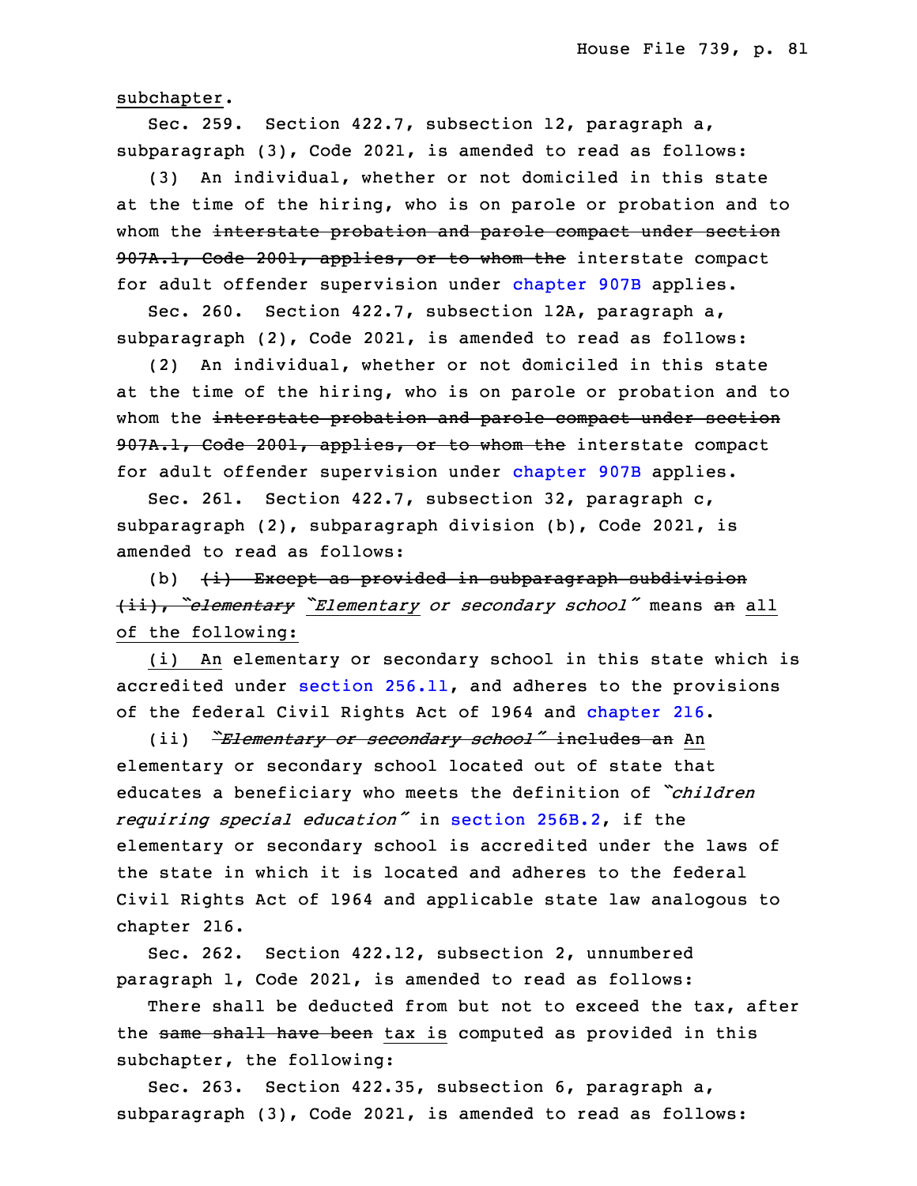subchapter.

Sec. 259. Section 422.7, subsection 12, paragraph a,  $subparagn (3)$ , Code 2021, is amended to read as follows:

(3) An individual, whether or not domiciled in this state at the time of the hiring, who is on parole or probation and to whom the interstate probation and parole compact under section 907A.1, Code 2001, applies, or to whom the interstate compact for adult offender supervision under [chapter](https://www.legis.iowa.gov/docs/code/2021/907B.pdf) 907B applies.

 Sec. 260. Section 422.7, subsection 12A, paragraph a,  $subparagnh (2)$ , Code 2021, is amended to read as follows:

16 (2) An individual, whether or not domiciled in this state at the time of the hiring, who is on parole or probation and to whom the interstate probation and parole compact under section 907A.1, Code 2001, applies, or to whom the interstate compact for adult offender supervision under [chapter](https://www.legis.iowa.gov/docs/code/2021/907B.pdf) 907B applies.

 Sec. 261. Section 422.7, subsection 32, paragraph c, subparagraph (2), subparagraph division (b), Code 2021, is amended to read as follows:

(b)  $(i)$  Except as provided in subparagraph subdivision <sup>25</sup> (ii), *"elementary "Elementary or secondary school"* means an all of the following:

(i) An elementary or secondary school in this state which is accredited under section  $256.11$ , and adheres to the provisions of the federal Civil Rights Act of 1964 and [chapter](https://www.legis.iowa.gov/docs/code/2021/216.pdf) 216.

<sup>30</sup> (ii) *"Elementary or secondary school"* includes an An elementary or secondary school located out of state that <sup>32</sup> educates <sup>a</sup> beneficiary who meets the definition of *"children* <sup>33</sup> *requiring special education"* in section [256B.2](https://www.legis.iowa.gov/docs/code/2021/256B.2.pdf), if the elementary or secondary school is accredited under the laws of the state in which it is located and adheres to the federal Civil Rights Act of 1964 and applicable state law analogous to chapter 216.

Sec. 262. Section 422.12, subsection 2, unnumbered paragraph 1, Code 2021, is amended to read as follows:

There shall be deducted from but not to exceed the tax, after the same shall have been tax is computed as provided in this subchapter, the following:

Sec. 263. Section 422.35, subsection 6, paragraph a,  $subparagnh (3)$ , Code 2021, is amended to read as follows: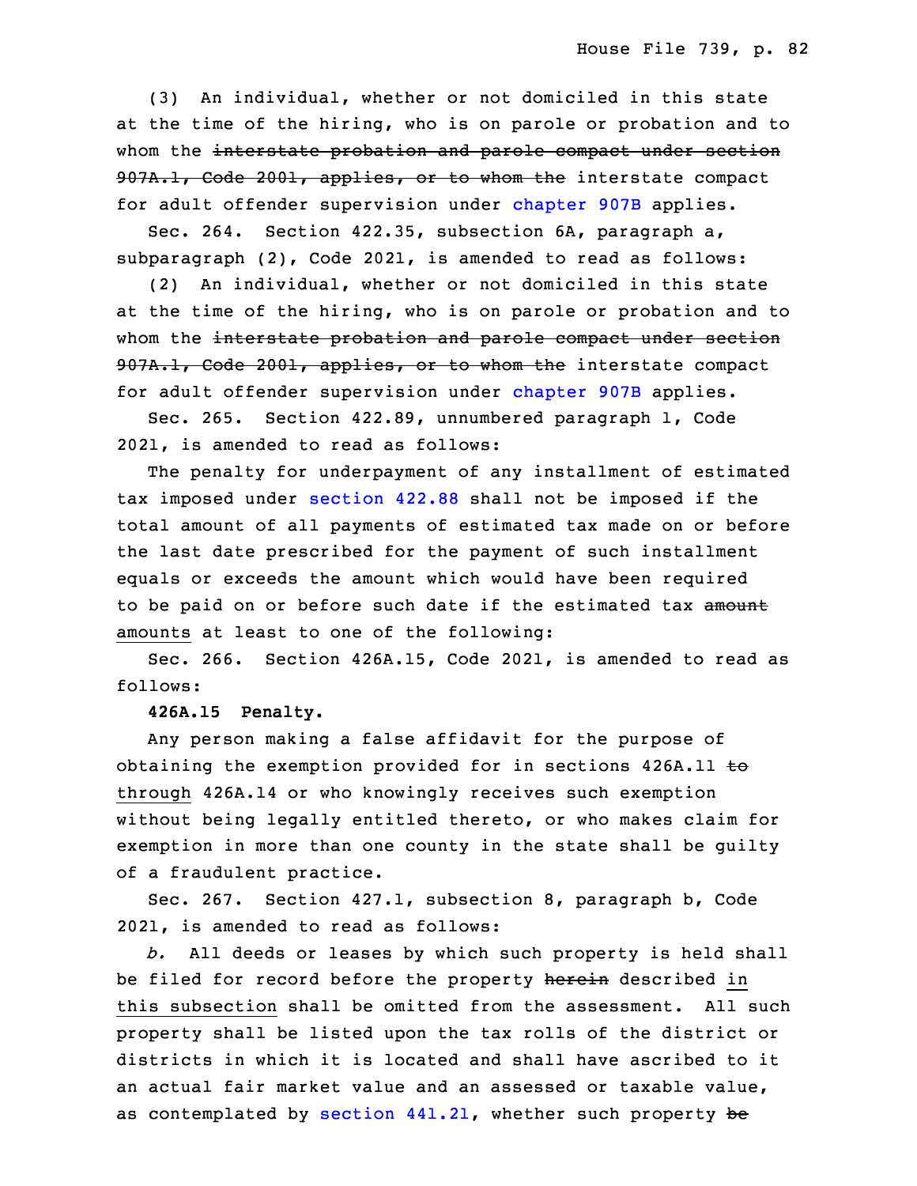10 (3) An individual, whether or not domiciled in this state at the time of the hiring, who is on parole or probation and to whom the interstate probation and parole compact under section 907A.1, Code 2001, applies, or to whom the interstate compact for adult offender supervision under [chapter](https://www.legis.iowa.gov/docs/code/2021/907B.pdf) 907B applies.

Sec. 264. Section 422.35, subsection 6A, paragraph a,  $subparagn (2)$ , Code 2021, is amended to read as follows:

17 (2) An individual, whether or not domiciled in this state at the time of the hiring, who is on parole or probation and to whom the interstate probation and parole compact under section 907A.1, Code 2001, applies, or to whom the interstate compact for adult offender supervision under [chapter](https://www.legis.iowa.gov/docs/code/2021/907B.pdf) 907B applies.

 Sec. 265. Section 422.89, unnumbered paragraph 1, Code 2021, is amended to read as follows:

 The penalty for underpayment of any installment of estimated tax imposed under [section](https://www.legis.iowa.gov/docs/code/2021/422.88.pdf) 422.88 shall not be imposed if the total amount of all payments of estimated tax made on or before the last date prescribed for the payment of such installment equals or exceeds the amount which would have been required to be paid on or before such date if the estimated tax amount amounts at least to one of the following:

Sec. 266. Section 426A.15, Code 2021, is amended to read as follows:

33 **426A.15 Penalty.**

Any person making a false affidavit for the purpose of obtaining the exemption provided for in sections  $426A.11$  to through 426A.14 or who knowingly receives such exemption without being legally entitled thereto, or who makes claim for exemption in more than one county in the state shall be guilty of <sup>a</sup> fraudulent practice.

5 Sec. 267. Section 427.1, subsection 8, paragraph b, Code 2021, is amended to read as follows:

7 *b.* All deeds or leases by which such property is held shall be filed for record before the property herein described in this subsection shall be omitted from the assessment. All such property shall be listed upon the tax rolls of the district or districts in which it is located and shall have ascribed to it an actual fair market value and an assessed or taxable value, as contemplated by section  $441.21$ , whether such property be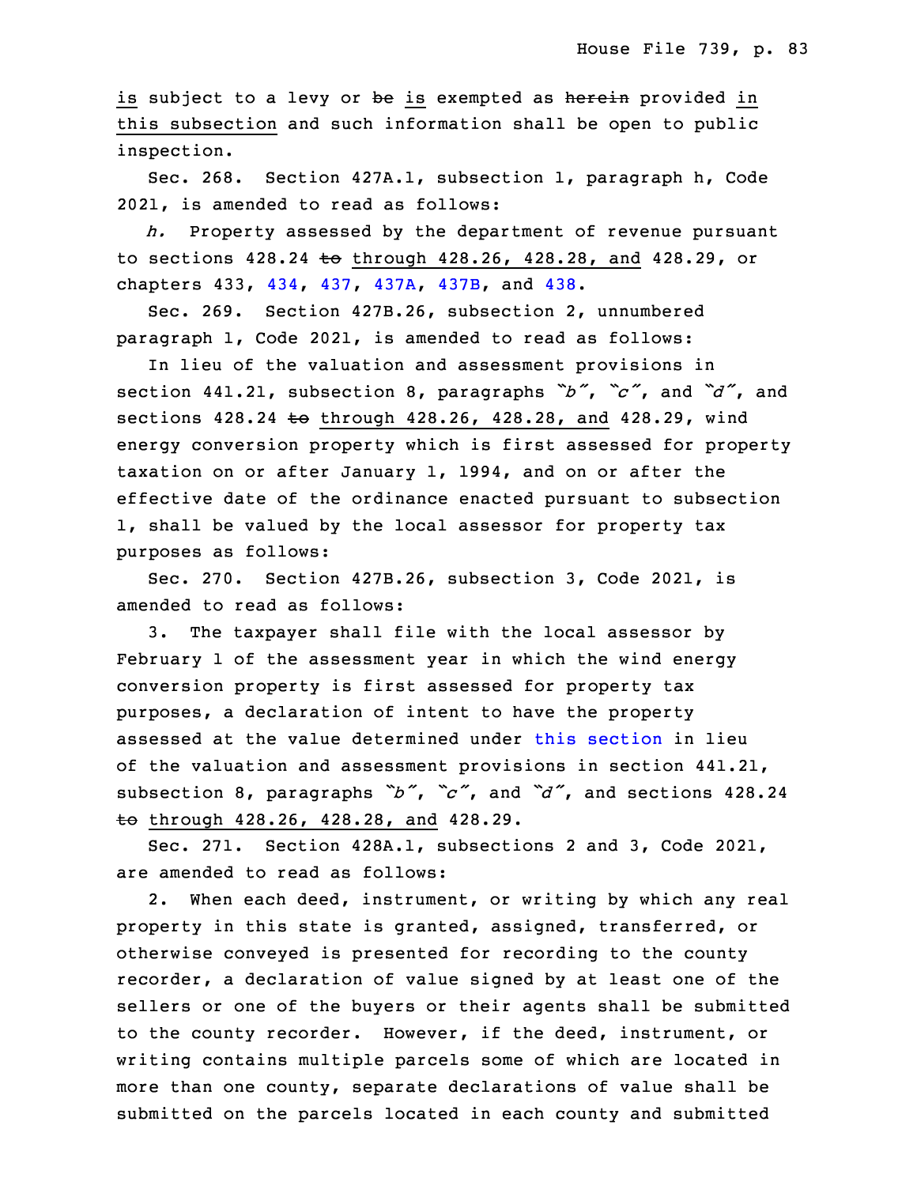is subject to a levy or be is exempted as herein provided in this subsection and such information shall be open to public inspection.

Sec. 268. Section 427A.1, subsection 1, paragraph h, Code 2021, is amended to read as follows:

h. Property assessed by the department of revenue pursuant to sections  $428.24$  to through  $428.26$ ,  $428.28$ , and  $428.29$ , or chapters 433, [434](https://www.legis.iowa.gov/docs/code/2021/434.pdf), [437](https://www.legis.iowa.gov/docs/code/2021/437.pdf), [437A](https://www.legis.iowa.gov/docs/code/2021/437A.pdf), [437B](https://www.legis.iowa.gov/docs/code/2021/437B.pdf), and [438](https://www.legis.iowa.gov/docs/code/2021/438.pdf).

 Sec. 269. Section 427B.26, subsection 2, unnumbered paragraph 1, Code 2021, is amended to read as follows:

 In lieu of the valuation and assessment provisions in <sup>25</sup> section 441.21, subsection 8, paragraphs *"b"*, *"c"*, and *"d"*, and sections 428.24 to through 428.26, 428.28, and 428.29, wind energy conversion property which is first assessed for property taxation on or after January 1, 1994, and on or after the effective date of the ordinance enacted pursuant to subsection 1, shall be valued by the local assessor for property tax purposes as follows:

Sec. 270. Section 427B.26, subsection 3, Code 2021, is amended to read as follows:

3. The taxpayer shall file with the local assessor by February 1 of the assessment year in which the wind energy conversion property is first assessed for property tax purposes, <sup>a</sup> declaration of intent to have the property assessed at the value determined under this [section](https://www.legis.iowa.gov/docs/code/2021/427B.26.pdf) in lieu of the valuation and assessment provisions in section 441.21, <sup>5</sup> subsection 8, paragraphs *"b"*, *"c"*, and *"d"*, and sections 428.24 to through 428.26, 428.28, and 428.29.

Sec. 271. Section 428A.1, subsections 2 and 3, Code 2021, are amended to read as follows:

2. When each deed, instrument, or writing by which any real property in this state is granted, assigned, transferred, or otherwise conveyed is presented for recording to the county recorder, <sup>a</sup> declaration of value signed by at least one of the sellers or one of the buyers or their agents shall be submitted to the county recorder. However, if the deed, instrument, or writing contains multiple parcels some of which are located in more than one county, separate declarations of value shall be submitted on the parcels located in each county and submitted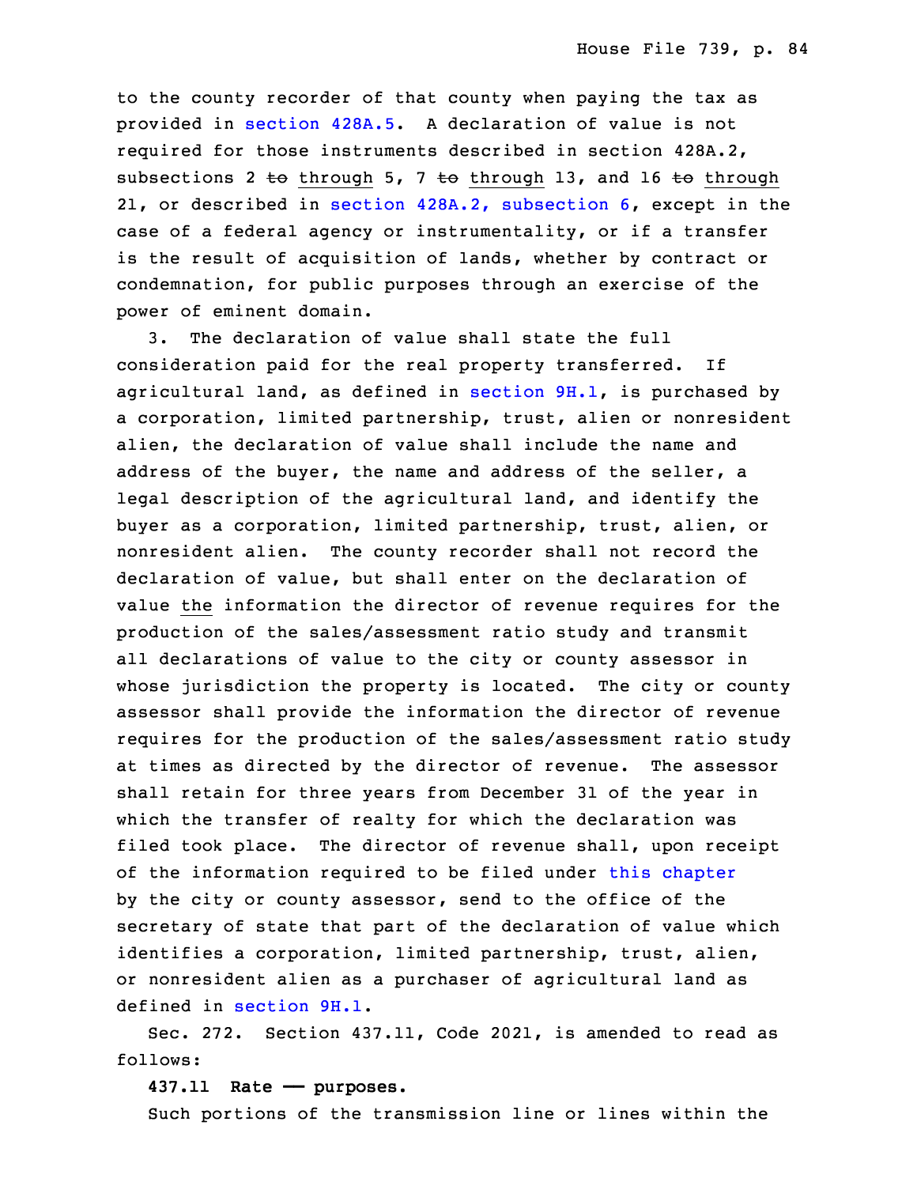to the county recorder of that county when paying the tax as provided in [section](https://www.legis.iowa.gov/docs/code/2021/428A.5.pdf) 428A.5. A declaration of value is not required for those instruments described in section 428A.2, subsections 2 to through 5, 7 to through 13, and 16 to through 21, or described in section 428A.2, [subsection](https://www.legis.iowa.gov/docs/code/2021/428A.2.pdf) 6, except in the case of a federal agency or instrumentality, or if a transfer is the result of acquisition of lands, whether by contract or condemnation, for public purposes through an exercise of the power of eminent domain.

3. The declaration of value shall state the full consideration paid for the real property transferred. If agricultural land, as defined in [section](https://www.legis.iowa.gov/docs/code/2021/9H.1.pdf)  $9H.1$ , is purchased by a corporation, limited partnership, trust, alien or nonresident alien, the declaration of value shall include the name and address of the buyer, the name and address of the seller, a legal description of the agricultural land, and identify the buyer as a corporation, limited partnership, trust, alien, or nonresident alien. The county recorder shall not record the declaration of value, but shall enter on the declaration of value the information the director of revenue requires for the production of the sales/assessment ratio study and transmit all declarations of value to the city or county assessor in whose jurisdiction the property is located. The city or county assessor shall provide the information the director of revenue 7 requires for the production of the sales/assessment ratio study at times as directed by the director of revenue. The assessor shall retain for three years from December 31 of the year in which the transfer of realty for which the declaration was filed took place. The director of revenue shall, upon receipt of the information required to be filed under this [chapter](https://www.legis.iowa.gov/docs/code/2021/428A.pdf) by the city or county assessor, send to the office of the secretary of state that part of the declaration of value which identifies a corporation, limited partnership, trust, alien, or nonresident alien as a purchaser of agricultural land as defined in [section](https://www.legis.iowa.gov/docs/code/2021/9H.1.pdf) 9H.1.

Sec. 272. Section 437.11, Code 2021, is amended to read as follows:

#### 20 **437.11 Rate —— purposes.**

Such portions of the transmission line or lines within the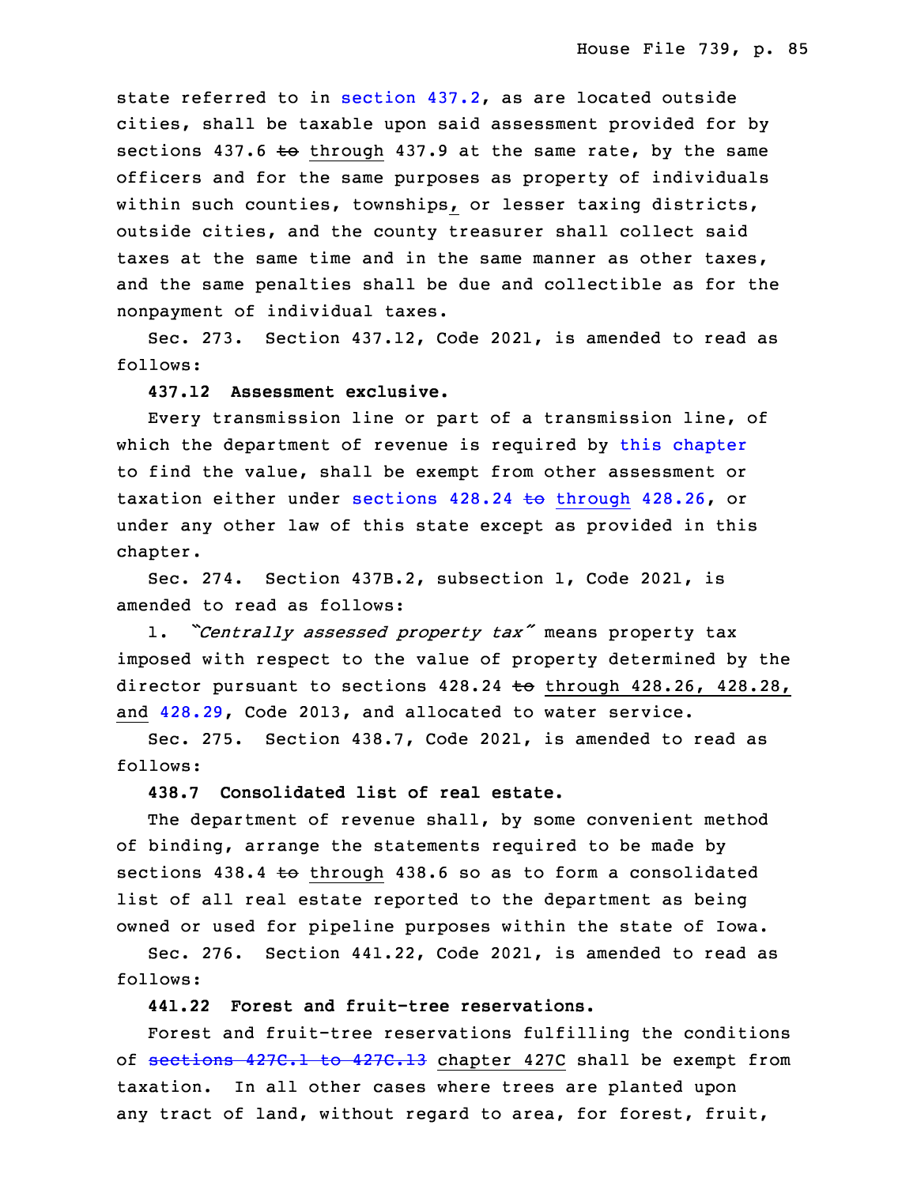state referred to in [section](https://www.legis.iowa.gov/docs/code/2021/437.2.pdf) 437.2, as are located outside cities, shall be taxable upon said assessment provided for by sections  $437.6$  to through  $437.9$  at the same rate, by the same officers and for the same purposes as property of individuals within such counties, townships, or lesser taxing districts, outside cities, and the county treasurer shall collect said taxes at the same time and in the same manner as other taxes, and the same penalties shall be due and collectible as for the nonpayment of individual taxes.

Sec. 273. Section 437.12, Code 2021, is amended to read as follows:

#### 33 **437.12 Assessment exclusive.**

Every transmission line or part of a transmission line, of which the department of revenue is required by this [chapter](https://www.legis.iowa.gov/docs/code/2021/437.pdf) to find the value, shall be exempt from other assessment or taxation either under sections  $428.24 \text{ to through } 428.26$  $428.24 \text{ to through } 428.26$  $428.24 \text{ to through } 428.26$ , or under any other law of this state except as provided in this chapter.

5 Sec. 274. Section 437B.2, subsection 1, Code 2021, is amended to read as follows:

<sup>7</sup> 1. *"Centrally assessed property tax"* means property tax imposed with respect to the value of property determined by the director pursuant to sections  $428.24$  to through  $428.26$ ,  $428.28$ , and  $428.29$ , Code 2013, and allocated to water service.

 Sec. 275. Section 438.7, Code 2021, is amended to read as follows:

#### 13 **438.7 Consolidated list of real estate.**

 The department of revenue shall, by some convenient method of binding, arrange the statements required to be made by sections  $438.4$  to through  $438.6$  so as to form a consolidated list of all real estate reported to the department as being owned or used for pipeline purposes within the state of Iowa.

Sec. 276. Section 441.22, Code 2021, is amended to read as follows:

# **441.22 Forest and fruit-tree reservations.**

 Forest and fruit-tree reservations fulfilling the conditions of [sections](https://www.legis.iowa.gov/docs/code/2021/427C.1.pdf) 427C.1 to 427C.13 chapter 427C shall be exempt from taxation. In all other cases where trees are planted upon any tract of land, without regard to area, for forest, fruit,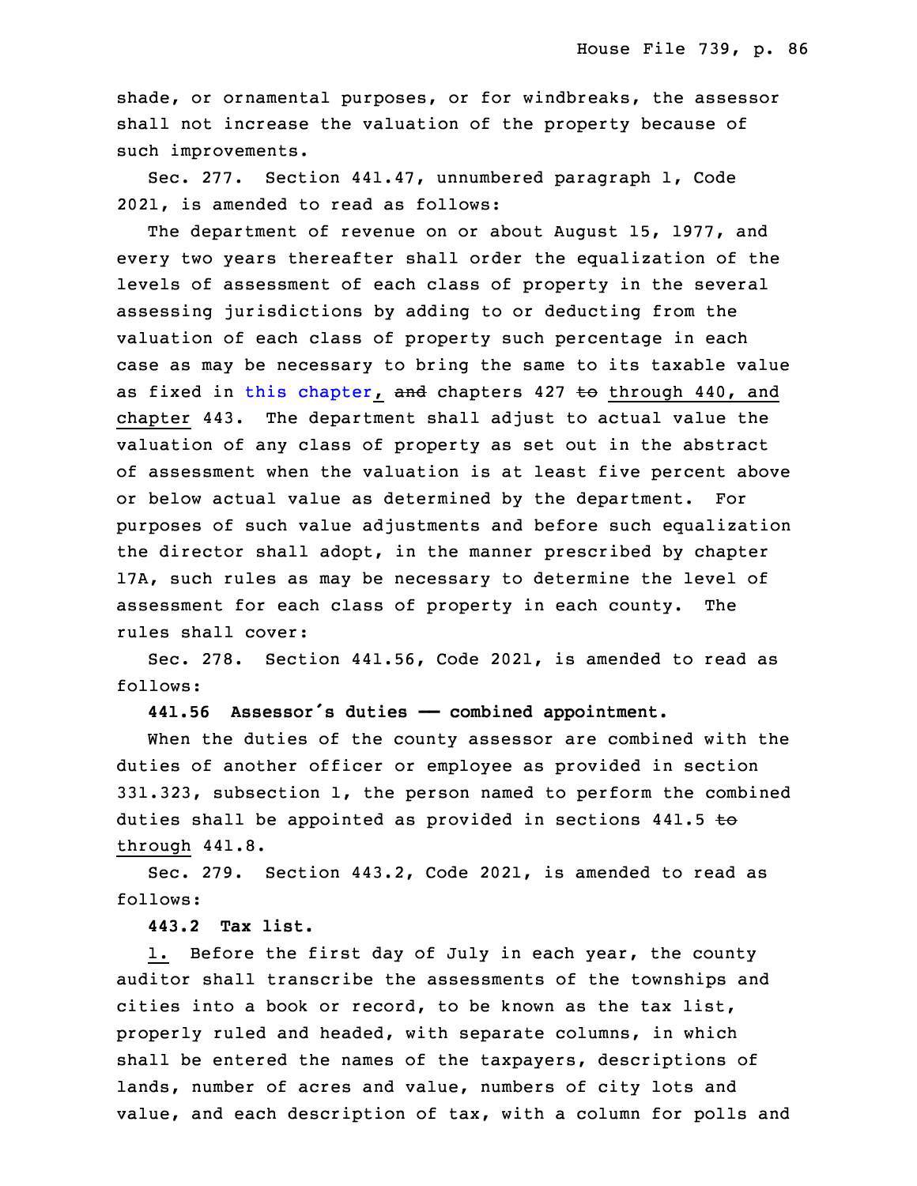shade, or ornamental purposes, or for windbreaks, the assessor shall not increase the valuation of the property because of such improvements.

Sec. 277. Section 441.47, unnumbered paragraph 1, Code 30 2021, is amended to read as follows:

The department of revenue on or about August 15, 1977, and every two years thereafter shall order the equalization of the levels of assessment of each class of property in the several assessing jurisdictions by adding to or deducting from the valuation of each class of property such percentage in each case as may be necessary to bring the same to its taxable value as fixed in this [chapter](https://www.legis.iowa.gov/docs/code/2021/441.pdf), and chapters  $427$  to through  $440$ , and chapter 443. The department shall adjust to actual value the valuation of any class of property as set out in the abstract of assessment when the valuation is at least five percent above or below actual value as determined by the department. For purposes of such value adjustments and before such equalization the director shall adopt, in the manner prescribed by chapter 17A, such rules as may be necessary to determine the level of assessment for each class of property in each county. The rules shall cover:

 Sec. 278. Section 441.56, Code 2021, is amended to read as follows:

#### **441.56 Assessor's duties —— combined appointment.**

When the duties of the county assessor are combined with the duties of another officer or employee as provided in section 331.323, subsection 1, the person named to perform the combined duties shall be appointed as provided in sections  $441.5$  to through 441.8.

Sec. 279. Section 443.2, Code 2021, is amended to read as follows:

**443.2 Tax list.**

1. Before the first day of July in each year, the county auditor shall transcribe the assessments of the townships and cities into a book or record, to be known as the tax list, properly ruled and headed, with separate columns, in which shall be entered the names of the taxpayers, descriptions of lands, number of acres and value, numbers of city lots and value, and each description of tax, with a column for polls and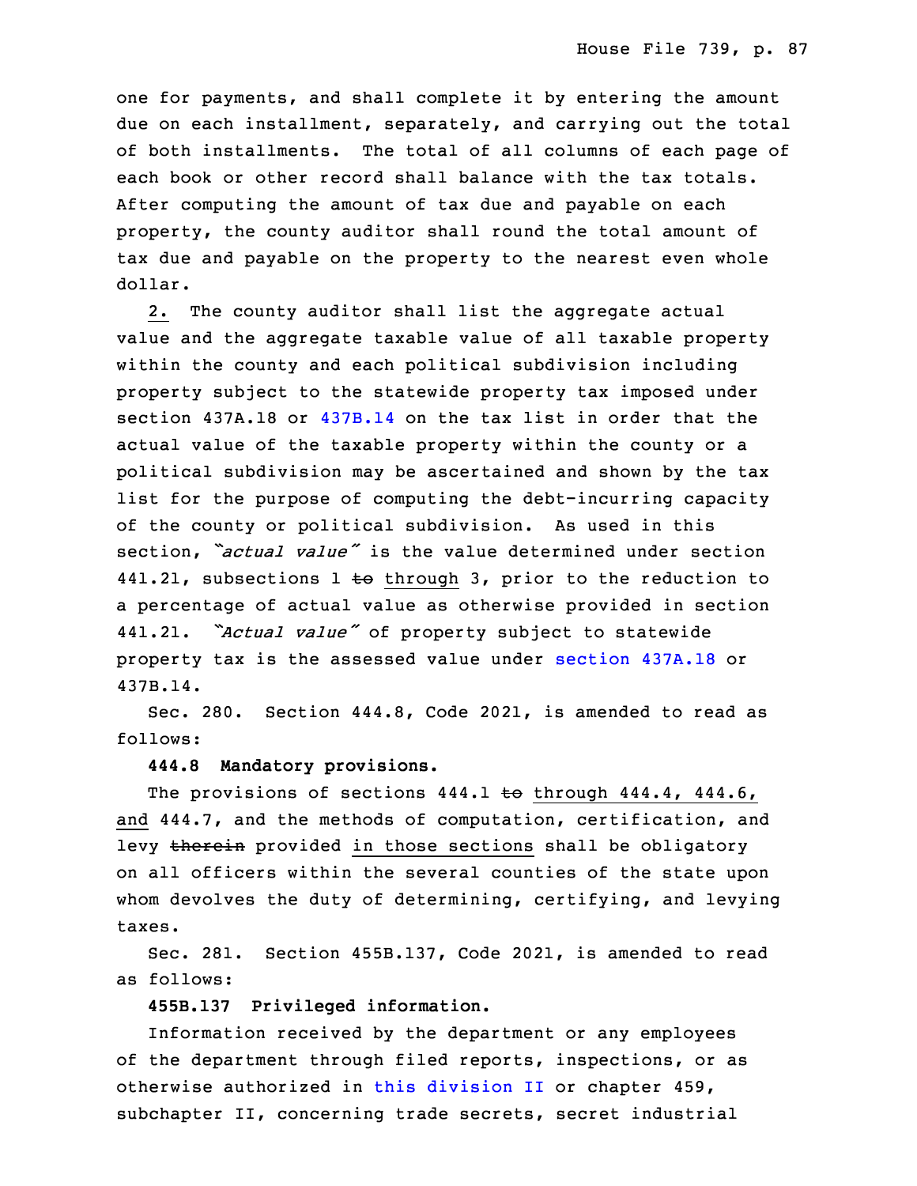one for payments, and shall complete it by entering the amount due on each installment, separately, and carrying out the total of both installments. The total of all columns of each page of each book or other record shall balance with the tax totals. After computing the amount of tax due and payable on each property, the county auditor shall round the total amount of tax due and payable on the property to the nearest even whole dollar.

2. The county auditor shall list the aggregate actual value and the aggregate taxable value of all taxable property within the county and each political subdivision including property subject to the statewide property tax imposed under section 437A.18 or [437B.14](https://www.legis.iowa.gov/docs/code/2021/437B.14.pdf) on the tax list in order that the actual value of the taxable property within the county or a 9 political subdivision may be ascertained and shown by the tax list for the purpose of computing the debt-incurring capacity of the county or political subdivision. As used in this section, *"actual value"* is the value determined under section 441.21, subsections 1 to through 3, prior to the reduction to <sup>a</sup> percentage of actual value as otherwise provided in section <sup>15</sup> 441.21. *"Actual value"* of property subject to statewide property tax is the assessed value under section [437A.18](https://www.legis.iowa.gov/docs/code/2021/437A.18.pdf) or 17 437B.14.

Sec. 280. Section 444.8, Code 2021, is amended to read as follows:

# 20 **444.8 Mandatory provisions.**

The provisions of sections  $444.1$  to through  $444.4$ ,  $444.6$ , and 444.7, and the methods of computation, certification, and levy therein provided in those sections shall be obligatory on all officers within the several counties of the state upon whom devolves the duty of determining, certifying, and levying taxes.

Sec. 281. Section 455B.137, Code 2021, is amended to read as follows:

29 **455B.137 Privileged information.**

Information received by the department or any employees of the department through filed reports, inspections, or as otherwise authorized in this [division](https://www.legis.iowa.gov/docs/code/2021/455B.pdf) II or chapter 459, subchapter II, concerning trade secrets, secret industrial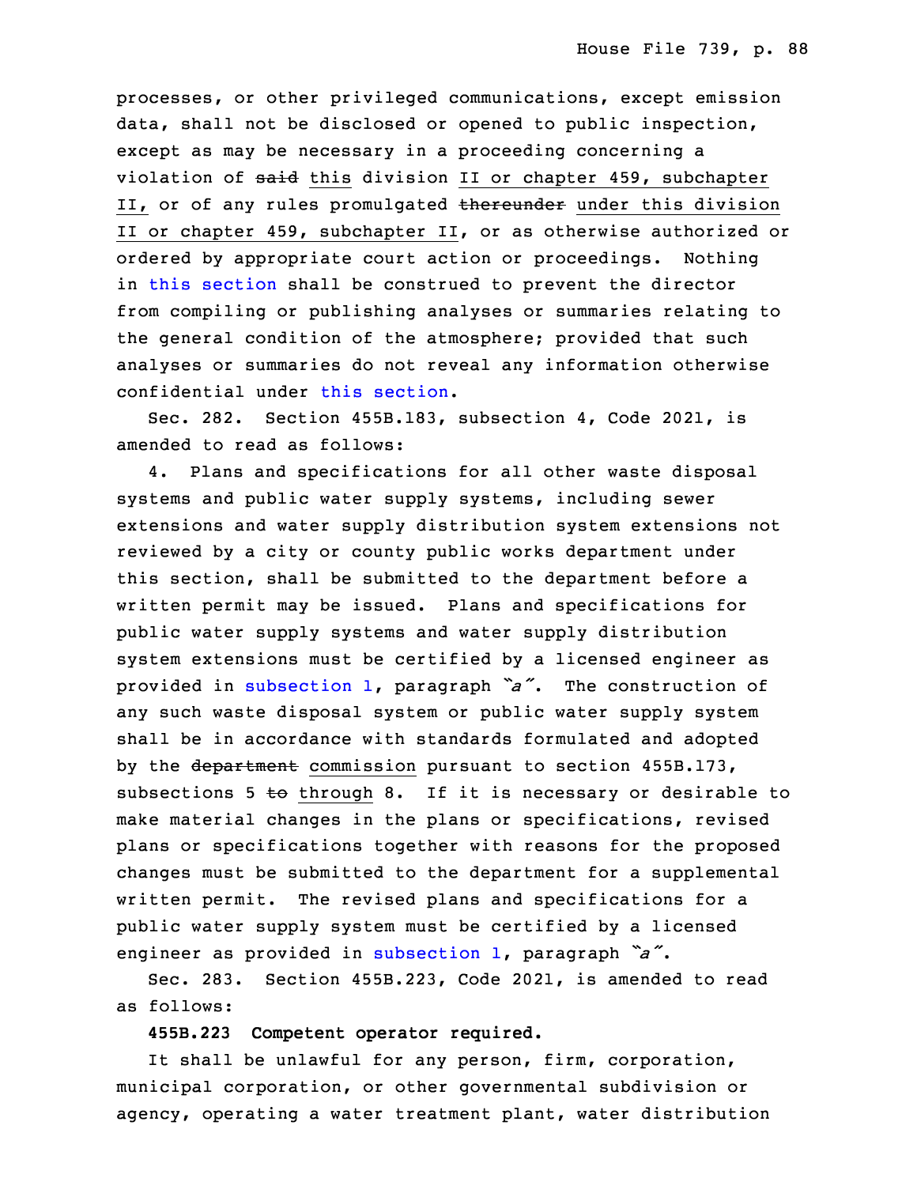processes, or other privileged communications, except emission data, shall not be disclosed or opened to public inspection, except as may be necessary in <sup>a</sup> proceeding concerning <sup>a</sup> violation of said this division II or chapter 459, subchapter II, or of any rules promulgated thereunder under this division II or chapter 459, subchapter II, or as otherwise authorized or ordered by appropriate court action or proceedings. Nothing in this [section](https://www.legis.iowa.gov/docs/code/2021/455B.137.pdf) shall be construed to prevent the director from compiling or publishing analyses or summaries relating to the general condition of the atmosphere; provided that such analyses or summaries do not reveal any information otherwise confidential under this [section](https://www.legis.iowa.gov/docs/code/2021/455B.137.pdf).

 Sec. 282. Section 455B.183, subsection 4, Code 2021, is amended to read as follows:

4. Plans and specifications for all other waste disposal systems and public water supply systems, including sewer extensions and water supply distribution system extensions not reviewed by a city or county public works department under this section, shall be submitted to the department before a written permit may be issued. Plans and specifications for public water supply systems and water supply distribution system extensions must be certified by a licensed engineer as provided in [subsection](https://www.legis.iowa.gov/docs/code/2021/455B.183.pdf) 1, paragraph *"a"*. The construction of any such waste disposal system or public water supply system shall be in accordance with standards formulated and adopted by the department commission pursuant to section 455B.173, subsections  $5 \text{ to through } 8$ . If it is necessary or desirable to make material changes in the plans or specifications, revised plans or specifications together with reasons for the proposed changes must be submitted to the department for a supplemental written permit. The revised plans and specifications for a public water supply system must be certified by a licensed engineer as provided in [subsection](https://www.legis.iowa.gov/docs/code/2021/455B.183.pdf) 1, paragraph  $a^*$ .

Sec. 283. Section 455B.223, Code 2021, is amended to read as follows:

34 **455B.223 Competent operator required.**

It shall be unlawful for any person, firm, corporation, municipal corporation, or other governmental subdivision or agency, operating <sup>a</sup> water treatment plant, water distribution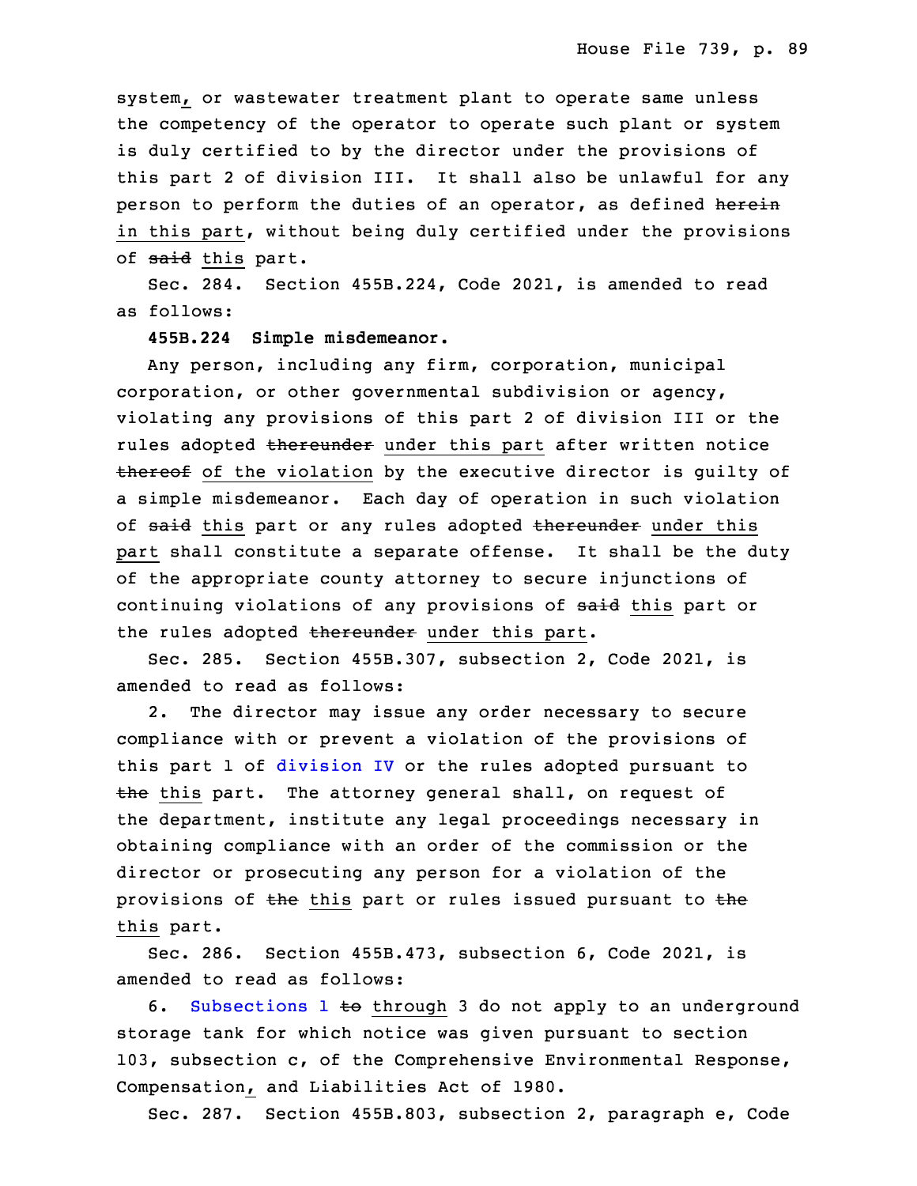system, or wastewater treatment plant to operate same unless the competency of the operator to operate such plant or system is duly certified to by the director under the provisions of this part 2 of division III. It shall also be unlawful for any person to perform the duties of an operator, as defined herein in this part, without being duly certified under the provisions of said this part.

Sec. 284. Section 455B.224, Code 2021, is amended to read as follows:

**455B.224 Simple misdemeanor.**

Any person, including any firm, corporation, municipal corporation, or other governmental subdivision or agency, violating any provisions of this part 2 of division III or the rules adopted thereunder under this part after written notice thereof of the violation by the executive director is guilty of a simple misdemeanor. Each day of operation in such violation of said this part or any rules adopted thereunder under this part shall constitute a separate offense. It shall be the duty of the appropriate county attorney to secure injunctions of continuing violations of any provisions of said this part or the rules adopted thereunder under this part.

 Sec. 285. Section 455B.307, subsection 2, Code 2021, is amended to read as follows:

2. The director may issue any order necessary to secure compliance with or prevent a violation of the provisions of this part 1 of [division](https://www.legis.iowa.gov/docs/code/2021/455B.pdf) IV or the rules adopted pursuant to  $t$ he this part. The attorney general shall, on request of the department, institute any legal proceedings necessary in obtaining compliance with an order of the commission or the director or prosecuting any person for a violation of the provisions of the this part or rules issued pursuant to the this part.

Sec. 286. Section 455B.473, subsection 6, Code 2021, is amended to read as follows:

6. [Subsections](https://www.legis.iowa.gov/docs/code/2021/455B.473.pdf) 1 to through 3 do not apply to an underground storage tank for which notice was given pursuant to section 103, subsection c, of the Comprehensive Environmental Response, Compensation, and Liabilities Act of 1980.

6 Sec. 287. Section 455B.803, subsection 2, paragraph e, Code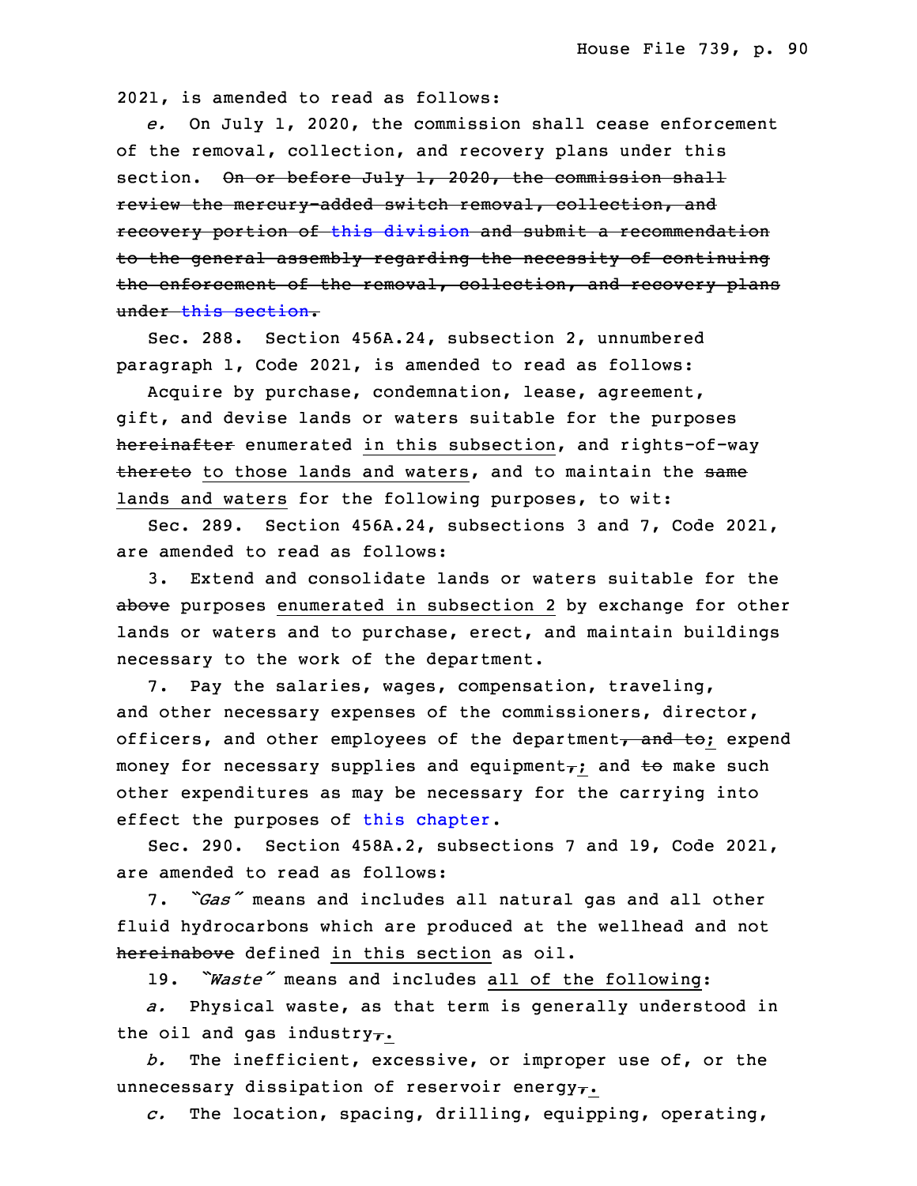7 2021, is amended to read as follows:

8 *e.* On July 1, 2020, the commission shall cease enforcement of the removal, collection, and recovery plans under this section. On or before July 1, 2020, the commission shall review the mercury-added switch removal, collection, and recovery portion of this [division](https://www.legis.iowa.gov/docs/code/2021/455B.pdf) and submit <sup>a</sup> recommendation to the general assembly regarding the necessity of continuing the enforcement of the removal, collection, and recovery plans under this [section](https://www.legis.iowa.gov/docs/code/2021/455B.803.pdf).

Sec. 288. Section 456A.24, subsection 2, unnumbered paragraph 1, Code 2021, is amended to read as follows:

Acquire by purchase, condemnation, lease, agreement, gift, and devise lands or waters suitable for the purposes hereinafter enumerated in this subsection, and rights-of-way thereto to those lands and waters, and to maintain the same lands and waters for the following purposes, to wit:

23 Sec. 289. Section 456A.24, subsections 3 and 7, Code 2021, are amended to read as follows:

25 3. Extend and consolidate lands or waters suitable for the above purposes enumerated in subsection 2 by exchange for other lands or waters and to purchase, erect, and maintain buildings necessary to the work of the department.

7. Pay the salaries, wages, compensation, traveling, and other necessary expenses of the commissioners, director, officers, and other employees of the department, and to; expend money for necessary supplies and equipment $\tau$ ; and to make such other expenditures as may be necessary for the carrying into effect the purposes of this [chapter](https://www.legis.iowa.gov/docs/code/2021/456A.pdf).

Sec. 290. Section 458A.2, subsections 7 and 19, Code 2021, are amended to read as follows:

 7. *"Gas"* means and includes all natural gas and all other fluid hydrocarbons which are produced at the wellhead and not hereinabove defined in this section as oil.

19. "Waste" means and includes all of the following:

6 *a.* Physical waste, as that term is generally understood in the oil and gas industry $\tau$ .

8 *b.* The inefficient, excessive, or improper use of, or the unnecessary dissipation of reservoir energy $\tau$ .

10 *c.* The location, spacing, drilling, equipping, operating,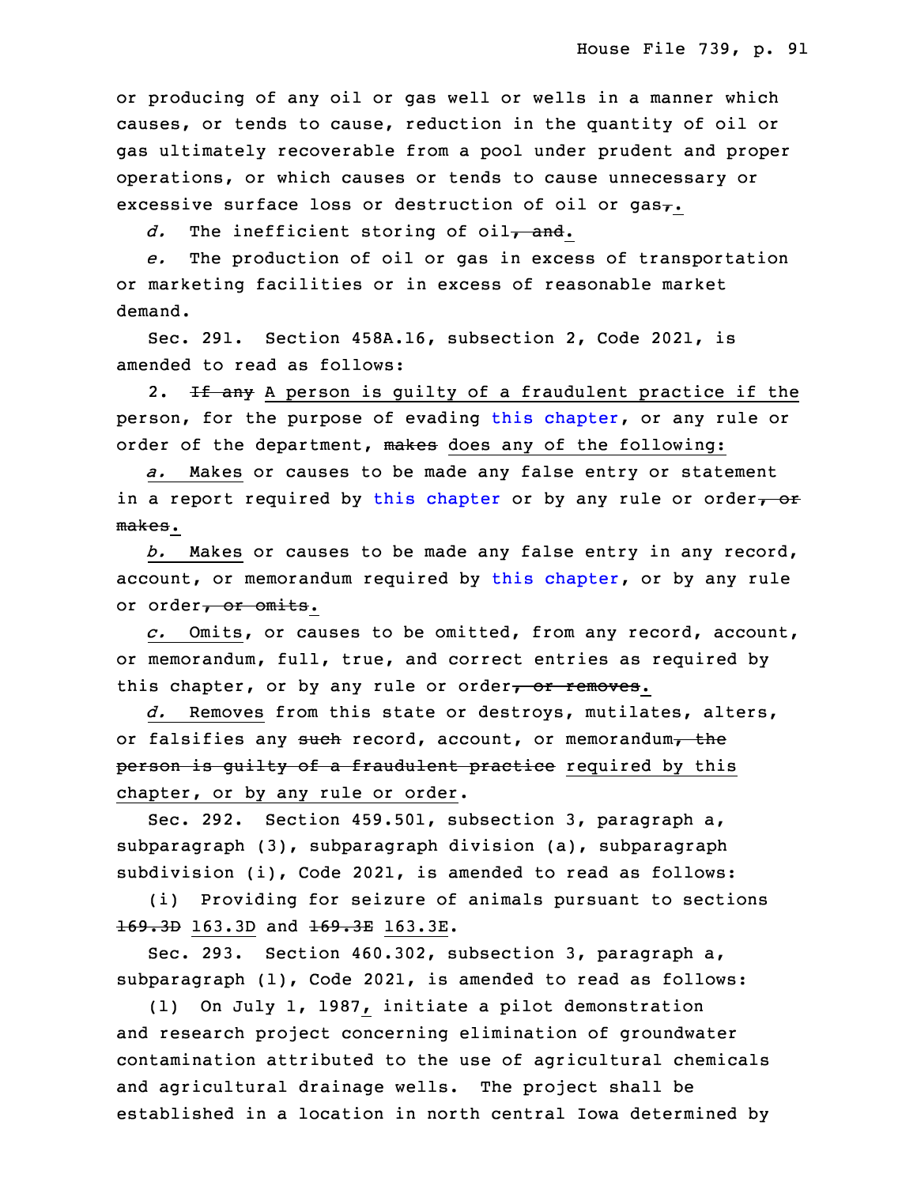or producing of any oil or gas well or wells in <sup>a</sup> manner which causes, or tends to cause, reduction in the quantity of oil or gas ultimately recoverable from a pool under prudent and proper operations, or which causes or tends to cause unnecessary or excessive surface loss or destruction of oil or gas $_{7}$ .

d. The inefficient storing of oil<sub>7</sub> and.

17 *e.* The production of oil or gas in excess of transportation or marketing facilities or in excess of reasonable market demand.

Sec. 291. Section 458A.16, subsection 2, Code 2021, is amended to read as follows:

2. If any A person is guilty of a fraudulent practice if the person, for the purpose of evading this [chapter](https://www.legis.iowa.gov/docs/code/2021/458A.pdf), or any rule or order of the department, makes does any of the following:

a. Makes or causes to be made any false entry or statement in a report required by this [chapter](https://www.legis.iowa.gov/docs/code/2021/458A.pdf) or by any rule or order, or makes.

28 *b.* Makes or causes to be made any false entry in any record, account, or memorandum required by this [chapter](https://www.legis.iowa.gov/docs/code/2021/458A.pdf), or by any rule or order, or omits.

31 *c.* Omits, or causes to be omitted, from any record, account, or memorandum, full, true, and correct entries as required by this chapter, or by any rule or order, or removes.

34 *d.* Removes from this state or destroys, mutilates, alters, or falsifies any such record, account, or memorandum, the person is guilty of a fraudulent practice required by this chapter, or by any rule or order.

Sec. 292. Section 459.501, subsection 3, paragraph a, subparagraph (3), subparagraph division (a), subparagraph subdivision (i), Code 2021, is amended to read as follows:

(i) Providing for seizure of animals pursuant to sections 169.3D 163.3D and 169.3E 163.3E.

8 Sec. 293. Section 460.302, subsection 3, paragraph a, subparagraph (1), Code 2021, is amended to read as follows:

10 (1) On July 1, 1987, initiate <sup>a</sup> pilot demonstration and research project concerning elimination of groundwater contamination attributed to the use of agricultural chemicals and agricultural drainage wells. The project shall be established in <sup>a</sup> location in north central Iowa determined by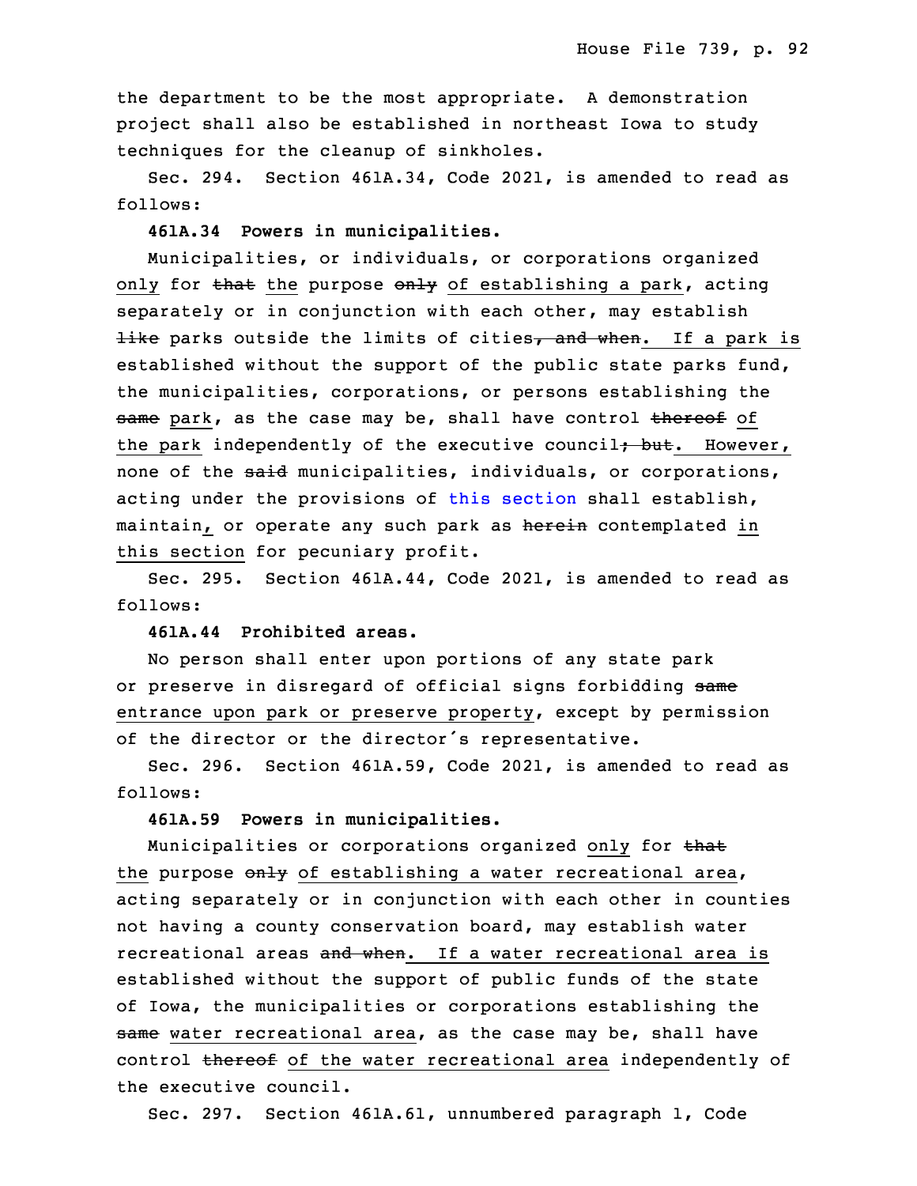the department to be the most appropriate. A demonstration project shall also be established in northeast Iowa to study techniques for the cleanup of sinkholes.

Sec. 294. Section 461A.34, Code 2021, is amended to read as follows:

20 **461A.34 Powers in municipalities.**

 Municipalities, or individuals, or corporations organized only for that the purpose only of establishing a park, acting separately or in conjunction with each other, may establish like parks outside the limits of cities, and when. If a park is established without the support of the public state parks fund, the municipalities, corporations, or persons establishing the same park, as the case may be, shall have control thereof of the park independently of the executive council<del>; but</del>. However, none of the said municipalities, individuals, or corporations, acting under the provisions of this [section](https://www.legis.iowa.gov/docs/code/2021/461A.34.pdf) shall establish, maintain, or operate any such park as herein contemplated in this section for pecuniary profit.

Sec. 295. Section 461A.44, Code 2021, is amended to read as follows:

35 **461A.44 Prohibited areas.**

 No person shall enter upon portions of any state park or preserve in disregard of official signs forbidding same entrance upon park or preserve property, except by permission of the director or the director's representative.

5 Sec. 296. Section 461A.59, Code 2021, is amended to read as follows:

7 **461A.59 Powers in municipalities.**

Municipalities or corporations organized only for that the purpose  $\Theta$ <sub>y</sub> of establishing a water recreational area, acting separately or in conjunction with each other in counties not having <sup>a</sup> county conservation board, may establish water recreational areas and when. If a water recreational area is established without the support of public funds of the state of Iowa, the municipalities or corporations establishing the same water recreational area, as the case may be, shall have control thereof of the water recreational area independently of the executive council.

Sec. 297. Section 461A.61, unnumbered paragraph 1, Code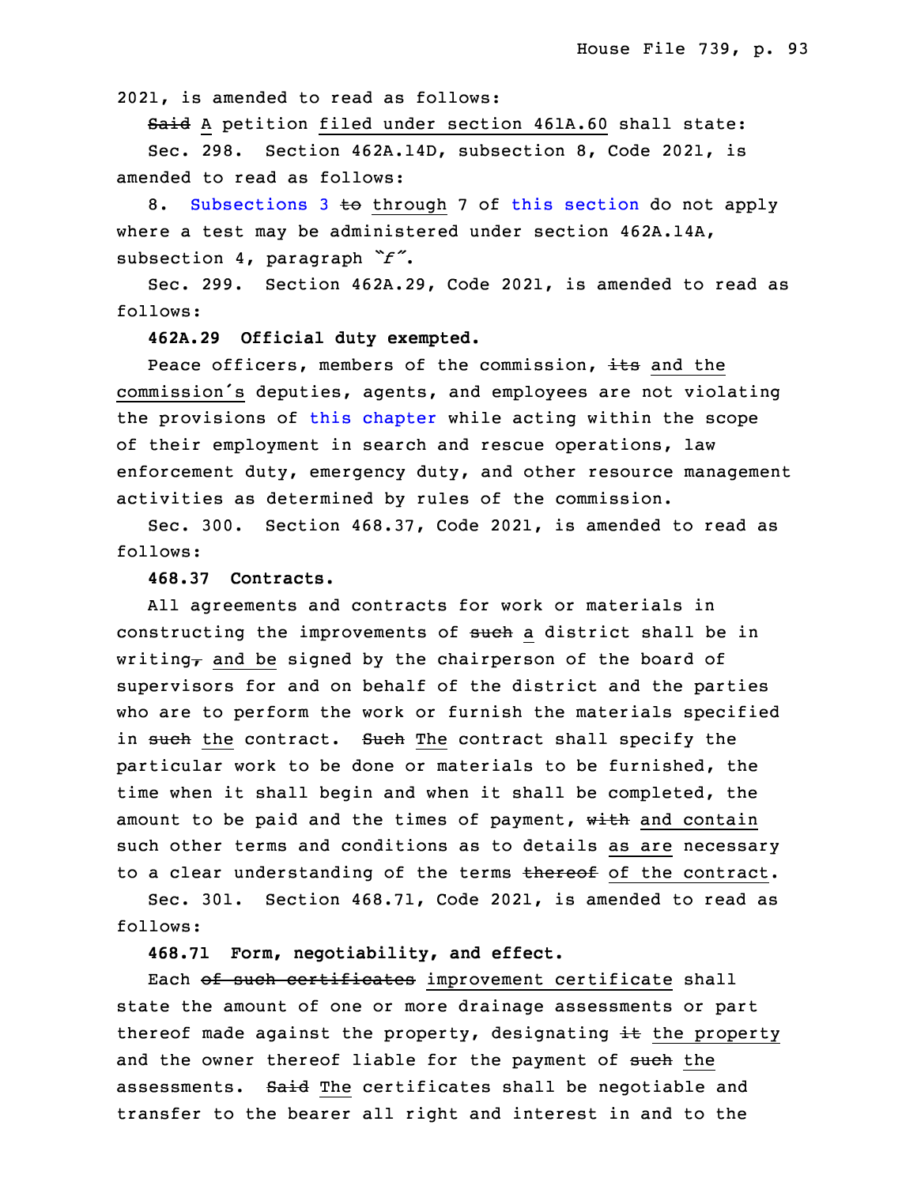2021, is amended to read as follows:

Said A petition filed under section 461A.60 shall state:

 Sec. 298. Section 462A.14D, subsection 8, Code 2021, is amended to read as follows:

8. [Subsections](https://www.legis.iowa.gov/docs/code/2021/462A.14D.pdf) 3 to through 7 of this [section](https://www.legis.iowa.gov/docs/code/2021/462A.14D.pdf) do not apply where <sup>a</sup> test may be administered under section 462A.14A, subsection 4, paragraph  $\check{r}$ .

Sec. 299. Section 462A.29, Code 2021, is amended to read as follows:

28 **462A.29 Official duty exempted.**

Peace officers, members of the commission, its and the commission's deputies, agents, and employees are not violating the provisions of this [chapter](https://www.legis.iowa.gov/docs/code/2021/462A.pdf) while acting within the scope of their employment in search and rescue operations, law enforcement duty, emergency duty, and other resource management activities as determined by rules of the commission.

Sec. 300. Section 468.37, Code 2021, is amended to read as follows:

## **468.37 Contracts.**

All agreements and contracts for work or materials in constructing the improvements of such a district shall be in writing, and be signed by the chairperson of the board of supervisors for and on behalf of the district and the parties who are to perform the work or furnish the materials specified in such the contract. Such The contract shall specify the particular work to be done or materials to be furnished, the time when it shall begin and when it shall be completed, the amount to be paid and the times of payment,  $w$ ith and contain such other terms and conditions as to details as are necessary to a clear understanding of the terms thereof of the contract.

 Sec. 301. Section 468.71, Code 2021, is amended to read as follows:

16 **468.71 Form, negotiability, and effect.**

Each of such certificates improvement certificate shall state the amount of one or more drainage assessments or part thereof made against the property, designating  $\pm\epsilon$  the property and the owner thereof liable for the payment of such the assessments. Said The certificates shall be negotiable and transfer to the bearer all right and interest in and to the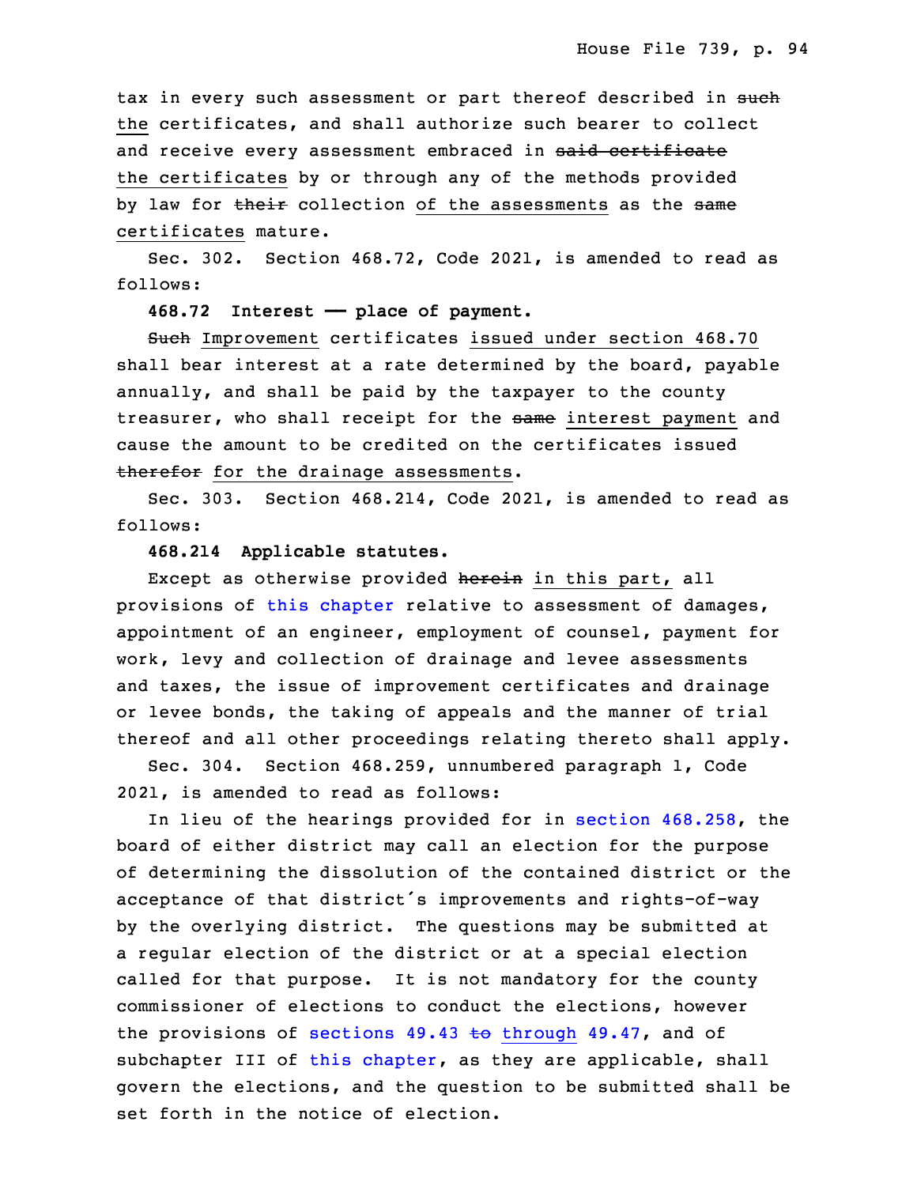tax in every such assessment or part thereof described in such the certificates, and shall authorize such bearer to collect and receive every assessment embraced in said certificate the certificates by or through any of the methods provided by law for their collection of the assessments as the same certificates mature.

Sec. 302. Section  $468.72$ , Code 2021, is amended to read as follows:

31 **468.72 Interest —— place of payment.**

Such Improvement certificates issued under section 468.70 shall bear interest at a rate determined by the board, payable annually, and shall be paid by the taxpayer to the county treasurer, who shall receipt for the same interest payment and cause the amount to be credited on the certificates issued therefor for the drainage assessments.

3 Sec. 303. Section 468.214, Code 2021, is amended to read as follows:

#### 5 **468.214 Applicable statutes.**

Except as otherwise provided herein in this part, all provisions of this [chapter](https://www.legis.iowa.gov/docs/code/2021/468.pdf) relative to assessment of damages, appointment of an engineer, employment of counsel, payment for work, levy and collection of drainage and levee assessments and taxes, the issue of improvement certificates and drainage or levee bonds, the taking of appeals and the manner of trial thereof and all other proceedings relating thereto shall apply.

Sec. 304. Section 468.259, unnumbered paragraph 1, Code 2021, is amended to read as follows:

In lieu of the hearings provided for in section [468.258](https://www.legis.iowa.gov/docs/code/2021/468.258.pdf), the board of either district may call an election for the purpose of determining the dissolution of the contained district or the acceptance of that district's improvements and rights-of-way by the overlying district. The questions may be submitted at a regular election of the district or at a special election called for that purpose. It is not mandatory for the county commissioner of elections to conduct the elections, however the provisions of sections  $49.43$  to [through](https://www.legis.iowa.gov/docs/code/2021/49.43.pdf)  $49.47$ , and of sub[chapter](https://www.legis.iowa.gov/docs/code/2021/468.pdf) III of this chapter, as they are applicable, shall govern the elections, and the question to be submitted shall be set forth in the notice of election.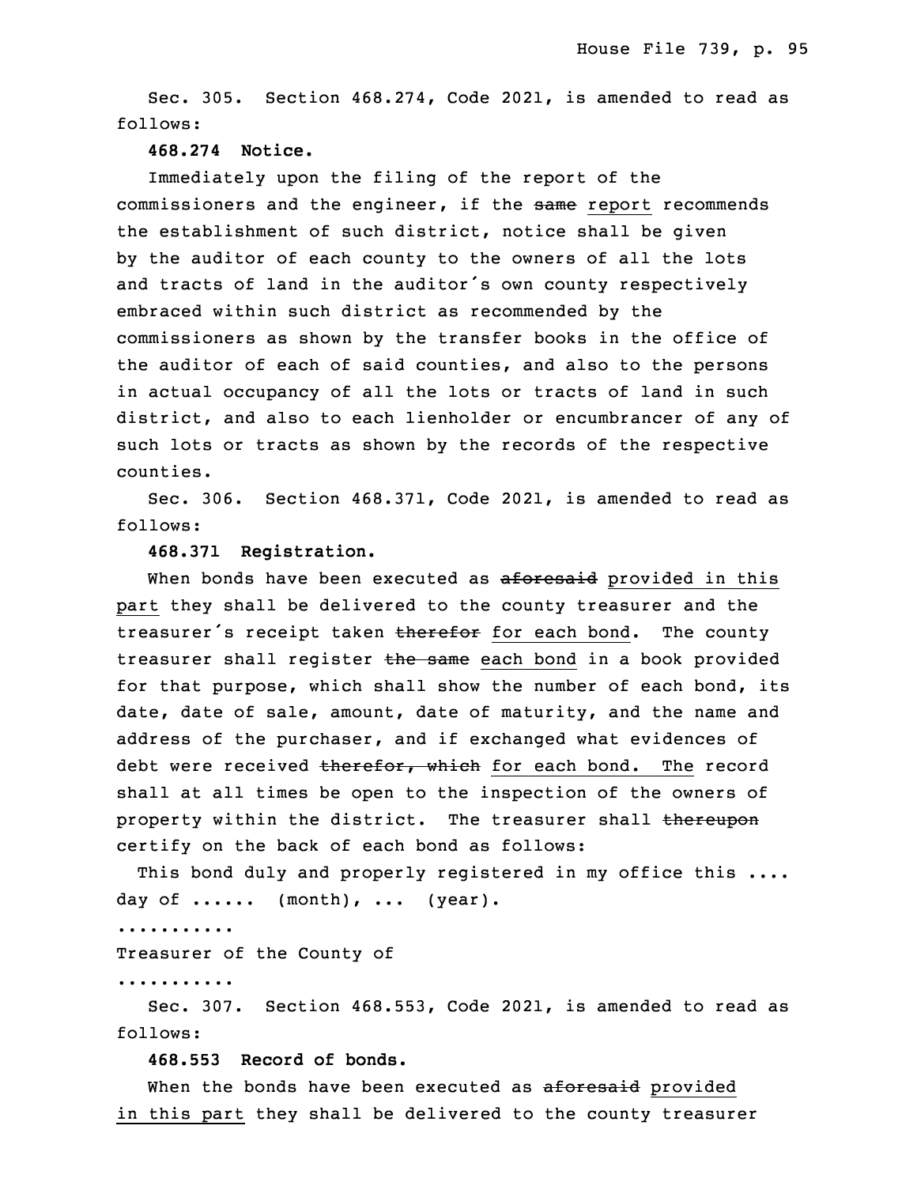Sec. 305. Section 468.274, Code 2021, is amended to read as follows:

#### 29 **468.274 Notice.**

Immediately upon the filing of the report of the commissioners and the engineer, if the same report recommends the establishment of such district, notice shall be given by the auditor of each county to the owners of all the lots and tracts of land in the auditor's own county respectively embraced within such district as recommended by the commissioners as shown by the transfer books in the office of the auditor of each of said counties, and also to the persons in actual occupancy of all the lots or tracts of land in such district, and also to each lienholder or encumbrancer of any of such lots or tracts as shown by the records of the respective 6 counties.

Sec. 306. Section 468.371, Code 2021, is amended to read as follows:

## 9 **468.371 Registration.**

When bonds have been executed as aforesaid provided in this part they shall be delivered to the county treasurer and the treasurer's receipt taken therefor for each bond. The county treasurer shall register the same each bond in a book provided for that purpose, which shall show the number of each bond, its date, date of sale, amount, date of maturity, and the name and address of the purchaser, and if exchanged what evidences of debt were received therefor, which for each bond. The record shall at all times be open to the inspection of the owners of property within the district. The treasurer shall thereupon certify on the back of each bond as follows:

This bond duly and properly registered in my office this .... day of  $\dots$ ..... (month),  $\dots$  (year).

23 ...........

Treasurer of the County of

25 ...........

Sec. 307. Section 468.553, Code 2021, is amended to read as follows:

28 **468.553 Record of bonds.**

When the bonds have been executed as aforesaid provided in this part they shall be delivered to the county treasurer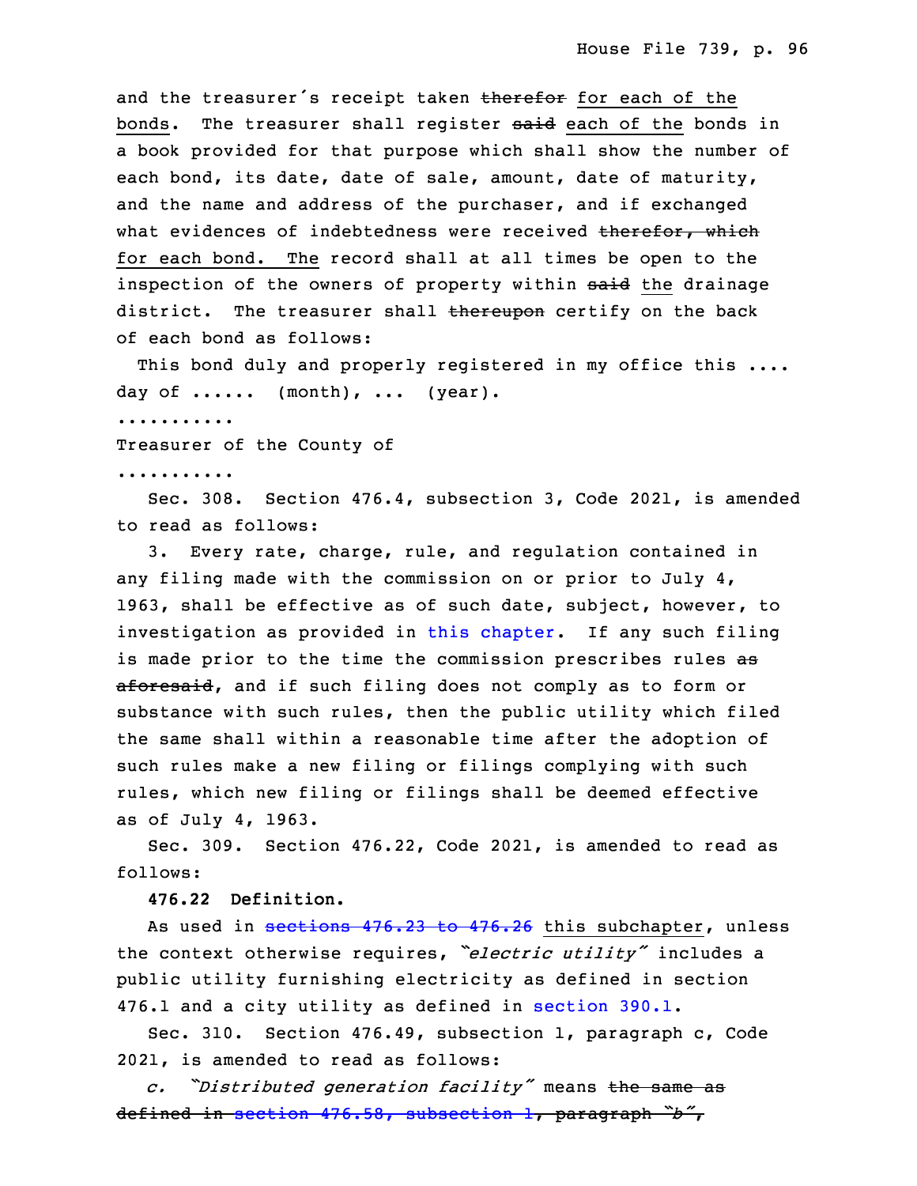and the treasurer's receipt taken therefor for each of the bonds. The treasurer shall register said each of the bonds in a book provided for that purpose which shall show the number of each bond, its date, date of sale, amount, date of maturity, and the name and address of the purchaser, and if exchanged what evidences of indebtedness were received therefor, which for each bond. The record shall at all times be open to the inspection of the owners of property within said the drainage district. The treasurer shall thereupon certify on the back of each bond as follows:

This bond duly and properly registered in my office this .... day of  $\dots$ ..... (month), ... (year).

8 ...........

Treasurer of the County of

10 ...........

 Sec. 308. Section 476.4, subsection 3, Code 2021, is amended to read as follows:

3. Every rate, charge, rule, and regulation contained in any filing made with the commission on or prior to July 4, 1963, shall be effective as of such date, subject, however, to investigation as provided in this [chapter](https://www.legis.iowa.gov/docs/code/2021/476.pdf). If any such filing is made prior to the time the commission prescribes rules as aforesaid, and if such filing does not comply as to form or substance with such rules, then the public utility which filed the same shall within a reasonable time after the adoption of such rules make <sup>a</sup> new filing or filings complying with such rules, which new filing or filings shall be deemed effective as of July 4, 1963.

 Sec. 309. Section 476.22, Code 2021, is amended to read as follows:

26 **476.22 Definition.**

As used in [sections](https://www.legis.iowa.gov/docs/code/2021/476.23.pdf) 476.23 to 476.26 this subchapter, unless <sup>28</sup> the context otherwise requires, *"electric utility"* includes <sup>a</sup> public utility furnishing electricity as defined in section 476.1 and a city utility as defined in [section](https://www.legis.iowa.gov/docs/code/2021/390.1.pdf) 390.1.

Sec. 310. Section 476.49, subsection 1, paragraph c, Code 2021, is amended to read as follows:

<sup>33</sup> *c. "Distributed generation facility"* means the same as <sup>34</sup> defined in section 476.58, [subsection](https://www.legis.iowa.gov/docs/code/2021/476.58.pdf) 1, paragraph *"b"*,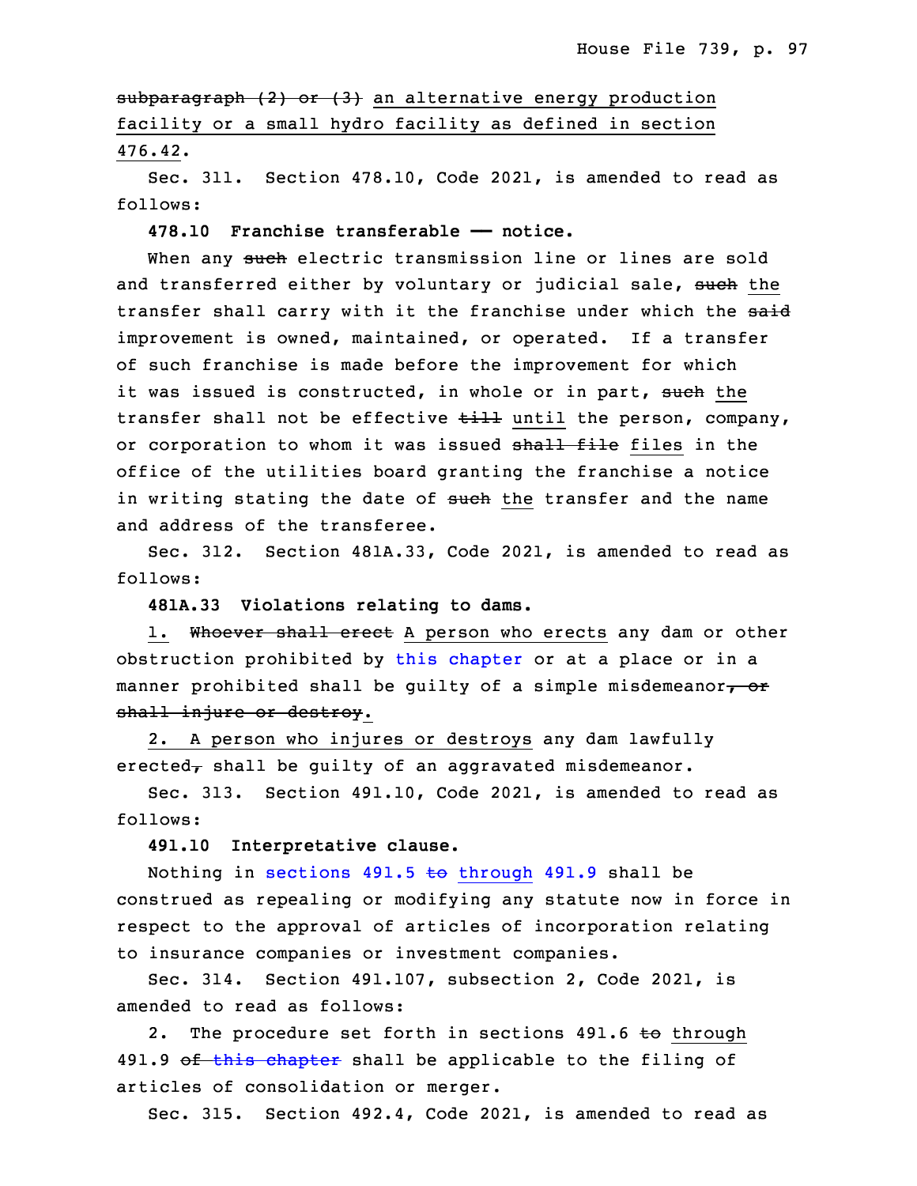subparagraph (2) or (3) an alternative energy production facility or <sup>a</sup> small hydro facility as defined in section 476.42.

Sec. 311. Section 478.10, Code 2021, is amended to read as follows:

5 **478.10 Franchise transferable —— notice.**

When any such electric transmission line or lines are sold and transferred either by voluntary or judicial sale, such the transfer shall carry with it the franchise under which the said improvement is owned, maintained, or operated. If a transfer of such franchise is made before the improvement for which it was issued is constructed, in whole or in part, such the transfer shall not be effective till until the person, company, or corporation to whom it was issued shall file files in the office of the utilities board granting the franchise <sup>a</sup> notice in writing stating the date of such the transfer and the name and address of the transferee.

Sec. 312. Section 481A.33, Code 2021, is amended to read as follows:

19 **481A.33 Violations relating to dams.**

1. Whoever shall erect A person who erects any dam or other obstruction prohibited by this [chapter](https://www.legis.iowa.gov/docs/code/2021/481A.pdf) or at <sup>a</sup> place or in <sup>a</sup> manner prohibited shall be quilty of a simple misdemeanor $\tau$  or shall injure or destroy.

 2. <sup>A</sup> person who injures or destroys any dam lawfully erected, shall be guilty of an aggravated misdemeanor.

Sec. 313. Section 491.10, Code 2021, is amended to read as follows:

28 **491.10 Interpretative clause.**

Nothing in sections  $491.5$  to [through](https://www.legis.iowa.gov/docs/code/2021/491.5.pdf)  $491.9$  shall be construed as repealing or modifying any statute now in force in respect to the approval of articles of incorporation relating to insurance companies or investment companies.

Sec. 314. Section 491.107, subsection 2, Code 2021, is amended to read as follows:

2. The procedure set forth in sections 491.6 to through 491.9 of this [chapter](https://www.legis.iowa.gov/docs/code/2021/491.pdf) shall be applicable to the filing of articles of consolidation or merger.

Sec. 315. Section 492.4, Code 2021, is amended to read as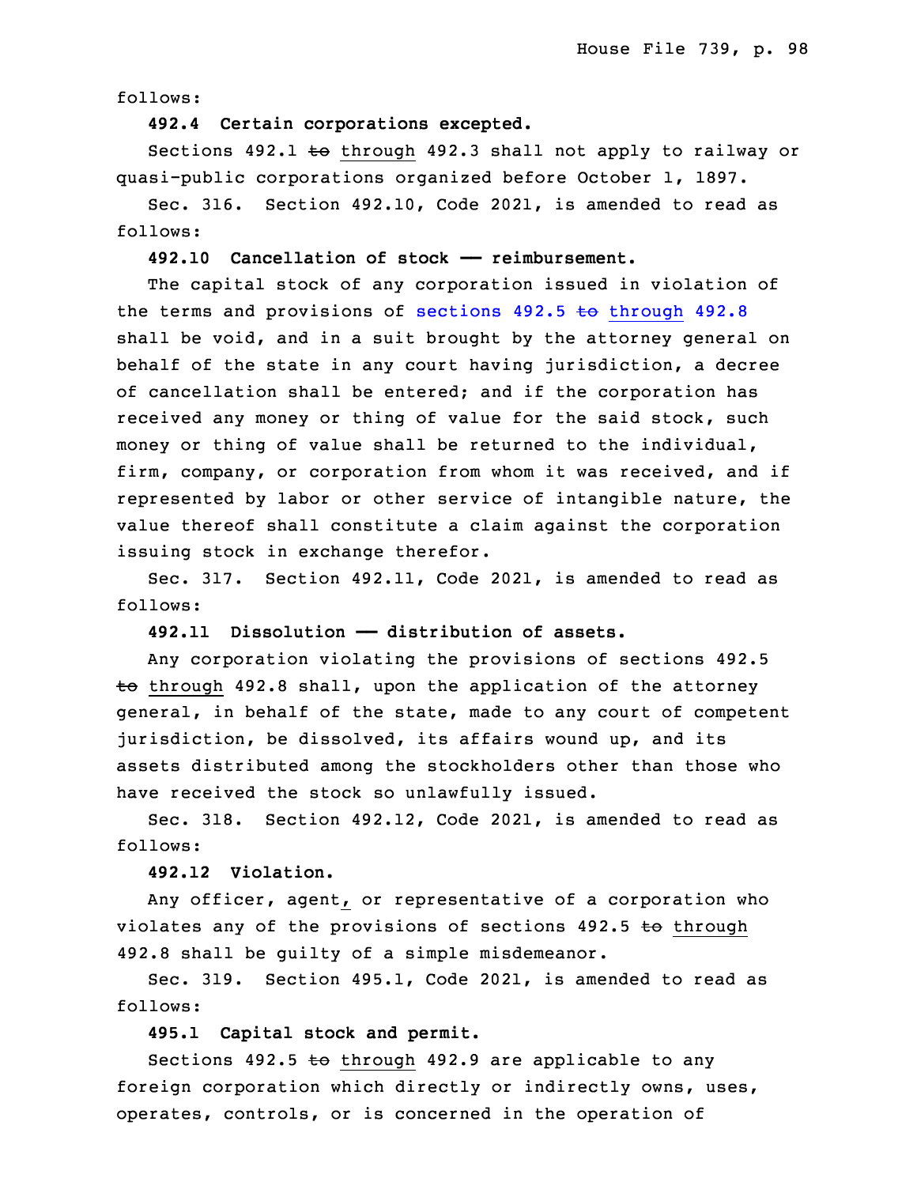follows:

## 5 **492.4 Certain corporations excepted.**

Sections  $492.1$  to through  $492.3$  shall not apply to railway or 7 quasi-public corporations organized before October 1, 1897.

Sec. 316. Section 492.10, Code 2021, is amended to read as follows:

## 10 **492.10 Cancellation of stock —— reimbursement.**

 The capital stock of any corporation issued in violation of the terms and provisions of sections  $492.5$  to [through](https://www.legis.iowa.gov/docs/code/2021/492.5.pdf)  $492.8$ shall be void, and in a suit brought by the attorney general on behalf of the state in any court having jurisdiction, <sup>a</sup> decree of cancellation shall be entered; and if the corporation has received any money or thing of value for the said stock, such money or thing of value shall be returned to the individual, firm, company, or corporation from whom it was received, and if represented by labor or other service of intangible nature, the value thereof shall constitute a claim against the corporation issuing stock in exchange therefor.

 Sec. 317. Section 492.11, Code 2021, is amended to read as follows:

**492.11 Dissolution —— distribution of assets.**

25 Any corporation violating the provisions of sections 492.5  $t_0$  through 492.8 shall, upon the application of the attorney general, in behalf of the state, made to any court of competent jurisdiction, be dissolved, its affairs wound up, and its assets distributed among the stockholders other than those who have received the stock so unlawfully issued.

Sec. 318. Section 492.12, Code 2021, is amended to read as follows:

33 **492.12 Violation.**

Any officer, agent, or representative of a corporation who violates any of the provisions of sections  $492.5$  to through 492.8 shall be guilty of <sup>a</sup> simple misdemeanor.

 Sec. 319. Section 495.1, Code 2021, is amended to read as follows:

**495.1 Capital stock and permit.**

Sections 492.5  $\leftrightarrow$  through 492.9 are applicable to any foreign corporation which directly or indirectly owns, uses, operates, controls, or is concerned in the operation of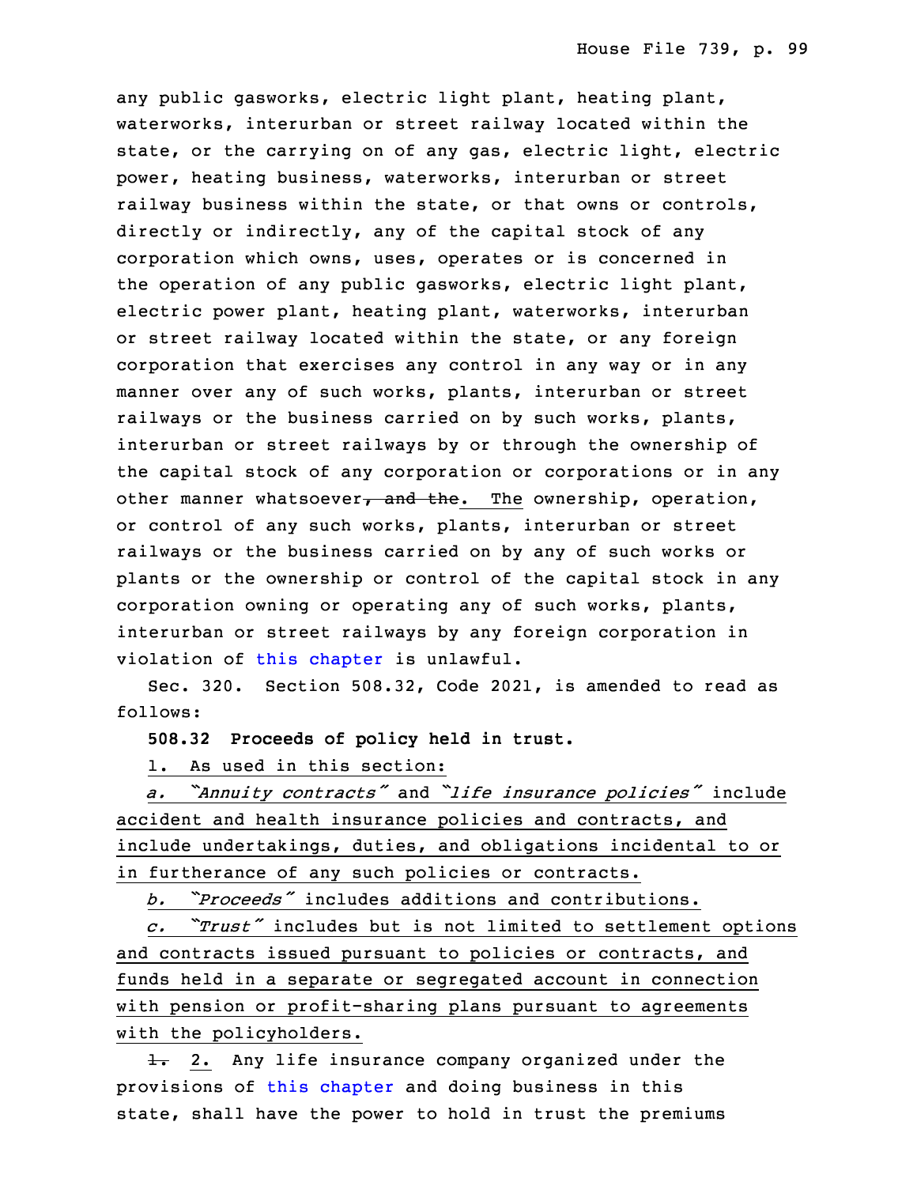any public gasworks, electric light plant, heating plant, waterworks, interurban or street railway located within the state, or the carrying on of any gas, electric light, electric power, heating business, waterworks, interurban or street railway business within the state, or that owns or controls, directly or indirectly, any of the capital stock of any corporation which owns, uses, operates or is concerned in the operation of any public gasworks, electric light plant, electric power plant, heating plant, waterworks, interurban or street railway located within the state, or any foreign corporation that exercises any control in any way or in any manner over any of such works, plants, interurban or street railways or the business carried on by such works, plants, interurban or street railways by or through the ownership of the capital stock of any corporation or corporations or in any other manner whatsoever, and the. The ownership, operation, or control of any such works, plants, interurban or street railways or the business carried on by any of such works or plants or the ownership or control of the capital stock in any corporation owning or operating any of such works, plants, interurban or street railways by any foreign corporation in violation of this [chapter](https://www.legis.iowa.gov/docs/code/2021/495.pdf) is unlawful.

Sec. 320. Section 508.32, Code 2021, is amended to read as follows:

32 **508.32 Proceeds of policy held in trust.**

1. As used in this section:

<sup>34</sup> *a. "Annuity contracts"* and *"life insurance policies"* include accident and health insurance policies and contracts, and include undertakings, duties, and obligations incidental to or in furtherance of any such policies or contracts.

3 *b. "Proceeds"* includes additions and contributions.

 *c. "Trust"* includes but is not limited to settlement options and contracts issued pursuant to policies or contracts, and funds held in a separate or segregated account in connection with pension or profit-sharing plans pursuant to agreements with the policyholders.

 $\frac{1}{2}$ . Any life insurance company organized under the provisions of this [chapter](https://www.legis.iowa.gov/docs/code/2021/508.pdf) and doing business in this state, shall have the power to hold in trust the premiums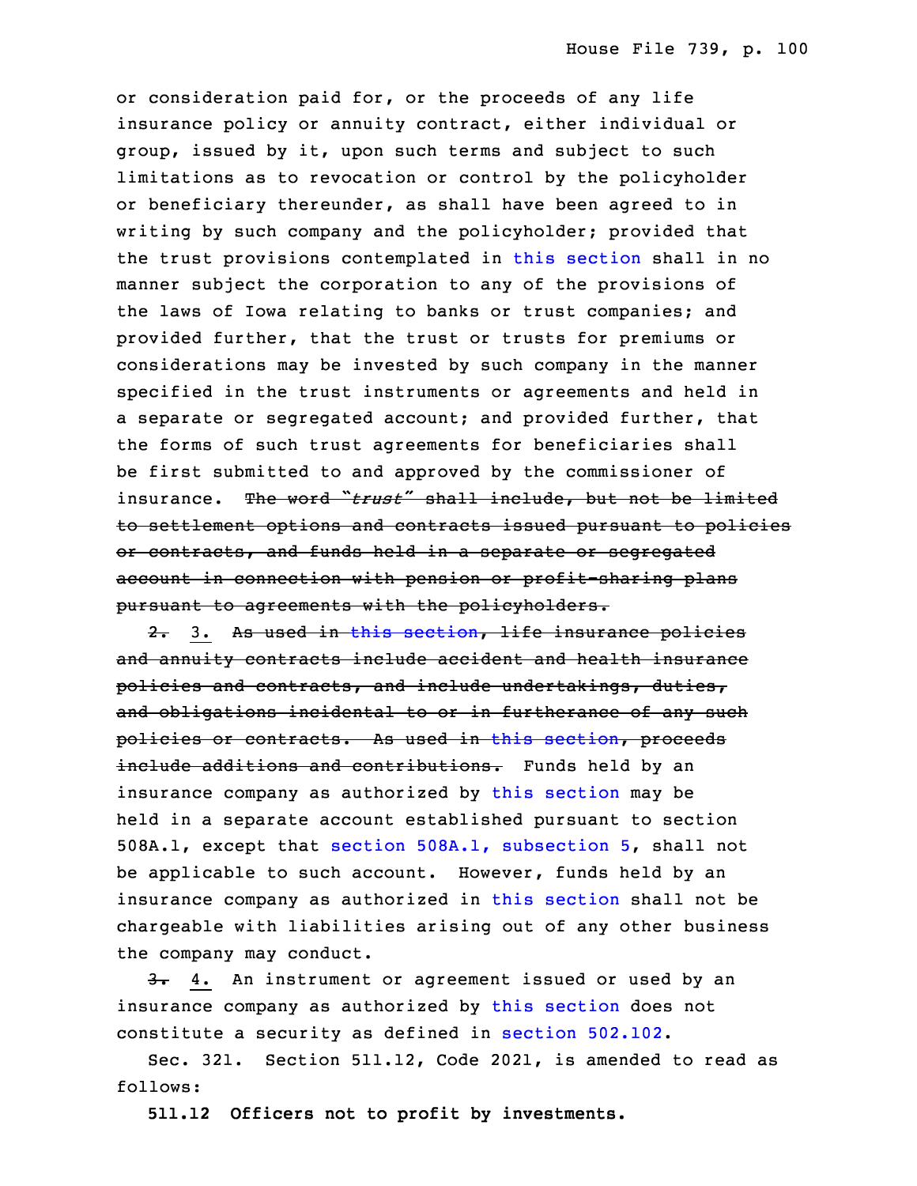or consideration paid for, or the proceeds of any life insurance policy or annuity contract, either individual or group, issued by it, upon such terms and subject to such limitations as to revocation or control by the policyholder or beneficiary thereunder, as shall have been agreed to in writing by such company and the policyholder; provided that the trust provisions contemplated in this [section](https://www.legis.iowa.gov/docs/code/2021/508.32.pdf) shall in no manner subject the corporation to any of the provisions of the laws of Iowa relating to banks or trust companies; and provided further, that the trust or trusts for premiums or considerations may be invested by such company in the manner specified in the trust instruments or agreements and held in <sup>a</sup> separate or segregated account; and provided further, that the forms of such trust agreements for beneficiaries shall be first submitted to and approved by the commissioner of 27 insurance. The word "*trust*" shall include, but not be limited to settlement options and contracts issued pursuant to policies or contracts, and funds held in a separate or segregated account in connection with pension or profit-sharing plans pursuant to agreements with the policyholders.

2. 3. As used in this [section](https://www.legis.iowa.gov/docs/code/2021/508.32.pdf), life insurance policies and annuity contracts include accident and health insurance policies and contracts, and include undertakings, duties, and obligations incidental to or in furtherance of any such policies or contracts. As used in this [section](https://www.legis.iowa.gov/docs/code/2021/508.32.pdf), proceeds include additions and contributions. Funds held by an insurance company as authorized by this [section](https://www.legis.iowa.gov/docs/code/2021/508.32.pdf) may be held in <sup>a</sup> separate account established pursuant to section 5 508A.1, except that section 508A.1, [subsection](https://www.legis.iowa.gov/docs/code/2021/508A.1.pdf) 5, shall not be applicable to such account. However, funds held by an insurance company as authorized in this [section](https://www.legis.iowa.gov/docs/code/2021/508.32.pdf) shall not be chargeable with liabilities arising out of any other business the company may conduct.

3. 4. An instrument or agreement issued or used by an insurance company as authorized by this [section](https://www.legis.iowa.gov/docs/code/2021/508.32.pdf) does not constitute <sup>a</sup> security as defined in section [502.102](https://www.legis.iowa.gov/docs/code/2021/502.102.pdf).

Sec. 321. Section 511.12, Code 2021, is amended to read as follows:

15 **511.12 Officers not to profit by investments.**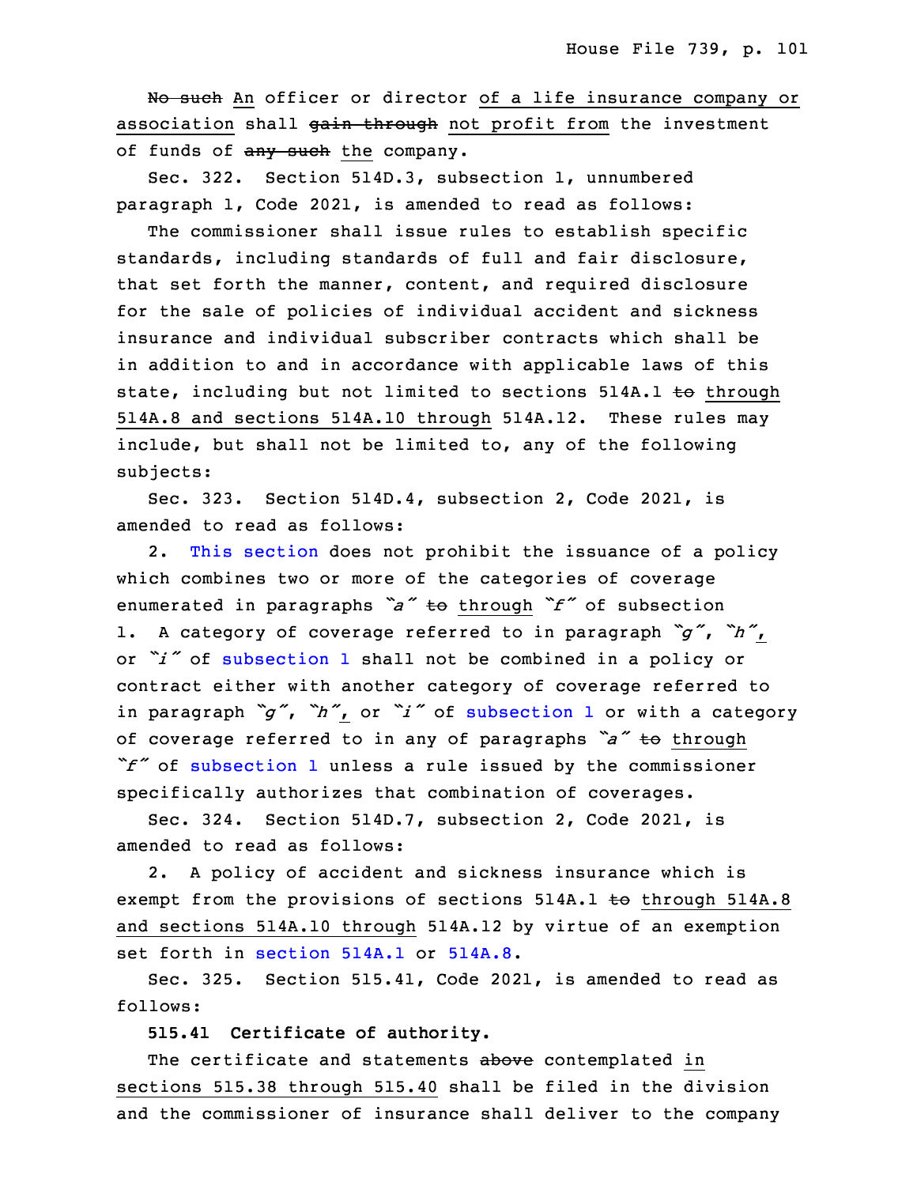No such An officer or director of a life insurance company or association shall gain through not profit from the investment of funds of any such the company.

Sec. 322. Section 514D.3, subsection 1, unnumbered paragraph  $1$ , Code 2021, is amended to read as follows:

 The commissioner shall issue rules to establish specific standards, including standards of full and fair disclosure, that set forth the manner, content, and required disclosure for the sale of policies of individual accident and sickness insurance and individual subscriber contracts which shall be in addition to and in accordance with applicable laws of this state, including but not limited to sections 514A.1 to through 514A.8 and sections 514A.10 through 514A.12. These rules may include, but shall not be limited to, any of the following subjects:

Sec. 323. Section 514D.4, subsection 2, Code 2021, is amended to read as follows:

2. This [section](https://www.legis.iowa.gov/docs/code/2021/514D.4.pdf) does not prohibit the issuance of a policy which combines two or more of the categories of coverage <sup>35</sup> enumerated in paragraphs *"a"* to through *"f"* of subsection 1. <sup>A</sup> category of coverage referred to in paragraph *"g"*, *"h"*, or *"i"* of [subsection](https://www.legis.iowa.gov/docs/code/2021/514D.4.pdf) <sup>1</sup> shall not be combined in <sup>a</sup> policy or contract either with another category of coverage referred to in paragraph *"g"*, *"h"*, or *"i"* of [subsection](https://www.legis.iowa.gov/docs/code/2021/514D.4.pdf) <sup>1</sup> or with <sup>a</sup> category <sup>5</sup> of coverage referred to in any of paragraphs *"a"* to through <sup>6</sup> *"f"* of [subsection](https://www.legis.iowa.gov/docs/code/2021/514D.4.pdf) <sup>1</sup> unless <sup>a</sup> rule issued by the commissioner specifically authorizes that combination of coverages.

8 Sec. 324. Section 514D.7, subsection 2, Code 2021, is amended to read as follows:

2. A policy of accident and sickness insurance which is exempt from the provisions of sections 514A.1 to through 514A.8 and sections 514A.10 through 514A.12 by virtue of an exemption set forth in [section](https://www.legis.iowa.gov/docs/code/2021/514A.1.pdf) 514A.1 or [514A.8](https://www.legis.iowa.gov/docs/code/2021/514A.8.pdf).

 Sec. 325. Section 515.41, Code 2021, is amended to read as follows:

16 **515.41 Certificate of authority.**

The certificate and statements above contemplated in sections 515.38 through 515.40 shall be filed in the division and the commissioner of insurance shall deliver to the company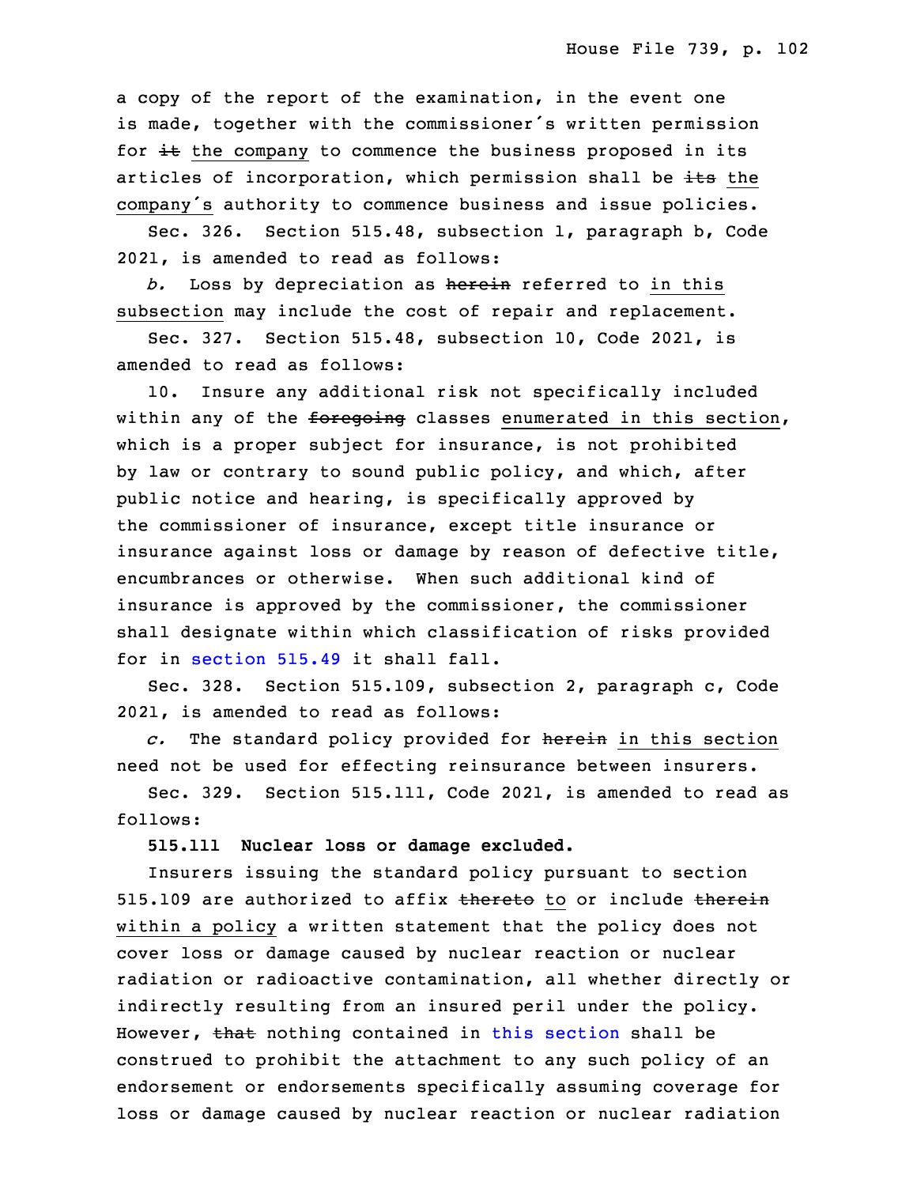a copy of the report of the examination, in the event one is made, together with the commissioner's written permission for  $\pm\epsilon$  the company to commence the business proposed in its articles of incorporation, which permission shall be its the company's authority to commence business and issue policies.

Sec. 326. Section 515.48, subsection 1, paragraph b, Code 26 2021, is amended to read as follows:

b. Loss by depreciation as herein referred to in this subsection may include the cost of repair and replacement.

Sec. 327. Section 515.48, subsection 10, Code 2021, is amended to read as follows:

10. Insure any additional risk not specifically included within any of the foregoing classes enumerated in this section, which is a proper subject for insurance, is not prohibited by law or contrary to sound public policy, and which, after public notice and hearing, is specifically approved by the commissioner of insurance, except title insurance or insurance against loss or damage by reason of defective title, encumbrances or otherwise. When such additional kind of insurance is approved by the commissioner, the commissioner 5 shall designate within which classification of risks provided for in [section](https://www.legis.iowa.gov/docs/code/2021/515.49.pdf) 515.49 it shall fall.

Sec. 328. Section 515.109, subsection 2, paragraph c, Code 2021, is amended to read as follows:

9 *c.* The standard policy provided for herein in this section need not be used for effecting reinsurance between insurers.

 Sec. 329. Section 515.111, Code 2021, is amended to read as follows:

#### 13 **515.111 Nuclear loss or damage excluded.**

 Insurers issuing the standard policy pursuant to section 515.109 are authorized to affix thereto to or include therein within a policy a written statement that the policy does not cover loss or damage caused by nuclear reaction or nuclear radiation or radioactive contamination, all whether directly or indirectly resulting from an insured peril under the policy. However, that nothing contained in this [section](https://www.legis.iowa.gov/docs/code/2021/515.111.pdf) shall be construed to prohibit the attachment to any such policy of an endorsement or endorsements specifically assuming coverage for loss or damage caused by nuclear reaction or nuclear radiation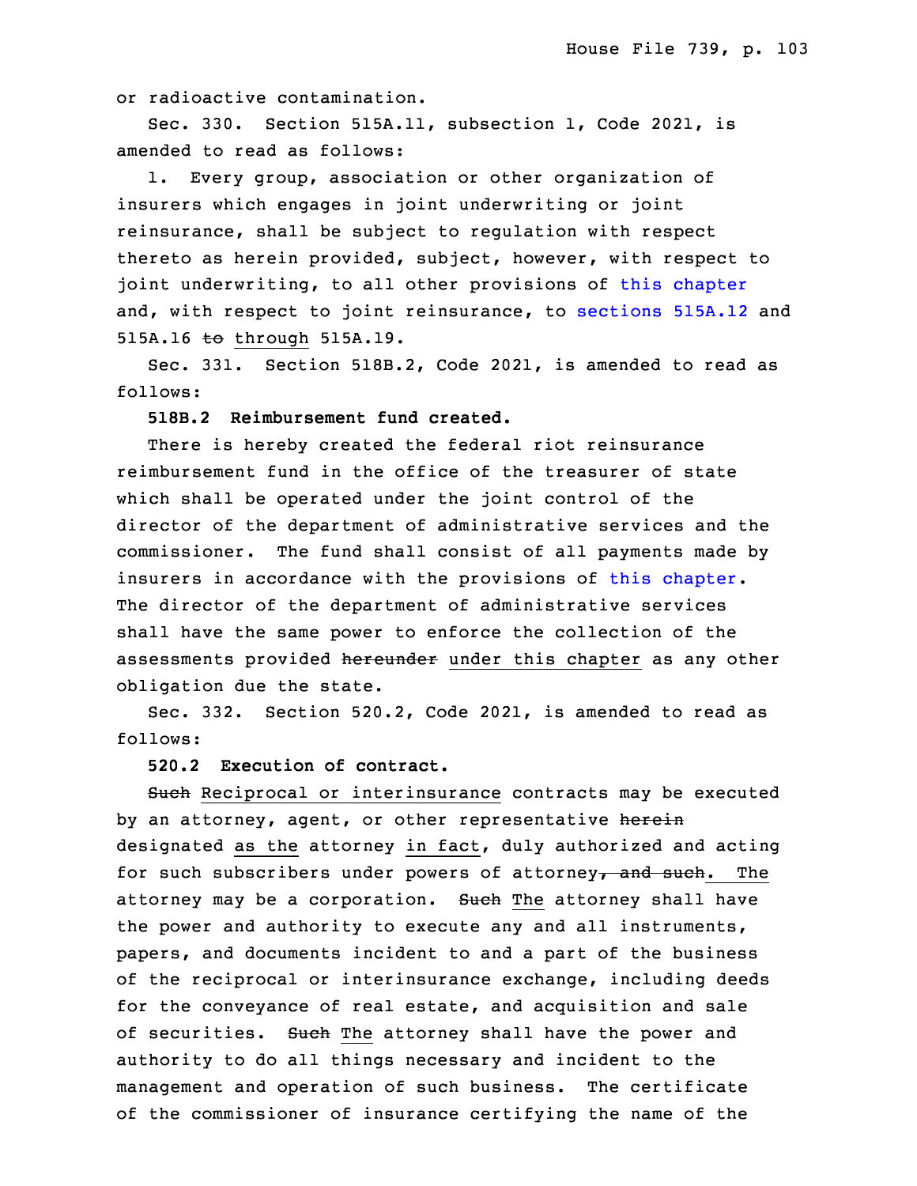or radioactive contamination.

Sec. 330. Section 515A.11, subsection 1, Code 2021, is amended to read as follows:

1. Every group, association or other organization of insurers which engages in joint underwriting or joint reinsurance, shall be subject to regulation with respect thereto as herein provided, subject, however, with respect to joint underwriting, to all other provisions of this [chapter](https://www.legis.iowa.gov/docs/code/2021/515A.pdf) and, with respect to joint reinsurance, to [sections](https://www.legis.iowa.gov/docs/code/2021/515A.12.pdf) 515A.12 and 515A.16 to through 515A.19.

Sec. 331. Section 518B.2, Code 2021, is amended to read as follows:

## **518B.2 Reimbursement fund created.**

 There is hereby created the federal riot reinsurance reimbursement fund in the office of the treasurer of state which shall be operated under the joint control of the director of the department of administrative services and the commissioner. The fund shall consist of all payments made by insurers in accordance with the provisions of this [chapter](https://www.legis.iowa.gov/docs/code/2021/518B.pdf). The director of the department of administrative services shall have the same power to enforce the collection of the assessments provided hereunder under this chapter as any other obligation due the state.

 Sec. 332. Section 520.2, Code 2021, is amended to read as follows:

## **520.2 Execution of contract.**

Such Reciprocal or interinsurance contracts may be executed by an attorney, agent, or other representative herein designated as the attorney in fact, duly authorized and acting for such subscribers under powers of attorney, and such. The attorney may be a corporation. Such The attorney shall have the power and authority to execute any and all instruments, papers, and documents incident to and <sup>a</sup> part of the business of the reciprocal or interinsurance exchange, including deeds for the conveyance of real estate, and acquisition and sale of securities. Such The attorney shall have the power and authority to do all things necessary and incident to the management and operation of such business. The certificate of the commissioner of insurance certifying the name of the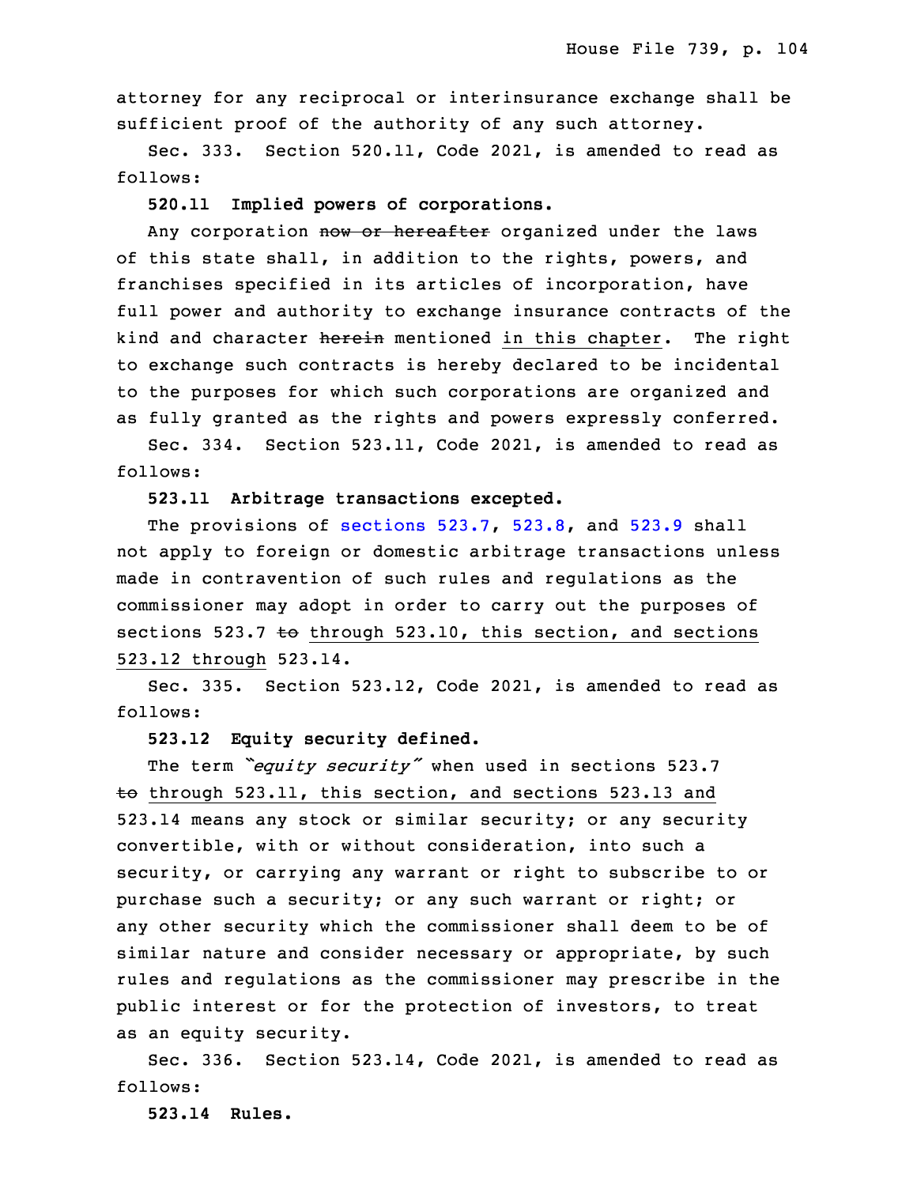attorney for any reciprocal or interinsurance exchange shall be sufficient proof of the authority of any such attorney.

Sec. 333. Section 520.11, Code 2021, is amended to read as follows:

32 **520.11 Implied powers of corporations.**

Any corporation now or hereafter organized under the laws of this state shall, in addition to the rights, powers, and franchises specified in its articles of incorporation, have full power and authority to exchange insurance contracts of the kind and character herein mentioned in this chapter. The right to exchange such contracts is hereby declared to be incidental to the purposes for which such corporations are organized and as fully granted as the rights and powers expressly conferred.

Sec. 334. Section 523.11, Code 2021, is amended to read as follows:

8 **523.11 Arbitrage transactions excepted.**

The provisions of [sections](https://www.legis.iowa.gov/docs/code/2021/523.7.pdf) 523.7, [523.8](https://www.legis.iowa.gov/docs/code/2021/523.8.pdf), and [523.9](https://www.legis.iowa.gov/docs/code/2021/523.9.pdf) shall not apply to foreign or domestic arbitrage transactions unless made in contravention of such rules and regulations as the commissioner may adopt in order to carry out the purposes of sections 523.7  $\text{te}$  through 523.10, this section, and sections 523.12 through 523.14.

Sec. 335. Section 523.12, Code 2021, is amended to read as follows:

#### 17 **523.12 Equity security defined.**

The term *"equity security"* when used in sections 523.7  $t$  through 523.11, this section, and sections 523.13 and 523.14 means any stock or similar security; or any security convertible, with or without consideration, into such <sup>a</sup> security, or carrying any warrant or right to subscribe to or purchase such a security; or any such warrant or right; or any other security which the commissioner shall deem to be of similar nature and consider necessary or appropriate, by such rules and regulations as the commissioner may prescribe in the public interest or for the protection of investors, to treat as an equity security.

Sec. 336. Section 523.14, Code 2021, is amended to read as follows:

31 **523.14 Rules.**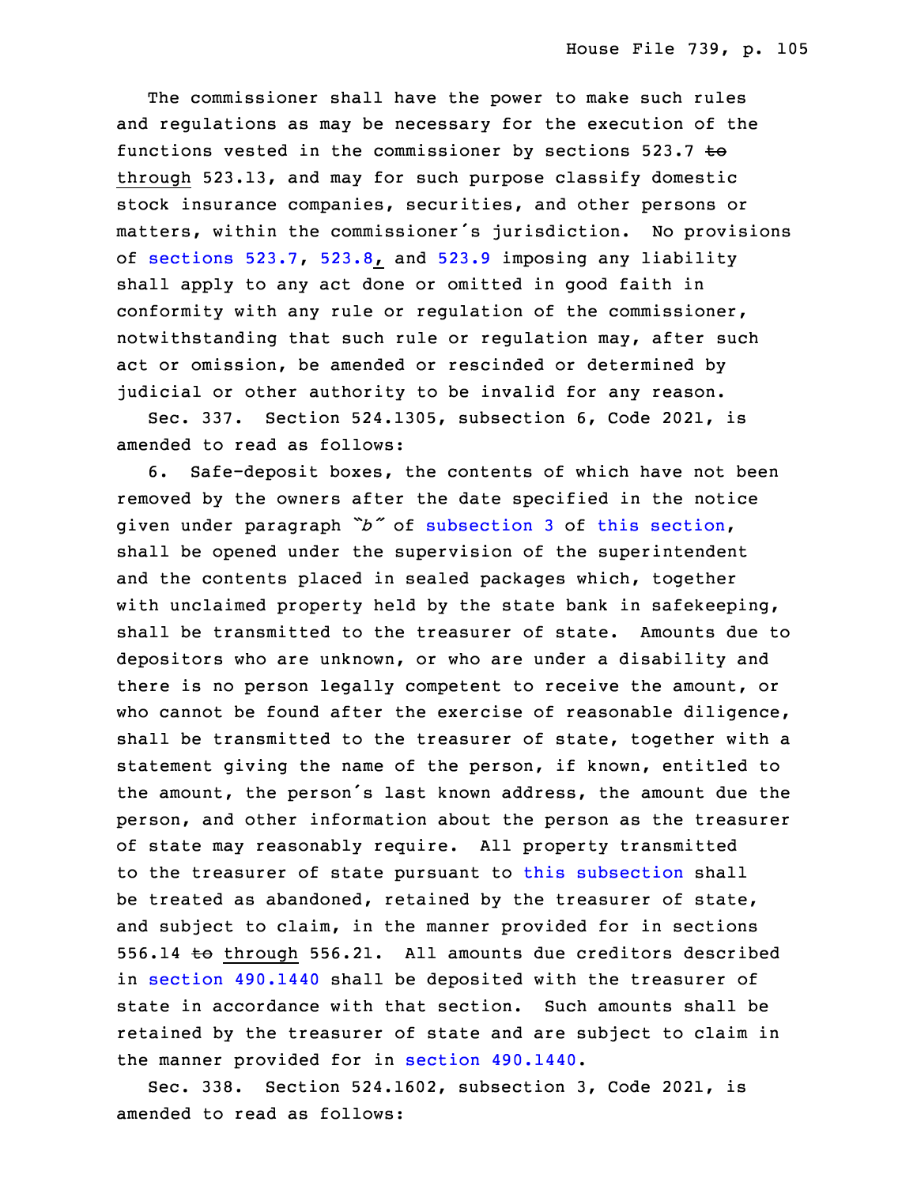The commissioner shall have the power to make such rules and regulations as may be necessary for the execution of the functions vested in the commissioner by sections  $523.7$  to through 523.13, and may for such purpose classify domestic stock insurance companies, securities, and other persons or matters, within the commissioner's jurisdiction. No provisions of [sections](https://www.legis.iowa.gov/docs/code/2021/523.7.pdf) 523.7, [523.8](https://www.legis.iowa.gov/docs/code/2021/523.8.pdf), and [523.9](https://www.legis.iowa.gov/docs/code/2021/523.9.pdf) imposing any liability shall apply to any act done or omitted in good faith in conformity with any rule or regulation of the commissioner, notwithstanding that such rule or regulation may, after such act or omission, be amended or rescinded or determined by judicial or other authority to be invalid for any reason.

9 Sec. 337. Section 524.1305, subsection 6, Code 2021, is amended to read as follows:

 6. Safe-deposit boxes, the contents of which have not been removed by the owners after the date specified in the notice given under paragraph "b" of [subsection](https://www.legis.iowa.gov/docs/code/2021/524.1305.pdf) 3 of this [section](https://www.legis.iowa.gov/docs/code/2021/524.1305.pdf), shall be opened under the supervision of the superintendent and the contents placed in sealed packages which, together with unclaimed property held by the state bank in safekeeping, shall be transmitted to the treasurer of state. Amounts due to depositors who are unknown, or who are under a disability and there is no person legally competent to receive the amount, or who cannot be found after the exercise of reasonable diligence, shall be transmitted to the treasurer of state, together with <sup>a</sup> statement giving the name of the person, if known, entitled to the amount, the person's last known address, the amount due the person, and other information about the person as the treasurer of state may reasonably require. All property transmitted to the treasurer of state pursuant to this [subsection](https://www.legis.iowa.gov/docs/code/2021/524.1305.pdf) shall be treated as abandoned, retained by the treasurer of state, and subject to claim, in the manner provided for in sections 556.14 to through 556.21. All amounts due creditors described in section [490.1440](https://www.legis.iowa.gov/docs/code/2021/490.1440.pdf) shall be deposited with the treasurer of state in accordance with that section. Such amounts shall be retained by the treasurer of state and are subject to claim in the manner provided for in section [490.1440](https://www.legis.iowa.gov/docs/code/2021/490.1440.pdf).

34 Sec. 338. Section 524.1602, subsection 3, Code 2021, is amended to read as follows: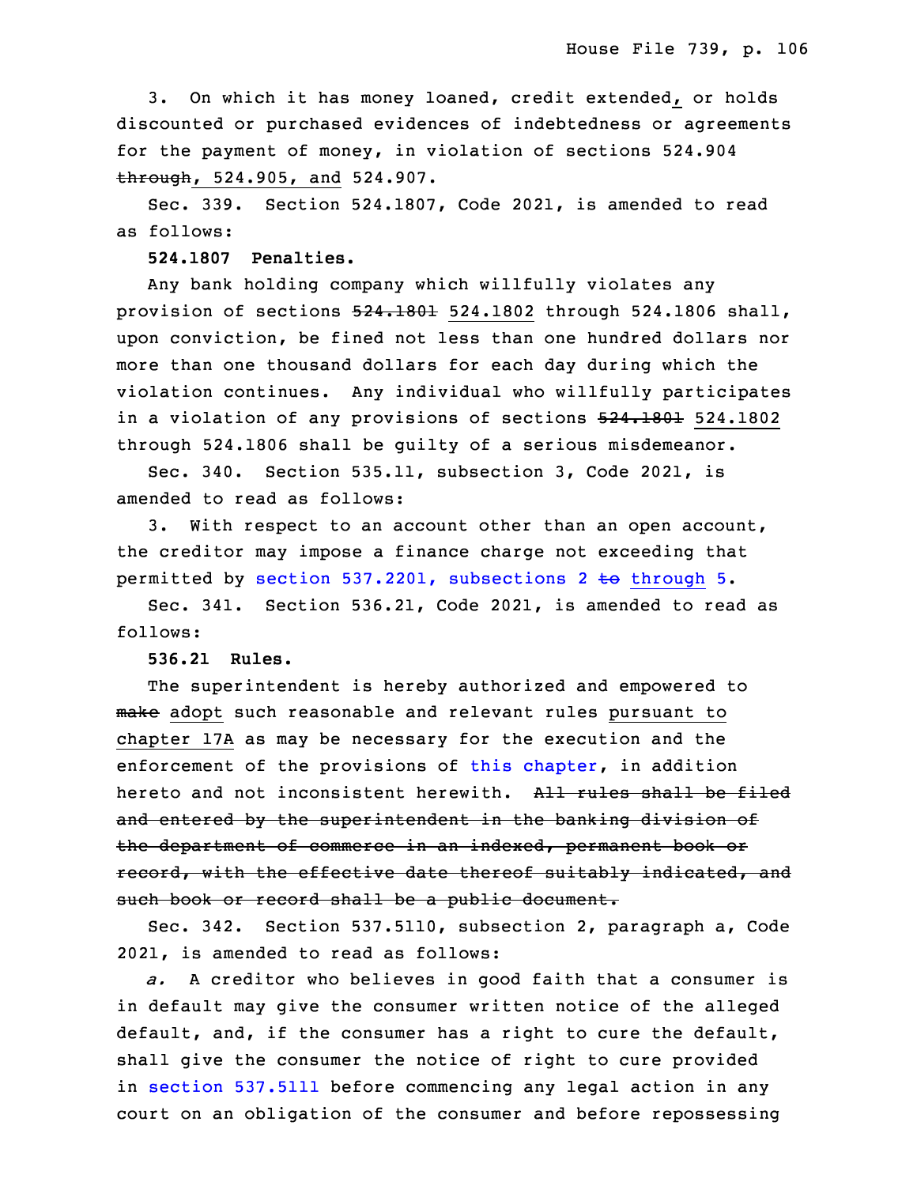3. On which it has money loaned, credit extended, or holds discounted or purchased evidences of indebtedness or agreements for the payment of money, in violation of sections 524.904 through, 524.905, and 524.907.

5 Sec. 339. Section 524.1807, Code 2021, is amended to read as follows:

7 **524.1807 Penalties.**

8 Any bank holding company which willfully violates any provision of sections  $524.1801$  524.1802 through 524.1806 shall, upon conviction, be fined not less than one hundred dollars nor more than one thousand dollars for each day during which the violation continues. Any individual who willfully participates in a violation of any provisions of sections  $524.1801$  524.1802 through 524.1806 shall be guilty of <sup>a</sup> serious misdemeanor.

Sec. 340. Section 535.11, subsection 3, Code 2021, is amended to read as follows:

3. With respect to an account other than an open account, the creditor may impose a finance charge not exceeding that permitted by section 537.2201, [subsections](https://www.legis.iowa.gov/docs/code/2021/537.2201.pdf) 2 to through 5.

Sec. 341. Section 536.21, Code 2021, is amended to read as follows:

**536.21 Rules.**

The superintendent is hereby authorized and empowered to make adopt such reasonable and relevant rules pursuant to chapter 17A as may be necessary for the execution and the enforcement of the provisions of this [chapter](https://www.legis.iowa.gov/docs/code/2021/536.pdf), in addition hereto and not inconsistent herewith. All rules shall be filed and entered by the superintendent in the banking division of the department of commerce in an indexed, permanent book or record, with the effective date thereof suitably indicated, and such book or record shall be a public document.

Sec. 342. Section 537.5110, subsection 2, paragraph a, Code 2021, is amended to read as follows:

34 *a.* <sup>A</sup> creditor who believes in good faith that <sup>a</sup> consumer is in default may give the consumer written notice of the alleged default, and, if the consumer has <sup>a</sup> right to cure the default, shall give the consumer the notice of right to cure provided in section [537.5111](https://www.legis.iowa.gov/docs/code/2021/537.5111.pdf) before commencing any legal action in any court on an obligation of the consumer and before repossessing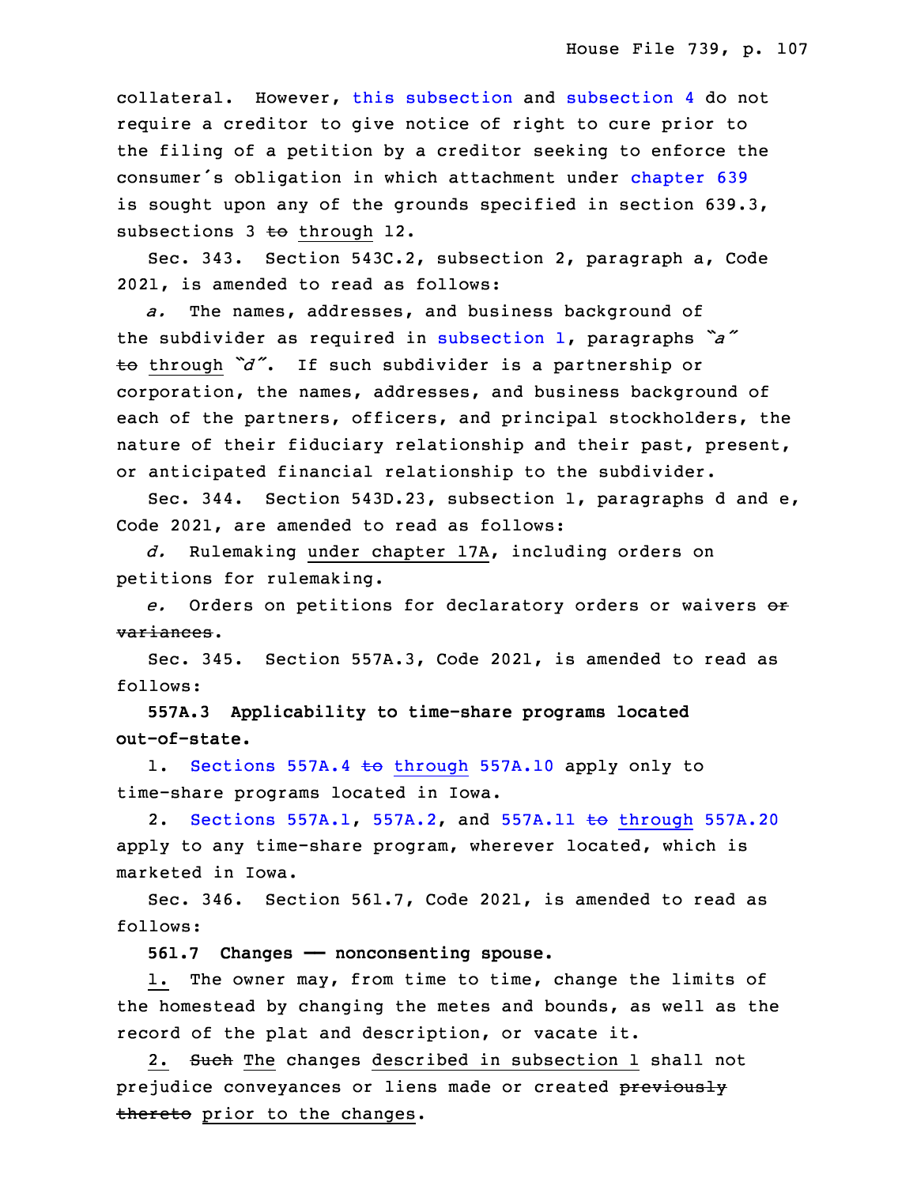collateral. However, this [subsection](https://www.legis.iowa.gov/docs/code/2021/537.5110.pdf) and subsection 4 do not require a creditor to give notice of right to cure prior to the filing of a petition by a creditor seeking to enforce the consumer's obligation in which attachment under [chapter](https://www.legis.iowa.gov/docs/code/2021/639.pdf) 639 is sought upon any of the grounds specified in section  $639.3$ , subsections  $3$  to through 12.

 Sec. 343. Section 543C.2, subsection 2, paragraph a, Code 2021, is amended to read as follows:

a. The names, addresses, and business background of the subdivider as required in [subsection](https://www.legis.iowa.gov/docs/code/2021/543C.2.pdf) 1, paragraphs *"a"* <sup>15</sup> to through *"d"*. If such subdivider is <sup>a</sup> partnership or corporation, the names, addresses, and business background of each of the partners, officers, and principal stockholders, the nature of their fiduciary relationship and their past, present, or anticipated financial relationship to the subdivider.

Sec. 344. Section 543D.23, subsection 1, paragraphs d and  $e$ , Code 2021, are amended to read as follows:

 *d.* Rulemaking under chapter 17A, including orders on petitions for rulemaking.

 *e.* Orders on petitions for declaratory orders or waivers or variances.

Sec. 345. Section 557A.3, Code 2021, is amended to read as follows:

28 **557A.3 Applicability to time-share programs located** 29 **out-of-state.**

1. [Sections](https://www.legis.iowa.gov/docs/code/2021/557A.4.pdf) 557A.4 to through 557A.10 apply only to time-share programs located in Iowa.

2. [Sections](https://www.legis.iowa.gov/docs/code/2021/557A.1.pdf)  $557A.1$ ,  $557A.2$ , and  $557A.11$  to [through](https://www.legis.iowa.gov/docs/code/2021/557A.11.pdf) 557A.20 apply to any time-share program, wherever located, which is marketed in Iowa.

Sec. 346. Section 561.7, Code 2021, is amended to read as follows:

**561.7 Changes —— nonconsenting spouse.**

1. The owner may, from time to time, change the limits of the homestead by changing the metes and bounds, as well as the record of the plat and description, or vacate it.

2. Such The changes described in subsection 1 shall not prejudice conveyances or liens made or created previously thereto prior to the changes.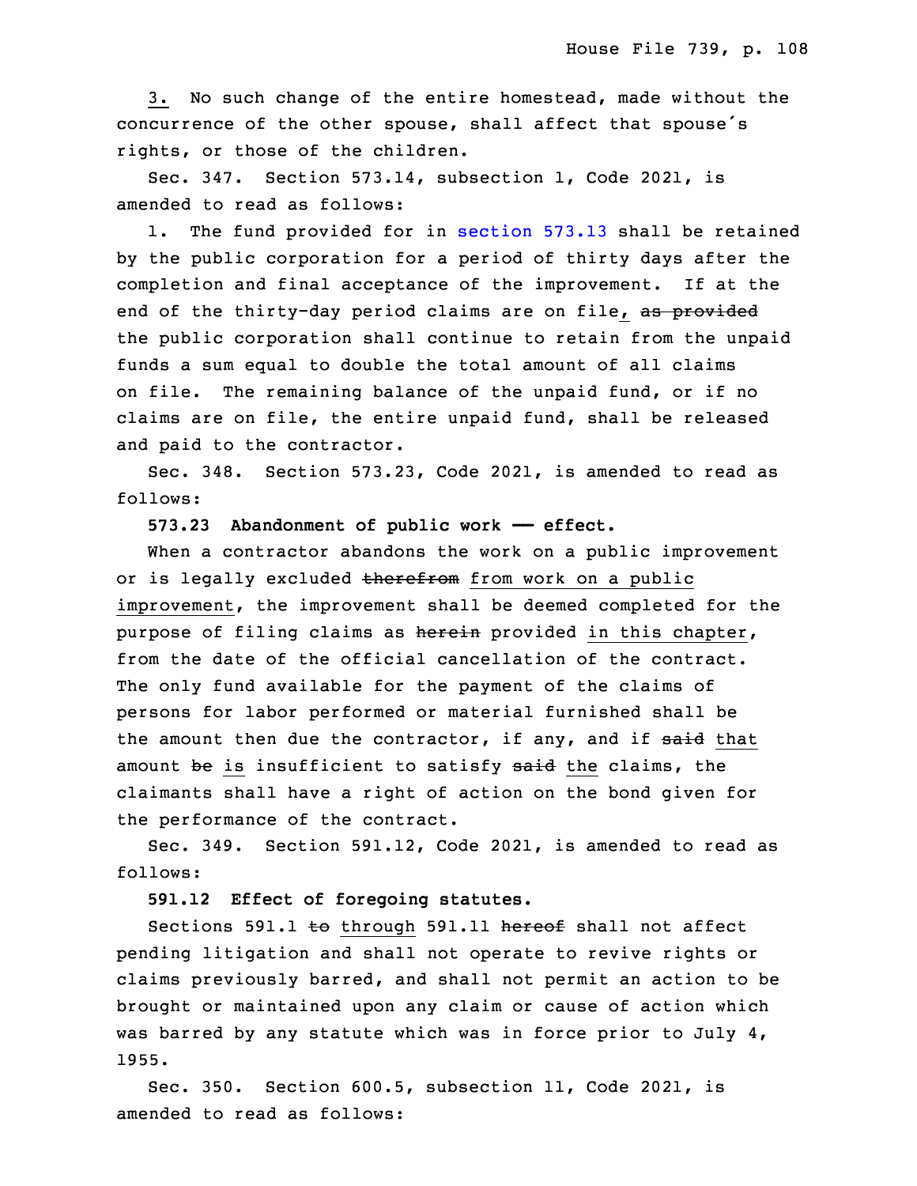3. No such change of the entire homestead, made without the concurrence of the other spouse, shall affect that spouse's rights, or those of the children.

 Sec. 347. Section 573.14, subsection 1, Code 2021, is amended to read as follows:

 1. The fund provided for in [section](https://www.legis.iowa.gov/docs/code/2021/573.13.pdf) 573.13 shall be retained by the public corporation for a period of thirty days after the completion and final acceptance of the improvement. If at the end of the thirty-day period claims are on file, as provided the public corporation shall continue to retain from the unpaid funds a sum equal to double the total amount of all claims on file. The remaining balance of the unpaid fund, or if no claims are on file, the entire unpaid fund, shall be released and paid to the contractor.

Sec. 348. Section 573.23, Code 2021, is amended to read as follows:

25 **573.23 Abandonment of public work —— effect.**

When a contractor abandons the work on a public improvement or is legally excluded therefrom from work on a public improvement, the improvement shall be deemed completed for the purpose of filing claims as herein provided in this chapter, from the date of the official cancellation of the contract. The only fund available for the payment of the claims of persons for labor performed or material furnished shall be the amount then due the contractor, if any, and if said that amount be is insufficient to satisfy said the claims, the claimants shall have a right of action on the bond given for the performance of the contract.

 Sec. 349. Section 591.12, Code 2021, is amended to read as follows:

**591.12 Effect of foregoing statutes.**

Sections 591.1 to through 591.11 hereof shall not affect 6 pending litigation and shall not operate to revive rights or claims previously barred, and shall not permit an action to be brought or maintained upon any claim or cause of action which was barred by any statute which was in force prior to July  $4$ , 10 1955.

 Sec. 350. Section 600.5, subsection 11, Code 2021, is amended to read as follows: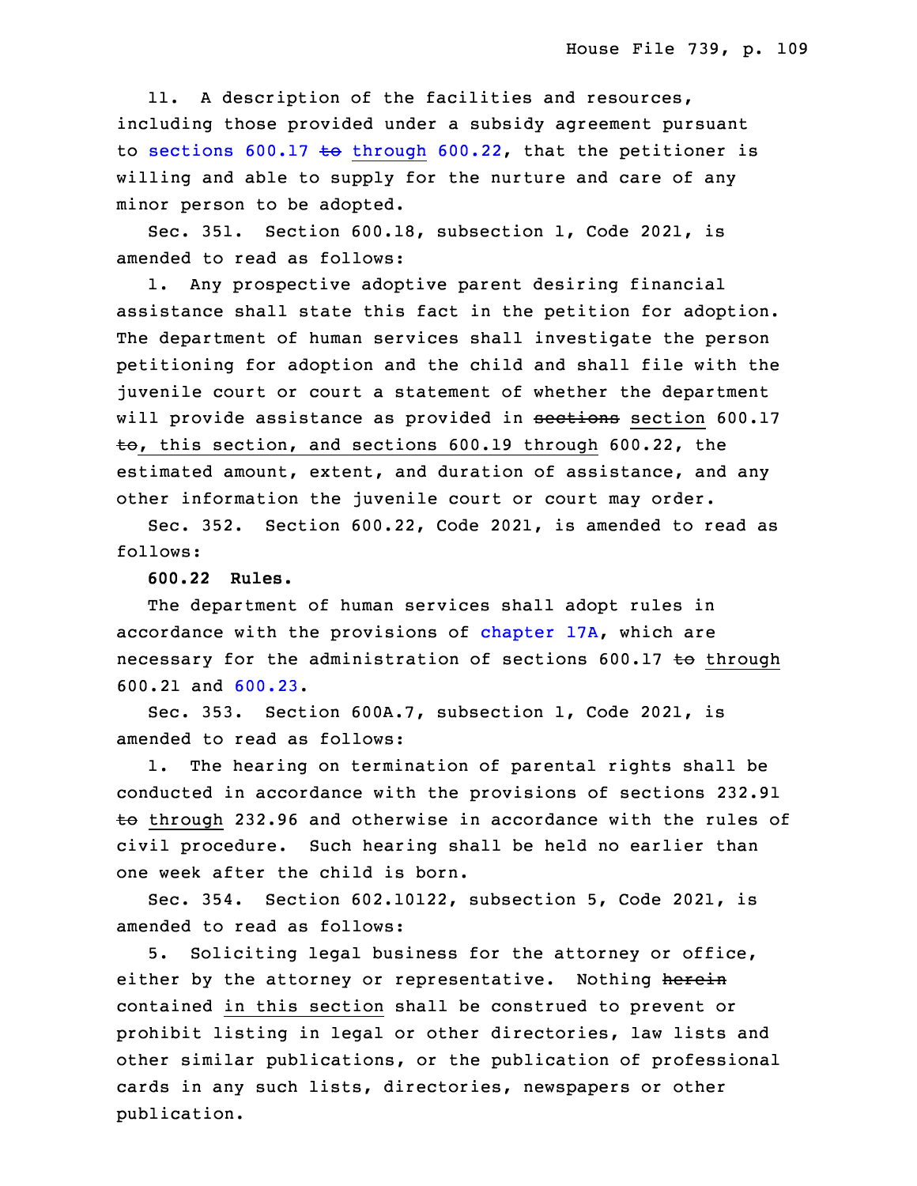11. A description of the facilities and resources, including those provided under <sup>a</sup> subsidy agreement pursuant to sections 600.17 to [through](https://www.legis.iowa.gov/docs/code/2021/600.17.pdf) 600.22, that the petitioner is willing and able to supply for the nurture and care of any minor person to be adopted.

Sec. 351. Section 600.18, subsection 1, Code 2021, is amended to read as follows:

1. Any prospective adoptive parent desiring financial assistance shall state this fact in the petition for adoption. The department of human services shall investigate the person petitioning for adoption and the child and shall file with the juvenile court or court <sup>a</sup> statement of whether the department will provide assistance as provided in sections section 600.17  $\pm$ o, this section, and sections 600.19 through 600.22, the estimated amount, extent, and duration of assistance, and any other information the juvenile court or court may order.

Sec. 352. Section 600.22, Code 2021, is amended to read as follows:

31 **600.22 Rules.**

The department of human services shall adopt rules in accordance with the provisions of [chapter](https://www.legis.iowa.gov/docs/code/2021/17A.pdf) 17A, which are necessary for the administration of sections 600.17 to through 35 600.21 and [600.23](https://www.legis.iowa.gov/docs/code/2021/600.23.pdf).

 Sec. 353. Section 600A.7, subsection 1, Code 2021, is amended to read as follows:

1. The hearing on termination of parental rights shall be conducted in accordance with the provisions of sections 232.91  $t$  through 232.96 and otherwise in accordance with the rules of civil procedure. Such hearing shall be held no earlier than one week after the child is born.

8 Sec. 354. Section 602.10122, subsection 5, Code 2021, is amended to read as follows:

5. Soliciting legal business for the attorney or office, either by the attorney or representative. Nothing herein contained in this section shall be construed to prevent or prohibit listing in legal or other directories, law lists and other similar publications, or the publication of professional cards in any such lists, directories, newspapers or other publication.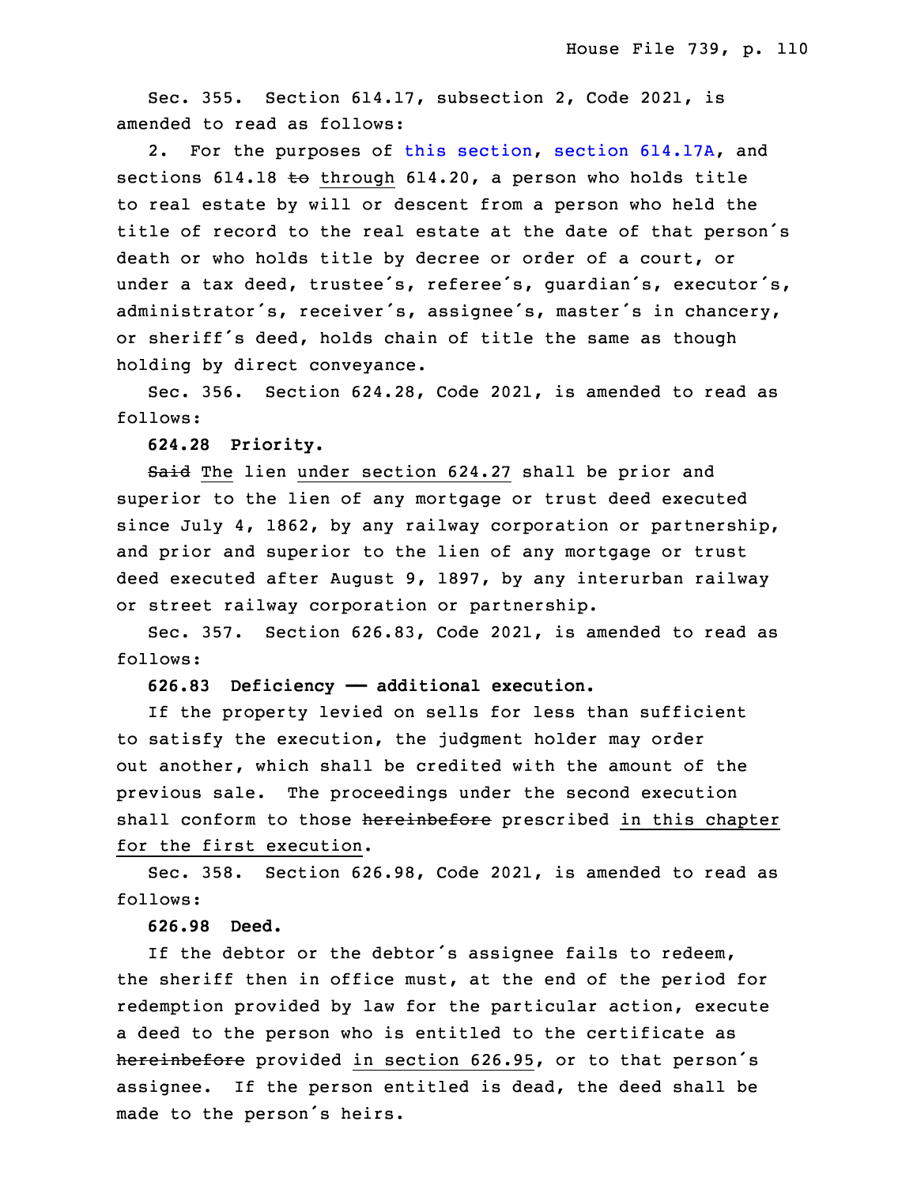Sec. 355. Section  $614.17$ , subsection 2, Code 2021, is amended to read as follows:

2. For the purposes of this [section](https://www.legis.iowa.gov/docs/code/2021/614.17.pdf), section [614.17A](https://www.legis.iowa.gov/docs/code/2021/614.17A.pdf), and sections 614.18 to through 614.20, a person who holds title to real estate by will or descent from <sup>a</sup> person who held the title of record to the real estate at the date of that person's death or who holds title by decree or order of a court, or under <sup>a</sup> tax deed, trustee's, referee's, guardian's, executor's, administrator's, receiver's, assignee's, master's in chancery, or sheriff's deed, holds chain of title the same as though holding by direct conveyance.

Sec. 356. Section 624.28, Code 2021, is amended to read as follows:

30 **624.28 Priority.**

Said The lien under section 624.27 shall be prior and superior to the lien of any mortgage or trust deed executed since July 4, 1862, by any railway corporation or partnership, and prior and superior to the lien of any mortgage or trust deed executed after August 9, 1897, by any interurban railway or street railway corporation or partnership.

 Sec. 357. Section 626.83, Code 2021, is amended to read as follows:

# **626.83 Deficiency —— additional execution.**

If the property levied on sells for less than sufficient to satisfy the execution, the judgment holder may order out another, which shall be credited with the amount of the previous sale. The proceedings under the second execution shall conform to those hereinbefore prescribed in this chapter for the first execution.

 Sec. 358. Section 626.98, Code 2021, is amended to read as follows:

13 **626.98 Deed.**

 If the debtor or the debtor's assignee fails to redeem, the sheriff then in office must, at the end of the period for redemption provided by law for the particular action, execute a deed to the person who is entitled to the certificate as hereinbefore provided in section 626.95, or to that person's assignee. If the person entitled is dead, the deed shall be made to the person's heirs.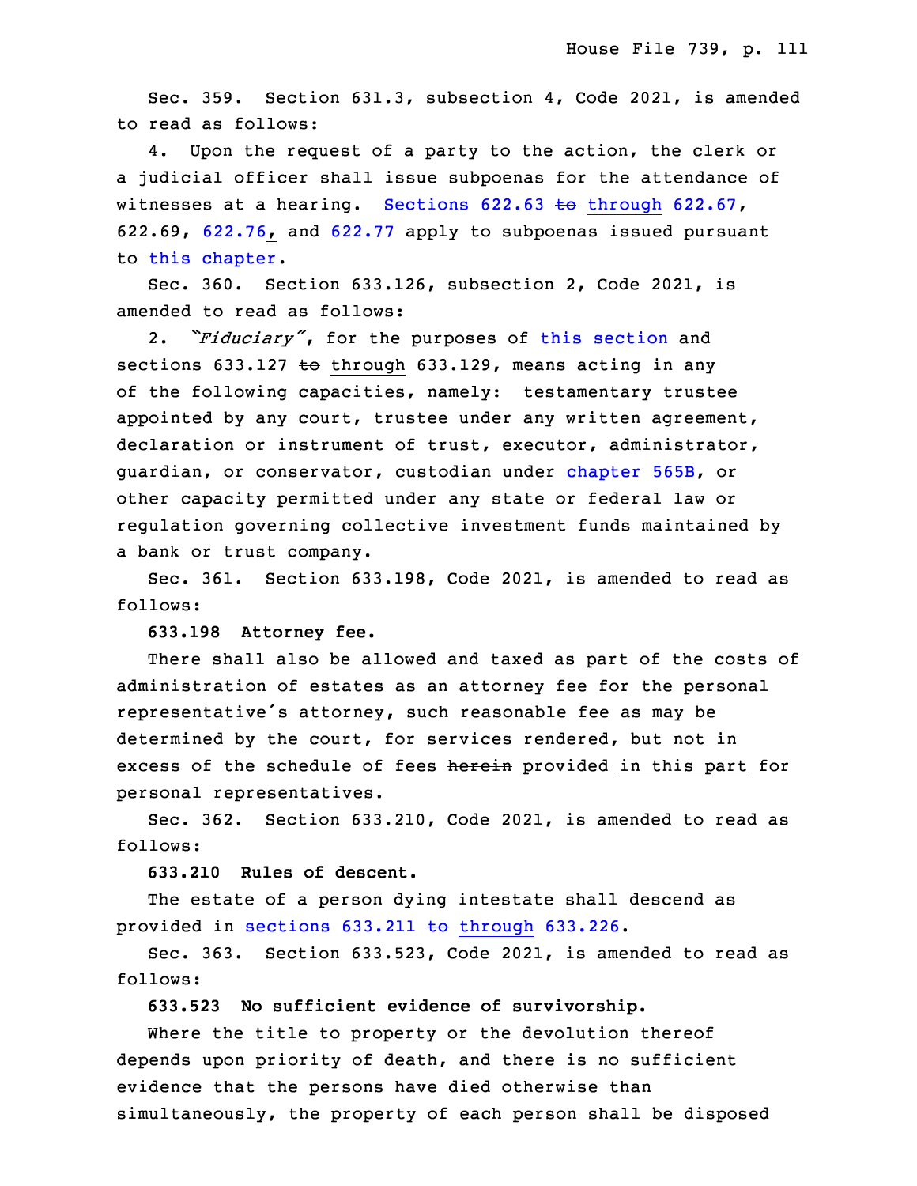Sec. 359. Section 631.3, subsection 4, Code 2021, is amended to read as follows:

4. Upon the request of a party to the action, the clerk or <sup>a</sup> judicial officer shall issue subpoenas for the attendance of witnesses at a hearing. Sections  $622.63$  to [through](https://www.legis.iowa.gov/docs/code/2021/622.63.pdf)  $622.67$ , 26 622.69, [622.76](https://www.legis.iowa.gov/docs/code/2021/622.76.pdf), and [622.77](https://www.legis.iowa.gov/docs/code/2021/622.77.pdf) apply to subpoenas issued pursuant to this [chapter](https://www.legis.iowa.gov/docs/code/2021/631.pdf).

Sec. 360. Section  $633.126$ , subsection 2, Code 2021, is amended to read as follows:

2. *"Fiduciary"*, for the purposes of this [section](https://www.legis.iowa.gov/docs/code/2021/633.126.pdf) and sections 633.127  $\pm$ o through 633.129, means acting in any of the following capacities, namely: testamentary trustee appointed by any court, trustee under any written agreement, declaration or instrument of trust, executor, administrator, guardian, or conservator, custodian under [chapter](https://www.legis.iowa.gov/docs/code/2021/565B.pdf) 565B, or other capacity permitted under any state or federal law or regulation governing collective investment funds maintained by a bank or trust company.

 Sec. 361. Section 633.198, Code 2021, is amended to read as follows:

### 6 **633.198 Attorney fee.**

There shall also be allowed and taxed as part of the costs of administration of estates as an attorney fee for the personal representative's attorney, such reasonable fee as may be determined by the court, for services rendered, but not in excess of the schedule of fees herein provided in this part for personal representatives.

Sec. 362. Section 633.210, Code 2021, is amended to read as follows:

## 15 **633.210 Rules of descent.**

The estate of a person dying intestate shall descend as provided in sections  $633.211$  to [through](https://www.legis.iowa.gov/docs/code/2021/633.211.pdf)  $633.226$ .

Sec. 363. Section 633.523, Code 2021, is amended to read as follows:

## 20 **633.523 No sufficient evidence of survivorship.**

 Where the title to property or the devolution thereof depends upon priority of death, and there is no sufficient evidence that the persons have died otherwise than simultaneously, the property of each person shall be disposed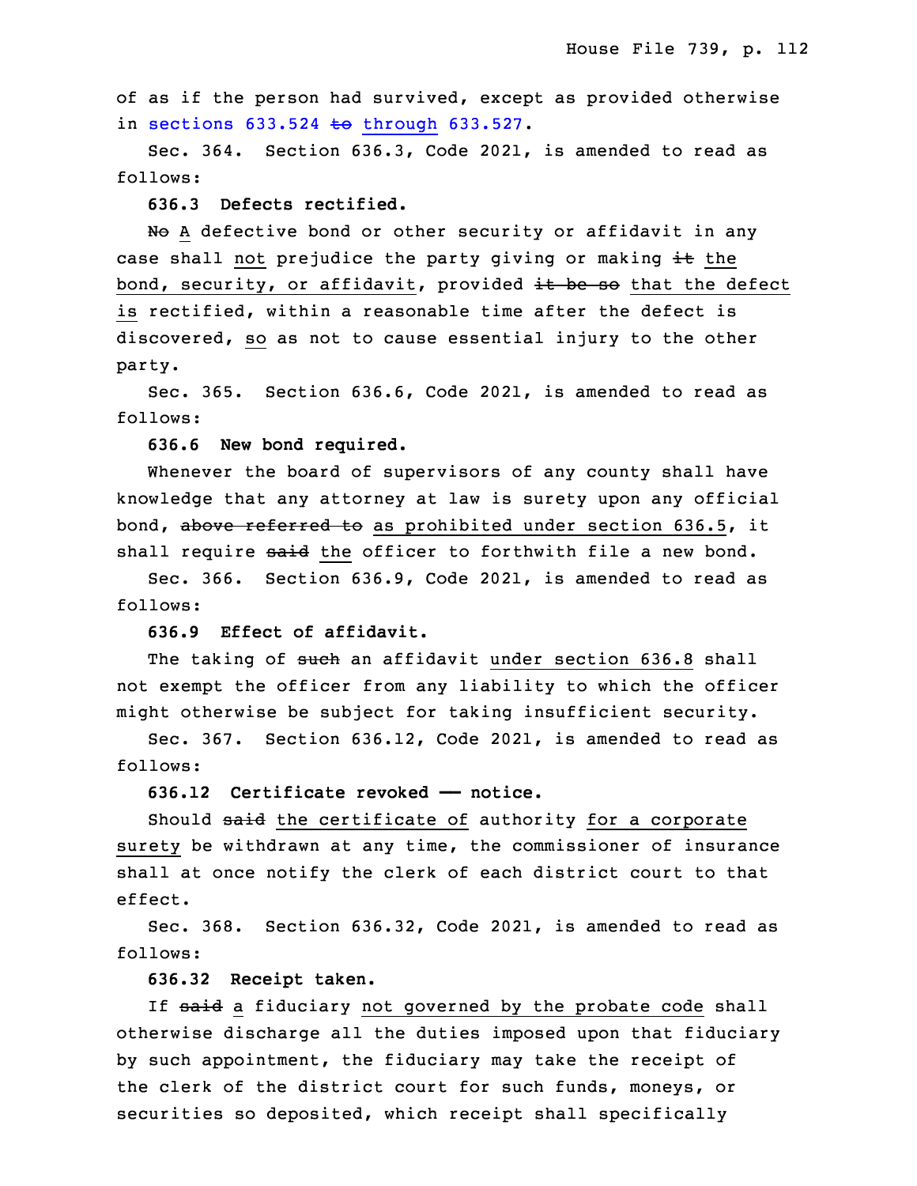of as if the person had survived, except as provided otherwise in sections  $633.524$  to [through](https://www.legis.iowa.gov/docs/code/2021/633.524.pdf)  $633.527$ .

Sec.  $364.$  Section  $636.3$ , Code 2021, is amended to read as follows:

### 29 **636.3 Defects rectified.**

No A defective bond or other security or affidavit in any case shall not prejudice the party giving or making  $\pm\text{t}$  the bond, security, or affidavit, provided it be so that the defect is rectified, within a reasonable time after the defect is discovered, so as not to cause essential injury to the other party.

 Sec. 365. Section 636.6, Code 2021, is amended to read as follows:

3 **636.6 New bond required.**

 Whenever the board of supervisors of any county shall have knowledge that any attorney at law is surety upon any official bond, above referred to as prohibited under section 636.5, it shall require said the officer to forthwith file a new bond.

Sec. 366. Section 636.9, Code 2021, is amended to read as follows:

## 10 **636.9 Effect of affidavit.**

The taking of such an affidavit under section 636.8 shall not exempt the officer from any liability to which the officer might otherwise be subject for taking insufficient security.

 Sec. 367. Section 636.12, Code 2021, is amended to read as follows:

### 16 **636.12 Certificate revoked —— notice.**

Should said the certificate of authority for a corporate surety be withdrawn at any time, the commissioner of insurance shall at once notify the clerk of each district court to that effect.

 Sec. 368. Section 636.32, Code 2021, is amended to read as follows:

### 23 **636.32 Receipt taken.**

If said a fiduciary not governed by the probate code shall otherwise discharge all the duties imposed upon that fiduciary by such appointment, the fiduciary may take the receipt of the clerk of the district court for such funds, moneys, or securities so deposited, which receipt shall specifically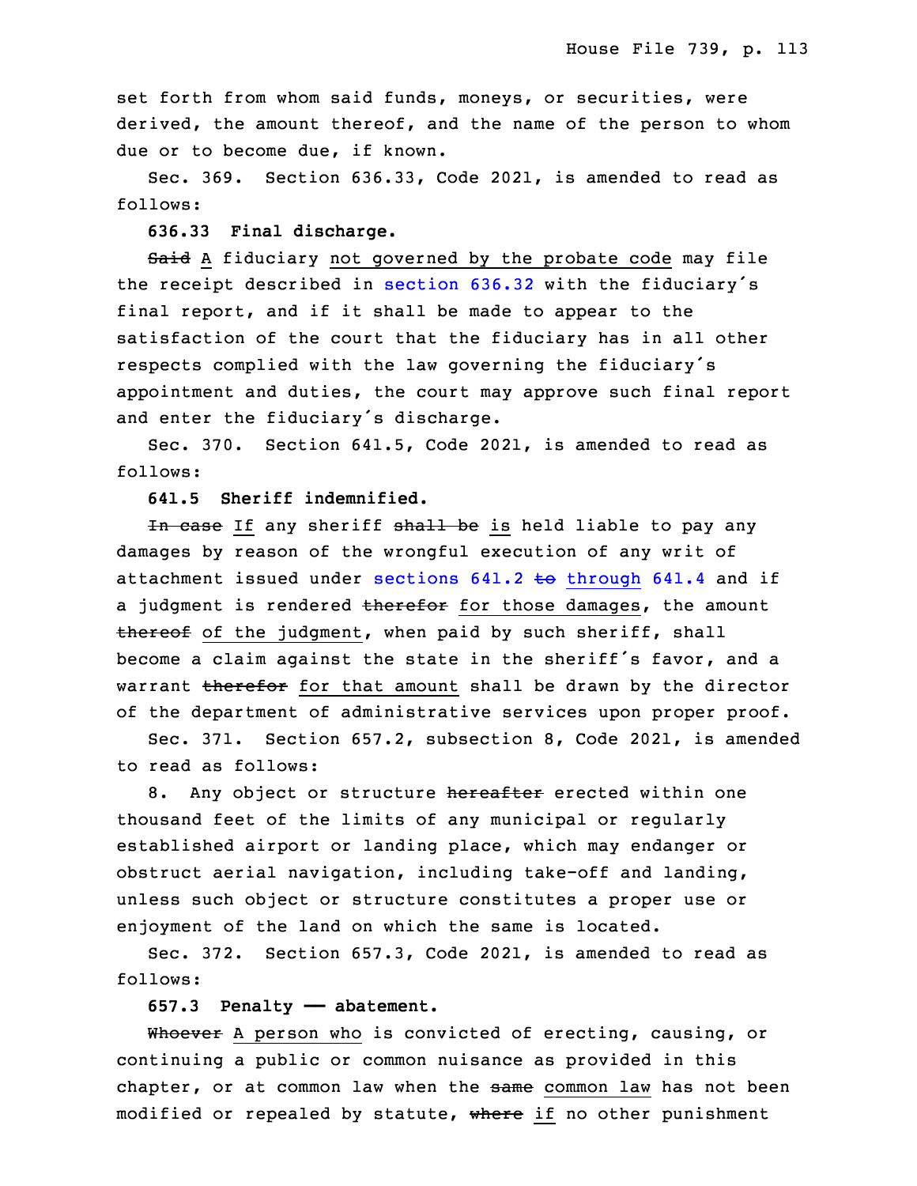set forth from whom said funds, moneys, or securities, were derived, the amount thereof, and the name of the person to whom due or to become due, if known.

Sec. 369. Section 636.33, Code 2021, is amended to read as follows:

## 34 **636.33 Final discharge.**

Said A fiduciary not governed by the probate code may file the receipt described in [section](https://www.legis.iowa.gov/docs/code/2021/636.32.pdf) 636.32 with the fiduciary's final report, and if it shall be made to appear to the satisfaction of the court that the fiduciary has in all other respects complied with the law governing the fiduciary's appointment and duties, the court may approve such final report and enter the fiduciary's discharge.

Sec. 370. Section 641.5, Code 2021, is amended to read as follows:

## 9 **641.5 Sheriff indemnified.**

In case If any sheriff shall be is held liable to pay any damages by reason of the wrongful execution of any writ of attachment issued under sections  $641.2$  to [through](https://www.legis.iowa.gov/docs/code/2021/641.2.pdf)  $641.4$  and if a judgment is rendered therefor for those damages, the amount thereof of the judgment, when paid by such sheriff, shall become a claim against the state in the sheriff's favor, and a warrant therefor for that amount shall be drawn by the director of the department of administrative services upon proper proof.

Sec. 371. Section 657.2, subsection 8, Code 2021, is amended to read as follows:

8. Any object or structure hereafter erected within one thousand feet of the limits of any municipal or regularly established airport or landing place, which may endanger or obstruct aerial navigation, including take-off and landing, unless such object or structure constitutes <sup>a</sup> proper use or enjoyment of the land on which the same is located.

Sec. 372. Section 657.3, Code 2021, is amended to read as follows:

### 28 **657.3 Penalty —— abatement.**

Whoever A person who is convicted of erecting, causing, or continuing a public or common nuisance as provided in this chapter, or at common law when the same common law has not been modified or repealed by statute, where if no other punishment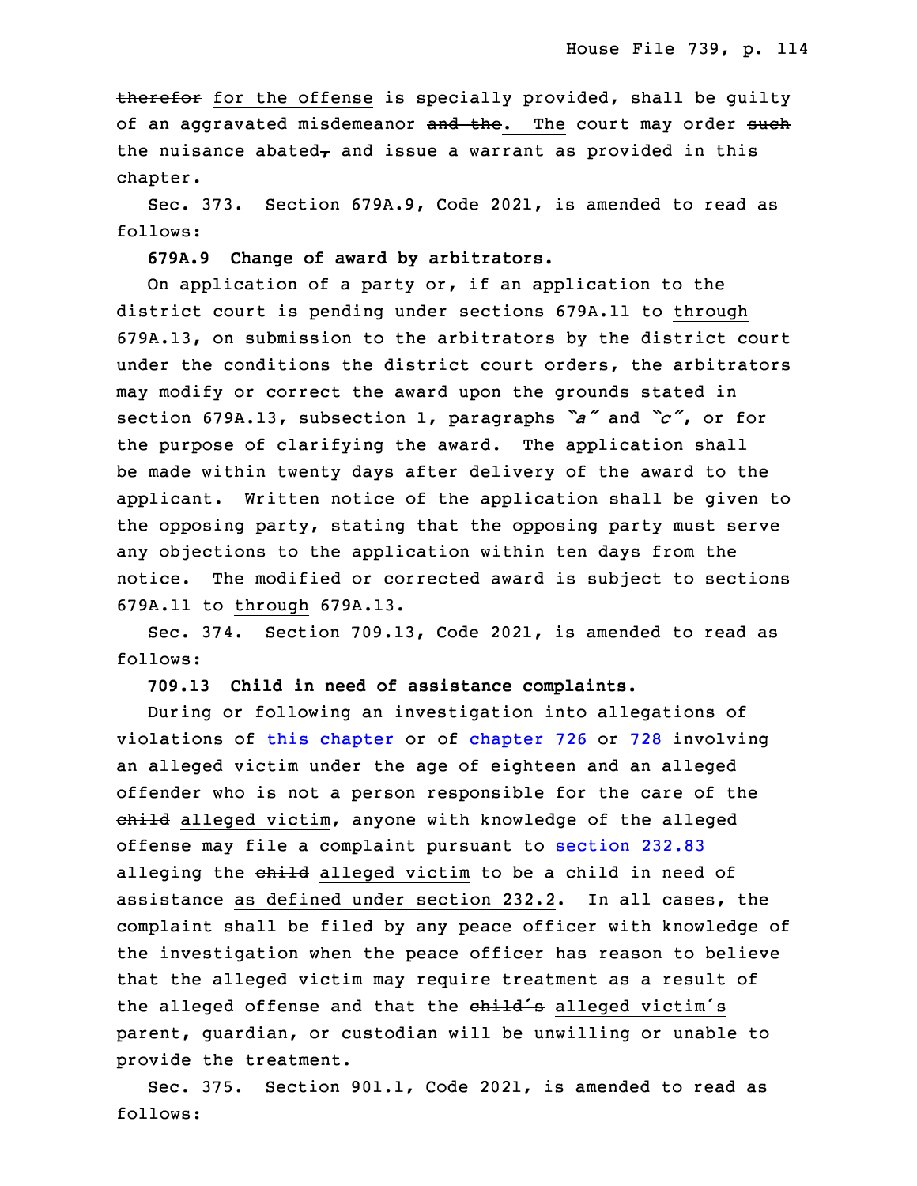therefor for the offense is specially provided, shall be guilty of an aggravated misdemeanor and the. The court may order such the nuisance abated $<sub>\tau</sub>$  and issue a warrant as provided in this</sub> chapter.

 Sec. 373. Section 679A.9, Code 2021, is amended to read as follows:

## **679A.9 Change of award by arbitrators.**

On application of a party or, if an application to the district court is pending under sections 679A.11 to through 7 679A.13, on submission to the arbitrators by the district court under the conditions the district court orders, the arbitrators may modify or correct the award upon the grounds stated in <sup>10</sup> section 679A.13, subsection 1, paragraphs *"a"* and *"c"*, or for the purpose of clarifying the award. The application shall be made within twenty days after delivery of the award to the applicant. Written notice of the application shall be given to the opposing party, stating that the opposing party must serve any objections to the application within ten days from the notice. The modified or corrected award is subject to sections 679A.11 to through 679A.13.

Sec. 374. Section 709.13, Code 2021, is amended to read as follows:

20 **709.13 Child in need of assistance complaints.**

 During or following an investigation into allegations of violations of this [chapter](https://www.legis.iowa.gov/docs/code/2021/709.pdf) or of [chapter](https://www.legis.iowa.gov/docs/code/2021/726.pdf) 726 or [728](https://www.legis.iowa.gov/docs/code/2021/728.pdf) involving an alleged victim under the age of eighteen and an alleged offender who is not <sup>a</sup> person responsible for the care of the child alleged victim, anyone with knowledge of the alleged 26 offense may file <sup>a</sup> complaint pursuant to [section](https://www.legis.iowa.gov/docs/code/2021/232.83.pdf) 232.83 alleging the child alleged victim to be a child in need of assistance as defined under section 232.2. In all cases, the complaint shall be filed by any peace officer with knowledge of the investigation when the peace officer has reason to believe that the alleged victim may require treatment as a result of the alleged offense and that the child's alleged victim's parent, guardian, or custodian will be unwilling or unable to provide the treatment.

Sec. 375. Section 901.1, Code 2021, is amended to read as follows: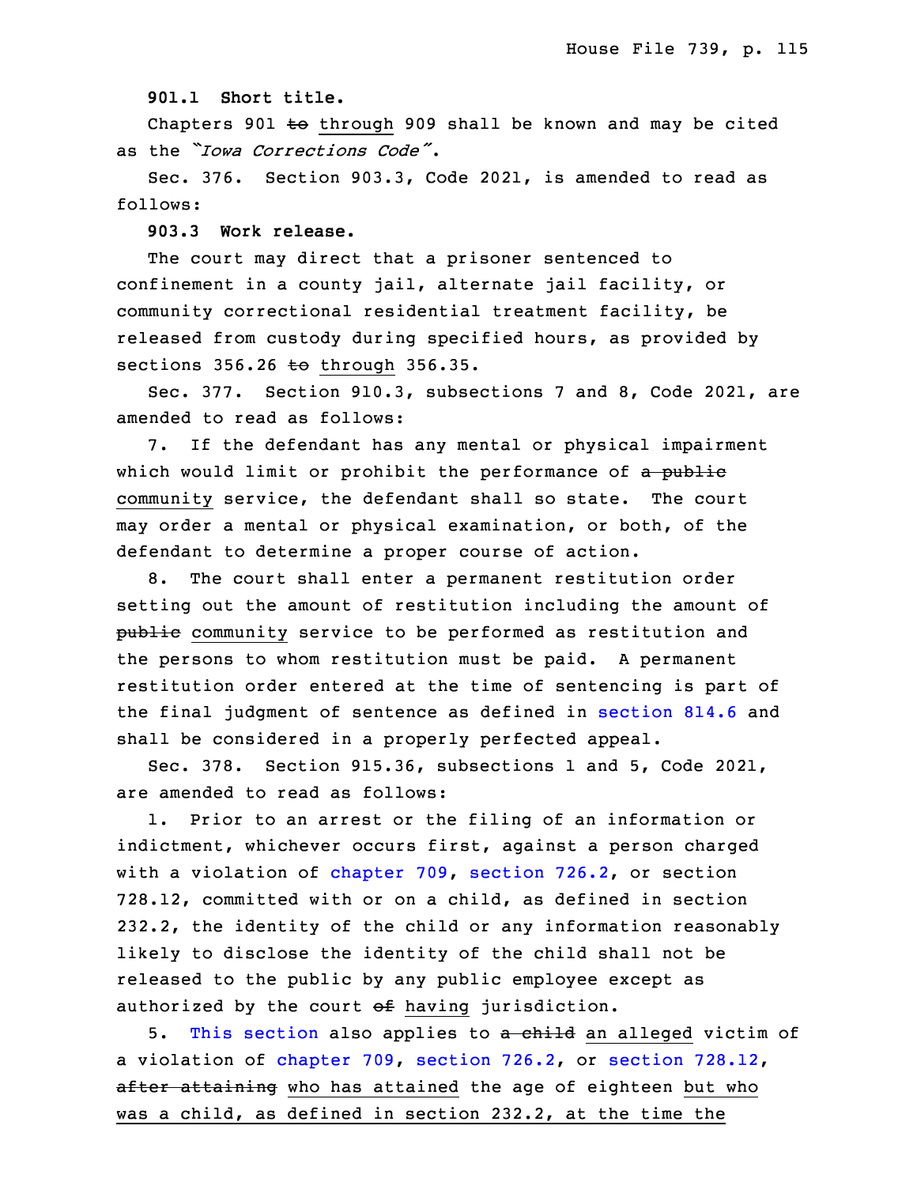**901.1 Short title.**

Chapters 901  $\pm$ o through 909 shall be known and may be cited as the *"Iowa Corrections Code"*.

5 Sec. 376. Section 903.3, Code 2021, is amended to read as follows:

7 **903.3 Work release.**

The court may direct that a prisoner sentenced to confinement in a county jail, alternate jail facility, or community correctional residential treatment facility, be released from custody during specified hours, as provided by sections  $356.26$  to through  $356.35$ .

Sec. 377. Section 910.3, subsections 7 and 8, Code 2021, are amended to read as follows:

7. If the defendant has any mental or physical impairment which would limit or prohibit the performance of a public community service, the defendant shall so state. The court may order a mental or physical examination, or both, of the defendant to determine a proper course of action.

8. The court shall enter a permanent restitution order setting out the amount of restitution including the amount of public community service to be performed as restitution and the persons to whom restitution must be paid. A permanent restitution order entered at the time of sentencing is part of the final judgment of sentence as defined in [section](https://www.legis.iowa.gov/docs/code/2021/814.6.pdf) 814.6 and shall be considered in a properly perfected appeal.

Sec. 378. Section 915.36, subsections 1 and 5, Code 2021, are amended to read as follows:

1. Prior to an arrest or the filing of an information or indictment, whichever occurs first, against a person charged with a violation of [chapter](https://www.legis.iowa.gov/docs/code/2021/709.pdf) 709, [section](https://www.legis.iowa.gov/docs/code/2021/726.2.pdf) 726.2, or section 32 728.12, committed with or on <sup>a</sup> child, as defined in section 33 232.2, the identity of the child or any information reasonably likely to disclose the identity of the child shall not be released to the public by any public employee except as authorized by the court  $\theta$ f having jurisdiction.

5. This [section](https://www.legis.iowa.gov/docs/code/2021/915.36.pdf) also applies to a child an alleged victim of a violation of [chapter](https://www.legis.iowa.gov/docs/code/2021/709.pdf) 709, [section](https://www.legis.iowa.gov/docs/code/2021/726.2.pdf) 726.2, or section [728.12](https://www.legis.iowa.gov/docs/code/2021/728.12.pdf), after attaining who has attained the age of eighteen but who was a child, as defined in section 232.2, at the time the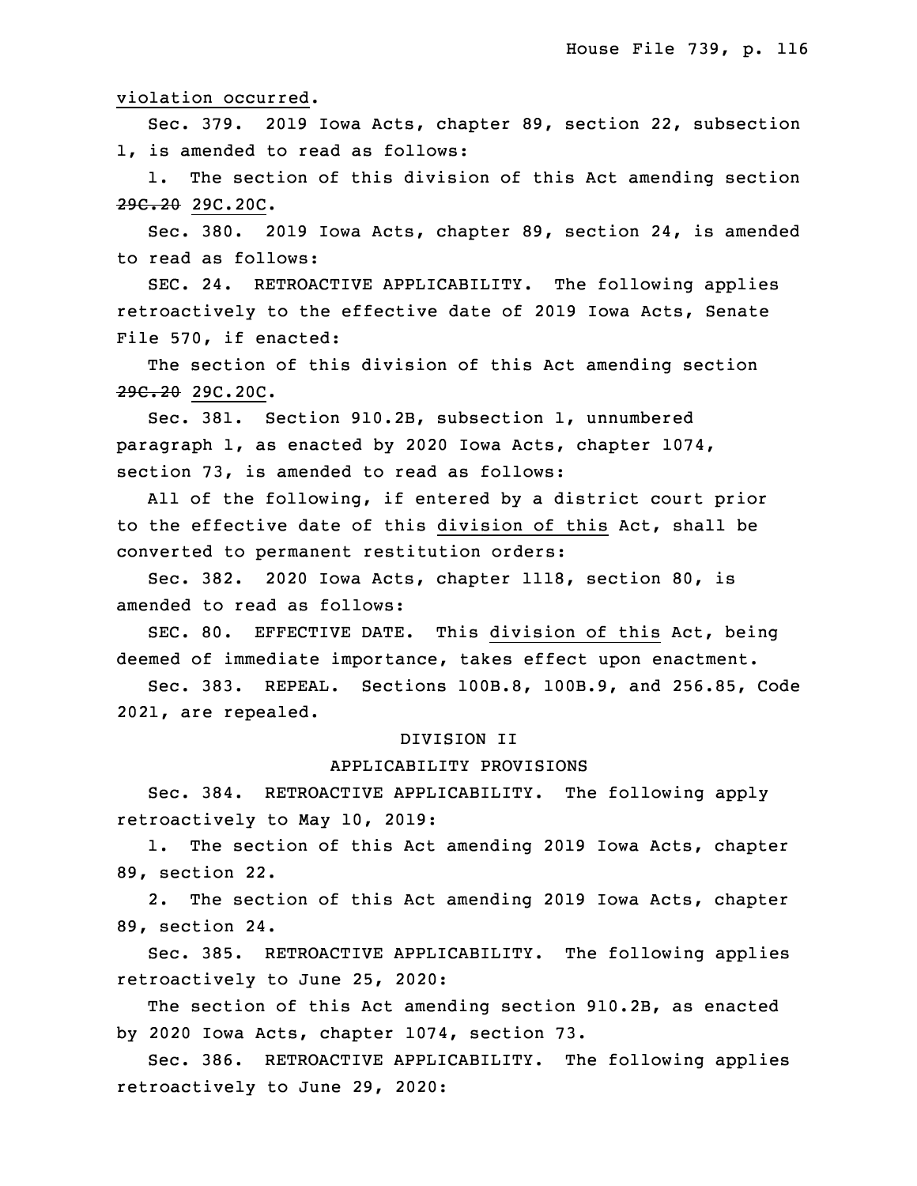### violation occurred.

Sec. 379. 2019 Iowa Acts, chapter 89, section 22, subsection 1, is amended to read as follows:

1. The section of this division of this Act amending section 29C.20 29C.20C.

 Sec. 380. 2019 Iowa Acts, chapter 89, section 24, is amended to read as follows:

SEC. 24. RETROACTIVE APPLICABILITY. The following applies retroactively to the effective date of 2019 Iowa Acts, Senate File 570, if enacted:

The section of this division of this Act amending section 29C.20 29C.20C.

Sec. 381. Section 910.2B, subsection 1, unnumbered paragraph 1, as enacted by 2020 Iowa Acts, chapter 1074, section 73, is amended to read as follows:

 All of the following, if entered by <sup>a</sup> district court prior to the effective date of this division of this Act, shall be converted to permanent restitution orders:

 Sec. 382. 2020 Iowa Acts, chapter 1118, section 80, is amended to read as follows:

SEC. 80. EFFECTIVE DATE. This division of this Act, being deemed of immediate importance, takes effect upon enactment.

Sec. 383. REPEAL. Sections 100B.8, 100B.9, and 256.85, Code 29 2021, are repealed.

#### 30 DIVISION II

## 31 APPLICABILITY PROVISIONS

Sec. 384. RETROACTIVE APPLICABILITY. The following apply retroactively to May 10, 2019:

1. The section of this Act amending 2019 Iowa Acts, chapter 35 89, section 22.

 2. The section of this Act amending 2019 Iowa Acts, chapter 89, section 24.

3 Sec. 385. RETROACTIVE APPLICABILITY. The following applies retroactively to June 25, 2020:

The section of this Act amending section 910.2B, as enacted by 2020 Iowa Acts, chapter 1074, section 73.

Sec. 386. RETROACTIVE APPLICABILITY. The following applies retroactively to June 29, 2020: